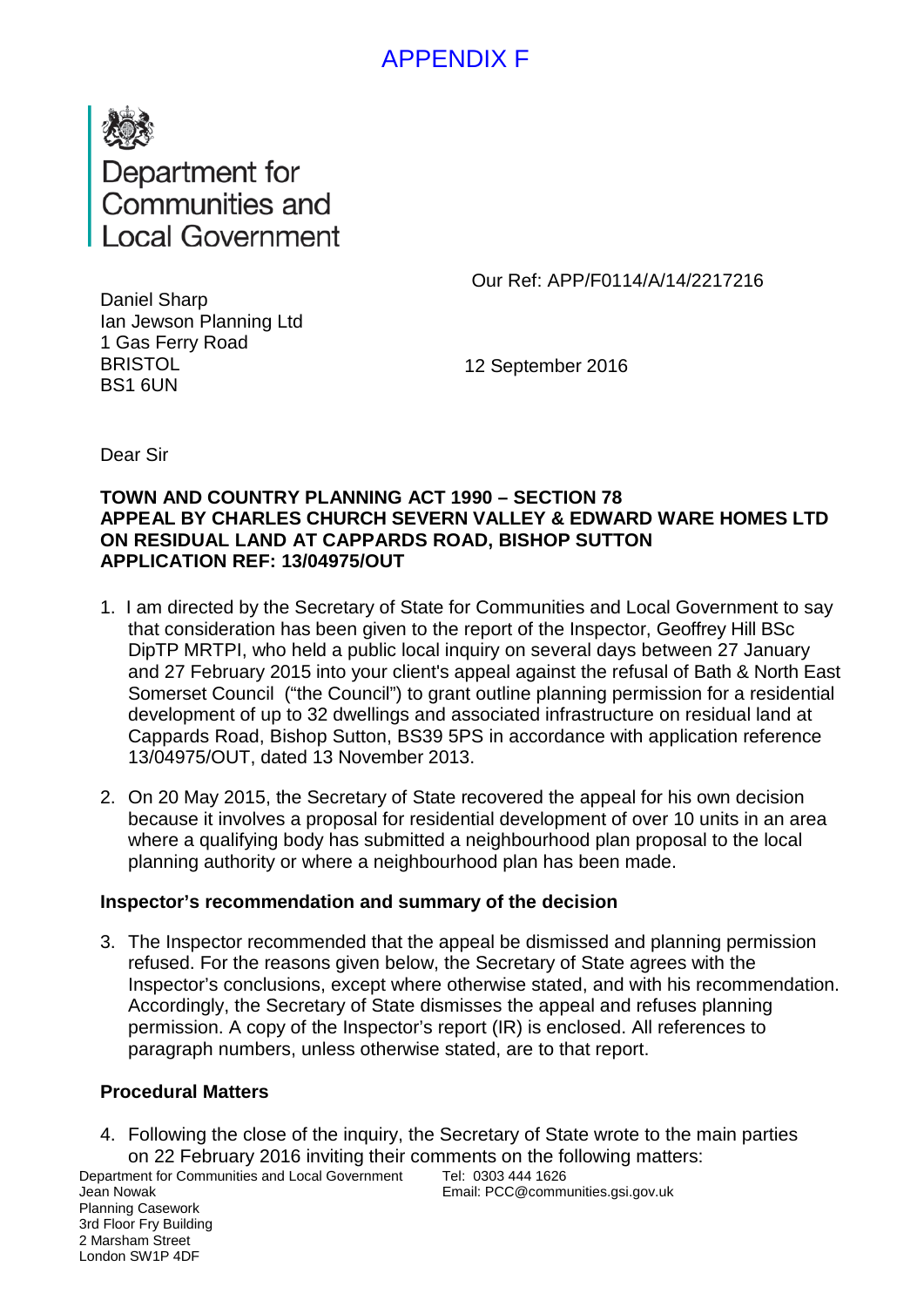## APPENDIX F



# Department for<br>Communities and **Local Government**

Our Ref: APP/F0114/A/14/2217216

Daniel Sharp Ian Jewson Planning Ltd 1 Gas Ferry Road BRISTOL BS1 6UN

12 September 2016

Dear Sir

#### **TOWN AND COUNTRY PLANNING ACT 1990 – SECTION 78 APPEAL BY CHARLES CHURCH SEVERN VALLEY & EDWARD WARE HOMES LTD ON RESIDUAL LAND AT CAPPARDS ROAD, BISHOP SUTTON APPLICATION REF: 13/04975/OUT**

- 1. I am directed by the Secretary of State for Communities and Local Government to say that consideration has been given to the report of the Inspector, Geoffrey Hill BSc DipTP MRTPI, who held a public local inquiry on several days between 27 January and 27 February 2015 into your client's appeal against the refusal of Bath & North East Somerset Council ("the Council") to grant outline planning permission for a residential development of up to 32 dwellings and associated infrastructure on residual land at Cappards Road, Bishop Sutton, BS39 5PS in accordance with application reference 13/04975/OUT, dated 13 November 2013.
- 2. On 20 May 2015, the Secretary of State recovered the appeal for his own decision because it involves a proposal for residential development of over 10 units in an area where a qualifying body has submitted a neighbourhood plan proposal to the local planning authority or where a neighbourhood plan has been made.

#### **Inspector's recommendation and summary of the decision**

3. The Inspector recommended that the appeal be dismissed and planning permission refused. For the reasons given below, the Secretary of State agrees with the Inspector's conclusions, except where otherwise stated, and with his recommendation. Accordingly, the Secretary of State dismisses the appeal and refuses planning permission. A copy of the Inspector's report (IR) is enclosed. All references to paragraph numbers, unless otherwise stated, are to that report.

#### **Procedural Matters**

4. Following the close of the inquiry, the Secretary of State wrote to the main parties on 22 February 2016 inviting their comments on the following matters:

Department for Communities and Local Government Jean Nowak Planning Casework 3rd Floor Fry Building 2 Marsham Street London SW1P 4DF

Tel: 0303 444 1626 Email: PCC@communities.gsi.gov.uk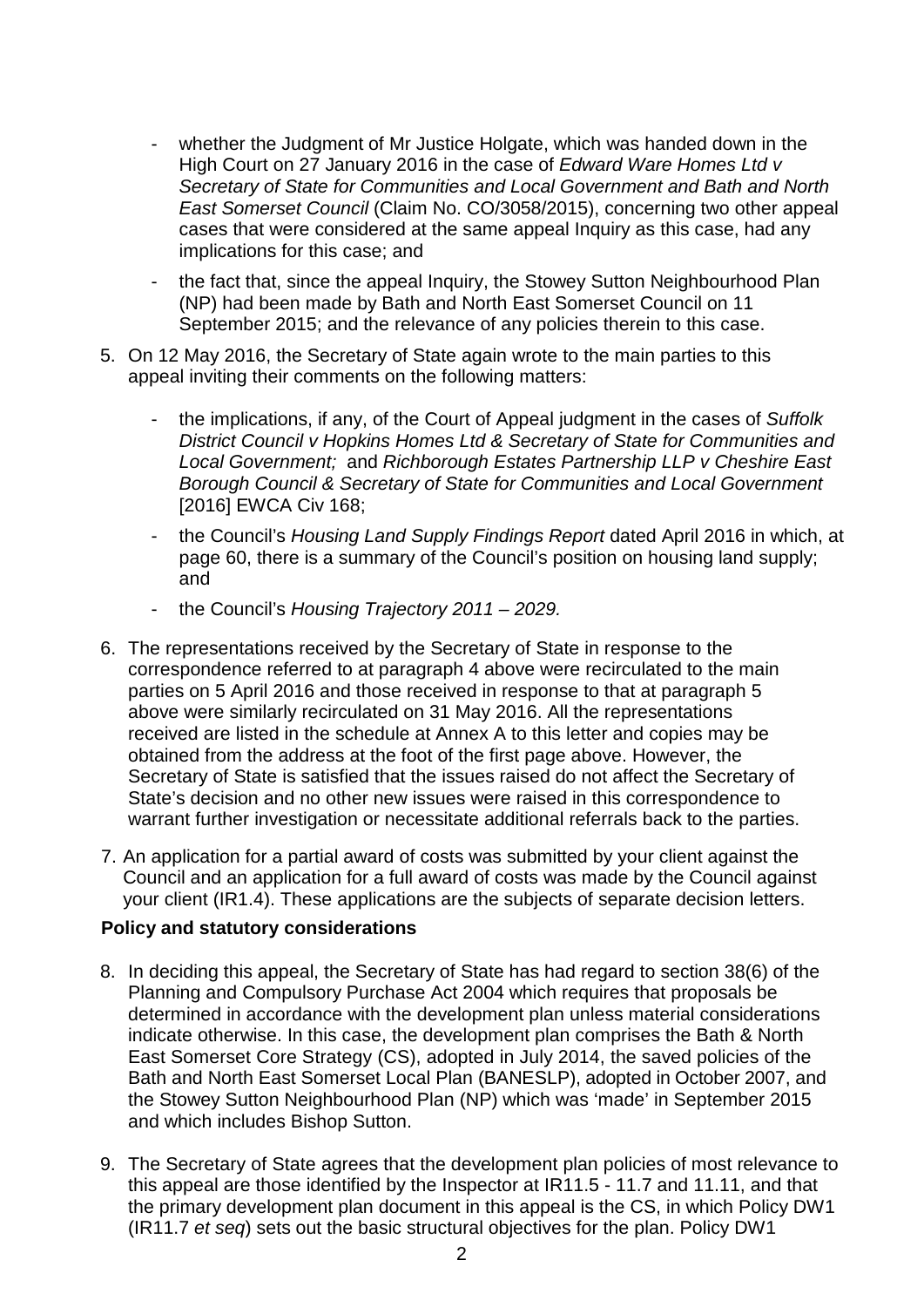- whether the Judgment of Mr Justice Holgate, which was handed down in the High Court on 27 January 2016 in the case of *Edward Ware Homes Ltd v Secretary of State for Communities and Local Government and Bath and North East Somerset Council* (Claim No. CO/3058/2015), concerning two other appeal cases that were considered at the same appeal Inquiry as this case, had any implications for this case; and
- the fact that, since the appeal Inquiry, the Stowey Sutton Neighbourhood Plan (NP) had been made by Bath and North East Somerset Council on 11 September 2015; and the relevance of any policies therein to this case.
- 5. On 12 May 2016, the Secretary of State again wrote to the main parties to this appeal inviting their comments on the following matters:
	- the implications, if any, of the Court of Appeal judgment in the cases of *Suffolk District Council v Hopkins Homes Ltd & Secretary of State for Communities and Local Government;* and *Richborough Estates Partnership LLP v Cheshire East Borough Council & Secretary of State for Communities and Local Government*  [2016] EWCA Civ 168;
	- the Council's *Housing Land Supply Findings Report* dated April 2016 in which, at page 60, there is a summary of the Council's position on housing land supply; and
	- the Council's *Housing Trajectory 2011 – 2029.*
- 6. The representations received by the Secretary of State in response to the correspondence referred to at paragraph 4 above were recirculated to the main parties on 5 April 2016 and those received in response to that at paragraph 5 above were similarly recirculated on 31 May 2016. All the representations received are listed in the schedule at Annex A to this letter and copies may be obtained from the address at the foot of the first page above. However, the Secretary of State is satisfied that the issues raised do not affect the Secretary of State's decision and no other new issues were raised in this correspondence to warrant further investigation or necessitate additional referrals back to the parties.
- 7. An application for a partial award of costs was submitted by your client against the Council and an application for a full award of costs was made by the Council against your client (IR1.4). These applications are the subjects of separate decision letters.

#### **Policy and statutory considerations**

- 8. In deciding this appeal, the Secretary of State has had regard to section 38(6) of the Planning and Compulsory Purchase Act 2004 which requires that proposals be determined in accordance with the development plan unless material considerations indicate otherwise. In this case, the development plan comprises the Bath & North East Somerset Core Strategy (CS), adopted in July 2014, the saved policies of the Bath and North East Somerset Local Plan (BANESLP), adopted in October 2007, and the Stowey Sutton Neighbourhood Plan (NP) which was 'made' in September 2015 and which includes Bishop Sutton.
- 9. The Secretary of State agrees that the development plan policies of most relevance to this appeal are those identified by the Inspector at IR11.5 - 11.7 and 11.11, and that the primary development plan document in this appeal is the CS, in which Policy DW1 (IR11.7 *et seq*) sets out the basic structural objectives for the plan. Policy DW1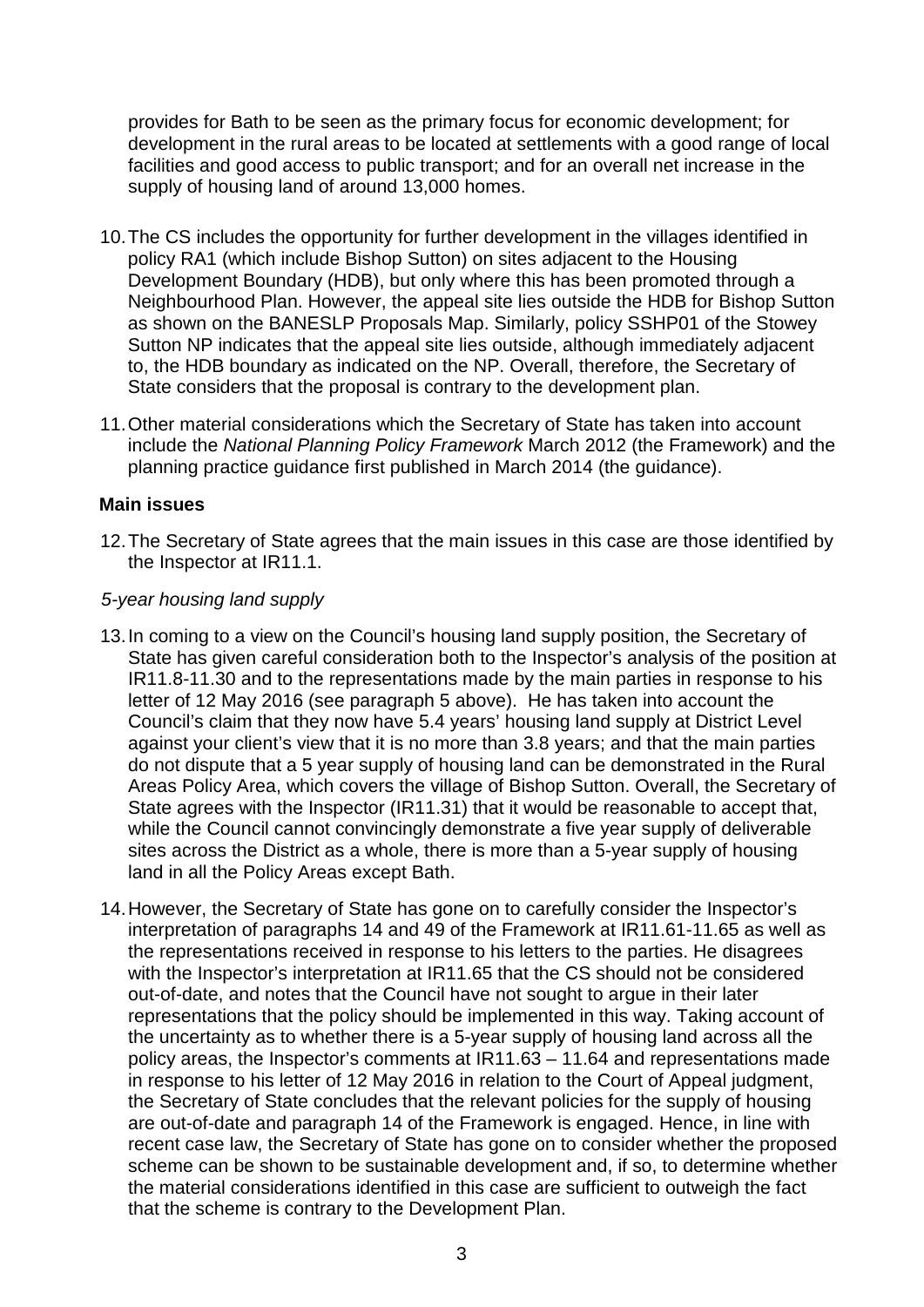provides for Bath to be seen as the primary focus for economic development; for development in the rural areas to be located at settlements with a good range of local facilities and good access to public transport; and for an overall net increase in the supply of housing land of around 13,000 homes.

- 10.The CS includes the opportunity for further development in the villages identified in policy RA1 (which include Bishop Sutton) on sites adjacent to the Housing Development Boundary (HDB), but only where this has been promoted through a Neighbourhood Plan. However, the appeal site lies outside the HDB for Bishop Sutton as shown on the BANESLP Proposals Map. Similarly, policy SSHP01 of the Stowey Sutton NP indicates that the appeal site lies outside, although immediately adjacent to, the HDB boundary as indicated on the NP. Overall, therefore, the Secretary of State considers that the proposal is contrary to the development plan.
- 11.Other material considerations which the Secretary of State has taken into account include the *National Planning Policy Framework* March 2012 (the Framework) and the planning practice guidance first published in March 2014 (the guidance).

#### **Main issues**

12.The Secretary of State agrees that the main issues in this case are those identified by the Inspector at IR11.1.

#### *5-year housing land supply*

- 13.In coming to a view on the Council's housing land supply position, the Secretary of State has given careful consideration both to the Inspector's analysis of the position at IR11.8-11.30 and to the representations made by the main parties in response to his letter of 12 May 2016 (see paragraph 5 above). He has taken into account the Council's claim that they now have 5.4 years' housing land supply at District Level against your client's view that it is no more than 3.8 years; and that the main parties do not dispute that a 5 year supply of housing land can be demonstrated in the Rural Areas Policy Area, which covers the village of Bishop Sutton. Overall, the Secretary of State agrees with the Inspector (IR11.31) that it would be reasonable to accept that, while the Council cannot convincingly demonstrate a five year supply of deliverable sites across the District as a whole, there is more than a 5-year supply of housing land in all the Policy Areas except Bath.
- 14.However, the Secretary of State has gone on to carefully consider the Inspector's interpretation of paragraphs 14 and 49 of the Framework at IR11.61-11.65 as well as the representations received in response to his letters to the parties. He disagrees with the Inspector's interpretation at IR11.65 that the CS should not be considered out-of-date, and notes that the Council have not sought to argue in their later representations that the policy should be implemented in this way. Taking account of the uncertainty as to whether there is a 5-year supply of housing land across all the policy areas, the Inspector's comments at IR11.63 – 11.64 and representations made in response to his letter of 12 May 2016 in relation to the Court of Appeal judgment, the Secretary of State concludes that the relevant policies for the supply of housing are out-of-date and paragraph 14 of the Framework is engaged. Hence, in line with recent case law, the Secretary of State has gone on to consider whether the proposed scheme can be shown to be sustainable development and, if so, to determine whether the material considerations identified in this case are sufficient to outweigh the fact that the scheme is contrary to the Development Plan.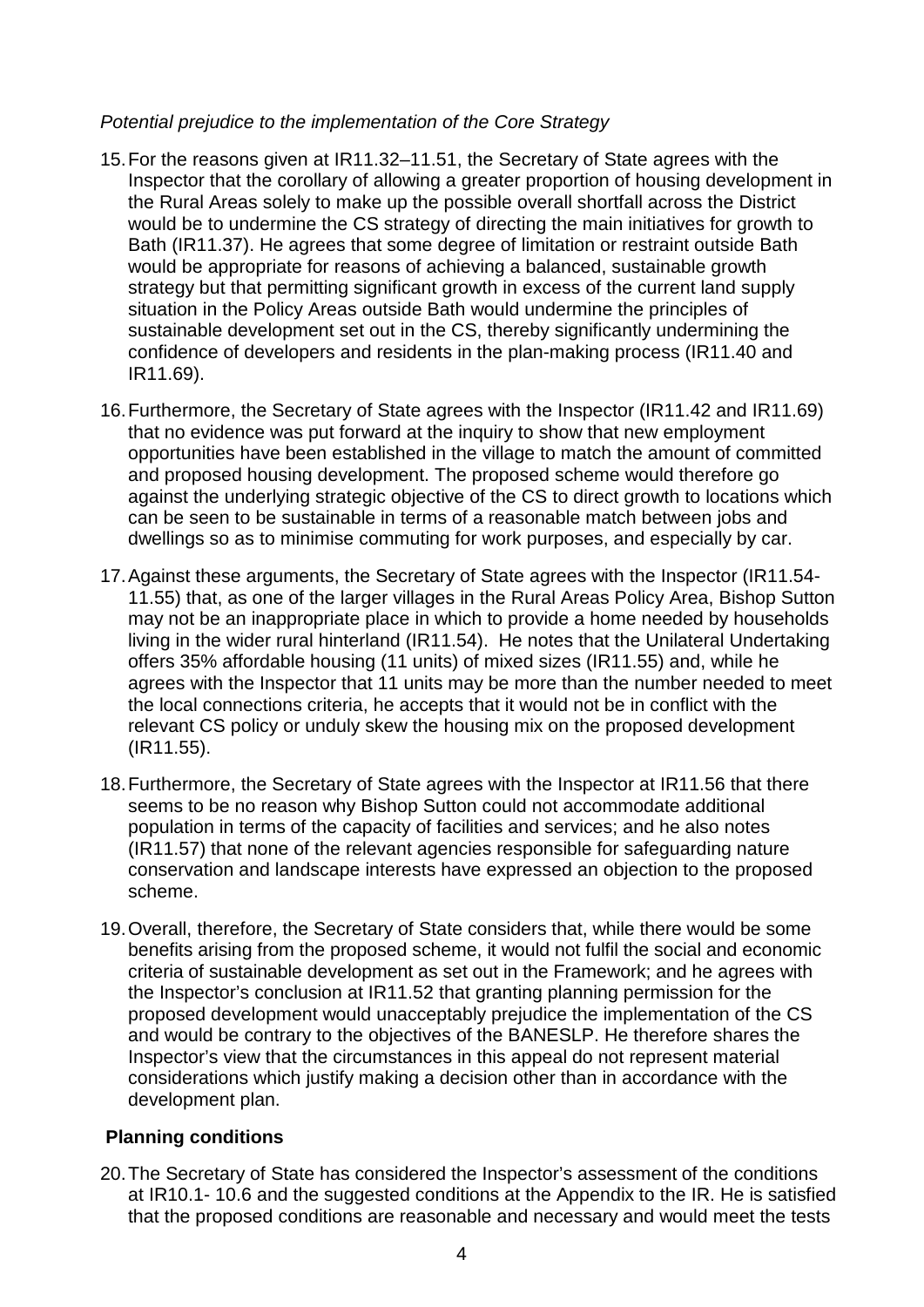#### *Potential prejudice to the implementation of the Core Strategy*

- 15.For the reasons given at IR11.32–11.51, the Secretary of State agrees with the Inspector that the corollary of allowing a greater proportion of housing development in the Rural Areas solely to make up the possible overall shortfall across the District would be to undermine the CS strategy of directing the main initiatives for growth to Bath (IR11.37). He agrees that some degree of limitation or restraint outside Bath would be appropriate for reasons of achieving a balanced, sustainable growth strategy but that permitting significant growth in excess of the current land supply situation in the Policy Areas outside Bath would undermine the principles of sustainable development set out in the CS, thereby significantly undermining the confidence of developers and residents in the plan-making process (IR11.40 and IR11.69).
- 16.Furthermore, the Secretary of State agrees with the Inspector (IR11.42 and IR11.69) that no evidence was put forward at the inquiry to show that new employment opportunities have been established in the village to match the amount of committed and proposed housing development. The proposed scheme would therefore go against the underlying strategic objective of the CS to direct growth to locations which can be seen to be sustainable in terms of a reasonable match between jobs and dwellings so as to minimise commuting for work purposes, and especially by car.
- 17.Against these arguments, the Secretary of State agrees with the Inspector (IR11.54- 11.55) that, as one of the larger villages in the Rural Areas Policy Area, Bishop Sutton may not be an inappropriate place in which to provide a home needed by households living in the wider rural hinterland (IR11.54). He notes that the Unilateral Undertaking offers 35% affordable housing (11 units) of mixed sizes (IR11.55) and, while he agrees with the Inspector that 11 units may be more than the number needed to meet the local connections criteria, he accepts that it would not be in conflict with the relevant CS policy or unduly skew the housing mix on the proposed development (IR11.55).
- 18.Furthermore, the Secretary of State agrees with the Inspector at IR11.56 that there seems to be no reason why Bishop Sutton could not accommodate additional population in terms of the capacity of facilities and services; and he also notes (IR11.57) that none of the relevant agencies responsible for safeguarding nature conservation and landscape interests have expressed an objection to the proposed scheme.
- 19.Overall, therefore, the Secretary of State considers that, while there would be some benefits arising from the proposed scheme, it would not fulfil the social and economic criteria of sustainable development as set out in the Framework; and he agrees with the Inspector's conclusion at IR11.52 that granting planning permission for the proposed development would unacceptably prejudice the implementation of the CS and would be contrary to the objectives of the BANESLP. He therefore shares the Inspector's view that the circumstances in this appeal do not represent material considerations which justify making a decision other than in accordance with the development plan.

#### **Planning conditions**

20.The Secretary of State has considered the Inspector's assessment of the conditions at IR10.1- 10.6 and the suggested conditions at the Appendix to the IR. He is satisfied that the proposed conditions are reasonable and necessary and would meet the tests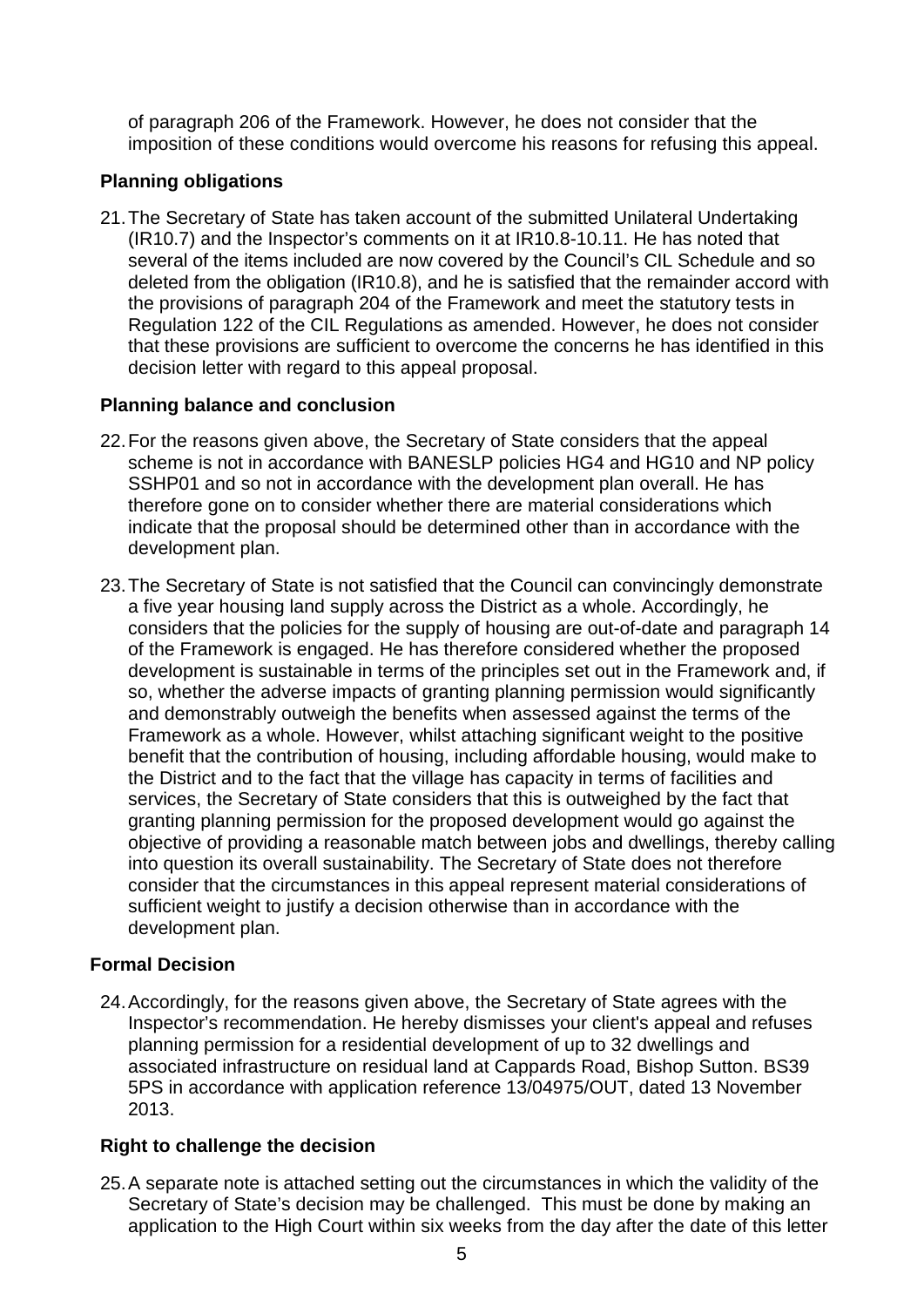of paragraph 206 of the Framework. However, he does not consider that the imposition of these conditions would overcome his reasons for refusing this appeal.

#### **Planning obligations**

21.The Secretary of State has taken account of the submitted Unilateral Undertaking (IR10.7) and the Inspector's comments on it at IR10.8-10.11. He has noted that several of the items included are now covered by the Council's CIL Schedule and so deleted from the obligation (IR10.8), and he is satisfied that the remainder accord with the provisions of paragraph 204 of the Framework and meet the statutory tests in Regulation 122 of the CIL Regulations as amended. However, he does not consider that these provisions are sufficient to overcome the concerns he has identified in this decision letter with regard to this appeal proposal.

#### **Planning balance and conclusion**

- 22.For the reasons given above, the Secretary of State considers that the appeal scheme is not in accordance with BANESLP policies HG4 and HG10 and NP policy SSHP01 and so not in accordance with the development plan overall. He has therefore gone on to consider whether there are material considerations which indicate that the proposal should be determined other than in accordance with the development plan.
- 23.The Secretary of State is not satisfied that the Council can convincingly demonstrate a five year housing land supply across the District as a whole. Accordingly, he considers that the policies for the supply of housing are out-of-date and paragraph 14 of the Framework is engaged. He has therefore considered whether the proposed development is sustainable in terms of the principles set out in the Framework and, if so, whether the adverse impacts of granting planning permission would significantly and demonstrably outweigh the benefits when assessed against the terms of the Framework as a whole. However, whilst attaching significant weight to the positive benefit that the contribution of housing, including affordable housing, would make to the District and to the fact that the village has capacity in terms of facilities and services, the Secretary of State considers that this is outweighed by the fact that granting planning permission for the proposed development would go against the objective of providing a reasonable match between jobs and dwellings, thereby calling into question its overall sustainability. The Secretary of State does not therefore consider that the circumstances in this appeal represent material considerations of sufficient weight to justify a decision otherwise than in accordance with the development plan.

#### **Formal Decision**

24.Accordingly, for the reasons given above, the Secretary of State agrees with the Inspector's recommendation. He hereby dismisses your client's appeal and refuses planning permission for a residential development of up to 32 dwellings and associated infrastructure on residual land at Cappards Road, Bishop Sutton. BS39 5PS in accordance with application reference 13/04975/OUT, dated 13 November 2013.

#### **Right to challenge the decision**

25.A separate note is attached setting out the circumstances in which the validity of the Secretary of State's decision may be challenged. This must be done by making an application to the High Court within six weeks from the day after the date of this letter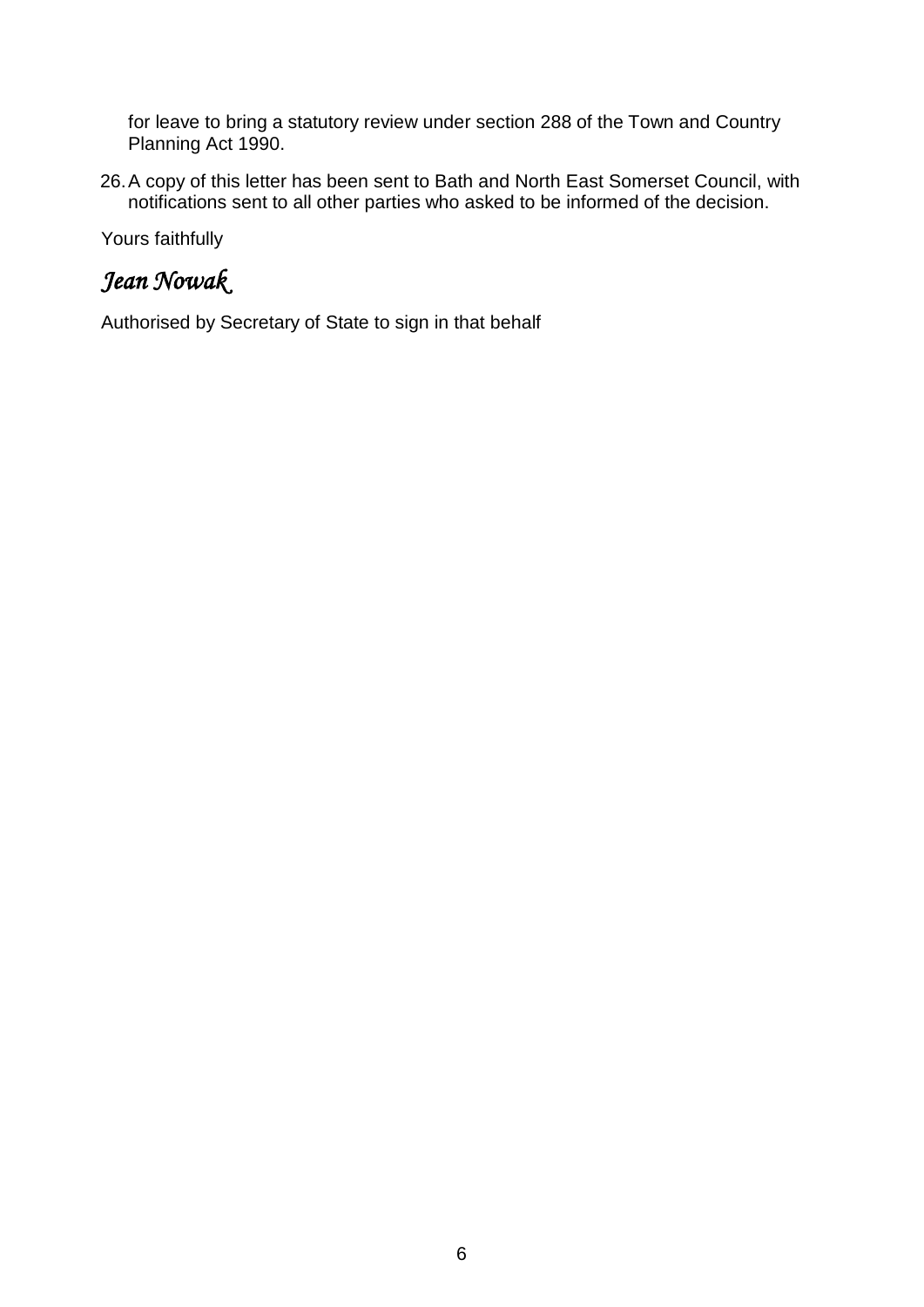for leave to bring a statutory review under section 288 of the Town and Country Planning Act 1990.

26.A copy of this letter has been sent to Bath and North East Somerset Council, with notifications sent to all other parties who asked to be informed of the decision.

Yours faithfully

## *Jean Nowak*

Authorised by Secretary of State to sign in that behalf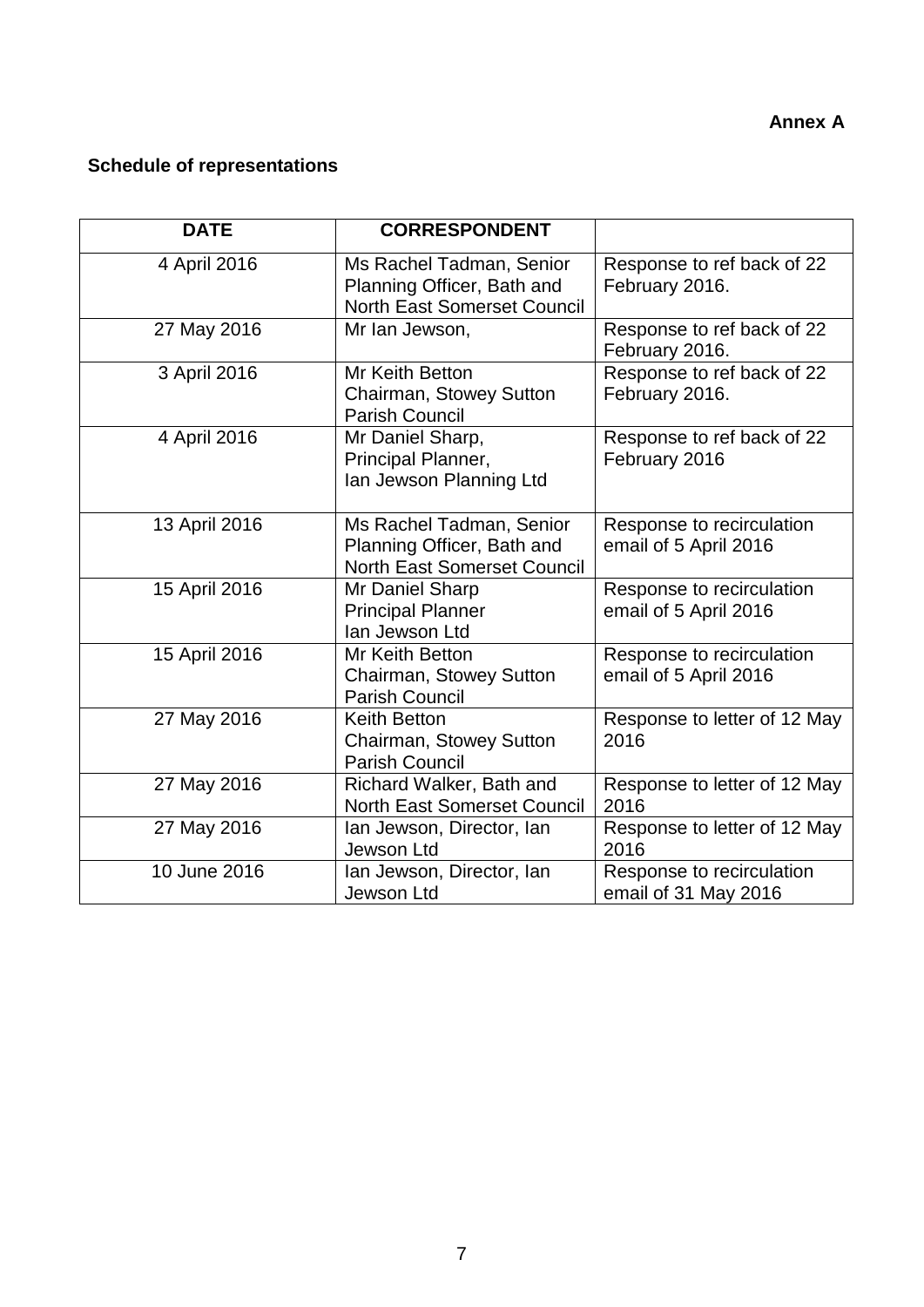#### **Annex A**

### **Schedule of representations**

| <b>DATE</b>   | <b>CORRESPONDENT</b>                                                                         |                                                    |
|---------------|----------------------------------------------------------------------------------------------|----------------------------------------------------|
| 4 April 2016  | Ms Rachel Tadman, Senior<br>Planning Officer, Bath and<br><b>North East Somerset Council</b> | Response to ref back of 22<br>February 2016.       |
| 27 May 2016   | Mr Ian Jewson,                                                                               | Response to ref back of 22<br>February 2016.       |
| 3 April 2016  | Mr Keith Betton<br>Chairman, Stowey Sutton<br><b>Parish Council</b>                          | Response to ref back of 22<br>February 2016.       |
| 4 April 2016  | Mr Daniel Sharp,<br>Principal Planner,<br>Ian Jewson Planning Ltd                            | Response to ref back of 22<br>February 2016        |
| 13 April 2016 | Ms Rachel Tadman, Senior<br>Planning Officer, Bath and<br><b>North East Somerset Council</b> | Response to recirculation<br>email of 5 April 2016 |
| 15 April 2016 | Mr Daniel Sharp<br><b>Principal Planner</b><br>Ian Jewson Ltd                                | Response to recirculation<br>email of 5 April 2016 |
| 15 April 2016 | Mr Keith Betton<br>Chairman, Stowey Sutton<br><b>Parish Council</b>                          | Response to recirculation<br>email of 5 April 2016 |
| 27 May 2016   | <b>Keith Betton</b><br>Chairman, Stowey Sutton<br><b>Parish Council</b>                      | Response to letter of 12 May<br>2016               |
| 27 May 2016   | Richard Walker, Bath and<br><b>North East Somerset Council</b>                               | Response to letter of 12 May<br>2016               |
| 27 May 2016   | Ian Jewson, Director, Ian<br><b>Jewson Ltd</b>                                               | Response to letter of 12 May<br>2016               |
| 10 June 2016  | Ian Jewson, Director, Ian<br>Jewson Ltd                                                      | Response to recirculation<br>email of 31 May 2016  |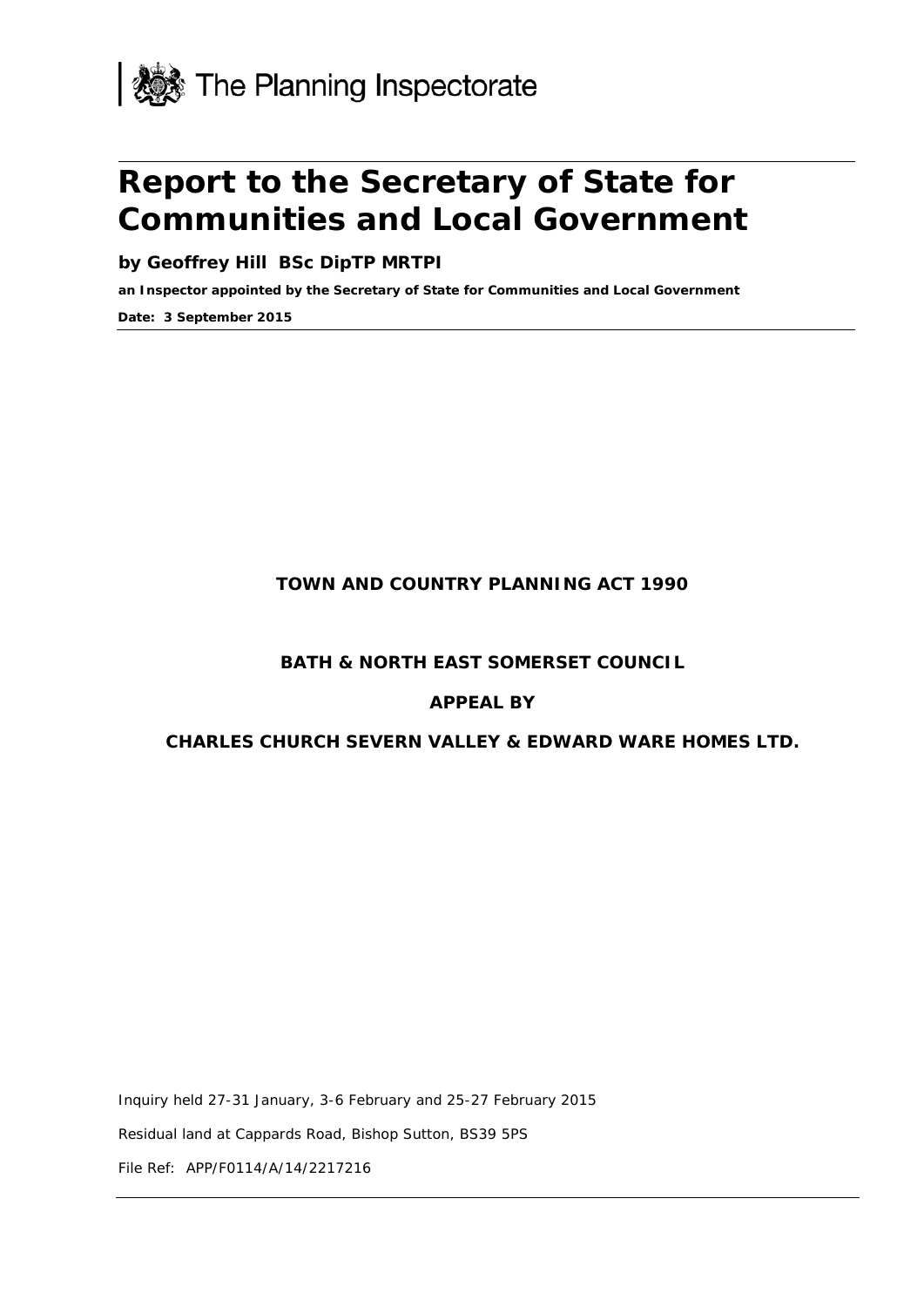

## **Report to the Secretary of State for Communities and Local Government**

**by Geoffrey Hill BSc DipTP MRTPI**

**an Inspector appointed by the Secretary of State for Communities and Local Government**

**Date: 3 September 2015**

#### **TOWN AND COUNTRY PLANNING ACT 1990**

#### **BATH & NORTH EAST SOMERSET COUNCIL**

#### **APPEAL BY**

#### **CHARLES CHURCH SEVERN VALLEY & EDWARD WARE HOMES LTD.**

Inquiry held 27-31 January, 3-6 February and 25-27 February 2015 Residual land at Cappards Road, Bishop Sutton, BS39 5PS File Ref: APP/F0114/A/14/2217216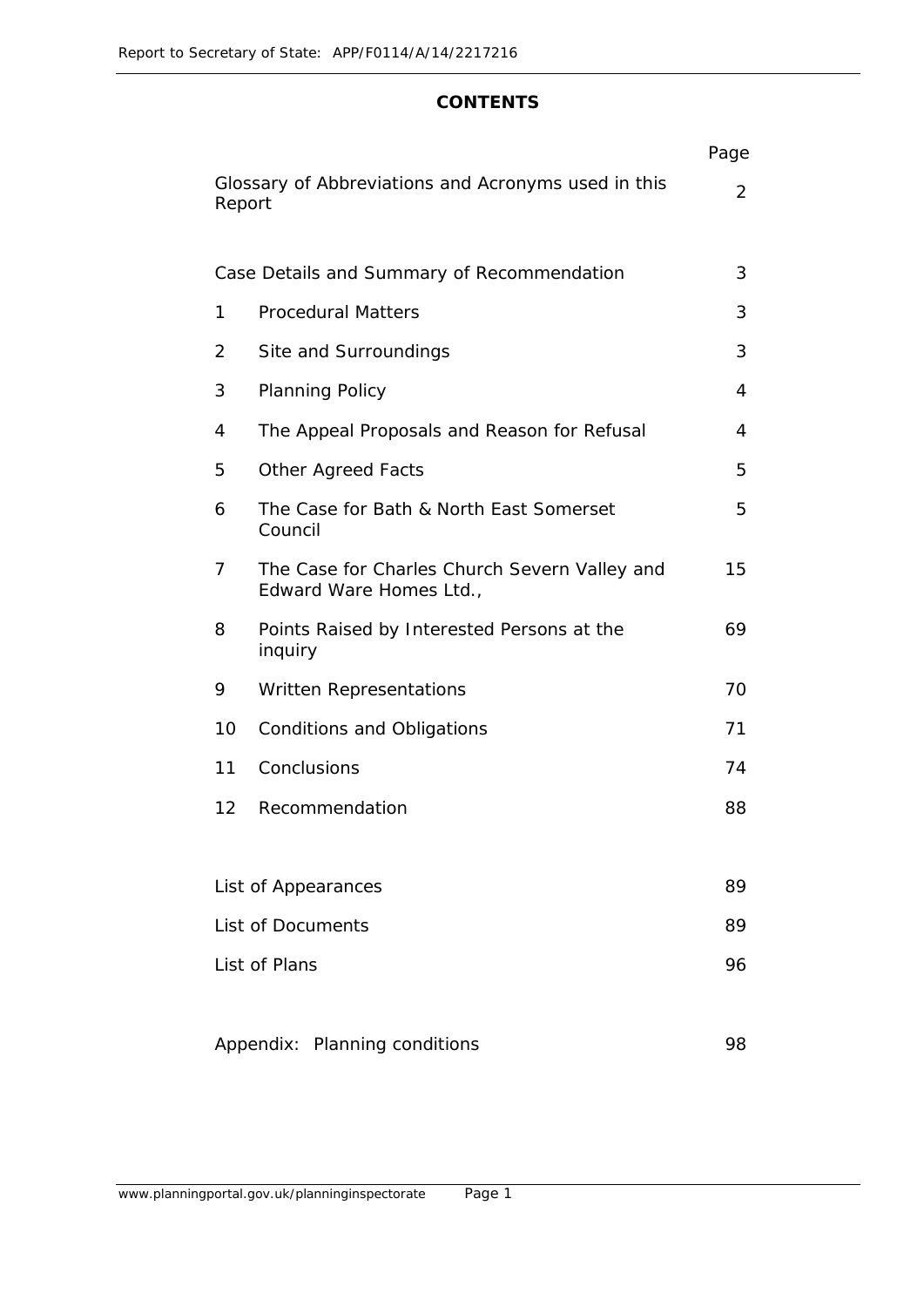#### **CONTENTS**

|                                                               |                                                                          | Page |
|---------------------------------------------------------------|--------------------------------------------------------------------------|------|
| Glossary of Abbreviations and Acronyms used in this<br>Report |                                                                          |      |
| Case Details and Summary of Recommendation                    |                                                                          |      |
| 1                                                             | <b>Procedural Matters</b>                                                | 3    |
| 2                                                             | Site and Surroundings                                                    | 3    |
| 3                                                             | <b>Planning Policy</b>                                                   | 4    |
| 4                                                             | The Appeal Proposals and Reason for Refusal                              | 4    |
| 5                                                             | <b>Other Agreed Facts</b>                                                | 5    |
| 6                                                             | The Case for Bath & North East Somerset<br>Council                       | 5    |
| 7                                                             | The Case for Charles Church Severn Valley and<br>Edward Ware Homes Ltd., | 15   |
| 8                                                             | Points Raised by Interested Persons at the<br>inquiry                    | 69   |
| 9                                                             | <b>Written Representations</b>                                           | 70   |
| 10                                                            | <b>Conditions and Obligations</b>                                        | 71   |
| 11                                                            | Conclusions                                                              | 74   |
| 12                                                            | Recommendation                                                           | 88   |
|                                                               |                                                                          |      |
|                                                               | List of Appearances                                                      | 89   |
| <b>List of Documents</b>                                      |                                                                          | 89   |
| List of Plans                                                 |                                                                          | 96   |
|                                                               |                                                                          |      |
| Appendix: Planning conditions<br>98                           |                                                                          |      |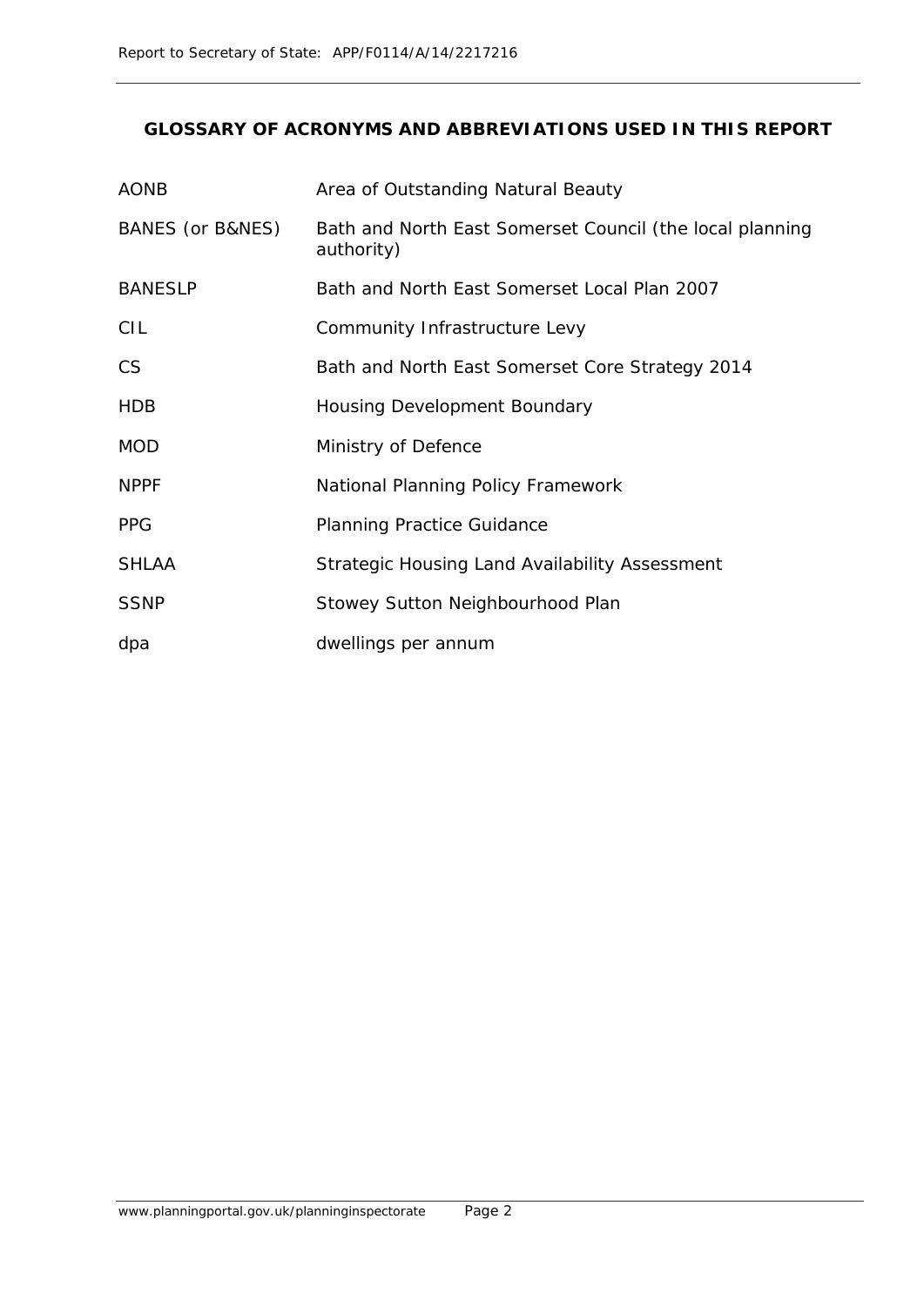#### **GLOSSARY OF ACRONYMS AND ABBREVIATIONS USED IN THIS REPORT**

| <b>AONB</b>      | Area of Outstanding Natural Beauty                                     |
|------------------|------------------------------------------------------------------------|
| BANES (or B&NES) | Bath and North East Somerset Council (the local planning<br>authority) |
| <b>BANESLP</b>   | Bath and North East Somerset Local Plan 2007                           |
| CIL              | Community Infrastructure Levy                                          |
| <b>CS</b>        | Bath and North East Somerset Core Strategy 2014                        |
| <b>HDB</b>       | Housing Development Boundary                                           |
| <b>MOD</b>       | Ministry of Defence                                                    |
| <b>NPPF</b>      | National Planning Policy Framework                                     |
| <b>PPG</b>       | <b>Planning Practice Guidance</b>                                      |
| <b>SHLAA</b>     | Strategic Housing Land Availability Assessment                         |
| <b>SSNP</b>      | Stowey Sutton Neighbourhood Plan                                       |
| dpa              | dwellings per annum                                                    |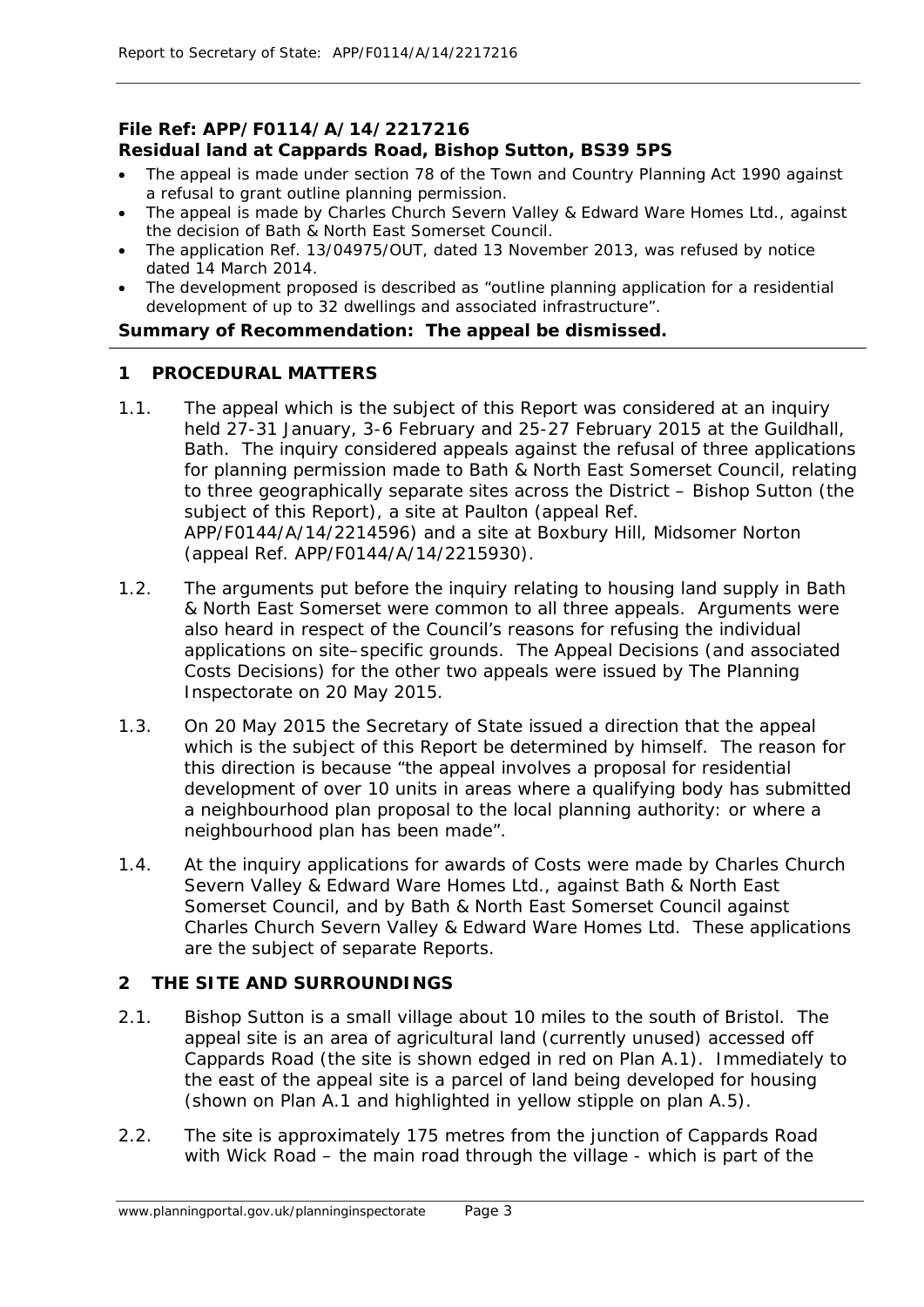#### **File Ref: APP/F0114/A/14/2217216 Residual land at Cappards Road, Bishop Sutton, BS39 5PS**

- The appeal is made under section 78 of the Town and Country Planning Act 1990 against a refusal to grant outline planning permission.
- The appeal is made by Charles Church Severn Valley & Edward Ware Homes Ltd., against the decision of Bath & North East Somerset Council.
- The application Ref. 13/04975/OUT, dated 13 November 2013, was refused by notice dated 14 March 2014.
- The development proposed is described as "outline planning application for a residential development of up to 32 dwellings and associated infrastructure".

#### **Summary of Recommendation: The appeal be dismissed.**

#### **1 PROCEDURAL MATTERS**

- 1.1. The appeal which is the subject of this Report was considered at an inquiry held 27-31 January, 3-6 February and 25-27 February 2015 at the Guildhall, Bath. The inquiry considered appeals against the refusal of three applications for planning permission made to Bath & North East Somerset Council, relating to three geographically separate sites across the District – Bishop Sutton (the subject of this Report), a site at Paulton (appeal Ref. APP/F0144/A/14/2214596) and a site at Boxbury Hill, Midsomer Norton (appeal Ref. APP/F0144/A/14/2215930).
- 1.2. The arguments put before the inquiry relating to housing land supply in Bath & North East Somerset were common to all three appeals. Arguments were also heard in respect of the Council's reasons for refusing the individual applications on site–specific grounds. The Appeal Decisions (and associated Costs Decisions) for the other two appeals were issued by The Planning Inspectorate on 20 May 2015.
- 1.3. On 20 May 2015 the Secretary of State issued a direction that the appeal which is the subject of this Report be determined by himself. The reason for this direction is because "the appeal involves a proposal for residential development of over 10 units in areas where a qualifying body has submitted a neighbourhood plan proposal to the local planning authority: or where a neighbourhood plan has been made".
- 1.4. At the inquiry applications for awards of Costs were made by Charles Church Severn Valley & Edward Ware Homes Ltd., against Bath & North East Somerset Council, and by Bath & North East Somerset Council against Charles Church Severn Valley & Edward Ware Homes Ltd. These applications are the subject of separate Reports.

#### **2 THE SITE AND SURROUNDINGS**

- 2.1. Bishop Sutton is a small village about 10 miles to the south of Bristol. The appeal site is an area of agricultural land (currently unused) accessed off Cappards Road (the site is shown edged in red on Plan A.1). Immediately to the east of the appeal site is a parcel of land being developed for housing (shown on Plan A.1 and highlighted in yellow stipple on plan A.5).
- 2.2. The site is approximately 175 metres from the junction of Cappards Road with Wick Road – the main road through the village - which is part of the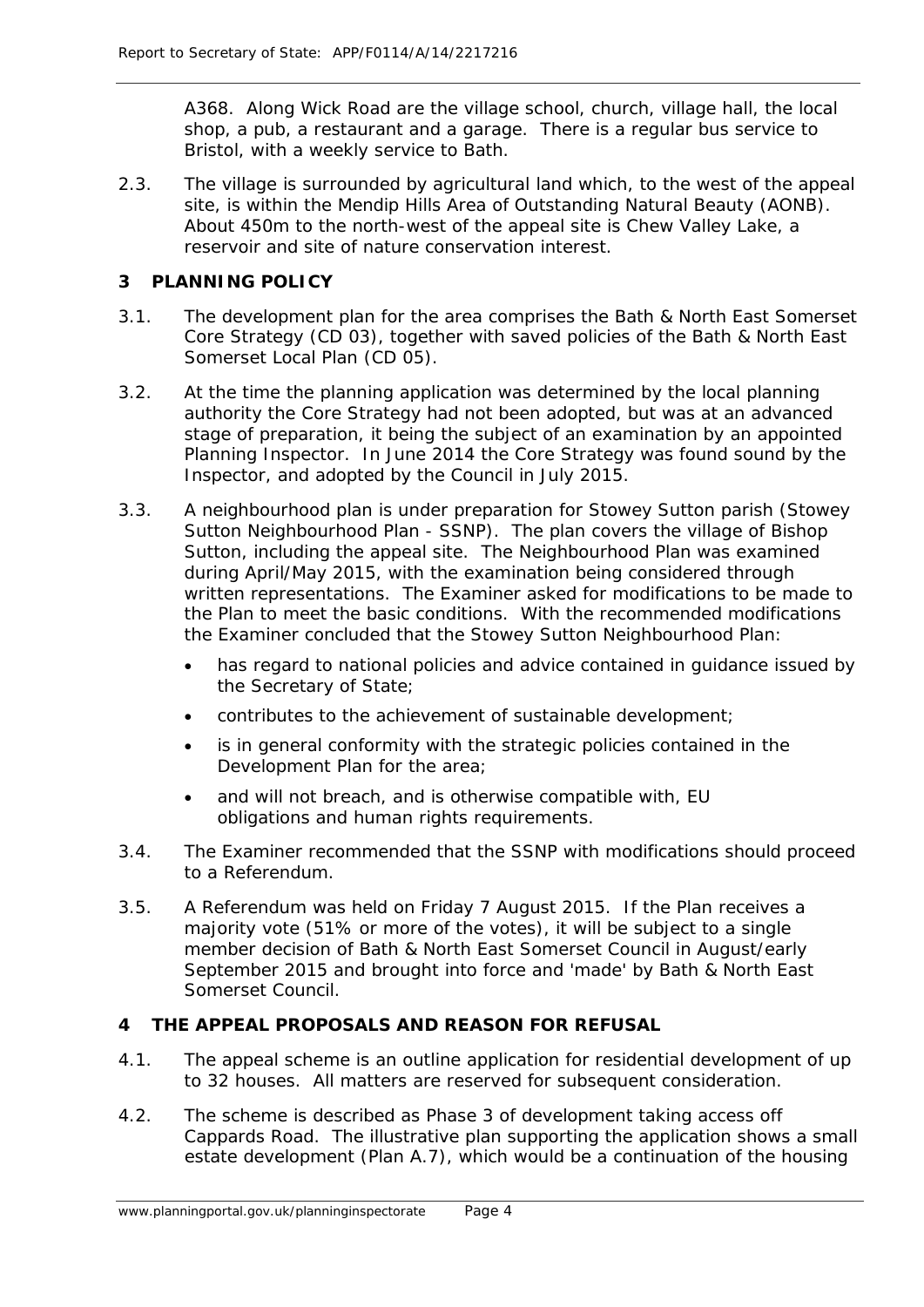A368. Along Wick Road are the village school, church, village hall, the local shop, a pub, a restaurant and a garage. There is a regular bus service to Bristol, with a weekly service to Bath.

2.3. The village is surrounded by agricultural land which, to the west of the appeal site, is within the Mendip Hills Area of Outstanding Natural Beauty (AONB). About 450m to the north-west of the appeal site is Chew Valley Lake, a reservoir and site of nature conservation interest.

#### **3 PLANNING POLICY**

- 3.1. The development plan for the area comprises the Bath & North East Somerset Core Strategy (CD 03), together with saved policies of the Bath & North East Somerset Local Plan (CD 05).
- 3.2. At the time the planning application was determined by the local planning authority the Core Strategy had not been adopted, but was at an advanced stage of preparation, it being the subject of an examination by an appointed Planning Inspector. In June 2014 the Core Strategy was found sound by the Inspector, and adopted by the Council in July 2015.
- 3.3. A neighbourhood plan is under preparation for Stowey Sutton parish (Stowey Sutton Neighbourhood Plan - SSNP). The plan covers the village of Bishop Sutton, including the appeal site. The Neighbourhood Plan was examined during April/May 2015, with the examination being considered through written representations. The Examiner asked for modifications to be made to the Plan to meet the basic conditions. With the recommended modifications the Examiner concluded that the Stowey Sutton Neighbourhood Plan:
	- has regard to national policies and advice contained in guidance issued by the Secretary of State;
	- contributes to the achievement of sustainable development;
	- is in general conformity with the strategic policies contained in the Development Plan for the area;
	- and will not breach, and is otherwise compatible with, EU obligations and human rights requirements.
- 3.4. The Examiner recommended that the SSNP with modifications should proceed to a Referendum.
- 3.5. A Referendum was held on Friday 7 August 2015. If the Plan receives a majority vote (51% or more of the votes), it will be subject to a single member decision of Bath & North East Somerset Council in August/early September 2015 and brought into force and *'*made' by Bath & North East Somerset Council.

#### **4 THE APPEAL PROPOSALS AND REASON FOR REFUSAL**

- 4.1. The appeal scheme is an outline application for residential development of up to 32 houses. All matters are reserved for subsequent consideration.
- 4.2. The scheme is described as Phase 3 of development taking access off Cappards Road. The illustrative plan supporting the application shows a small estate development (Plan A.7), which would be a continuation of the housing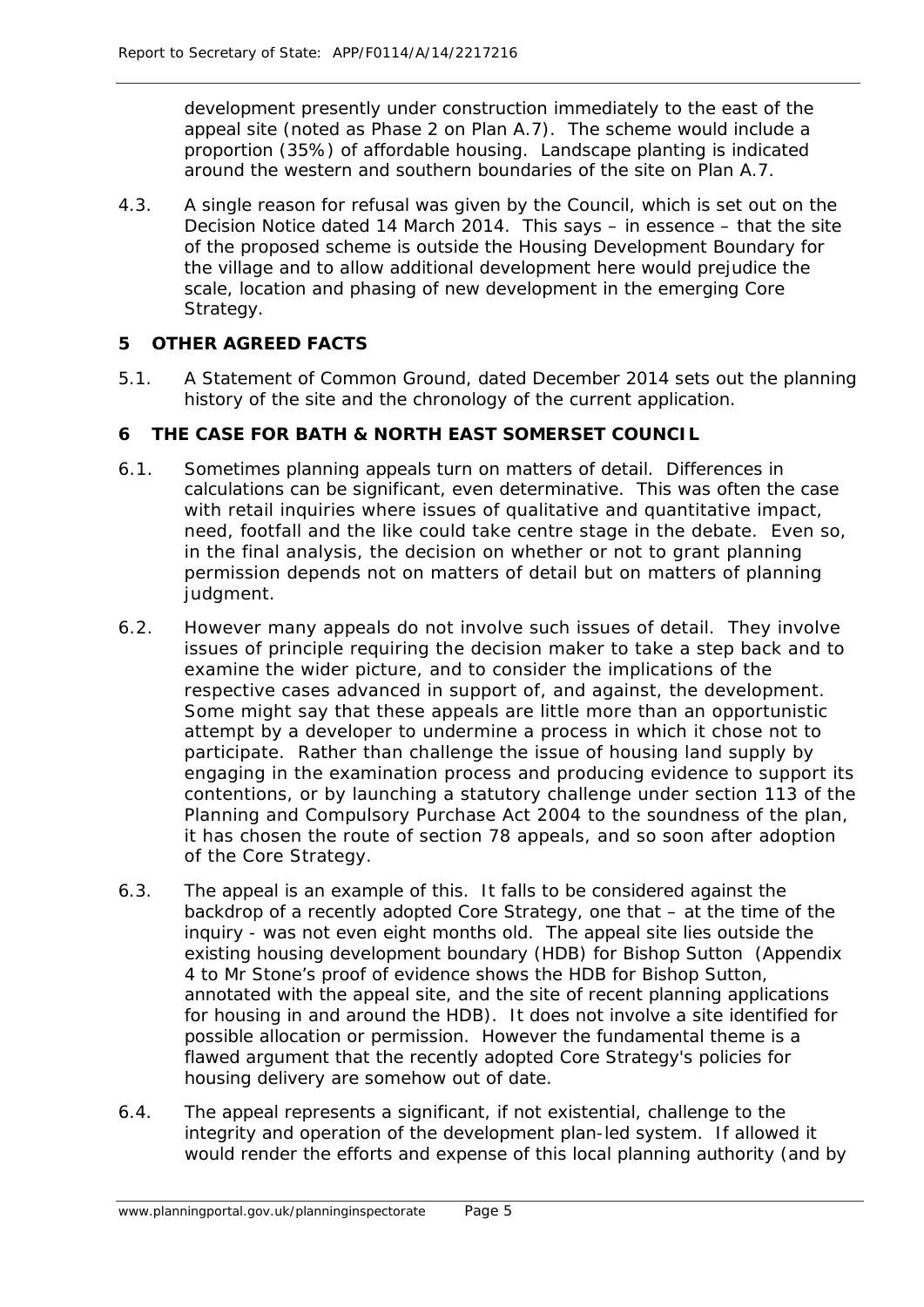development presently under construction immediately to the east of the appeal site (noted as Phase 2 on Plan A.7). The scheme would include a proportion (35%) of affordable housing. Landscape planting is indicated around the western and southern boundaries of the site on Plan A.7.

4.3. A single reason for refusal was given by the Council, which is set out on the Decision Notice dated 14 March 2014. This says – in essence – that the site of the proposed scheme is outside the Housing Development Boundary for the village and to allow additional development here would prejudice the scale, location and phasing of new development in the emerging Core Strategy.

#### **5 OTHER AGREED FACTS**

5.1. A Statement of Common Ground, dated December 2014 sets out the planning history of the site and the chronology of the current application.

#### **6 THE CASE FOR BATH & NORTH EAST SOMERSET COUNCIL**

- 6.1. Sometimes planning appeals turn on matters of detail. Differences in calculations can be significant, even determinative. This was often the case with retail inquiries where issues of qualitative and quantitative impact, need, footfall and the like could take centre stage in the debate. Even so, in the final analysis, the decision on whether or not to grant planning permission depends not on matters of detail but on matters of planning judgment.
- 6.2. However many appeals do not involve such issues of detail. They involve issues of principle requiring the decision maker to take a step back and to examine the wider picture, and to consider the implications of the respective cases advanced in support of, and against, the development. Some might say that these appeals are little more than an opportunistic attempt by a developer to undermine a process in which it chose not to participate. Rather than challenge the issue of housing land supply by engaging in the examination process and producing evidence to support its contentions, or by launching a statutory challenge under section 113 of the Planning and Compulsory Purchase Act 2004 to the soundness of the plan, it has chosen the route of section 78 appeals, and so soon after adoption of the Core Strategy.
- 6.3. The appeal is an example of this. It falls to be considered against the backdrop of a recently adopted Core Strategy, one that – at the time of the inquiry - was not even eight months old. The appeal site lies outside the existing housing development boundary (HDB) for Bishop Sutton (Appendix 4 to Mr Stone's proof of evidence shows the HDB for Bishop Sutton, annotated with the appeal site, and the site of recent planning applications for housing in and around the HDB). It does not involve a site identified for possible allocation or permission. However the fundamental theme is a flawed argument that the recently adopted Core Strategy's policies for housing delivery are somehow out of date.
- 6.4. The appeal represents a significant, if not existential, challenge to the integrity and operation of the development plan-led system. If allowed it would render the efforts and expense of this local planning authority (and by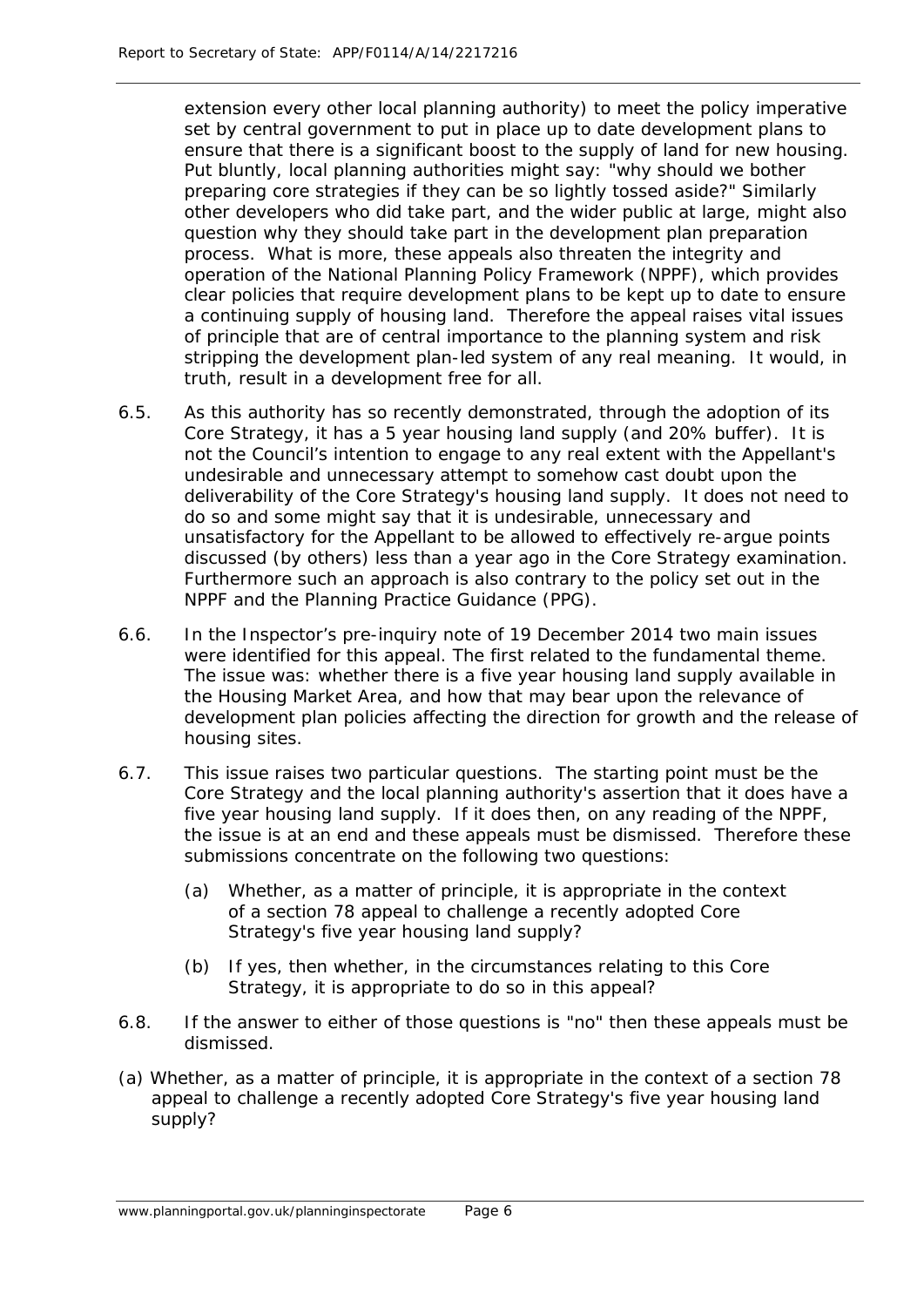extension every other local planning authority) to meet the policy imperative set by central government to put in place up to date development plans to ensure that there is a significant boost to the supply of land for new housing. Put bluntly, local planning authorities might say: "why should we bother preparing core strategies if they can be so lightly tossed aside?" Similarly other developers who did take part, and the wider public at large, might also question why they should take part in the development plan preparation process. What is more, these appeals also threaten the integrity and operation of the National Planning Policy Framework (NPPF), which provides clear policies that require development plans to be kept up to date to ensure a continuing supply of housing land. Therefore the appeal raises vital issues of principle that are of central importance to the planning system and risk stripping the development plan-led system of any real meaning. It would, in truth, result in a development free for all.

- 6.5. As this authority has so recently demonstrated, through the adoption of its Core Strategy, it has a 5 year housing land supply (and 20% buffer). It is not the Council's intention to engage to any real extent with the Appellant's undesirable and unnecessary attempt to somehow cast doubt upon the deliverability of the Core Strategy's housing land supply. It does not need to do so and some might say that it is undesirable, unnecessary and unsatisfactory for the Appellant to be allowed to effectively re-argue points discussed (by others) less than a year ago in the Core Strategy examination. Furthermore such an approach is also contrary to the policy set out in the NPPF and the Planning Practice Guidance (PPG).
- 6.6. In the Inspector's pre-inquiry note of 19 December 2014 two main issues were identified for this appeal. The first related to the fundamental theme. The issue was: whether there is a five year housing land supply available in the Housing Market Area, and how that may bear upon the relevance of development plan policies affecting the direction for growth and the release of housing sites.
- 6.7. This issue raises two particular questions. The starting point must be the Core Strategy and the local planning authority's assertion that it does have a five year housing land supply. If it does then, on any reading of the NPPF, the issue is at an end and these appeals must be dismissed. Therefore these submissions concentrate on the following two questions:
	- (a) Whether, as a matter of principle, it is appropriate in the context of a section 78 appeal to challenge a recently adopted Core Strategy's five year housing land supply?
	- (b) If yes, then whether, in the circumstances relating to this Core Strategy, it is appropriate to do so in this appeal?
- 6.8. If the answer to either of those questions is "no" then these appeals must be dismissed.
- *(a) Whether, as a matter of principle, it is appropriate in the context of a section 78 appeal to challenge a recently adopted Core Strategy's five year housing land supply?*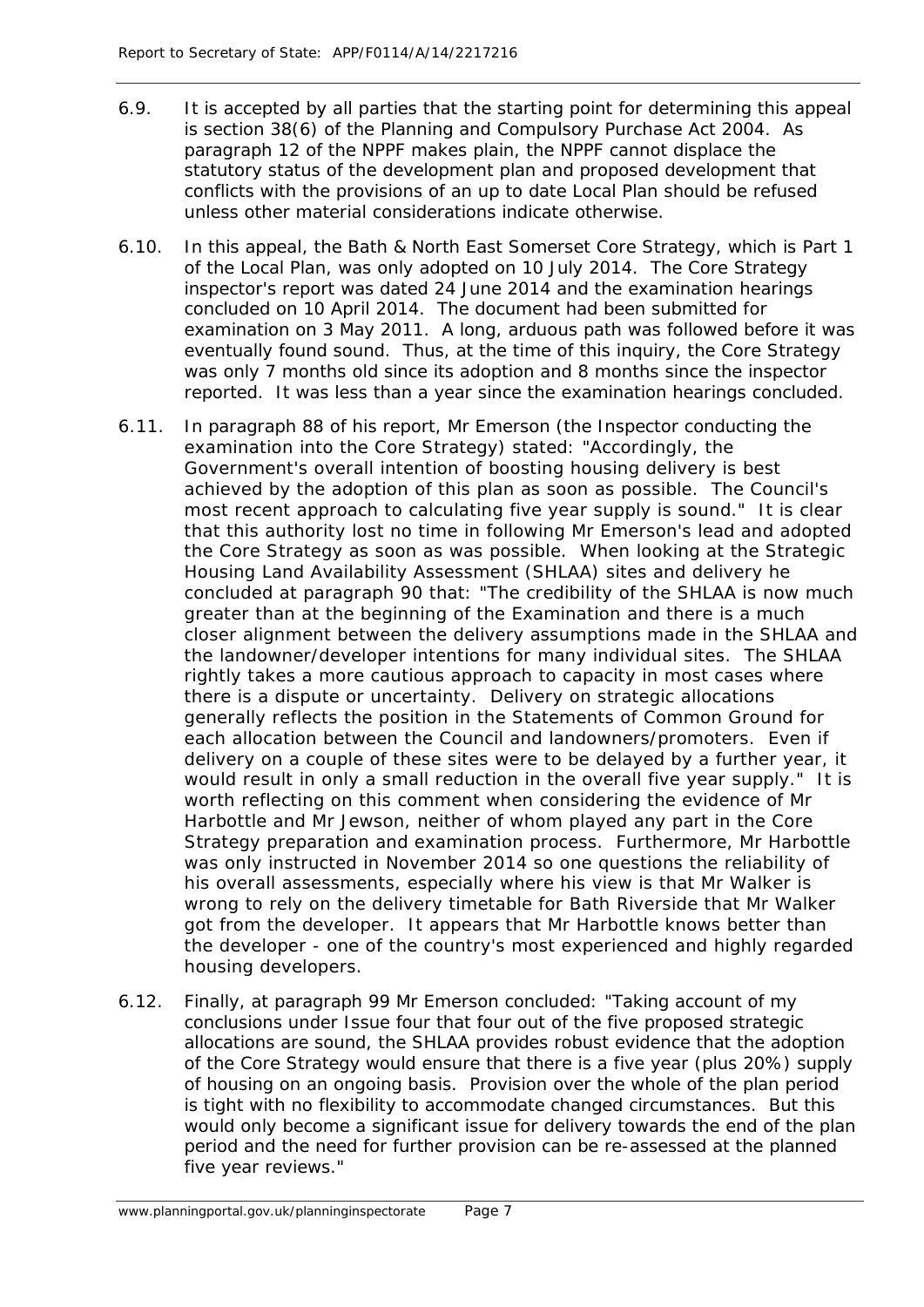- 6.9. It is accepted by all parties that the starting point for determining this appeal is section 38(6) of the Planning and Compulsory Purchase Act 2004. As paragraph 12 of the NPPF makes plain, the NPPF cannot displace the statutory status of the development plan and proposed development that conflicts with the provisions of an up to date Local Plan should be refused unless other material considerations indicate otherwise.
- 6.10. In this appeal, the Bath & North East Somerset Core Strategy, which is Part 1 of the Local Plan, was only adopted on 10 July 2014. The Core Strategy inspector's report was dated 24 June 2014 and the examination hearings concluded on 10 April 2014. The document had been submitted for examination on 3 May 2011. A long, arduous path was followed before it was eventually found sound. Thus, at the time of this inquiry, the Core Strategy was only 7 months old since its adoption and 8 months since the inspector reported. It was less than a year since the examination hearings concluded.
- 6.11. In paragraph 88 of his report, Mr Emerson (the Inspector conducting the examination into the Core Strategy) stated: "Accordingly, the Government's overall intention of boosting housing delivery is best achieved by the adoption of this plan as soon as possible. The Council's most recent approach to calculating five year supply is sound." It is clear that this authority lost no time in following Mr Emerson's lead and adopted the Core Strategy as soon as was possible. When looking at the Strategic Housing Land Availability Assessment (SHLAA) sites and delivery he concluded at paragraph 90 that: "The credibility of the SHLAA is now much greater than at the beginning of the Examination and there is a much closer alignment between the delivery assumptions made in the SHLAA and the landowner/developer intentions for many individual sites. The SHLAA rightly takes a more cautious approach to capacity in most cases where there is a dispute or uncertainty. Delivery on strategic allocations generally reflects the position in the Statements of Common Ground for each allocation between the Council and landowners/promoters. Even if delivery on a couple of these sites were to be delayed by a further year, it would result in only a small reduction in the overall five year supply." It is worth reflecting on this comment when considering the evidence of Mr Harbottle and Mr Jewson, neither of whom played any part in the Core Strategy preparation and examination process. Furthermore, Mr Harbottle was only instructed in November 2014 so one questions the reliability of his overall assessments, especially where his view is that Mr Walker is wrong to rely on the delivery timetable for Bath Riverside that Mr Walker got from the developer. It appears that Mr Harbottle knows better than the developer - one of the country's most experienced and highly regarded housing developers.
- 6.12. Finally, at paragraph 99 Mr Emerson concluded: "Taking account of my conclusions under Issue four that four out of the five proposed strategic allocations are sound, the SHLAA provides robust evidence that the adoption of the Core Strategy would ensure that there is a five year (plus 20%) supply of housing on an ongoing basis. Provision over the whole of the plan period is tight with no flexibility to accommodate changed circumstances. But this would only become a significant issue for delivery towards the end of the plan period and the need for further provision can be re-assessed at the planned five year reviews."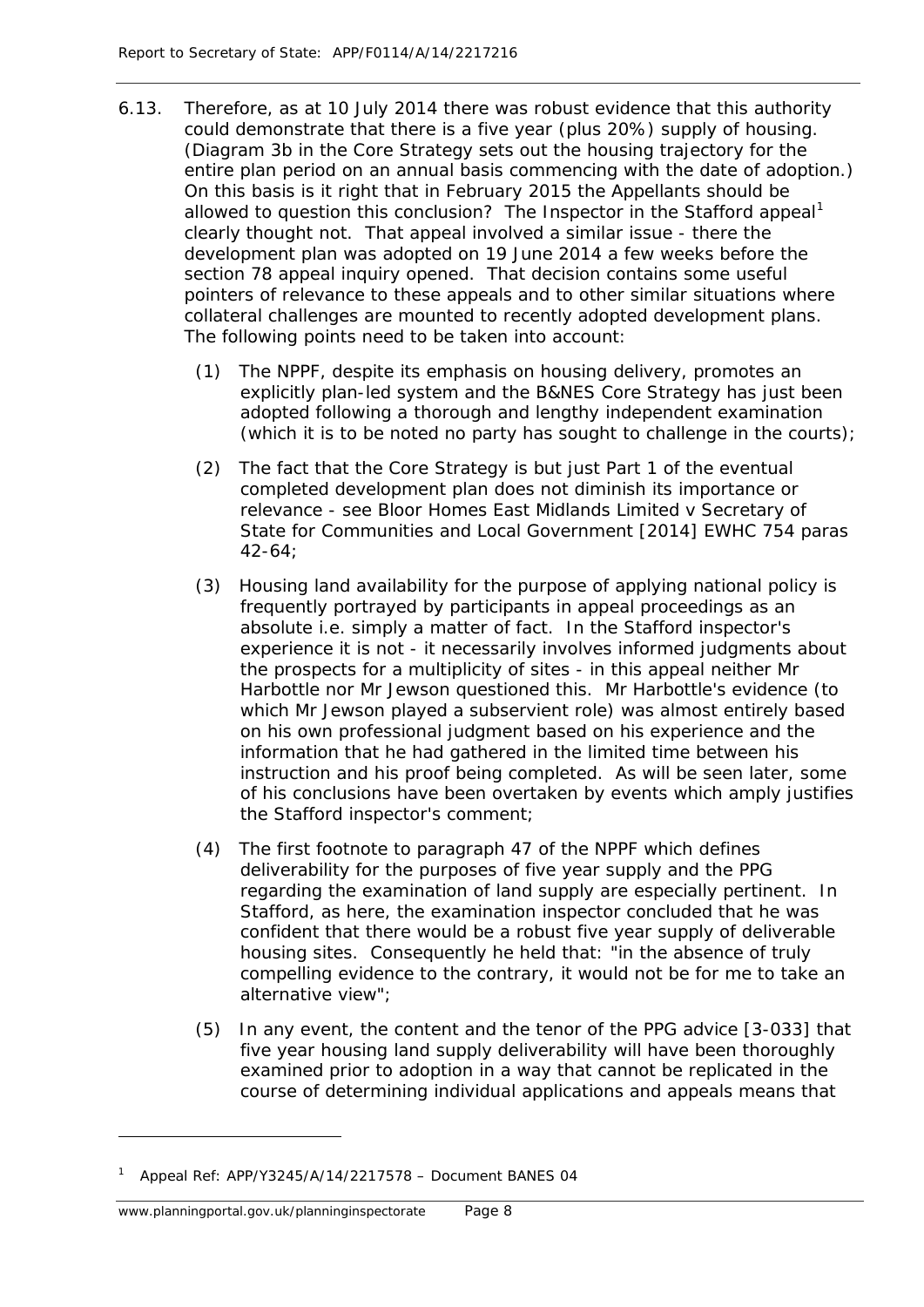- 6.13. Therefore, as at 10 July 2014 there was robust evidence that this authority could demonstrate that there is a five year (plus 20%) supply of housing. (Diagram 3b in the Core Strategy sets out the housing trajectory for the entire plan period on an annual basis commencing with the date of adoption.) On this basis is it right that in February 2015 the Appellants should be allowed to question this conclusion? The Inspector in the Stafford appeal<sup>[1](#page-15-0)</sup> clearly thought not. That appeal involved a similar issue - there the development plan was adopted on 19 June 2014 a few weeks before the section 78 appeal inquiry opened. That decision contains some useful pointers of relevance to these appeals and to other similar situations where collateral challenges are mounted to recently adopted development plans. The following points need to be taken into account:
	- (1) The NPPF, despite its emphasis on housing delivery, promotes an explicitly plan-led system and the B&NES Core Strategy has just been adopted following a thorough and lengthy independent examination (which it is to be noted no party has sought to challenge in the courts);
	- (2) The fact that the Core Strategy is but just Part 1 of the eventual completed development plan does not diminish its importance or relevance - see Bloor Homes East Midlands Limited v Secretary of State for Communities and Local Government [2014] EWHC 754 paras 42-64;
	- (3) Housing land availability for the purpose of applying national policy is frequently portrayed by participants in appeal proceedings as an absolute i.e. simply a matter of fact. In the Stafford inspector's experience it is not - it necessarily involves informed judgments about the prospects for a multiplicity of sites - in this appeal neither Mr Harbottle nor Mr Jewson questioned this. Mr Harbottle's evidence (to which Mr Jewson played a subservient role) was almost entirely based on his own professional judgment based on his experience and the information that he had gathered in the limited time between his instruction and his proof being completed. As will be seen later, some of his conclusions have been overtaken by events which amply justifies the Stafford inspector's comment;
	- (4) The first footnote to paragraph 47 of the NPPF which defines deliverability for the purposes of five year supply and the PPG regarding the examination of land supply are especially pertinent. In Stafford, as here, the examination inspector concluded that he was confident that there would be a robust five year supply of deliverable housing sites. Consequently he held that: "in the absence of truly compelling evidence to the contrary, it would not be for me to take an alternative view";
	- (5) In any event, the content and the tenor of the PPG advice [3-033] that five year housing land supply deliverability will have been thoroughly examined prior to adoption in a way that cannot be replicated in the course of determining individual applications and appeals means that

<span id="page-15-0"></span><sup>1</sup> Appeal Ref: APP/Y3245/A/14/2217578 – Document BANES 04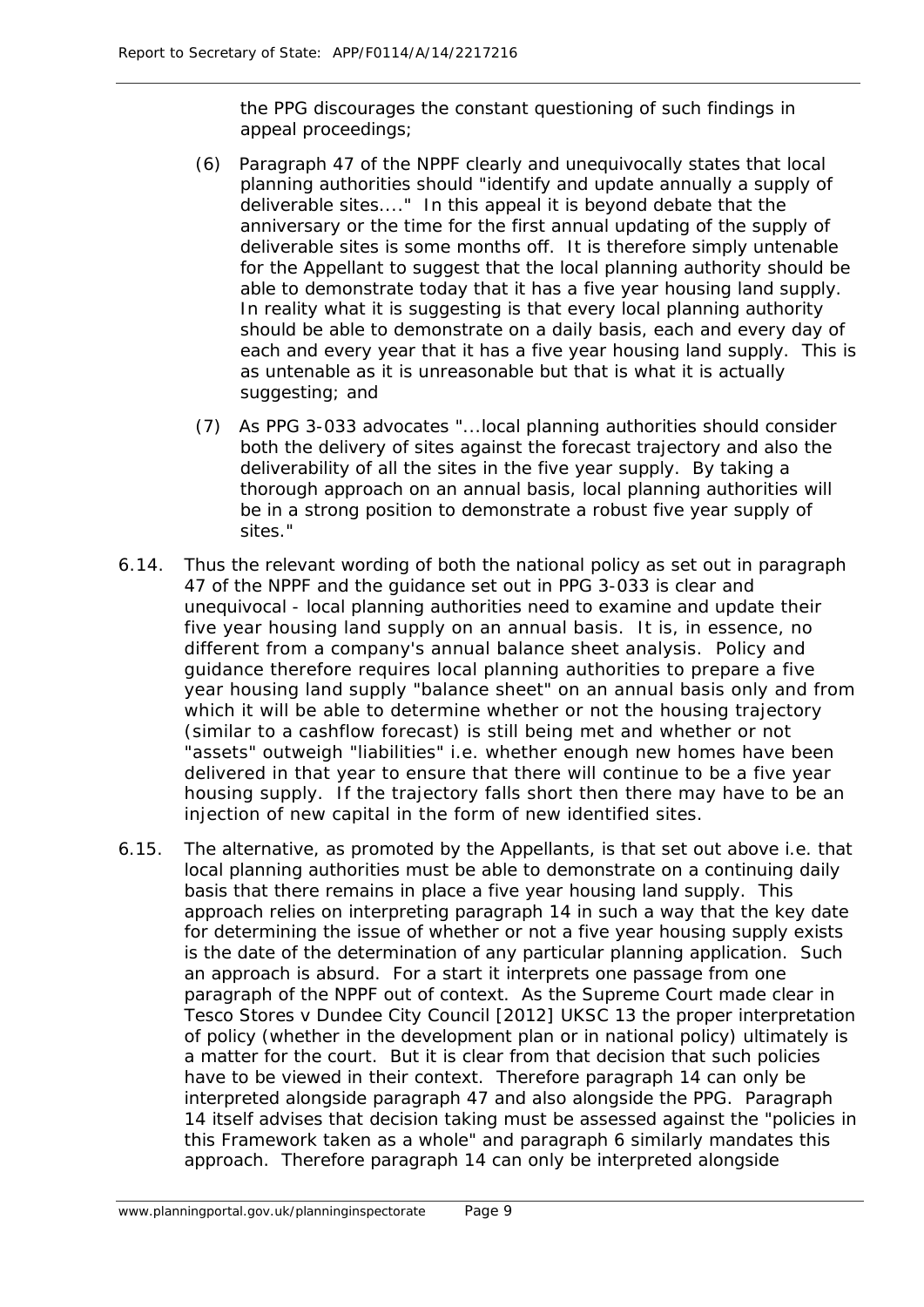the PPG discourages the constant questioning of such findings in appeal proceedings;

- (6) Paragraph 47 of the NPPF clearly and unequivocally states that local planning authorities should "identify and update annually a supply of deliverable sites...." In this appeal it is beyond debate that the anniversary or the time for the first annual updating of the supply of deliverable sites is some months off. It is therefore simply untenable for the Appellant to suggest that the local planning authority should be able to demonstrate today that it has a five year housing land supply. In reality what it is suggesting is that every local planning authority should be able to demonstrate on a daily basis, each and every day of each and every year that it has a five year housing land supply. This is as untenable as it is unreasonable but that is what it is actually suggesting; and
- (7) As PPG 3-033 advocates "...local planning authorities should consider both the delivery of sites against the forecast trajectory and also the deliverability of all the sites in the five year supply. By taking a thorough approach on an annual basis, local planning authorities will be in a strong position to demonstrate a robust five year supply of sites."
- 6.14. Thus the relevant wording of both the national policy as set out in paragraph 47 of the NPPF and the guidance set out in PPG 3-033 is clear and unequivocal - local planning authorities need to examine and update their five year housing land supply on an annual basis. It is, in essence, no different from a company's annual balance sheet analysis. Policy and guidance therefore requires local planning authorities to prepare a five year housing land supply "balance sheet" on an annual basis only and from which it will be able to determine whether or not the housing trajectory (similar to a cashflow forecast) is still being met and whether or not "assets" outweigh "liabilities" i.e. whether enough new homes have been delivered in that year to ensure that there will continue to be a five year housing supply. If the trajectory falls short then there may have to be an injection of new capital in the form of new identified sites.
- 6.15. The alternative, as promoted by the Appellants, is that set out above i.e. that local planning authorities must be able to demonstrate on a continuing daily basis that there remains in place a five year housing land supply. This approach relies on interpreting paragraph 14 in such a way that the key date for determining the issue of whether or not a five year housing supply exists is the date of the determination of any particular planning application. Such an approach is absurd. For a start it interprets one passage from one paragraph of the NPPF out of context. As the Supreme Court made clear in Tesco Stores v Dundee City Council [2012] UKSC 13 the proper interpretation of policy (whether in the development plan or in national policy) ultimately is a matter for the court. But it is clear from that decision that such policies have to be viewed in their context. Therefore paragraph 14 can only be interpreted alongside paragraph 47 and also alongside the PPG. Paragraph 14 itself advises that decision taking must be assessed against the "policies in this Framework taken as a whole" and paragraph 6 similarly mandates this approach. Therefore paragraph 14 can only be interpreted alongside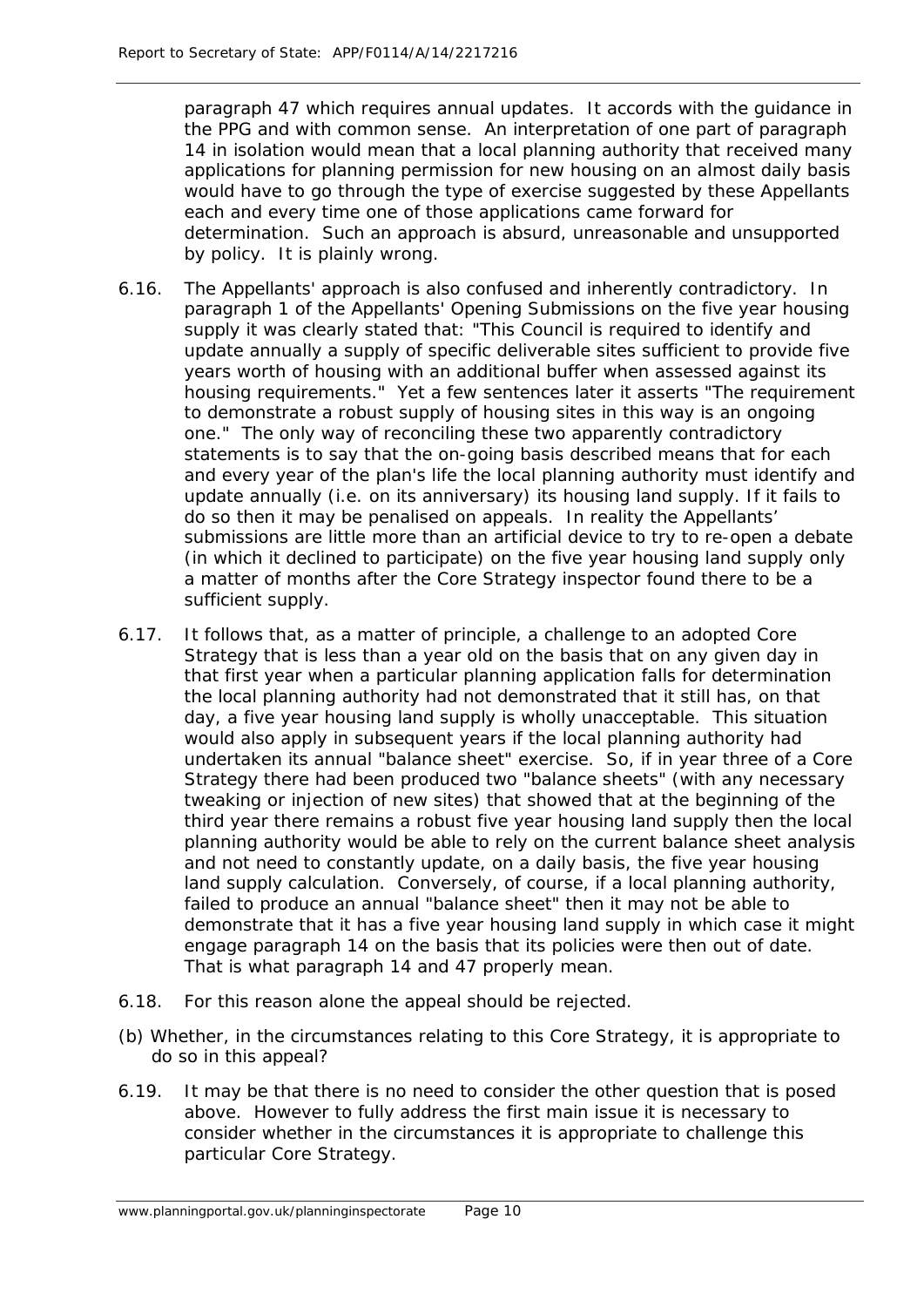paragraph 47 which requires annual updates. It accords with the guidance in the PPG and with common sense. An interpretation of one part of paragraph 14 in isolation would mean that a local planning authority that received many applications for planning permission for new housing on an almost daily basis would have to go through the type of exercise suggested by these Appellants each and every time one of those applications came forward for determination. Such an approach is absurd, unreasonable and unsupported by policy. It is plainly wrong.

- 6.16. The Appellants' approach is also confused and inherently contradictory. In paragraph 1 of the Appellants' Opening Submissions on the five year housing supply it was clearly stated that: "This Council is required to identify and update annually a supply of specific deliverable sites sufficient to provide five years worth of housing with an additional buffer when assessed against its housing requirements." Yet a few sentences later it asserts "The requirement to demonstrate a robust supply of housing sites in this way is an ongoing one." The only way of reconciling these two apparently contradictory statements is to say that the on-going basis described means that for each and every year of the plan's life the local planning authority must identify and update annually (i.e. on its anniversary) its housing land supply. If it fails to do so then it may be penalised on appeals. In reality the Appellants' submissions are little more than an artificial device to try to re-open a debate (in which it declined to participate) on the five year housing land supply only a matter of months after the Core Strategy inspector found there to be a sufficient supply.
- 6.17. It follows that, as a matter of principle, a challenge to an adopted Core Strategy that is less than a year old on the basis that on any given day in that first year when a particular planning application falls for determination the local planning authority had not demonstrated that it still has, on that day, a five year housing land supply is wholly unacceptable. This situation would also apply in subsequent years if the local planning authority had undertaken its annual "balance sheet" exercise. So, if in year three of a Core Strategy there had been produced two "balance sheets" (with any necessary tweaking or injection of new sites) that showed that at the beginning of the third year there remains a robust five year housing land supply then the local planning authority would be able to rely on the current balance sheet analysis and not need to constantly update, on a daily basis, the five year housing land supply calculation. Conversely, of course, if a local planning authority, failed to produce an annual "balance sheet" then it may not be able to demonstrate that it has a five year housing land supply in which case it might engage paragraph 14 on the basis that its policies were then out of date. That is what paragraph 14 and 47 properly mean.
- 6.18. For this reason alone the appeal should be rejected.
- *(b) Whether, in the circumstances relating to this Core Strategy, it is appropriate to do so in this appeal?*
- 6.19. It may be that there is no need to consider the other question that is posed above. However to fully address the first main issue it is necessary to consider whether in the circumstances it is appropriate to challenge this particular Core Strategy.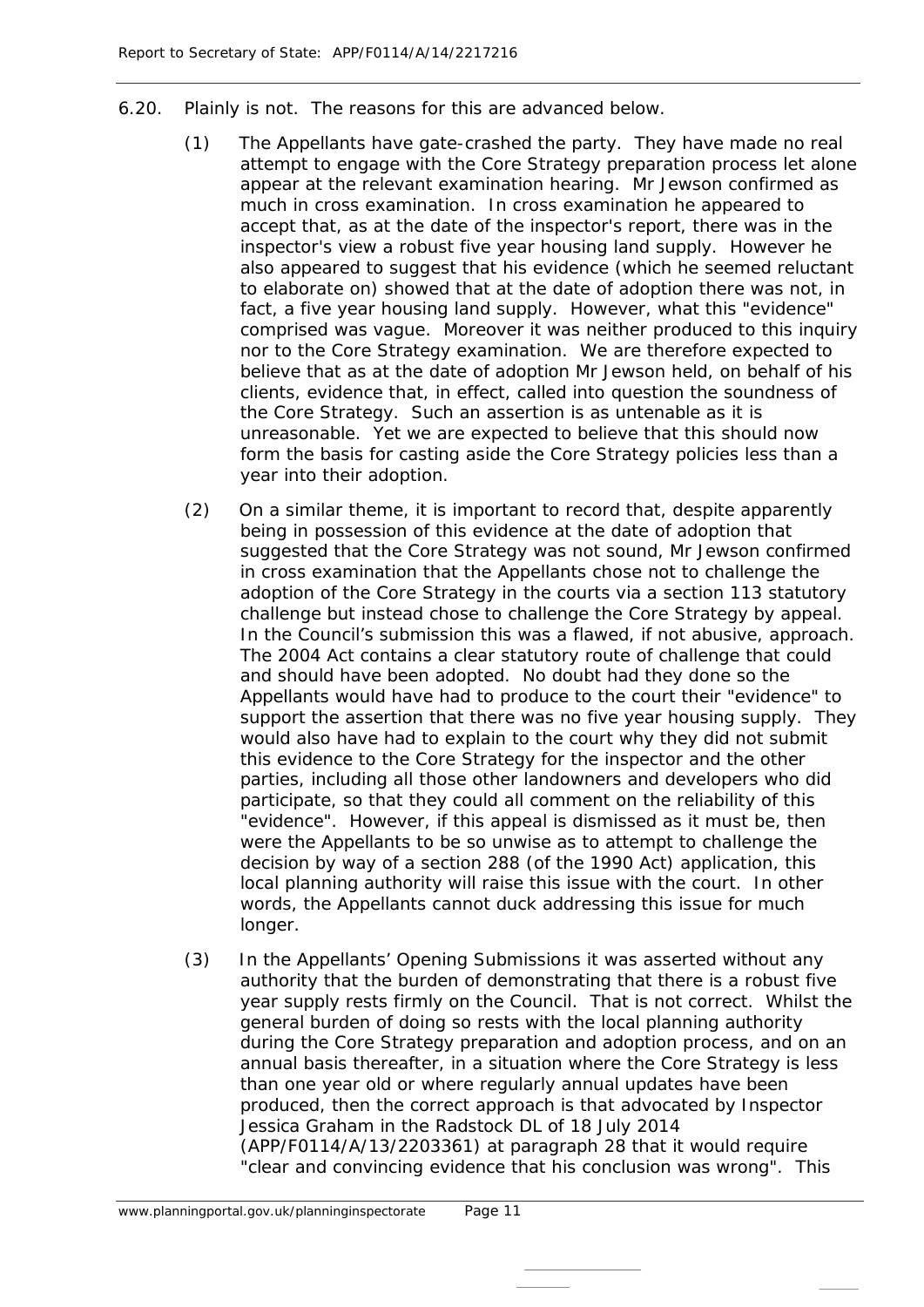- 6.20. Plainly is not. The reasons for this are advanced below.
	- (1) The Appellants have gate-crashed the party. They have made no real attempt to engage with the Core Strategy preparation process let alone appear at the relevant examination hearing. Mr Jewson confirmed as much in cross examination. In cross examination he appeared to accept that, as at the date of the inspector's report, there was in the inspector's view a robust five year housing land supply. However he also appeared to suggest that his evidence (which he seemed reluctant to elaborate on) showed that at the date of adoption there was not, in fact, a five year housing land supply. However, what this "evidence" comprised was vague. Moreover it was neither produced to this inquiry nor to the Core Strategy examination. We are therefore expected to believe that as at the date of adoption Mr Jewson held, on behalf of his clients, evidence that, in effect, called into question the soundness of the Core Strategy. Such an assertion is as untenable as it is unreasonable. Yet we are expected to believe that this should now form the basis for casting aside the Core Strategy policies less than a year into their adoption.
	- (2) On a similar theme, it is important to record that, despite apparently being in possession of this evidence at the date of adoption that suggested that the Core Strategy was not sound, Mr Jewson confirmed in cross examination that the Appellants chose not to challenge the adoption of the Core Strategy in the courts via a section 113 statutory challenge but instead chose to challenge the Core Strategy by appeal. In the Council's submission this was a flawed, if not abusive, approach. The 2004 Act contains a clear statutory route of challenge that could and should have been adopted. No doubt had they done so the Appellants would have had to produce to the court their "evidence" to support the assertion that there was no five year housing supply. They would also have had to explain to the court why they did not submit this evidence to the Core Strategy for the inspector and the other parties, including all those other landowners and developers who did participate, so that they could all comment on the reliability of this "evidence". However, if this appeal is dismissed as it must be, then were the Appellants to be so unwise as to attempt to challenge the decision by way of a section 288 (of the 1990 Act) application, this local planning authority will raise this issue with the court. In other words, the Appellants cannot duck addressing this issue for much longer.
	- (3) In the Appellants' Opening Submissions it was asserted without any authority that the burden of demonstrating that there is a robust five year supply rests firmly on the Council. That is not correct. Whilst the general burden of doing so rests with the local planning authority during the Core Strategy preparation and adoption process, and on an annual basis thereafter, in a situation where the Core Strategy is less than one year old or where regularly annual updates have been produced, then the correct approach is that advocated by Inspector Jessica Graham in the Radstock DL of 18 July 2014 (APP/F0114/A/13/2203361) at paragraph 28 that it would require "clear and convincing evidence that his conclusion was wrong". This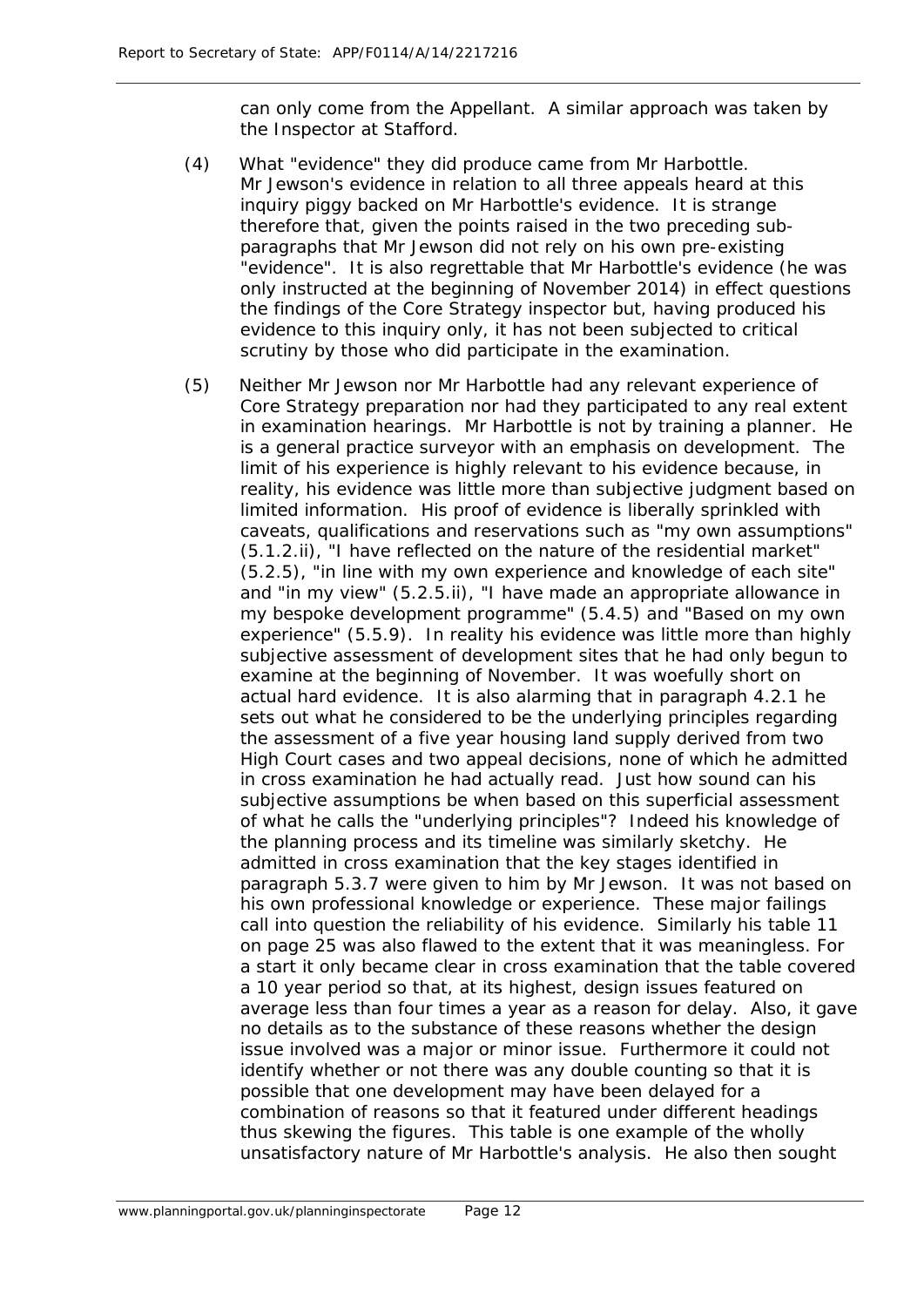can only come from the Appellant. A similar approach was taken by the Inspector at Stafford.

- (4) What "evidence" they did produce came from Mr Harbottle. Mr Jewson's evidence in relation to all three appeals heard at this inquiry piggy backed on Mr Harbottle's evidence. It is strange therefore that, given the points raised in the two preceding subparagraphs that Mr Jewson did not rely on his own pre-existing "evidence". It is also regrettable that Mr Harbottle's evidence (he was only instructed at the beginning of November 2014) in effect questions the findings of the Core Strategy inspector but, having produced his evidence to this inquiry only, it has not been subjected to critical scrutiny by those who did participate in the examination.
- (5) Neither Mr Jewson nor Mr Harbottle had any relevant experience of Core Strategy preparation nor had they participated to any real extent in examination hearings. Mr Harbottle is not by training a planner. He is a general practice surveyor with an emphasis on development. The limit of his experience is highly relevant to his evidence because, in reality, his evidence was little more than subjective judgment based on limited information. His proof of evidence is liberally sprinkled with caveats, qualifications and reservations such as "my own assumptions" (5.1.2.ii), "I have reflected on the nature of the residential market" (5.2.5), "in line with my own experience and knowledge of each site" and "in my view" (5.2.5.ii), "I have made an appropriate allowance in my bespoke development programme" (5.4.5) and "Based on my own experience" (5.5.9). In reality his evidence was little more than highly subjective assessment of development sites that he had only begun to examine at the beginning of November. It was woefully short on actual hard evidence. It is also alarming that in paragraph 4.2.1 he sets out what he considered to be the underlying principles regarding the assessment of a five year housing land supply derived from two High Court cases and two appeal decisions, none of which he admitted in cross examination he had actually read. Just how sound can his subjective assumptions be when based on this superficial assessment of what he calls the "underlying principles"? Indeed his knowledge of the planning process and its timeline was similarly sketchy. He admitted in cross examination that the key stages identified in paragraph 5.3.7 were given to him by Mr Jewson. It was not based on his own professional knowledge or experience. These major failings call into question the reliability of his evidence. Similarly his table 11 on page 25 was also flawed to the extent that it was meaningless. For a start it only became clear in cross examination that the table covered a 10 year period so that, at its highest, design issues featured on average less than four times a year as a reason for delay. Also, it gave no details as to the substance of these reasons whether the design issue involved was a major or minor issue. Furthermore it could not identify whether or not there was any double counting so that it is possible that one development may have been delayed for a combination of reasons so that it featured under different headings thus skewing the figures. This table is one example of the wholly unsatisfactory nature of Mr Harbottle's analysis. He also then sought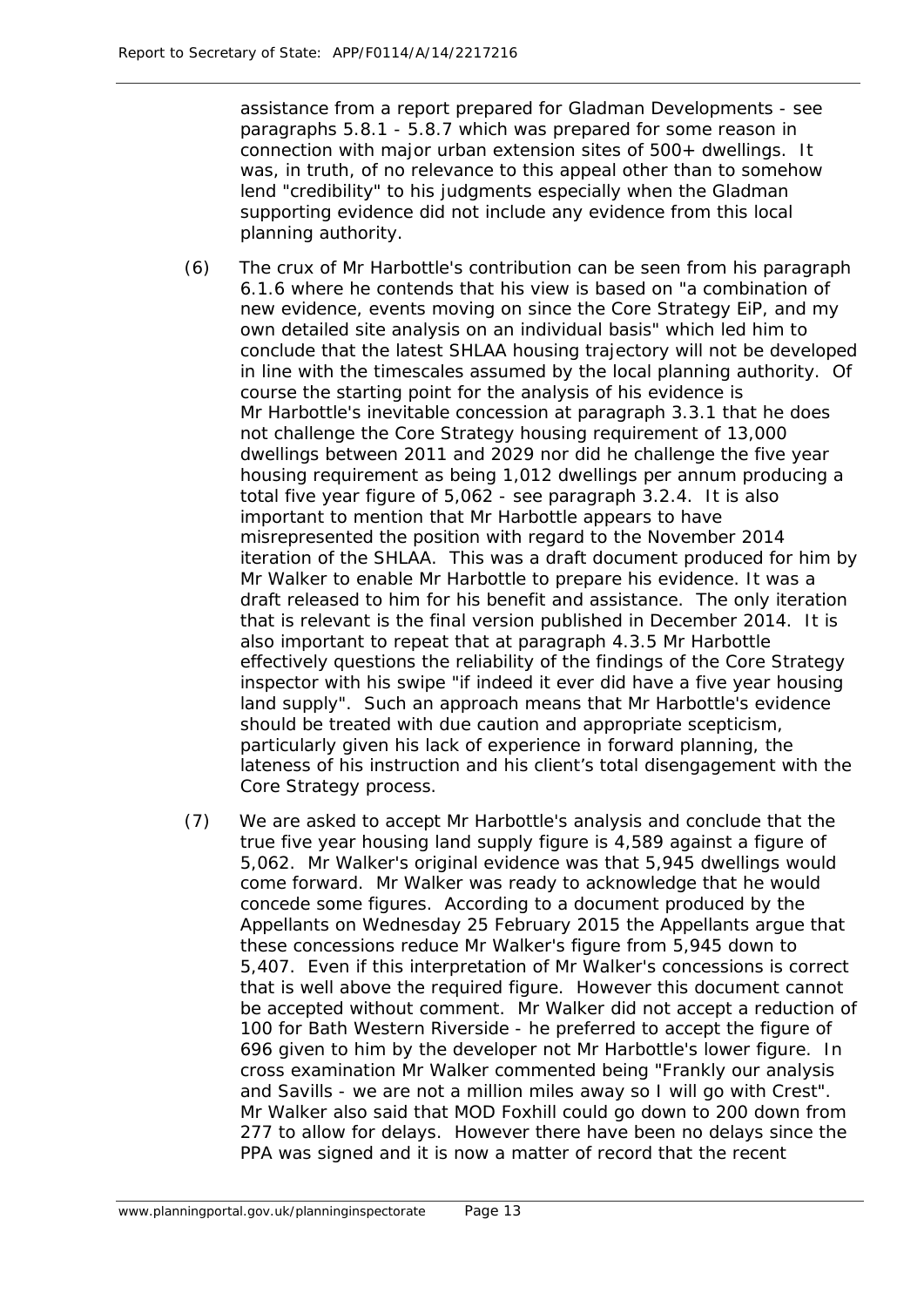assistance from a report prepared for Gladman Developments - see paragraphs 5.8.1 - 5.8.7 which was prepared for some reason in connection with major urban extension sites of 500+ dwellings. It was, in truth, of no relevance to this appeal other than to somehow lend "credibility" to his judgments especially when the Gladman supporting evidence did not include any evidence from this local planning authority.

- (6) The crux of Mr Harbottle's contribution can be seen from his paragraph 6.1.6 where he contends that his view is based on "a combination of new evidence, events moving on since the Core Strategy EiP, and my own detailed site analysis on an individual basis" which led him to conclude that the latest SHLAA housing trajectory will not be developed in line with the timescales assumed by the local planning authority. Of course the starting point for the analysis of his evidence is Mr Harbottle's inevitable concession at paragraph 3.3.1 that he does not challenge the Core Strategy housing requirement of 13,000 dwellings between 2011 and 2029 nor did he challenge the five year housing requirement as being 1,012 dwellings per annum producing a total five year figure of 5,062 - see paragraph 3.2.4. It is also important to mention that Mr Harbottle appears to have misrepresented the position with regard to the November 2014 iteration of the SHLAA. This was a draft document produced for him by Mr Walker to enable Mr Harbottle to prepare his evidence. It was a draft released to him for his benefit and assistance. The only iteration that is relevant is the final version published in December 2014. It is also important to repeat that at paragraph 4.3.5 Mr Harbottle effectively questions the reliability of the findings of the Core Strategy inspector with his swipe "if indeed it ever did have a five year housing land supply". Such an approach means that Mr Harbottle's evidence should be treated with due caution and appropriate scepticism, particularly given his lack of experience in forward planning, the lateness of his instruction and his client's total disengagement with the Core Strategy process.
- (7) We are asked to accept Mr Harbottle's analysis and conclude that the true five year housing land supply figure is 4,589 against a figure of 5,062. Mr Walker's original evidence was that 5,945 dwellings would come forward. Mr Walker was ready to acknowledge that he would concede some figures. According to a document produced by the Appellants on Wednesday 25 February 2015 the Appellants argue that these concessions reduce Mr Walker's figure from 5,945 down to 5,407. Even if this interpretation of Mr Walker's concessions is correct that is well above the required figure. However this document cannot be accepted without comment. Mr Walker did not accept a reduction of 100 for Bath Western Riverside - he preferred to accept the figure of 696 given to him by the developer not Mr Harbottle's lower figure. In cross examination Mr Walker commented being "Frankly our analysis and Savills - we are not a million miles away so I will go with Crest". Mr Walker also said that MOD Foxhill could go down to 200 down from 277 to allow for delays. However there have been no delays since the PPA was signed and it is now a matter of record that the recent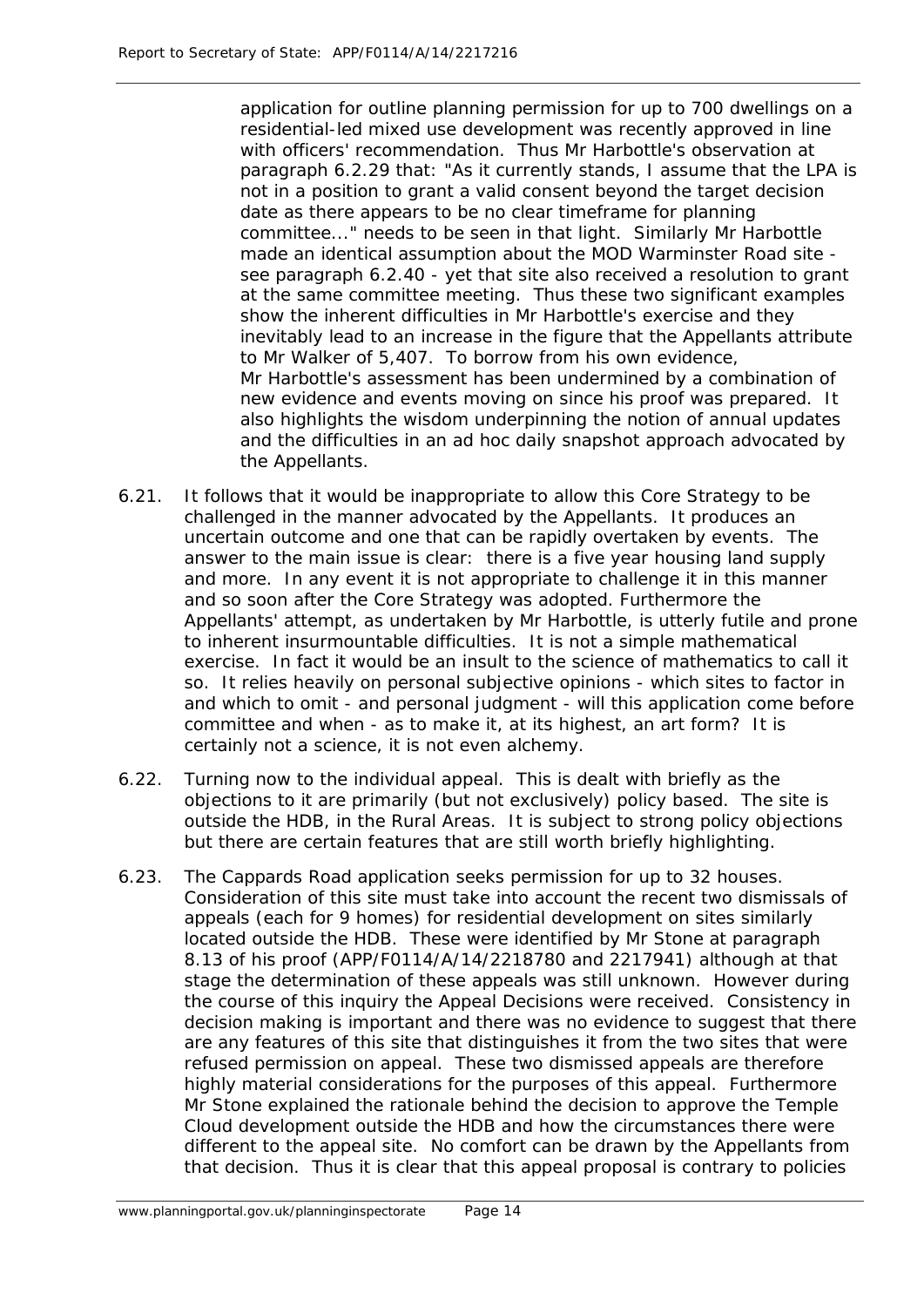application for outline planning permission for up to 700 dwellings on a residential-led mixed use development was recently approved in line with officers' recommendation. Thus Mr Harbottle's observation at paragraph 6.2.29 that: "As it currently stands, I assume that the LPA is not in a position to grant a valid consent beyond the target decision date as there appears to be no clear timeframe for planning committee..." needs to be seen in that light. Similarly Mr Harbottle made an identical assumption about the MOD Warminster Road site see paragraph 6.2.40 - yet that site also received a resolution to grant at the same committee meeting. Thus these two significant examples show the inherent difficulties in Mr Harbottle's exercise and they inevitably lead to an increase in the figure that the Appellants attribute to Mr Walker of 5,407. To borrow from his own evidence, Mr Harbottle's assessment has been undermined by a combination of new evidence and events moving on since his proof was prepared. It also highlights the wisdom underpinning the notion of annual updates and the difficulties in an ad hoc daily snapshot approach advocated by the Appellants.

- 6.21. It follows that it would be inappropriate to allow this Core Strategy to be challenged in the manner advocated by the Appellants. It produces an uncertain outcome and one that can be rapidly overtaken by events. The answer to the main issue is clear: there is a five year housing land supply and more. In any event it is not appropriate to challenge it in this manner and so soon after the Core Strategy was adopted. Furthermore the Appellants' attempt, as undertaken by Mr Harbottle, is utterly futile and prone to inherent insurmountable difficulties. It is not a simple mathematical exercise. In fact it would be an insult to the science of mathematics to call it so. It relies heavily on personal subjective opinions - which sites to factor in and which to omit - and personal judgment - will this application come before committee and when - as to make it, at its highest, an art form? It is certainly not a science, it is not even alchemy.
- 6.22. Turning now to the individual appeal. This is dealt with briefly as the objections to it are primarily (but not exclusively) policy based. The site is outside the HDB, in the Rural Areas. It is subject to strong policy objections but there are certain features that are still worth briefly highlighting.
- 6.23. The Cappards Road application seeks permission for up to 32 houses. Consideration of this site must take into account the recent two dismissals of appeals (each for 9 homes) for residential development on sites similarly located outside the HDB. These were identified by Mr Stone at paragraph 8.13 of his proof (APP/F0114/A/14/2218780 and 2217941) although at that stage the determination of these appeals was still unknown. However during the course of this inquiry the Appeal Decisions were received. Consistency in decision making is important and there was no evidence to suggest that there are any features of this site that distinguishes it from the two sites that were refused permission on appeal. These two dismissed appeals are therefore highly material considerations for the purposes of this appeal. Furthermore Mr Stone explained the rationale behind the decision to approve the Temple Cloud development outside the HDB and how the circumstances there were different to the appeal site. No comfort can be drawn by the Appellants from that decision. Thus it is clear that this appeal proposal is contrary to policies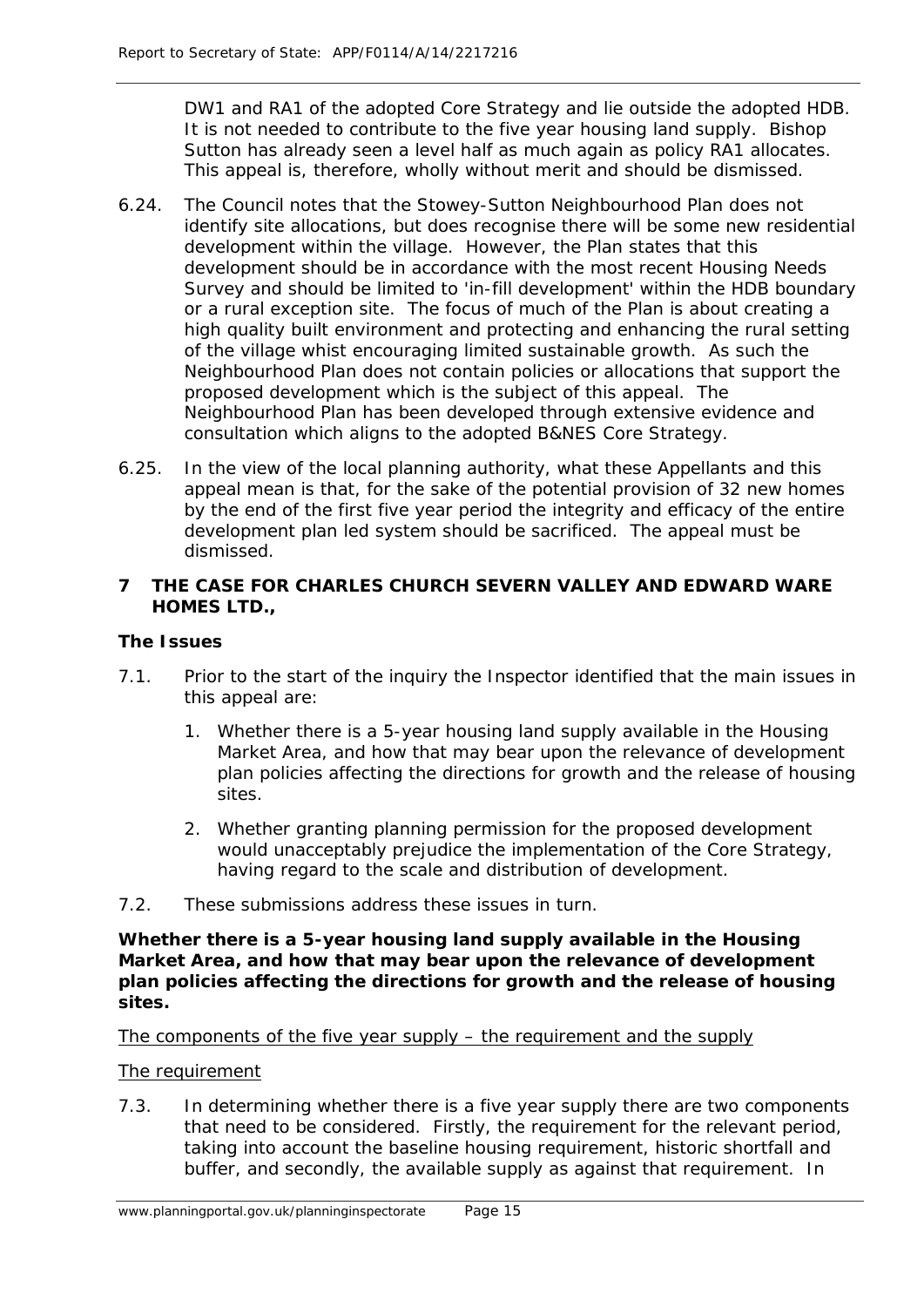DW1 and RA1 of the adopted Core Strategy and lie outside the adopted HDB. It is not needed to contribute to the five year housing land supply. Bishop Sutton has already seen a level half as much again as policy RA1 allocates. This appeal is, therefore, wholly without merit and should be dismissed.

- 6.24. The Council notes that the Stowey-Sutton Neighbourhood Plan does not identify site allocations, but does recognise there will be some new residential development within the village. However, the Plan states that this development should be in accordance with the most recent Housing Needs Survey and should be limited to 'in-fill development' within the HDB boundary or a rural exception site. The focus of much of the Plan is about creating a high quality built environment and protecting and enhancing the rural setting of the village whist encouraging limited sustainable growth. As such the Neighbourhood Plan does not contain policies or allocations that support the proposed development which is the subject of this appeal. The Neighbourhood Plan has been developed through extensive evidence and consultation which aligns to the adopted B&NES Core Strategy.
- 6.25. In the view of the local planning authority, what these Appellants and this appeal mean is that, for the sake of the potential provision of 32 new homes by the end of the first five year period the integrity and efficacy of the entire development plan led system should be sacrificed. The appeal must be dismissed.

#### **7 THE CASE FOR CHARLES CHURCH SEVERN VALLEY AND EDWARD WARE HOMES LTD.,**

#### *The Issues*

- 7.1. Prior to the start of the inquiry the Inspector identified that the main issues in this appeal are:
	- *1. Whether there is a 5-year housing land supply available in the Housing Market Area, and how that may bear upon the relevance of development plan policies affecting the directions for growth and the release of housing sites.*
	- *2. Whether granting planning permission for the proposed development would unacceptably prejudice the implementation of the Core Strategy, having regard to the scale and distribution of development.*
- 7.2. These submissions address these issues in turn.

#### *Whether there is a 5-year housing land supply available in the Housing Market Area, and how that may bear upon the relevance of development plan policies affecting the directions for growth and the release of housing sites.*

The components of the five year supply – the requirement and the supply

#### The requirement

7.3. In determining whether there is a five year supply there are two components that need to be considered. Firstly, the requirement for the relevant period, taking into account the baseline housing requirement, historic shortfall and buffer, and secondly, the available supply as against that requirement. In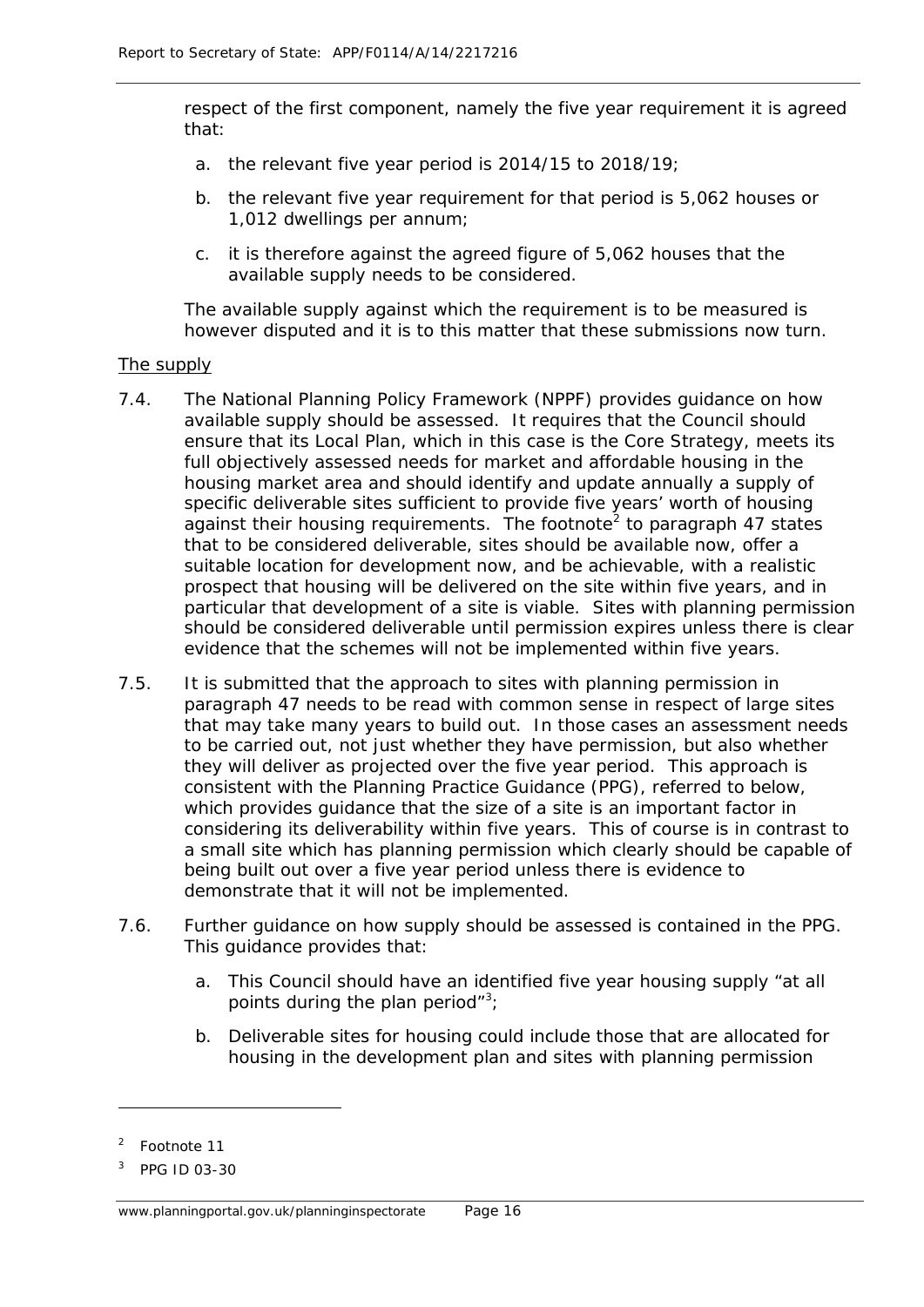respect of the first component, namely the five year requirement it is agreed that:

- a. the relevant five year period is 2014/15 to 2018/19;
- b. the relevant five year requirement for that period is 5,062 houses or 1,012 dwellings per annum;
- c. it is therefore against the agreed figure of 5,062 houses that the available supply needs to be considered.

The available supply against which the requirement is to be measured is however disputed and it is to this matter that these submissions now turn.

#### The supply

- 7.4. The National Planning Policy Framework (NPPF) provides guidance on how available supply should be assessed. It requires that the Council should ensure that its Local Plan, which in this case is the Core Strategy, meets its full objectively assessed needs for market and affordable housing in the housing market area and should identify and update annually a supply of specific deliverable sites sufficient to provide five years' worth of housing against their housing requirements. The footnote<sup>[2](#page-23-0)</sup> to paragraph 47 states that to be considered deliverable, sites should be available now, offer a suitable location for development now, and be achievable, with a realistic prospect that housing will be delivered on the site within five years, and in particular that development of a site is viable. Sites with planning permission should be considered deliverable until permission expires unless there is clear evidence that the schemes will not be implemented within five years.
- 7.5. It is submitted that the approach to sites with planning permission in paragraph 47 needs to be read with common sense in respect of large sites that may take many years to build out. In those cases an assessment needs to be carried out, not just whether they have permission, but also whether they will deliver as projected over the five year period. This approach is consistent with the Planning Practice Guidance (PPG), referred to below, which provides guidance that the size of a site is an important factor in considering its deliverability within five years. This of course is in contrast to a small site which has planning permission which clearly should be capable of being built out over a five year period unless there is evidence to demonstrate that it will not be implemented.
- 7.6. Further guidance on how supply should be assessed is contained in the PPG. This guidance provides that:
	- a. This Council should have an identified five year housing supply "at all points during the plan period" $3$ ;
	- b. Deliverable sites for housing could include those that are allocated for housing in the development plan and sites with planning permission

<span id="page-23-0"></span><sup>2</sup> Footnote 11

<span id="page-23-1"></span><sup>3</sup> PPG ID 03-30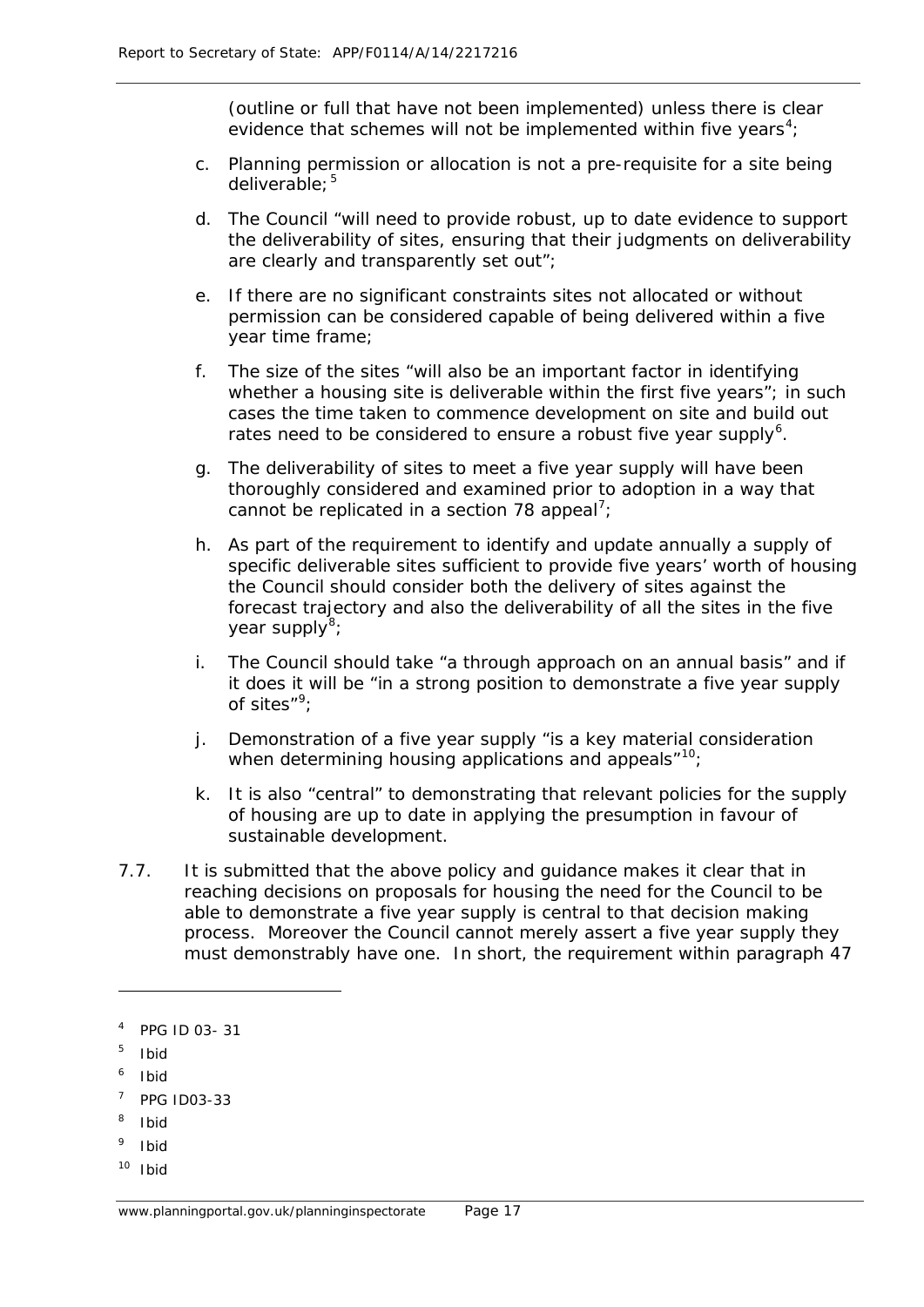(outline or full that have not been implemented) unless there is clear evidence that schemes will not be implemented within five years<sup>[4](#page-24-0)</sup>;

- c. Planning permission or allocation is not a pre-requisite for a site being deliverable:  $5$
- d. The Council "will need to provide robust, up to date evidence to support the deliverability of sites, ensuring that their judgments on deliverability are clearly and transparently set out";
- e. If there are no significant constraints sites not allocated or without permission can be considered capable of being delivered within a five year time frame;
- f. The size of the sites "will also be an important factor in identifying whether a housing site is deliverable within the first five years"; in such cases the time taken to commence development on site and build out rates need to be considered to ensure a robust five year supply<sup>[6](#page-24-2)</sup>.
- g. The deliverability of sites to meet a five year supply will have been thoroughly considered and examined prior to adoption in a way that cannot be replicated in a section [7](#page-24-3)8 appeal<sup>7</sup>;
- h. As part of the requirement to identify and update annually a supply of specific deliverable sites sufficient to provide five years' worth of housing the Council should consider both the delivery of sites against the forecast trajectory and also the deliverability of all the sites in the five year supply<sup>[8](#page-24-4)</sup>;
- i. The Council should take "a through approach on an annual basis" and if it does it will be "in a strong position to demonstrate a five year supply of sites" $9$ ;
- j. Demonstration of a five year supply "is a key material consideration when determining housing applications and appeals"<sup>[10](#page-24-6)</sup>;
- k. It is also "central" to demonstrating that relevant policies for the supply of housing are up to date in applying the presumption in favour of sustainable development.
- 7.7. It is submitted that the above policy and guidance makes it clear that in reaching decisions on proposals for housing the need for the Council to be able to demonstrate a five year supply is central to that decision making process. Moreover the Council cannot merely assert a five year supply they must demonstrably have one. In short, the requirement within paragraph 47

1

<span id="page-24-0"></span><sup>4</sup> PPG ID 03- 31

<span id="page-24-1"></span><sup>5</sup> *Ibid*

<span id="page-24-2"></span><sup>6</sup> *Ibid*

<span id="page-24-3"></span><sup>7</sup> PPG ID03-33

<span id="page-24-4"></span><sup>8</sup> *Ibid*

<span id="page-24-5"></span><sup>9</sup> *Ibid*

<span id="page-24-6"></span><sup>10</sup> *Ibid*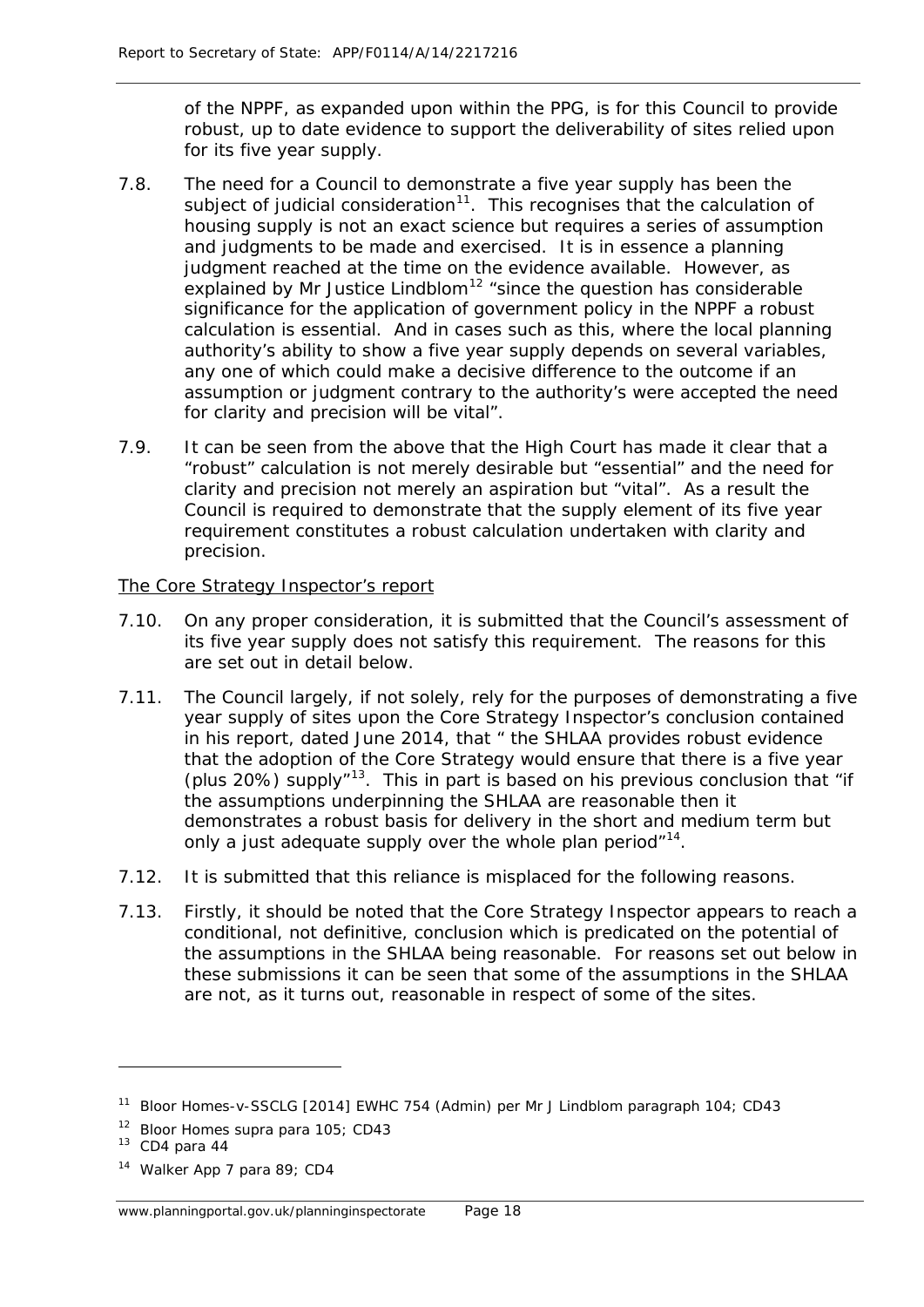of the NPPF, as expanded upon within the PPG, is for this Council to provide robust, up to date evidence to support the deliverability of sites relied upon for its five year supply.

- 7.8. The need for a Council to demonstrate a five year supply has been the subject of judicial consideration<sup>[11](#page-25-0)</sup>. This recognises that the calculation of housing supply is not an exact science but requires a series of assumption and judgments to be made and exercised. It is in essence a planning judgment reached at the time on the evidence available. However, as explained by Mr Justice Lindblom<sup>[12](#page-25-1)</sup> "since the question has considerable *significance for the application of government policy in the NPPF a robust calculation is essential. And in cases such as this, where the local planning authority's ability to show a five year supply depends on several variables, any one of which could make a decisive difference to the outcome if an assumption or judgment contrary to the authority's were accepted the need for clarity and precision will be vital".*
- 7.9. It can be seen from the above that the High Court has made it clear that a "robust" calculation is not merely desirable but "essential" and the need for clarity and precision not merely an aspiration but "vital". As a result the Council is required to demonstrate that the supply element of its five year requirement constitutes a robust calculation undertaken with clarity and precision.

#### The Core Strategy Inspector's report

- 7.10. On any proper consideration, it is submitted that the Council's assessment of its five year supply does not satisfy this requirement. The reasons for this are set out in detail below.
- 7.11. The Council largely, if not solely, rely for the purposes of demonstrating a five year supply of sites upon the Core Strategy Inspector's conclusion contained in his report, dated June 2014, that " the SHLAA provides robust evidence that the adoption of the Core Strategy would ensure that there is a five year (plus 20%) supply<sup> $n=13$  $n=13$ </sup>. This in part is based on his previous conclusion that "if the assumptions underpinning the SHLAA are reasonable then it demonstrates a robust basis for delivery in the short and medium term but only a just adequate supply over the whole plan period"<sup>[14](#page-25-3)</sup>.
- 7.12. It is submitted that this reliance is misplaced for the following reasons.
- 7.13. Firstly, it should be noted that the Core Strategy Inspector appears to reach a conditional, not definitive, conclusion which is predicated on the potential of the assumptions in the SHLAA being reasonable. For reasons set out below in these submissions it can be seen that some of the assumptions in the SHLAA are not, as it turns out, reasonable in respect of some of the sites.

1

<span id="page-25-0"></span><sup>&</sup>lt;sup>11</sup> Bloor Homes-v-SSCLG [2014] EWHC 754 (Admin) per Mr J Lindblom paragraph 104; CD43

<span id="page-25-2"></span><span id="page-25-1"></span><sup>&</sup>lt;sup>12</sup> Bloor Homes supra para 105; CD43<br><sup>13</sup> CD4 para 44

<span id="page-25-3"></span><sup>14</sup> Walker App 7 para 89; CD4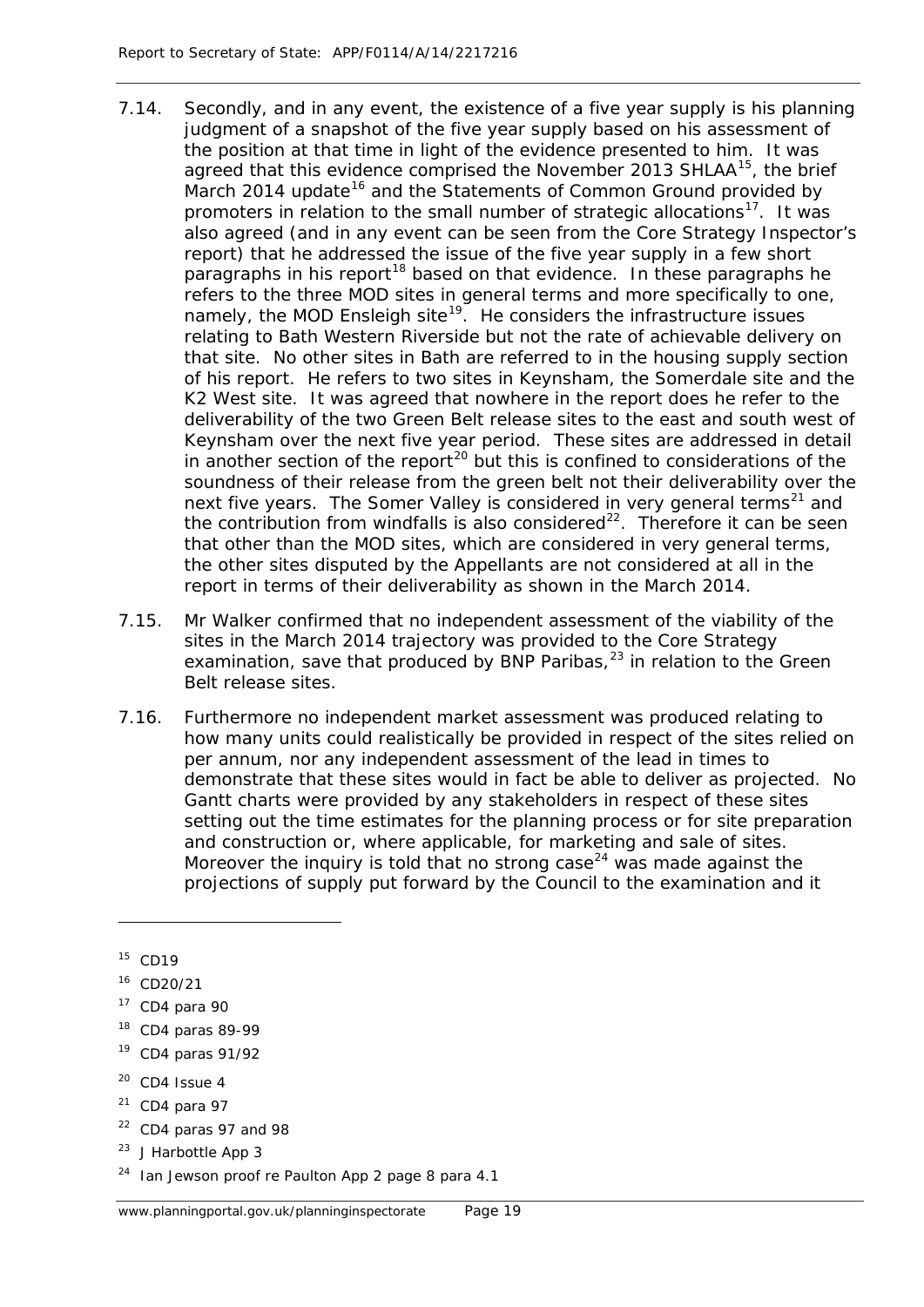- 7.14. Secondly, and in any event, the existence of a five year supply is his planning judgment of a snapshot of the five year supply based on his assessment of the position at that time in light of the evidence presented to him. It was agreed that this evidence comprised the November 2013 SHLAA $<sup>15</sup>$ , the brief</sup> March 2014 update<sup>[16](#page-26-1)</sup> and the Statements of Common Ground provided by promoters in relation to the small number of strategic allocations<sup>[17](#page-26-2)</sup>. It was also agreed (and in any event can be seen from the Core Strategy Inspector's report) that he addressed the issue of the five year supply in a few short paragraphs in his report<sup>[18](#page-26-3)</sup> based on that evidence. In these paragraphs he refers to the three MOD sites in general terms and more specifically to one, namely, the MOD Ensleigh site<sup>19</sup>. He considers the infrastructure issues relating to Bath Western Riverside but not the rate of achievable delivery on that site. No other sites in Bath are referred to in the housing supply section of his report. He refers to two sites in Keynsham, the Somerdale site and the K2 West site. It was agreed that nowhere in the report does he refer to the deliverability of the two Green Belt release sites to the east and south west of Keynsham over the next five year period. These sites are addressed in detail in another section of the report<sup>[20](#page-26-5)</sup> but this is confined to considerations of the soundness of their release from the green belt not their deliverability over the next five years. The Somer Valley is considered in very general terms<sup>[21](#page-26-6)</sup> and the contribution from windfalls is also considered<sup>22</sup>. Therefore it can be seen that other than the MOD sites, which are considered in very general terms, the other sites disputed by the Appellants are not considered at all in the report in terms of their deliverability as shown in the March 2014.
- 7.15. Mr Walker confirmed that no independent assessment of the viability of the sites in the March 2014 trajectory was provided to the Core Strategy examination, save that produced by BNP Paribas,<sup>[23](#page-26-8)</sup> in relation to the Green Belt release sites.
- 7.16. Furthermore no independent market assessment was produced relating to how many units could realistically be provided in respect of the sites relied on per annum, nor any independent assessment of the lead in times to demonstrate that these sites would in fact be able to deliver as projected. No Gantt charts were provided by any stakeholders in respect of these sites setting out the time estimates for the planning process or for site preparation and construction or, where applicable, for marketing and sale of sites. Moreover the inquiry is told that no strong case<sup>[24](#page-26-9)</sup> was made against the projections of supply put forward by the Council to the examination and it

l

<span id="page-26-7"></span> $22$  CD4 paras 97 and 98

<span id="page-26-0"></span><sup>15</sup> CD19

<span id="page-26-1"></span><sup>16</sup> CD20/21

<span id="page-26-2"></span> $17$  CD4 para 90

<span id="page-26-3"></span><sup>18</sup> CD4 paras 89-99

<span id="page-26-4"></span><sup>19</sup> CD4 paras 91/92

<span id="page-26-5"></span> $20$  CD4 Issue 4

<span id="page-26-6"></span> $21$  CD4 para 97

<span id="page-26-8"></span><sup>23</sup> J Harbottle App 3

<span id="page-26-9"></span><sup>&</sup>lt;sup>24</sup> Ian Jewson proof re Paulton App 2 page 8 para 4.1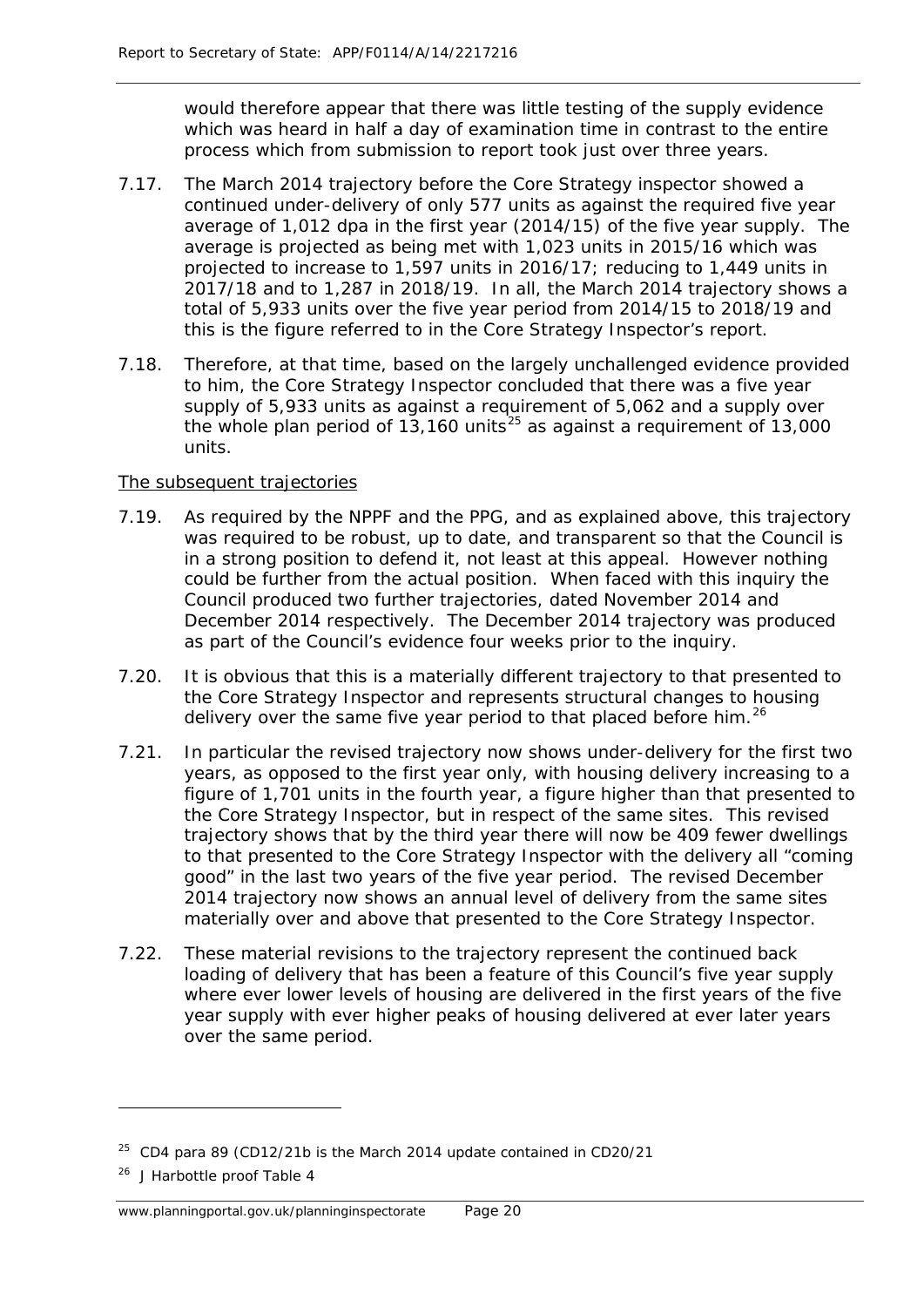would therefore appear that there was little testing of the supply evidence which was heard in half a day of examination time in contrast to the entire process which from submission to report took just over three years.

- 7.17. The March 2014 trajectory before the Core Strategy inspector showed a continued under-delivery of only 577 units as against the required five year average of 1,012 dpa in the first year (2014/15) of the five year supply. The average is projected as being met with 1,023 units in 2015/16 which was projected to increase to 1,597 units in 2016/17; reducing to 1,449 units in 2017/18 and to 1,287 in 2018/19. In all, the March 2014 trajectory shows a total of 5,933 units over the five year period from 2014/15 to 2018/19 and this is the figure referred to in the Core Strategy Inspector's report.
- 7.18. Therefore, at that time, based on the largely unchallenged evidence provided to him, the Core Strategy Inspector concluded that there was a five year supply of 5,933 units as against a requirement of 5,062 and a supply over the whole plan period of  $13,160$  units<sup>[25](#page-27-0)</sup> as against a requirement of  $13,000$ units.

#### The subsequent trajectories

- 7.19. As required by the NPPF and the PPG, and as explained above, this trajectory was required to be robust, up to date, and transparent so that the Council is in a strong position to defend it, not least at this appeal. However nothing could be further from the actual position. When faced with this inquiry the Council produced two further trajectories, dated November 2014 and December 2014 respectively. The December 2014 trajectory was produced as part of the Council's evidence four weeks prior to the inquiry.
- 7.20. It is obvious that this is a materially different trajectory to that presented to the Core Strategy Inspector and represents structural changes to housing delivery over the same five year period to that placed before him.<sup>[26](#page-27-1)</sup>
- 7.21. In particular the revised trajectory now shows under-delivery for the first two years, as opposed to the first year only, with housing delivery increasing to a figure of 1,701 units in the fourth year, a figure higher than that presented to the Core Strategy Inspector, but in respect of the same sites. This revised trajectory shows that by the third year there will now be 409 fewer dwellings to that presented to the Core Strategy Inspector with the delivery all "coming good" in the last two years of the five year period. The revised December 2014 trajectory now shows an annual level of delivery from the same sites materially over and above that presented to the Core Strategy Inspector.
- 7.22. These material revisions to the trajectory represent the continued back loading of delivery that has been a feature of this Council's five year supply where ever lower levels of housing are delivered in the first years of the five year supply with ever higher peaks of housing delivered at ever later years over the same period.

<sup>25</sup> CD4 para 89 (CD12/21b is the March 2014 update contained in CD20/21

<span id="page-27-1"></span><span id="page-27-0"></span><sup>26</sup> J Harbottle proof Table 4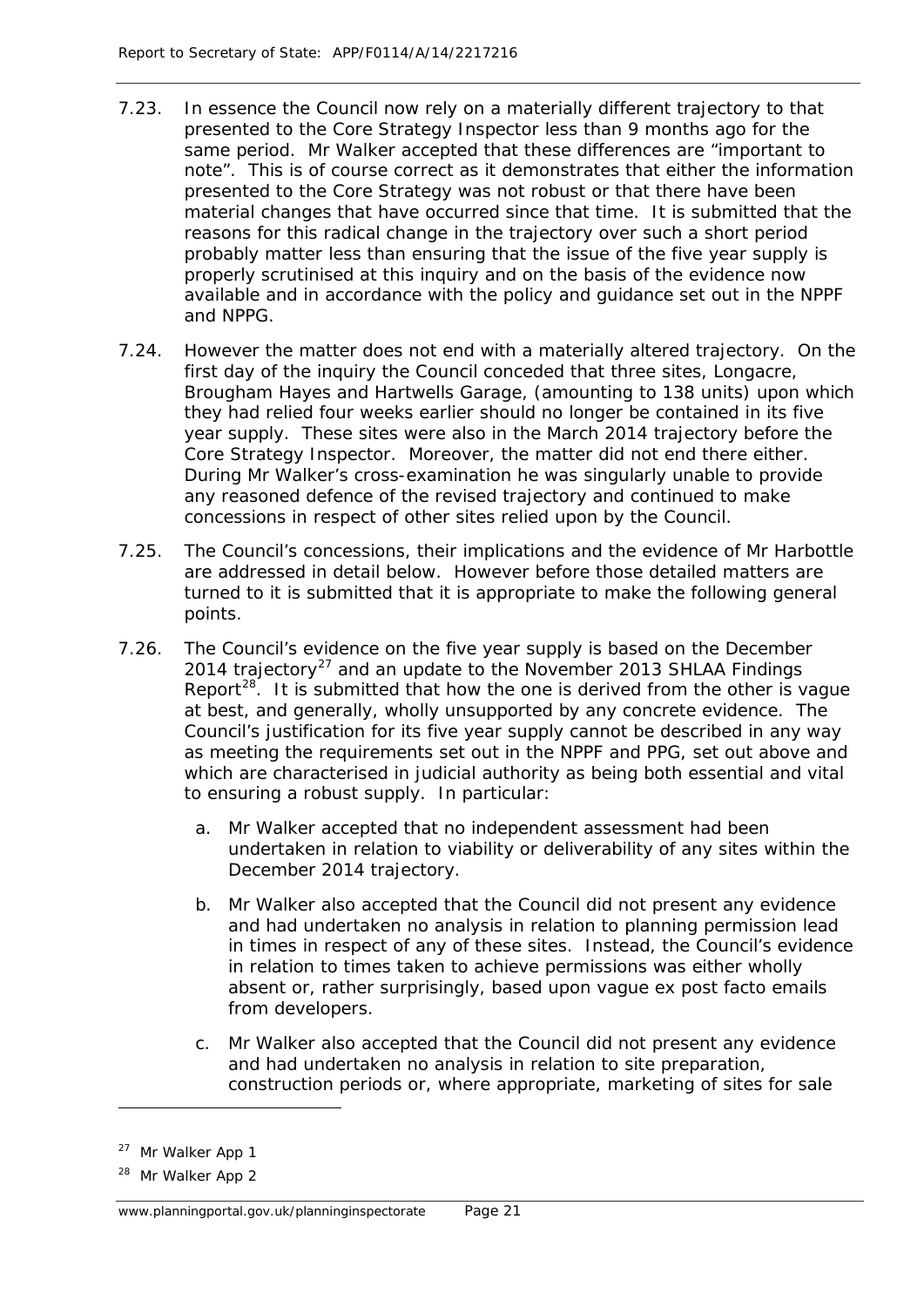- 7.23. In essence the Council now rely on a materially different trajectory to that presented to the Core Strategy Inspector less than 9 months ago for the same period. Mr Walker accepted that these differences are "important to note". This is of course correct as it demonstrates that either the information presented to the Core Strategy was not robust or that there have been material changes that have occurred since that time. It is submitted that the reasons for this radical change in the trajectory over such a short period probably matter less than ensuring that the issue of the five year supply is properly scrutinised at this inquiry and on the basis of the evidence now available and in accordance with the policy and guidance set out in the NPPF and NPPG.
- 7.24. However the matter does not end with a materially altered trajectory. On the first day of the inquiry the Council conceded that three sites, Longacre, Brougham Hayes and Hartwells Garage, (amounting to 138 units) upon which they had relied four weeks earlier should no longer be contained in its five year supply. These sites were also in the March 2014 trajectory before the Core Strategy Inspector. Moreover, the matter did not end there either. During Mr Walker's cross-examination he was singularly unable to provide any reasoned defence of the revised trajectory and continued to make concessions in respect of other sites relied upon by the Council.
- 7.25. The Council's concessions, their implications and the evidence of Mr Harbottle are addressed in detail below. However before those detailed matters are turned to it is submitted that it is appropriate to make the following general points.
- 7.26. The Council's evidence on the five year supply is based on the December 2014 trajectory<sup>[27](#page-28-0)</sup> and an update to the November 2013 SHLAA Findings Report<sup>[28](#page-28-1)</sup>. It is submitted that how the one is derived from the other is vague at best, and generally, wholly unsupported by any concrete evidence. The Council's justification for its five year supply cannot be described in any way as meeting the requirements set out in the NPPF and PPG, set out above and which are characterised in judicial authority as being both essential and vital to ensuring a robust supply. In particular:
	- a. Mr Walker accepted that no independent assessment had been undertaken in relation to viability or deliverability of any sites within the December 2014 trajectory.
	- b. Mr Walker also accepted that the Council did not present any evidence and had undertaken no analysis in relation to planning permission lead in times in respect of any of these sites. Instead, the Council's evidence in relation to times taken to achieve permissions was either wholly absent or, rather surprisingly, based upon vague ex post facto emails from developers.
	- c. Mr Walker also accepted that the Council did not present any evidence and had undertaken no analysis in relation to site preparation, construction periods or, where appropriate, marketing of sites for sale

<span id="page-28-0"></span>Mr Walker App 1

<span id="page-28-1"></span><sup>&</sup>lt;sup>28</sup> Mr Walker App 2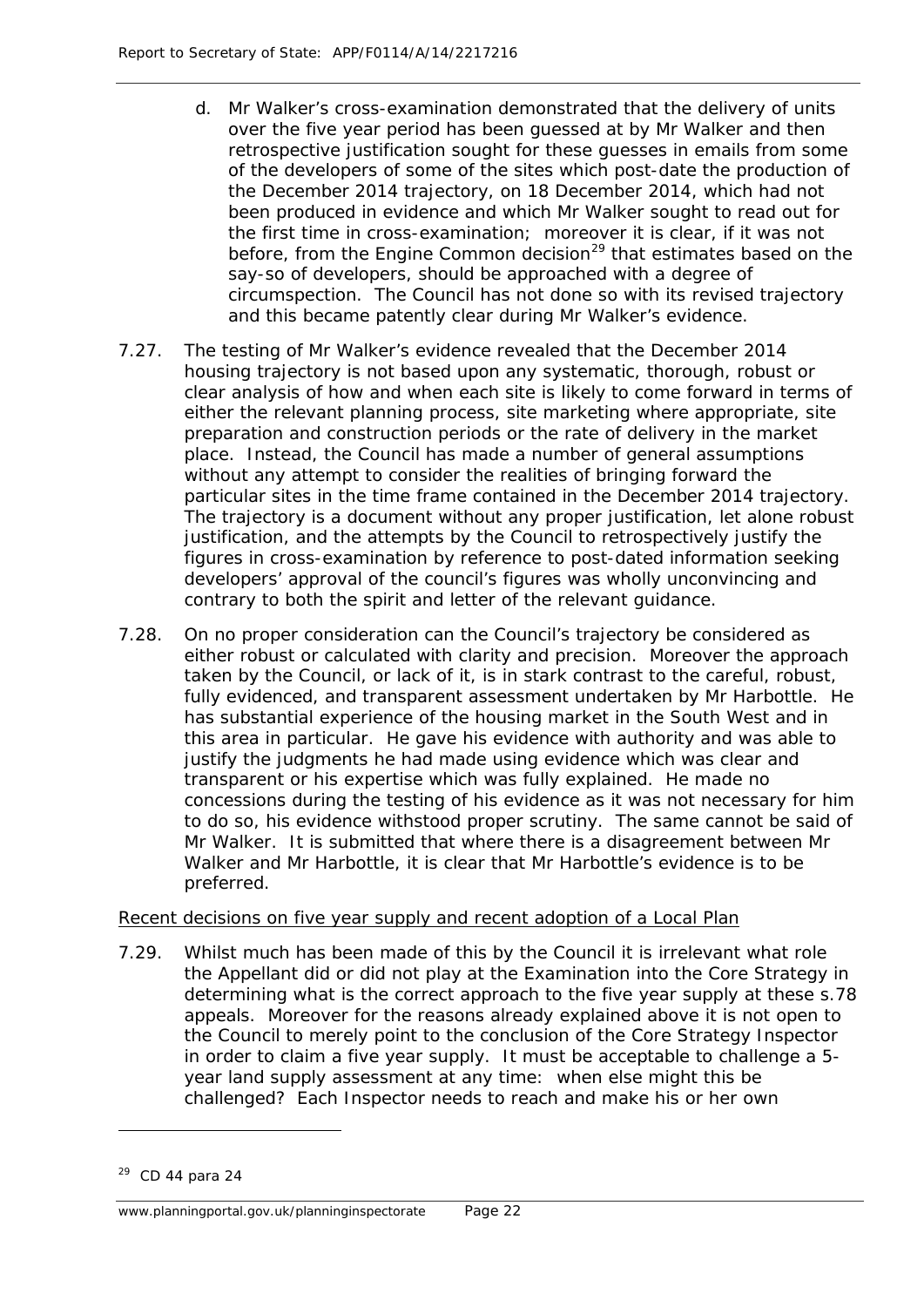- d. Mr Walker's cross-examination demonstrated that the delivery of units over the five year period has been guessed at by Mr Walker and then retrospective justification sought for these guesses in emails from some of the developers of some of the sites which post-date the production of the December 2014 trajectory, on 18 December 2014, which had not been produced in evidence and which Mr Walker sought to read out for the first time in cross-examination; moreover it is clear, if it was not before, from the Engine Common decision<sup>[29](#page-29-0)</sup> that estimates based on the say-so of developers, should be approached with a degree of circumspection. The Council has not done so with its revised trajectory and this became patently clear during Mr Walker's evidence.
- 7.27. The testing of Mr Walker's evidence revealed that the December 2014 housing trajectory is not based upon any systematic, thorough, robust or clear analysis of how and when each site is likely to come forward in terms of either the relevant planning process, site marketing where appropriate, site preparation and construction periods or the rate of delivery in the market place. Instead, the Council has made a number of general assumptions without any attempt to consider the realities of bringing forward the particular sites in the time frame contained in the December 2014 trajectory. The trajectory is a document without any proper justification, let alone robust justification, and the attempts by the Council to retrospectively justify the figures in cross-examination by reference to post-dated information seeking developers' approval of the council's figures was wholly unconvincing and contrary to both the spirit and letter of the relevant guidance.
- 7.28. On no proper consideration can the Council's trajectory be considered as either robust or calculated with clarity and precision. Moreover the approach taken by the Council, or lack of it, is in stark contrast to the careful, robust, fully evidenced, and transparent assessment undertaken by Mr Harbottle. He has substantial experience of the housing market in the South West and in this area in particular. He gave his evidence with authority and was able to justify the judgments he had made using evidence which was clear and transparent or his expertise which was fully explained. He made no concessions during the testing of his evidence as it was not necessary for him to do so, his evidence withstood proper scrutiny. The same cannot be said of Mr Walker. It is submitted that where there is a disagreement between Mr Walker and Mr Harbottle, it is clear that Mr Harbottle's evidence is to be preferred.

#### Recent decisions on five year supply and recent adoption of a Local Plan

7.29. Whilst much has been made of this by the Council it is irrelevant what role the Appellant did or did not play at the Examination into the Core Strategy in determining what is the correct approach to the five year supply at these s.78 appeals. Moreover for the reasons already explained above it is not open to the Council to merely point to the conclusion of the Core Strategy Inspector in order to claim a five year supply. It must be acceptable to challenge a 5 year land supply assessment at any time: when else might this be challenged? Each Inspector needs to reach and make his or her own

1

<span id="page-29-0"></span><sup>29</sup> CD 44 para 24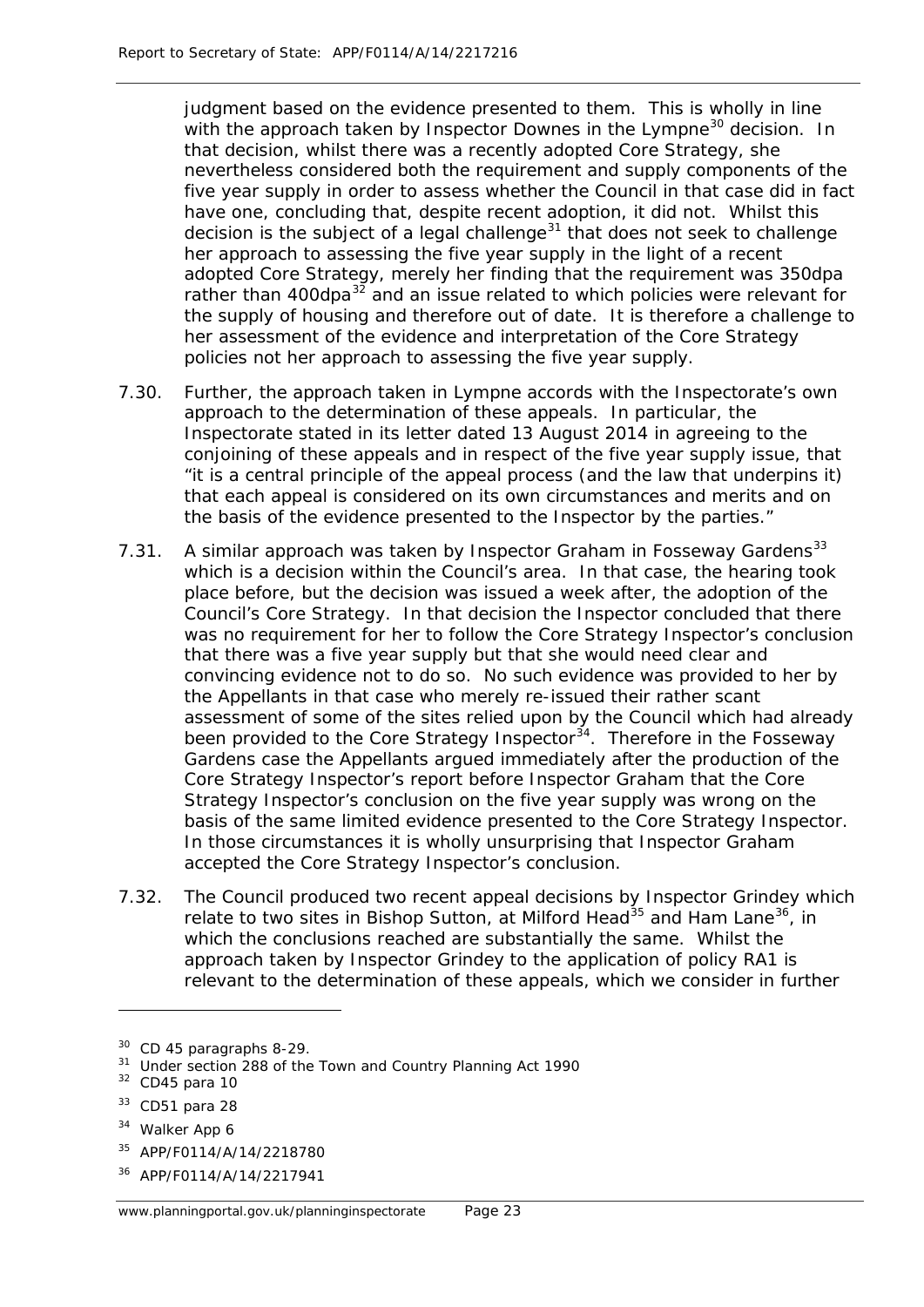judgment based on the evidence presented to them. This is wholly in line with the approach taken by Inspector Downes in the Lympne<sup>[30](#page-30-0)</sup> decision. In that decision, whilst there was a recently adopted Core Strategy, she nevertheless considered both the requirement and supply components of the five year supply in order to assess whether the Council in that case did in fact have one, concluding that, despite recent adoption, it did not. Whilst this decision is the subject of a legal challenge $31$  that does not seek to challenge her approach to assessing the five year supply in the light of a recent adopted Core Strategy, merely her finding that the requirement was 350dpa rather than 400dpa $32$  and an issue related to which policies were relevant for the supply of housing and therefore out of date. It is therefore a challenge to her assessment of the evidence and interpretation of the Core Strategy policies not her approach to assessing the five year supply.

- 7.30. Further, the approach taken in Lympne accords with the Inspectorate's own approach to the determination of these appeals. In particular, the Inspectorate stated in its letter dated 13 August 2014 in agreeing to the conjoining of these appeals and in respect of the five year supply issue, *that "it is a central principle of the appeal process (and the law that underpins it) that each appeal is considered on its own circumstances and merits and on the basis of the evidence presented to the Inspector by the parties*."
- 7.31. A similar approach was taken by Inspector Graham in Fosseway Gardens<sup>[33](#page-30-3)</sup> which is a decision within the Council's area. In that case, the hearing took place before, but the decision was issued a week after, the adoption of the Council's Core Strategy. In that decision the Inspector concluded that there was no requirement for her to follow the Core Strategy Inspector's conclusion that there was a five year supply but that she would need clear and convincing evidence not to do so. No such evidence was provided to her by the Appellants in that case who merely re-issued their rather scant assessment of some of the sites relied upon by the Council which had already been provided to the Core Strategy Inspector<sup>[34](#page-30-4)</sup>. Therefore in the Fosseway Gardens case the Appellants argued immediately after the production of the Core Strategy Inspector's report before Inspector Graham that the Core Strategy Inspector's conclusion on the five year supply was wrong on the basis of the same limited evidence presented to the Core Strategy Inspector. In those circumstances it is wholly unsurprising that Inspector Graham accepted the Core Strategy Inspector's conclusion.
- 7.32. The Council produced two recent appeal decisions by Inspector Grindey which relate to two sites in Bishop Sutton, at Milford Head<sup>[35](#page-30-5)</sup> and Ham Lane<sup>36</sup>, in which the conclusions reached are substantially the same. Whilst the approach taken by Inspector Grindey to the application of policy RA1 is relevant to the determination of these appeals, which we consider in further

1

- <span id="page-30-5"></span><sup>35</sup> APP/F0114/A/14/2218780
- <span id="page-30-6"></span><sup>36</sup> APP/F0114/A/14/2217941

<span id="page-30-0"></span><sup>&</sup>lt;sup>30</sup> CD 45 paragraphs 8-29.

<span id="page-30-1"></span><sup>&</sup>lt;sup>31</sup> Under section 288 of the Town and Country Planning Act 1990

<span id="page-30-2"></span> $32$  CD45 para 10

<span id="page-30-3"></span> $33$  CD51 para 28

<span id="page-30-4"></span><sup>&</sup>lt;sup>34</sup> Walker App 6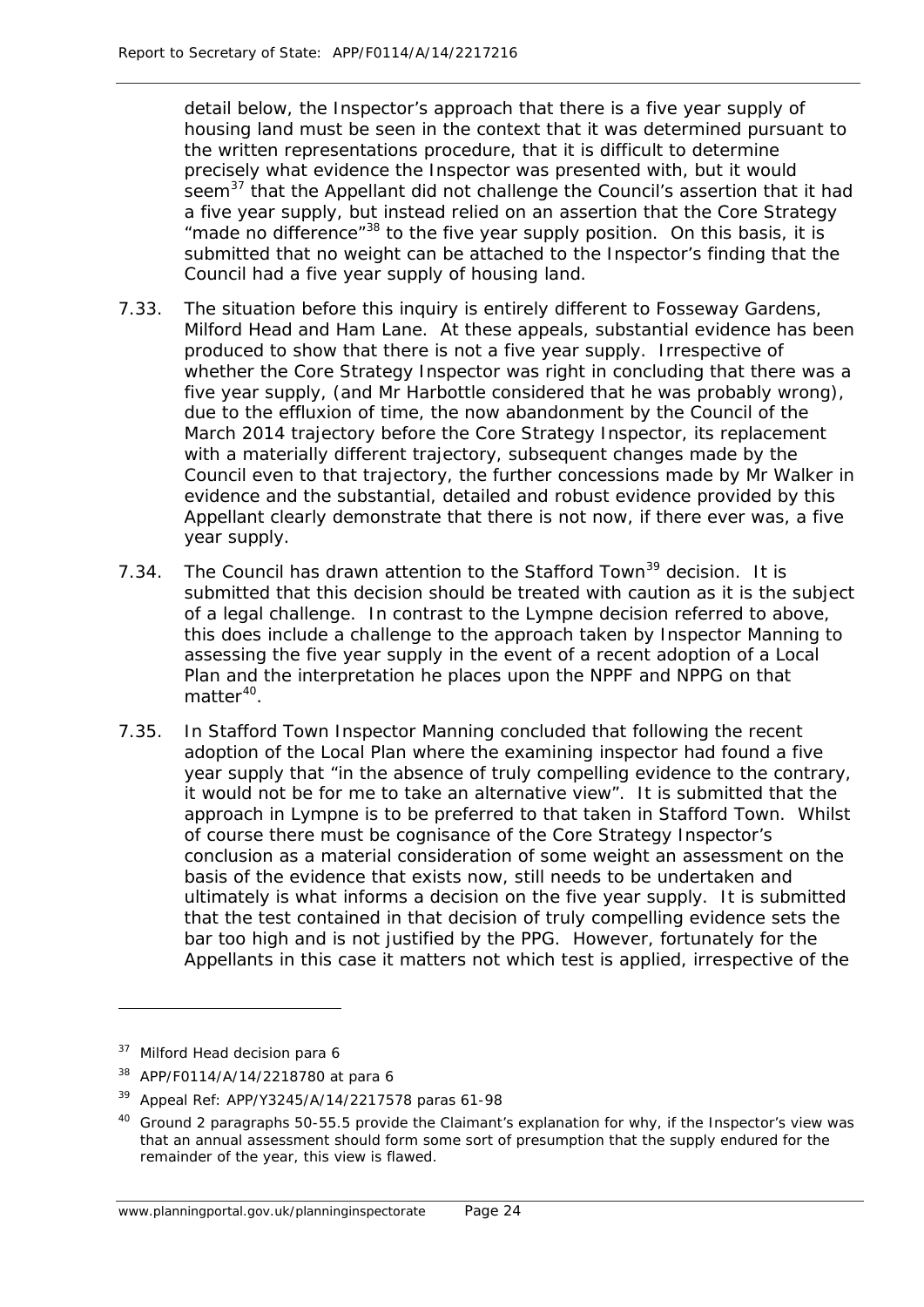detail below, the Inspector's approach that there is a five year supply of housing land must be seen in the context that it was determined pursuant to the written representations procedure, that it is difficult to determine precisely what evidence the Inspector was presented with, but it would seem<sup>[37](#page-31-0)</sup> that the Appellant did not challenge the Council's assertion that it had a five year supply, but instead relied on an assertion that the Core Strategy "made no difference" $38$  to the five year supply position. On this basis, it is submitted that no weight can be attached to the Inspector's finding that the Council had a five year supply of housing land.

- 7.33. The situation before this inquiry is entirely different to Fosseway Gardens, Milford Head and Ham Lane. At these appeals, substantial evidence has been produced to show that there is not a five year supply. Irrespective of whether the Core Strategy Inspector was right in concluding that there was a five year supply, (and Mr Harbottle considered that he was probably wrong), due to the effluxion of time, the now abandonment by the Council of the March 2014 trajectory before the Core Strategy Inspector, its replacement with a materially different trajectory, subsequent changes made by the Council even to that trajectory, the further concessions made by Mr Walker in evidence and the substantial, detailed and robust evidence provided by this Appellant clearly demonstrate that there is not now, if there ever was, a five year supply.
- 7.34. The Council has drawn attention to the Stafford Town<sup>[39](#page-31-2)</sup> decision. It is submitted that this decision should be treated with caution as it is the subject of a legal challenge. In contrast to the Lympne decision referred to above, this does include a challenge to the approach taken by Inspector Manning to assessing the five year supply in the event of a recent adoption of a Local Plan and the interpretation he places upon the NPPF and NPPG on that matter<sup>[40](#page-31-3)</sup>.
- 7.35. In Stafford Town Inspector Manning concluded that following the recent adoption of the Local Plan where the examining inspector had found a five year supply that "in the absence of truly compelling evidence to the contrary, it would not be for me to take an alternative view". It is submitted that the approach in Lympne is to be preferred to that taken in Stafford Town. Whilst of course there must be cognisance of the Core Strategy Inspector's conclusion as a material consideration of some weight an assessment on the basis of the evidence that exists now, still needs to be undertaken and ultimately is what informs a decision on the five year supply. It is submitted that the test contained in that decision of truly compelling evidence sets the bar too high and is not justified by the PPG. However, fortunately for the Appellants in this case it matters not which test is applied, irrespective of the

<span id="page-31-0"></span><sup>&</sup>lt;sup>37</sup> Milford Head decision para 6

<span id="page-31-1"></span><sup>38</sup> APP/F0114/A/14/2218780 at para 6

<span id="page-31-2"></span><sup>39</sup> Appeal Ref: APP/Y3245/A/14/2217578 paras 61-98

<span id="page-31-3"></span><sup>40</sup> Ground 2 paragraphs 50-55.5 provide the Claimant's explanation for why, if the Inspector's view was that an annual assessment should form some sort of presumption that the supply endured for the remainder of the year, this view is flawed.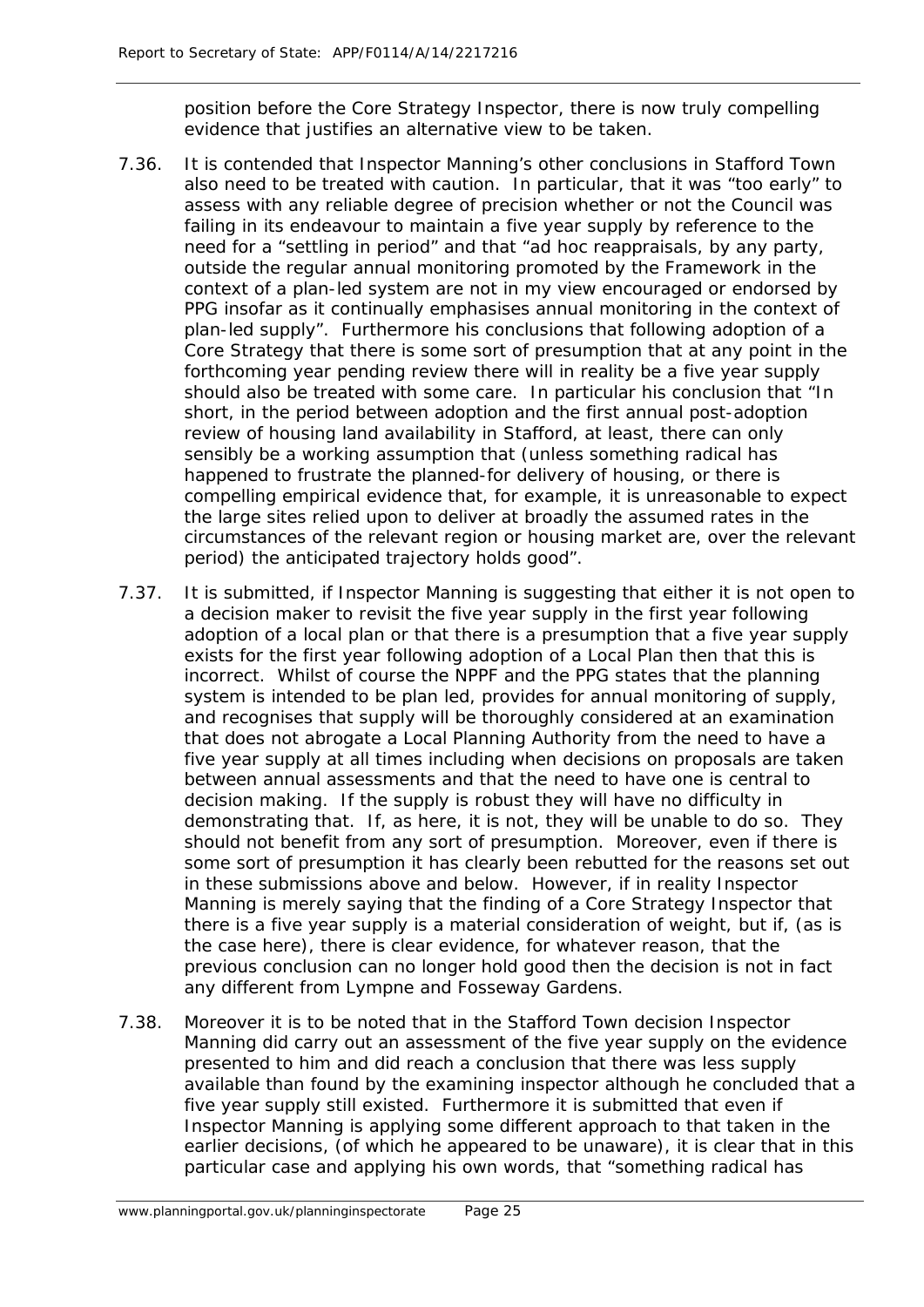position before the Core Strategy Inspector, there is now truly compelling evidence that justifies an alternative view to be taken.

- 7.36. It is contended that Inspector Manning's other conclusions in Stafford Town also need to be treated with caution. In particular, that it was "too early" to assess with any reliable degree of precision whether or not the Council was failing in its endeavour to maintain a five year supply by reference to the need for a "settling in period" and that "ad hoc reappraisals, by any party, outside the regular annual monitoring promoted by the Framework in the context of a plan-led system are not in my view encouraged or endorsed by PPG insofar as it continually emphasises annual monitoring in the context of plan-led supply". Furthermore his conclusions that following adoption of a Core Strategy that there is some sort of presumption that at any point in the forthcoming year pending review there will in reality be a five year supply should also be treated with some care. In particular his conclusion that "In short, in the period between adoption and the first annual post-adoption review of housing land availability in Stafford, at least, there can only sensibly be a working assumption that (unless something radical has happened to frustrate the planned-for delivery of housing, or there is compelling empirical evidence that, for example, it is unreasonable to expect the large sites relied upon to deliver at broadly the assumed rates in the circumstances of the relevant region or housing market are, over the relevant period) the anticipated trajectory holds good".
- 7.37. It is submitted, if Inspector Manning is suggesting that either it is not open to a decision maker to revisit the five year supply in the first year following adoption of a local plan or that there is a presumption that a five year supply exists for the first year following adoption of a Local Plan then that this is incorrect. Whilst of course the NPPF and the PPG states that the planning system is intended to be plan led, provides for annual monitoring of supply, and recognises that supply will be thoroughly considered at an examination that does not abrogate a Local Planning Authority from the need to have a five year supply at all times including when decisions on proposals are taken between annual assessments and that the need to have one is central to decision making. If the supply is robust they will have no difficulty in demonstrating that. If, as here, it is not, they will be unable to do so. They should not benefit from any sort of presumption. Moreover, even if there is some sort of presumption it has clearly been rebutted for the reasons set out in these submissions above and below. However, if in reality Inspector Manning is merely saying that the finding of a Core Strategy Inspector that there is a five year supply is a material consideration of weight, but if, (as is the case here), there is clear evidence, for whatever reason, that the previous conclusion can no longer hold good then the decision is not in fact any different from Lympne and Fosseway Gardens.
- 7.38. Moreover it is to be noted that in the Stafford Town decision Inspector Manning did carry out an assessment of the five year supply on the evidence presented to him and did reach a conclusion that there was less supply available than found by the examining inspector although he concluded that a five year supply still existed. Furthermore it is submitted that even if Inspector Manning is applying some different approach to that taken in the earlier decisions, (of which he appeared to be unaware), it is clear that in this particular case and applying his own words, that "something radical has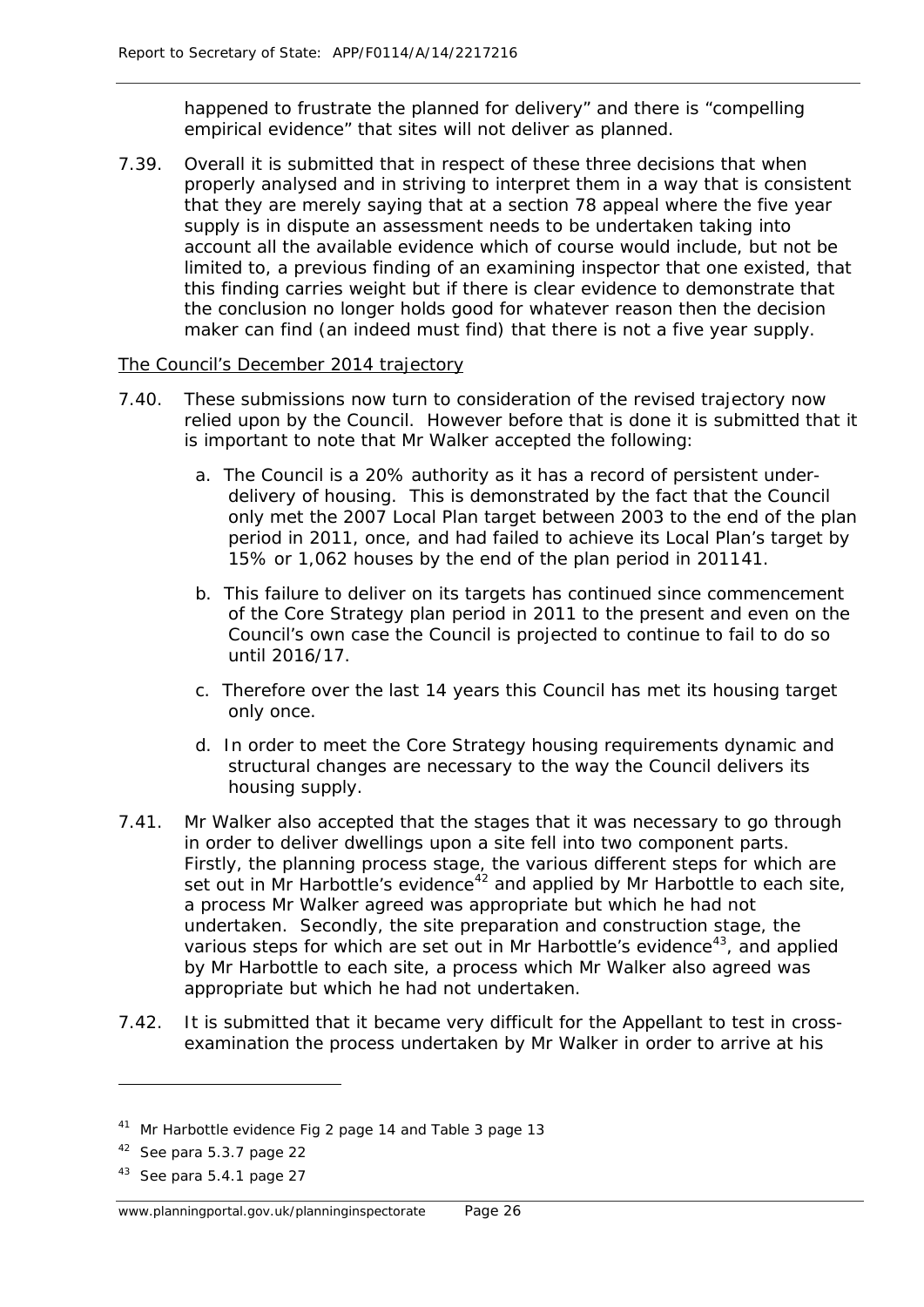happened to frustrate the planned for delivery" and there is "compelling empirical evidence" that sites will not deliver as planned.

7.39. Overall it is submitted that in respect of these three decisions that when properly analysed and in striving to interpret them in a way that is consistent that they are merely saying that at a section 78 appeal where the five year supply is in dispute an assessment needs to be undertaken taking into account all the available evidence which of course would include, but not be limited to, a previous finding of an examining inspector that one existed, that this finding carries weight but if there is clear evidence to demonstrate that the conclusion no longer holds good for whatever reason then the decision maker can find (an indeed must find) that there is not a five year supply.

#### The Council's December 2014 trajectory

- 7.40. These submissions now turn to consideration of the revised trajectory now relied upon by the Council. However before that is done it is submitted that it is important to note that Mr Walker accepted the following:
	- a. The Council is a 20% authority as it has a record of persistent underdelivery of housing. This is demonstrated by the fact that the Council only met the 2007 Local Plan target between 2003 to the end of the plan period in 2011, once, and had failed to achieve its Local Plan's target by 15% or 1,062 houses by the end of the plan period in 2011[41.](#page-33-0)
	- b. This failure to deliver on its targets has continued since commencement of the Core Strategy plan period in 2011 to the present and even on the Council's own case the Council is projected to continue to fail to do so until 2016/17.
	- c. Therefore over the last 14 years this Council has met its housing target only once.
	- d. In order to meet the Core Strategy housing requirements dynamic and structural changes are necessary to the way the Council delivers its housing supply.
- 7.41. Mr Walker also accepted that the stages that it was necessary to go through in order to deliver dwellings upon a site fell into two component parts. Firstly, the planning process stage, the various different steps for which are set out in Mr Harbottle's evidence<sup>[42](#page-33-1)</sup> and applied by Mr Harbottle to each site, a process Mr Walker agreed was appropriate but which he had not undertaken. Secondly, the site preparation and construction stage, the various steps for which are set out in Mr Harbottle's evidence<sup>[43](#page-33-2)</sup>, and applied by Mr Harbottle to each site, a process which Mr Walker also agreed was appropriate but which he had not undertaken.
- 7.42. It is submitted that it became very difficult for the Appellant to test in crossexamination the process undertaken by Mr Walker in order to arrive at his

<span id="page-33-0"></span><sup>&</sup>lt;sup>41</sup> Mr Harbottle evidence Fig 2 page 14 and Table 3 page 13

<span id="page-33-1"></span><sup>42</sup> See para 5.3.7 page 22

<span id="page-33-2"></span><sup>43</sup> See para 5.4.1 page 27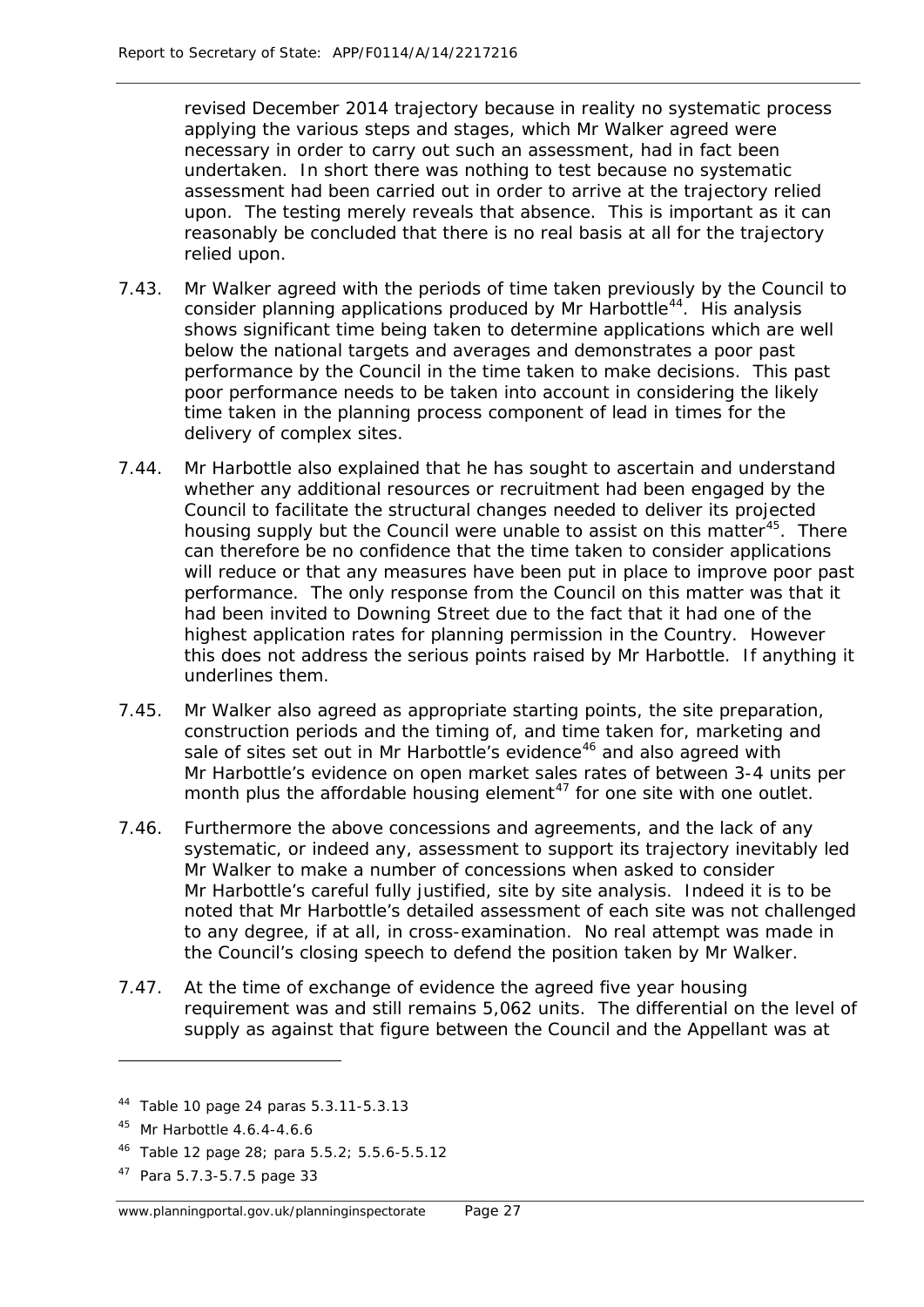revised December 2014 trajectory because in reality no systematic process applying the various steps and stages, which Mr Walker agreed were necessary in order to carry out such an assessment, had in fact been undertaken. In short there was nothing to test because no systematic assessment had been carried out in order to arrive at the trajectory relied upon. The testing merely reveals that absence. This is important as it can reasonably be concluded that there is no real basis at all for the trajectory relied upon.

- 7.43. Mr Walker agreed with the periods of time taken previously by the Council to consider planning applications produced by Mr Harbottle<sup>[44](#page-34-0)</sup>. His analysis shows significant time being taken to determine applications which are well below the national targets and averages and demonstrates a poor past performance by the Council in the time taken to make decisions. This past poor performance needs to be taken into account in considering the likely time taken in the planning process component of lead in times for the delivery of complex sites.
- 7.44. Mr Harbottle also explained that he has sought to ascertain and understand whether any additional resources or recruitment had been engaged by the Council to facilitate the structural changes needed to deliver its projected housing supply but the Council were unable to assist on this matter<sup>45</sup>. There can therefore be no confidence that the time taken to consider applications will reduce or that any measures have been put in place to improve poor past performance. The only response from the Council on this matter was that it had been invited to Downing Street due to the fact that it had one of the highest application rates for planning permission in the Country. However this does not address the serious points raised by Mr Harbottle. If anything it underlines them.
- 7.45. Mr Walker also agreed as appropriate starting points, the site preparation, construction periods and the timing of, and time taken for, marketing and sale of sites set out in Mr Harbottle's evidence<sup>[46](#page-34-2)</sup> and also agreed with Mr Harbottle's evidence on open market sales rates of between 3-4 units per month plus the affordable housing element<sup>[47](#page-34-3)</sup> for one site with one outlet.
- 7.46. Furthermore the above concessions and agreements, and the lack of any systematic, or indeed any, assessment to support its trajectory inevitably led Mr Walker to make a number of concessions when asked to consider Mr Harbottle's careful fully justified, site by site analysis. Indeed it is to be noted that Mr Harbottle's detailed assessment of each site was not challenged to any degree, if at all, in cross-examination. No real attempt was made in the Council's closing speech to defend the position taken by Mr Walker.
- 7.47. At the time of exchange of evidence the agreed five year housing requirement was and still remains 5,062 units. The differential on the level of supply as against that figure between the Council and the Appellant was at

<span id="page-34-0"></span><sup>44</sup> Table 10 page 24 paras 5.3.11-5.3.13

<span id="page-34-1"></span><sup>45</sup> Mr Harbottle 4.6.4-4.6.6

<span id="page-34-2"></span><sup>46</sup> Table 12 page 28; para 5.5.2; 5.5.6-5.5.12

<span id="page-34-3"></span><sup>47</sup> Para 5.7.3-5.7.5 page 33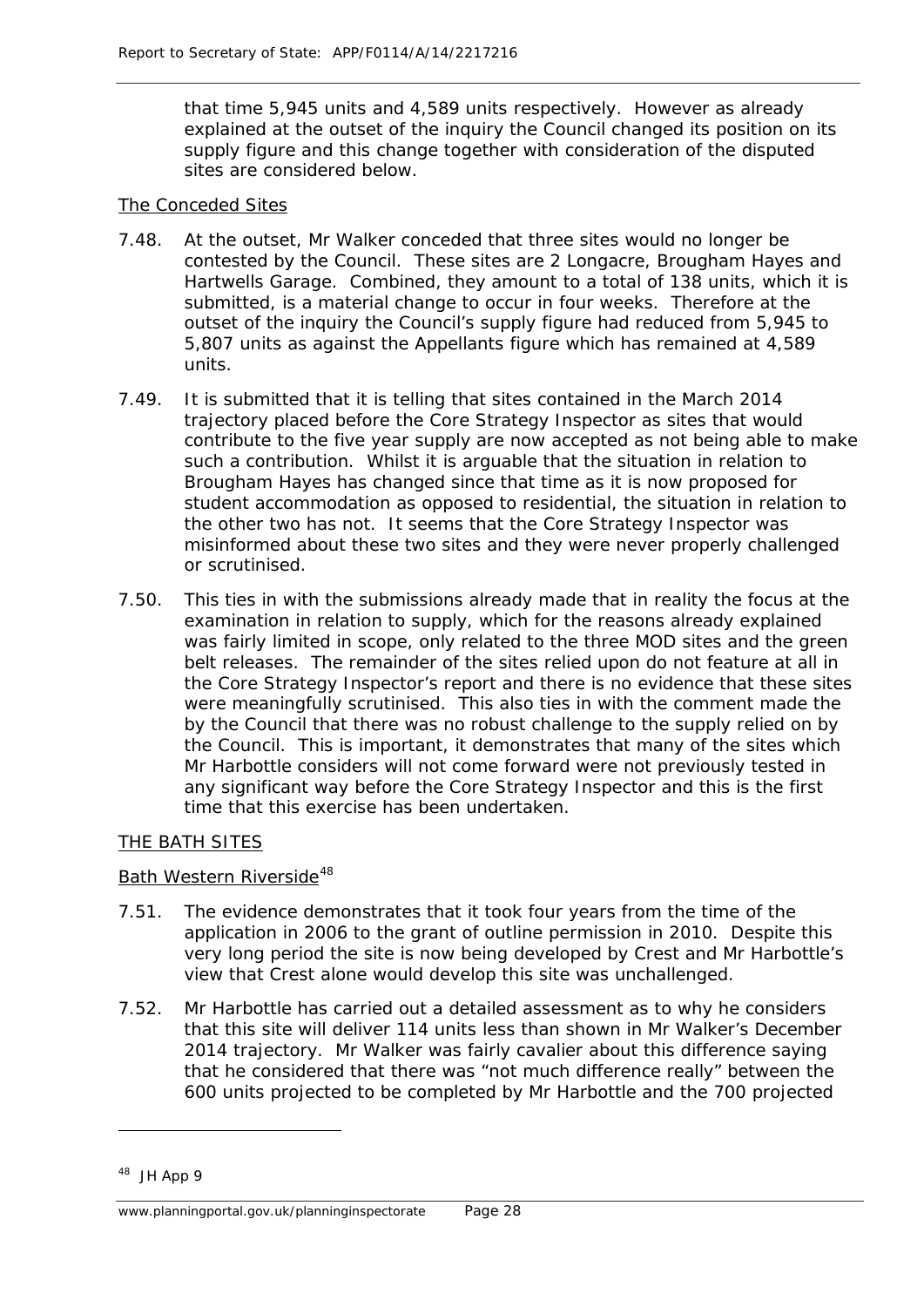that time 5,945 units and 4,589 units respectively. However as already explained at the outset of the inquiry the Council changed its position on its supply figure and this change together with consideration of the disputed sites are considered below.

#### The Conceded Sites

- 7.48. At the outset, Mr Walker conceded that three sites would no longer be contested by the Council. These sites are 2 Longacre, Brougham Hayes and Hartwells Garage. Combined, they amount to a total of 138 units, which it is submitted, is a material change to occur in four weeks. Therefore at the outset of the inquiry the Council's supply figure had reduced from 5,945 to 5,807 units as against the Appellants figure which has remained at 4,589 units.
- 7.49. It is submitted that it is telling that sites contained in the March 2014 trajectory placed before the Core Strategy Inspector as sites that would contribute to the five year supply are now accepted as not being able to make such a contribution. Whilst it is arguable that the situation in relation to Brougham Hayes has changed since that time as it is now proposed for student accommodation as opposed to residential, the situation in relation to the other two has not. It seems that the Core Strategy Inspector was misinformed about these two sites and they were never properly challenged or scrutinised.
- 7.50. This ties in with the submissions already made that in reality the focus at the examination in relation to supply, which for the reasons already explained was fairly limited in scope, only related to the three MOD sites and the green belt releases. The remainder of the sites relied upon do not feature at all in the Core Strategy Inspector's report and there is no evidence that these sites were meaningfully scrutinised. This also ties in with the comment made the by the Council that there was no robust challenge to the supply relied on by the Council. This is important, it demonstrates that many of the sites which Mr Harbottle considers will not come forward were not previously tested in any significant way before the Core Strategy Inspector and this is the first time that this exercise has been undertaken.

#### THE BATH SITES

#### Bath Western Riverside<sup>[48](#page-35-0)</sup>

- 7.51. The evidence demonstrates that it took four years from the time of the application in 2006 to the grant of outline permission in 2010. Despite this very long period the site is now being developed by Crest and Mr Harbottle's view that Crest alone would develop this site was unchallenged.
- 7.52. Mr Harbottle has carried out a detailed assessment as to why he considers that this site will deliver 114 units less than shown in Mr Walker's December 2014 trajectory. Mr Walker was fairly cavalier about this difference saying that he considered that there was "not much difference really" between the 600 units projected to be completed by Mr Harbottle and the 700 projected

1

<span id="page-35-0"></span><sup>48</sup> JH App 9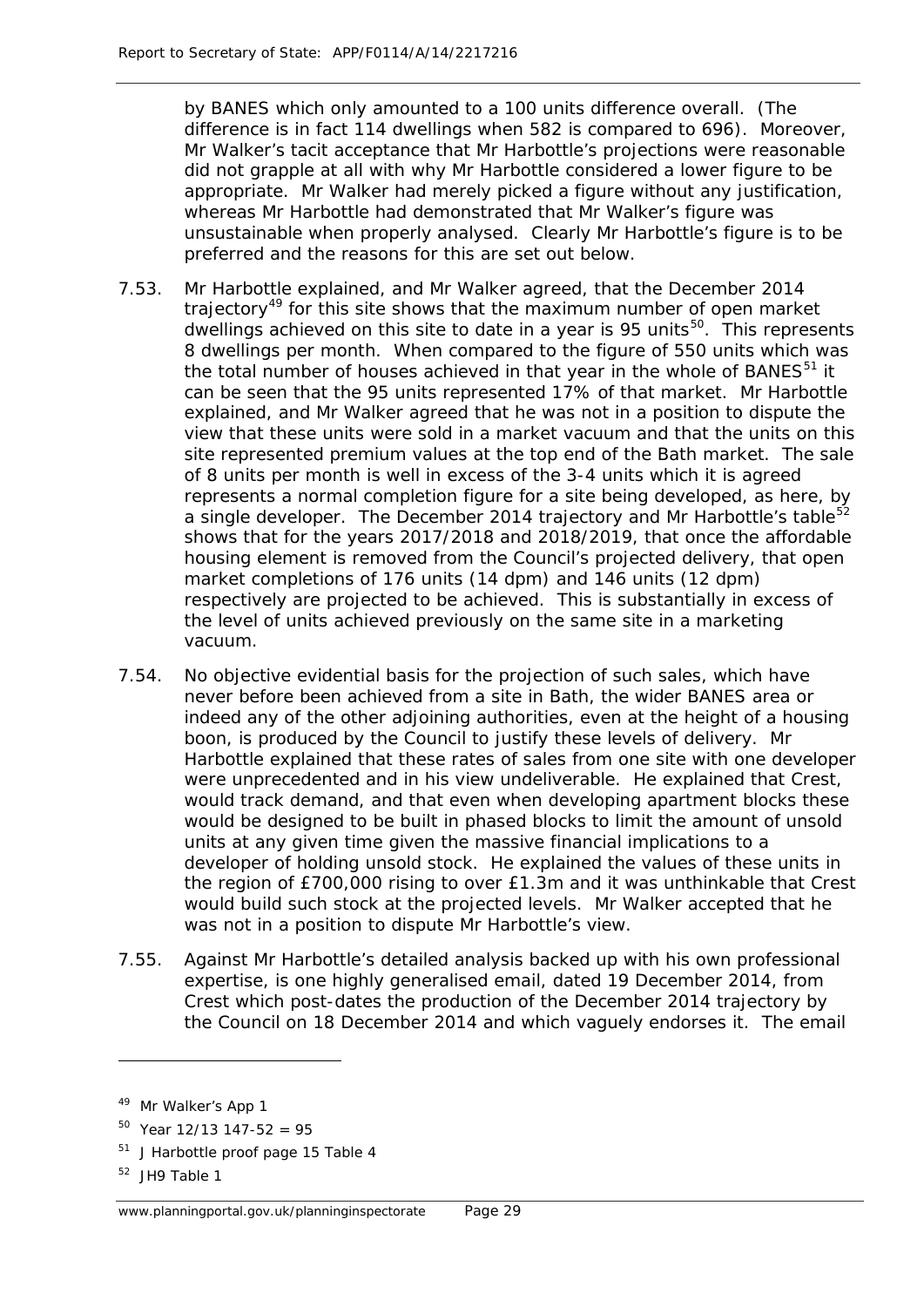by BANES which only amounted to a 100 units difference overall. (The difference is in fact 114 dwellings when 582 is compared to 696). Moreover, Mr Walker's tacit acceptance that Mr Harbottle's projections were reasonable did not grapple at all with why Mr Harbottle considered a lower figure to be appropriate. Mr Walker had merely picked a figure without any justification, whereas Mr Harbottle had demonstrated that Mr Walker's figure was unsustainable when properly analysed. Clearly Mr Harbottle's figure is to be preferred and the reasons for this are set out below.

- 7.53. Mr Harbottle explained, and Mr Walker agreed, that the December 2014 trajectory<sup>[49](#page-36-0)</sup> for this site shows that the maximum number of open market dwellings achieved on this site to date in a year is 95 units<sup>50</sup>. This represents 8 dwellings per month. When compared to the figure of 550 units which was the total number of houses achieved in that year in the whole of  $BANES^{51}$  $BANES^{51}$  $BANES^{51}$  it can be seen that the 95 units represented 17% of that market. Mr Harbottle explained, and Mr Walker agreed that he was not in a position to dispute the view that these units were sold in a market vacuum and that the units on this site represented premium values at the top end of the Bath market. The sale of 8 units per month is well in excess of the 3-4 units which it is agreed represents a normal completion figure for a site being developed, as here, by a single developer. The December 2014 trajectory and Mr Harbottle's table<sup>[52](#page-36-3)</sup> shows that for the years 2017/2018 and 2018/2019, that once the affordable housing element is removed from the Council's projected delivery, that open market completions of 176 units (14 dpm) and 146 units (12 dpm) respectively are projected to be achieved. This is substantially in excess of the level of units achieved previously on the same site in a marketing vacuum.
- 7.54. No objective evidential basis for the projection of such sales, which have never before been achieved from a site in Bath, the wider BANES area or indeed any of the other adjoining authorities, even at the height of a housing boon, is produced by the Council to justify these levels of delivery. Mr Harbottle explained that these rates of sales from one site with one developer were unprecedented and in his view undeliverable. He explained that Crest, would track demand, and that even when developing apartment blocks these would be designed to be built in phased blocks to limit the amount of unsold units at any given time given the massive financial implications to a developer of holding unsold stock. He explained the values of these units in the region of £700,000 rising to over £1.3m and it was unthinkable that Crest would build such stock at the projected levels. Mr Walker accepted that he was not in a position to dispute Mr Harbottle's view.
- 7.55. Against Mr Harbottle's detailed analysis backed up with his own professional expertise, is one highly generalised email, dated 19 December 2014, from Crest which post-dates the production of the December 2014 trajectory by the Council on 18 December 2014 and which vaguely endorses it. The email

<span id="page-36-0"></span><sup>&</sup>lt;sup>49</sup> Mr Walker's App 1

<span id="page-36-1"></span> $50$  Year 12/13 147-52 = 95

<span id="page-36-2"></span><sup>&</sup>lt;sup>51</sup> J Harbottle proof page 15 Table 4

<span id="page-36-3"></span><sup>52</sup> JH9 Table 1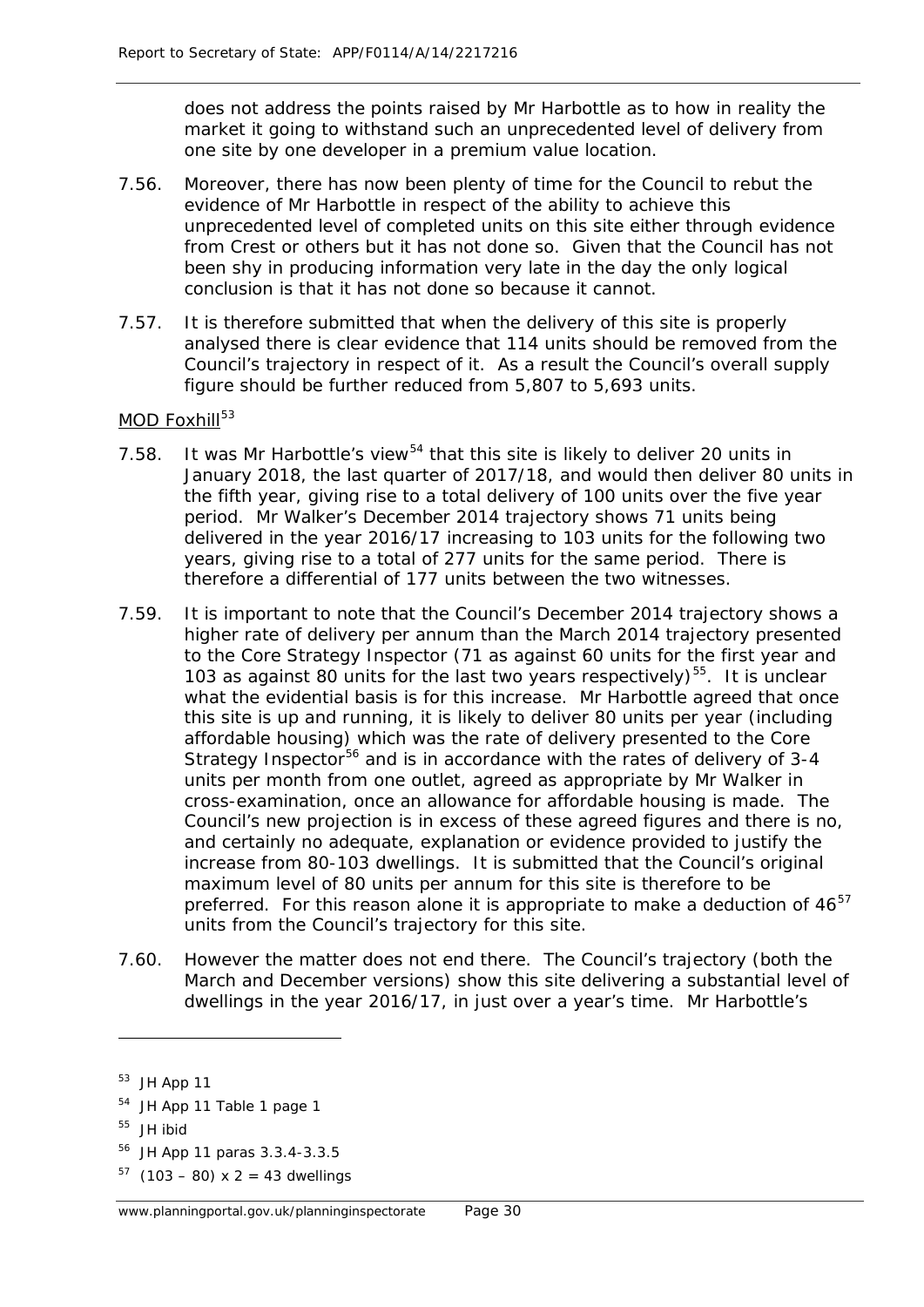does not address the points raised by Mr Harbottle as to how in reality the market it going to withstand such an unprecedented level of delivery from one site by one developer in a premium value location.

- 7.56. Moreover, there has now been plenty of time for the Council to rebut the evidence of Mr Harbottle in respect of the ability to achieve this unprecedented level of completed units on this site either through evidence from Crest or others but it has not done so. Given that the Council has not been shy in producing information very late in the day the only logical conclusion is that it has not done so because it cannot.
- 7.57. It is therefore submitted that when the delivery of this site is properly analysed there is clear evidence that 114 units should be removed from the Council's trajectory in respect of it. As a result the Council's overall supply figure should be further reduced from 5,807 to 5,693 units.

### MOD Foxhill<sup>[53](#page-37-0)</sup>

- 7.58. It was Mr Harbottle's view<sup>[54](#page-37-1)</sup> that this site is likely to deliver 20 units in January 2018, the last quarter of 2017/18, and would then deliver 80 units in the fifth year, giving rise to a total delivery of 100 units over the five year period. Mr Walker's December 2014 trajectory shows 71 units being delivered in the year 2016/17 increasing to 103 units for the following two years, giving rise to a total of 277 units for the same period. There is therefore a differential of 177 units between the two witnesses.
- 7.59. It is important to note that the Council's December 2014 trajectory shows a higher rate of delivery per annum than the March 2014 trajectory presented to the Core Strategy Inspector (71 as against 60 units for the first year and 103 as against 80 units for the last two years respectively)<sup>[55](#page-37-2)</sup>. It is unclear what the evidential basis is for this increase. Mr Harbottle agreed that once this site is up and running, it is likely to deliver 80 units per year (including affordable housing) which was the rate of delivery presented to the Core Strategy Inspector<sup>[56](#page-37-3)</sup> and is in accordance with the rates of delivery of 3-4 units per month from one outlet, agreed as appropriate by Mr Walker in cross-examination, once an allowance for affordable housing is made. The Council's new projection is in excess of these agreed figures and there is no, and certainly no adequate, explanation or evidence provided to justify the increase from 80-103 dwellings. It is submitted that the Council's original maximum level of 80 units per annum for this site is therefore to be preferred. For this reason alone it is appropriate to make a deduction of  $46^{57}$  $46^{57}$  $46^{57}$ units from the Council's trajectory for this site.
- 7.60. However the matter does not end there. The Council's trajectory (both the March and December versions) show this site delivering a substantial level of dwellings in the year 2016/17, in just over a year's time. Mr Harbottle's

<span id="page-37-2"></span><sup>55</sup> JH *ibid*

- <span id="page-37-3"></span><sup>56</sup> JH App 11 paras 3.3.4-3.3.5
- <span id="page-37-4"></span> $57$  (103 – 80) x 2 = 43 dwellings

<span id="page-37-0"></span> $53$  JH App 11

<span id="page-37-1"></span><sup>54</sup> JH App 11 Table 1 page 1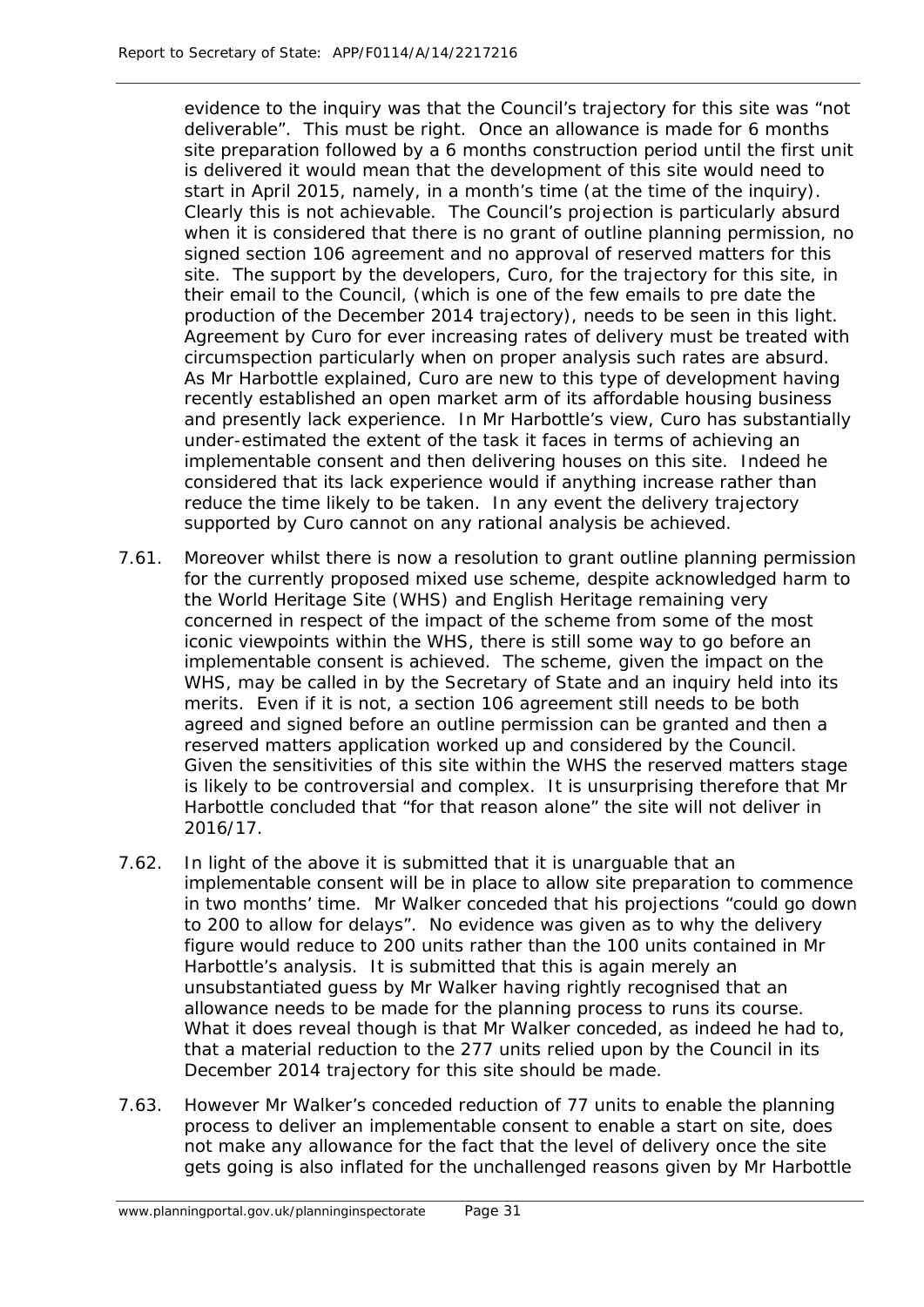evidence to the inquiry was that the Council's trajectory for this site was "not deliverable". This must be right. Once an allowance is made for 6 months site preparation followed by a 6 months construction period until the first unit is delivered it would mean that the development of this site would need to start in April 2015, namely, in a month's time (at the time of the inquiry). Clearly this is not achievable. The Council's projection is particularly absurd when it is considered that there is no grant of outline planning permission, no signed section 106 agreement and no approval of reserved matters for this site. The support by the developers, Curo, for the trajectory for this site, in their email to the Council, (which is one of the few emails to pre date the production of the December 2014 trajectory), needs to be seen in this light. Agreement by Curo for ever increasing rates of delivery must be treated with circumspection particularly when on proper analysis such rates are absurd. As Mr Harbottle explained, Curo are new to this type of development having recently established an open market arm of its affordable housing business and presently lack experience. In Mr Harbottle's view, Curo has substantially under-estimated the extent of the task it faces in terms of achieving an implementable consent and then delivering houses on this site. Indeed he considered that its lack experience would if anything increase rather than reduce the time likely to be taken. In any event the delivery trajectory supported by Curo cannot on any rational analysis be achieved.

- 7.61. Moreover whilst there is now a resolution to grant outline planning permission for the currently proposed mixed use scheme, despite acknowledged harm to the World Heritage Site (WHS) and English Heritage remaining very concerned in respect of the impact of the scheme from some of the most iconic viewpoints within the WHS, there is still some way to go before an implementable consent is achieved. The scheme, given the impact on the WHS, may be called in by the Secretary of State and an inquiry held into its merits. Even if it is not, a section 106 agreement still needs to be both agreed and signed before an outline permission can be granted and then a reserved matters application worked up and considered by the Council. Given the sensitivities of this site within the WHS the reserved matters stage is likely to be controversial and complex. It is unsurprising therefore that Mr Harbottle concluded that "for that reason alone" the site will not deliver in 2016/17.
- 7.62. In light of the above it is submitted that it is unarguable that an implementable consent will be in place to allow site preparation to commence in two months' time. Mr Walker conceded that his projections "could go down to 200 to allow for delays". No evidence was given as to why the delivery figure would reduce to 200 units rather than the 100 units contained in Mr Harbottle's analysis. It is submitted that this is again merely an unsubstantiated guess by Mr Walker having rightly recognised that an allowance needs to be made for the planning process to runs its course. What it does reveal though is that Mr Walker conceded, as indeed he had to, that a material reduction to the 277 units relied upon by the Council in its December 2014 trajectory for this site should be made.
- 7.63. However Mr Walker's conceded reduction of 77 units to enable the planning process to deliver an implementable consent to enable a start on site, does not make any allowance for the fact that the level of delivery once the site gets going is also inflated for the unchallenged reasons given by Mr Harbottle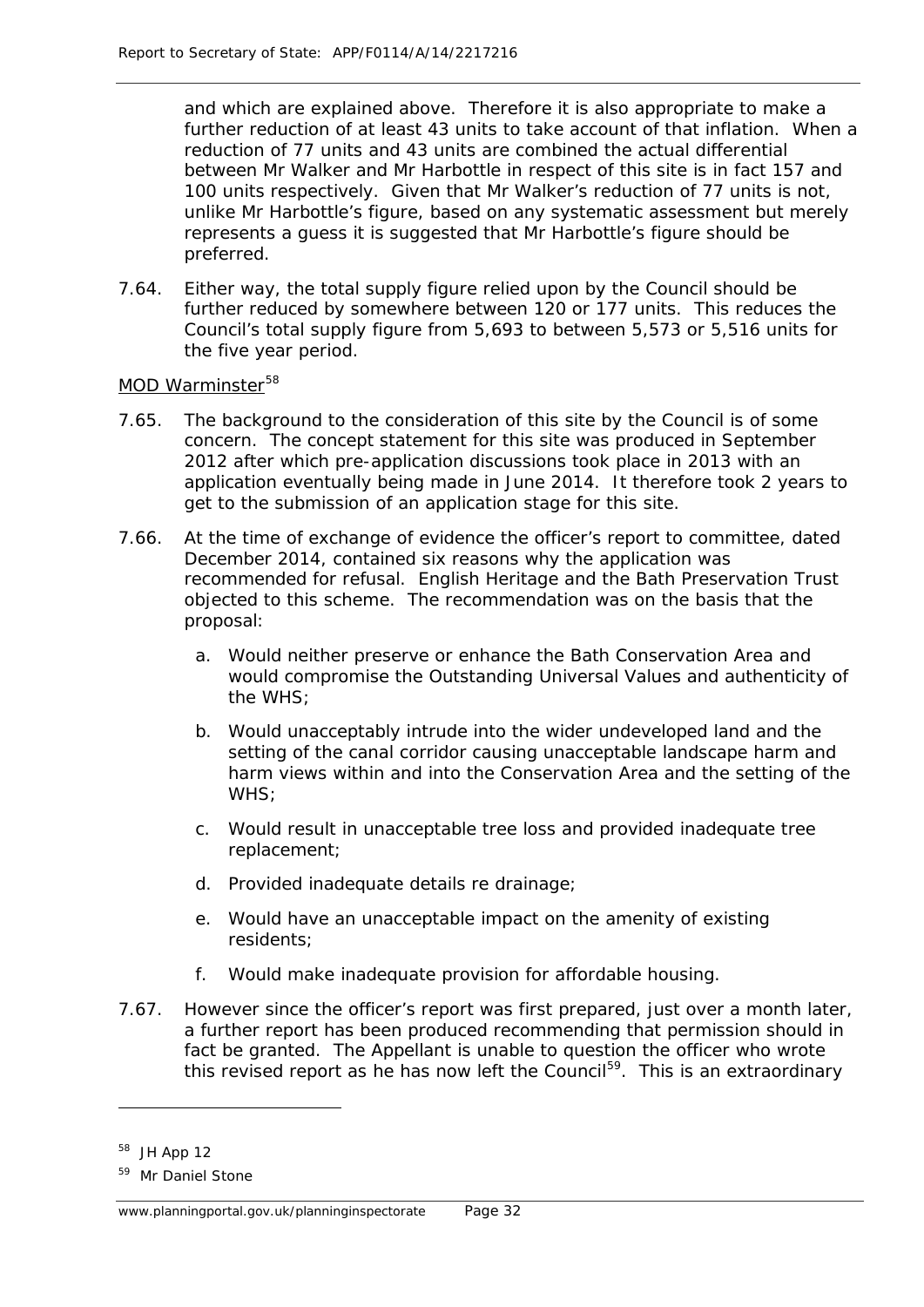and which are explained above. Therefore it is also appropriate to make a further reduction of at least 43 units to take account of that inflation. When a reduction of 77 units and 43 units are combined the actual differential between Mr Walker and Mr Harbottle in respect of this site is in fact 157 and 100 units respectively. Given that Mr Walker's reduction of 77 units is not, unlike Mr Harbottle's figure, based on any systematic assessment but merely represents a guess it is suggested that Mr Harbottle's figure should be preferred.

7.64. Either way, the total supply figure relied upon by the Council should be further reduced by somewhere between 120 or 177 units. This reduces the Council's total supply figure from 5,693 to between 5,573 or 5,516 units for the five year period.

### MOD Warminster<sup>[58](#page-39-0)</sup>

- 7.65. The background to the consideration of this site by the Council is of some concern. The concept statement for this site was produced in September 2012 after which pre-application discussions took place in 2013 with an application eventually being made in June 2014. It therefore took 2 years to get to the submission of an application stage for this site.
- 7.66. At the time of exchange of evidence the officer's report to committee, dated December 2014, contained six reasons why the application was recommended for refusal. English Heritage and the Bath Preservation Trust objected to this scheme. The recommendation was on the basis that the proposal:
	- a. Would neither preserve or enhance the Bath Conservation Area and would compromise the Outstanding Universal Values and authenticity of the WHS;
	- b. Would unacceptably intrude into the wider undeveloped land and the setting of the canal corridor causing unacceptable landscape harm and harm views within and into the Conservation Area and the setting of the WHS;
	- c. Would result in unacceptable tree loss and provided inadequate tree replacement;
	- d. Provided inadequate details re drainage;
	- e. Would have an unacceptable impact on the amenity of existing residents;
	- f. Would make inadequate provision for affordable housing.
- 7.67. However since the officer's report was first prepared, just over a month later, a further report has been produced recommending that permission should in fact be granted. The Appellant is unable to question the officer who wrote this revised report as he has now left the Council<sup>[59](#page-39-1)</sup>. This is an extraordinary

<span id="page-39-0"></span><sup>58</sup> JH App 12

<span id="page-39-1"></span><sup>59</sup> Mr Daniel Stone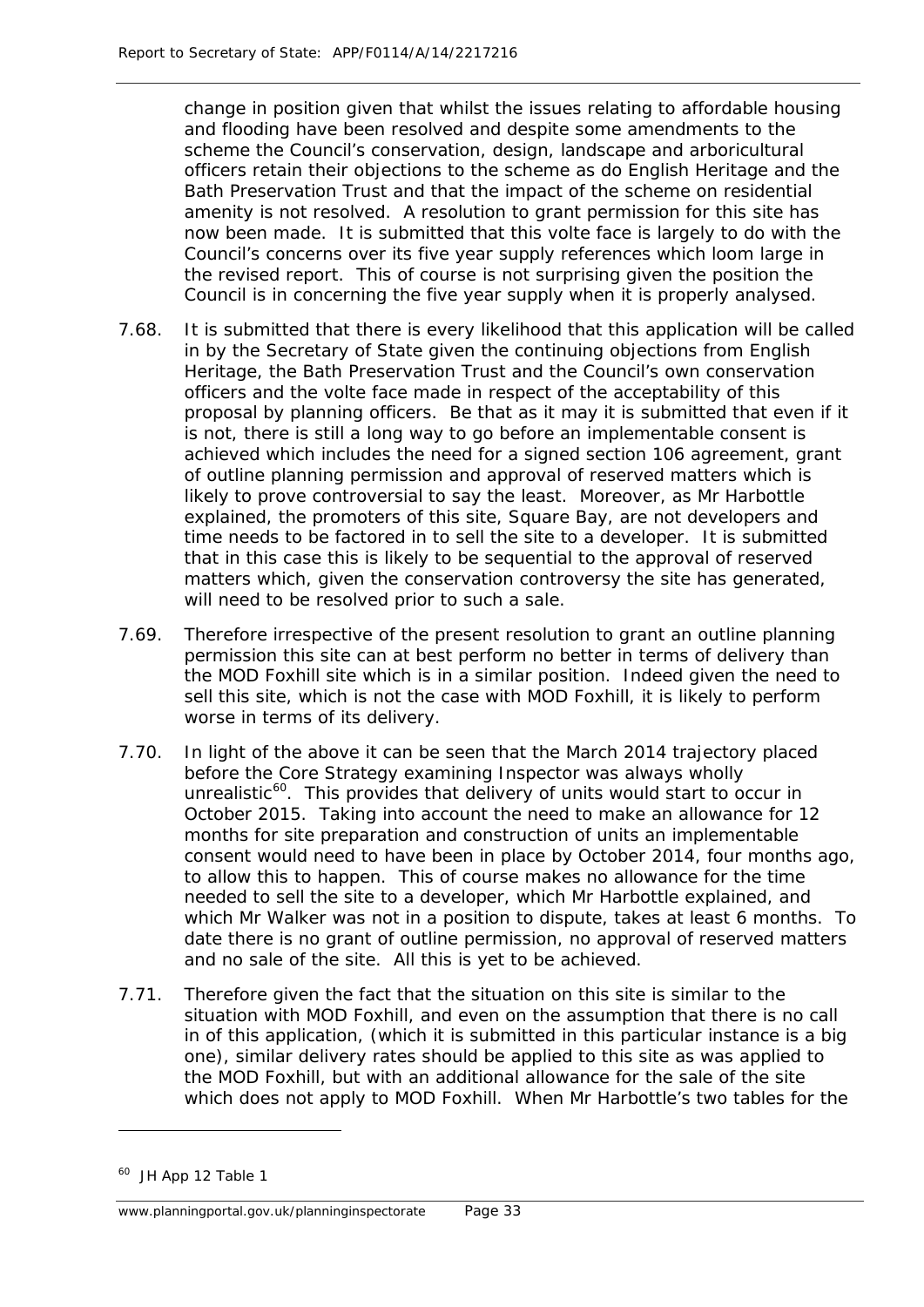change in position given that whilst the issues relating to affordable housing and flooding have been resolved and despite some amendments to the scheme the Council's conservation, design, landscape and arboricultural officers retain their objections to the scheme as do English Heritage and the Bath Preservation Trust and that the impact of the scheme on residential amenity is not resolved. A resolution to grant permission for this site has now been made. It is submitted that this *volte face* is largely to do with the Council's concerns over its five year supply references which loom large in the revised report. This of course is not surprising given the position the Council is in concerning the five year supply when it is properly analysed.

- 7.68. It is submitted that there is every likelihood that this application will be called in by the Secretary of State given the continuing objections from English Heritage, the Bath Preservation Trust and the Council's own conservation officers and the *volte face* made in respect of the acceptability of this proposal by planning officers. Be that as it may it is submitted that even if it is not, there is still a long way to go before an implementable consent is achieved which includes the need for a signed section 106 agreement, grant of outline planning permission and approval of reserved matters which is likely to prove controversial to say the least. Moreover, as Mr Harbottle explained, the promoters of this site, Square Bay, are not developers and time needs to be factored in to sell the site to a developer. It is submitted that in this case this is likely to be sequential to the approval of reserved matters which, given the conservation controversy the site has generated, will need to be resolved prior to such a sale.
- 7.69. Therefore irrespective of the present resolution to grant an outline planning permission this site can at best perform no better in terms of delivery than the MOD Foxhill site which is in a similar position. Indeed given the need to sell this site, which is not the case with MOD Foxhill, it is likely to perform worse in terms of its delivery.
- 7.70. In light of the above it can be seen that the March 2014 trajectory placed before the Core Strategy examining Inspector was always wholly unrealistic<sup>60</sup>. This provides that delivery of units would start to occur in October 2015. Taking into account the need to make an allowance for 12 months for site preparation and construction of units an implementable consent would need to have been in place by October 2014, four months ago, to allow this to happen. This of course makes no allowance for the time needed to sell the site to a developer, which Mr Harbottle explained, and which Mr Walker was not in a position to dispute, takes at least 6 months. To date there is no grant of outline permission, no approval of reserved matters and no sale of the site. All this is yet to be achieved.
- 7.71. Therefore given the fact that the situation on this site is similar to the situation with MOD Foxhill, and even on the assumption that there is no call in of this application, (which it is submitted in this particular instance is a big one), similar delivery rates should be applied to this site as was applied to the MOD Foxhill, but with an additional allowance for the sale of the site which does not apply to MOD Foxhill. When Mr Harbottle's two tables for the

<span id="page-40-0"></span><sup>60</sup> JH App 12 Table 1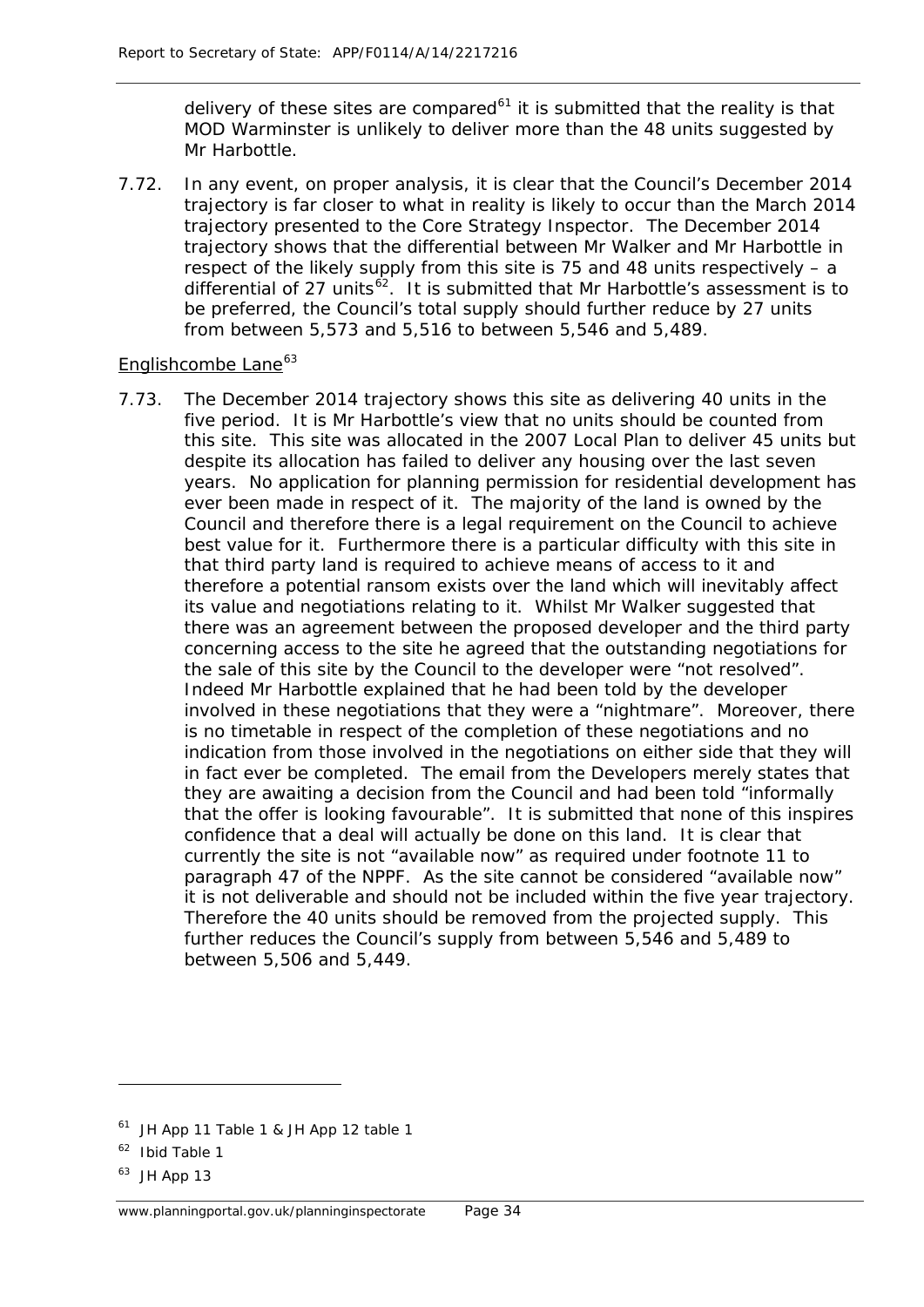delivery of these sites are compared<sup>[61](#page-41-0)</sup> it is submitted that the reality is that MOD Warminster is unlikely to deliver more than the 48 units suggested by Mr Harbottle.

7.72. In any event, on proper analysis, it is clear that the Council's December 2014 trajectory is far closer to what in reality is likely to occur than the March 2014 trajectory presented to the Core Strategy Inspector. The December 2014 trajectory shows that the differential between Mr Walker and Mr Harbottle in respect of the likely supply from this site is 75 and 48 units respectively – a differential of 27 units<sup>62</sup>. It is submitted that Mr Harbottle's assessment is to be preferred, the Council's total supply should further reduce by 27 units from between 5,573 and 5,516 to between 5,546 and 5,489.

# Englishcombe Lane<sup>[63](#page-41-2)</sup>

7.73. The December 2014 trajectory shows this site as delivering 40 units in the five period. It is Mr Harbottle's view that no units should be counted from this site. This site was allocated in the 2007 Local Plan to deliver 45 units but despite its allocation has failed to deliver any housing over the last seven years. No application for planning permission for residential development has ever been made in respect of it. The majority of the land is owned by the Council and therefore there is a legal requirement on the Council to achieve best value for it. Furthermore there is a particular difficulty with this site in that third party land is required to achieve means of access to it and therefore a potential ransom exists over the land which will inevitably affect its value and negotiations relating to it. Whilst Mr Walker suggested that there was an agreement between the proposed developer and the third party concerning access to the site he agreed that the outstanding negotiations for the sale of this site by the Council to the developer were "not resolved". Indeed Mr Harbottle explained that he had been told by the developer involved in these negotiations that they were a "nightmare". Moreover, there is no timetable in respect of the completion of these negotiations and no indication from those involved in the negotiations on either side that they will in fact ever be completed. The email from the Developers merely states that they are awaiting a decision from the Council and had been told "informally that the offer is looking favourable". It is submitted that none of this inspires confidence that a deal will actually be done on this land. It is clear that currently the site is not "available now" as required under footnote 11 to paragraph 47 of the NPPF. As the site cannot be considered "available now" it is not deliverable and should not be included within the five year trajectory. Therefore the 40 units should be removed from the projected supply. This further reduces the Council's supply from between 5,546 and 5,489 to between 5,506 and 5,449.

<span id="page-41-0"></span><sup>&</sup>lt;sup>61</sup> JH App 11 Table 1 & JH App 12 table 1

<span id="page-41-1"></span><sup>62</sup> *Ibid* Table 1

<span id="page-41-2"></span><sup>63</sup> JH App 13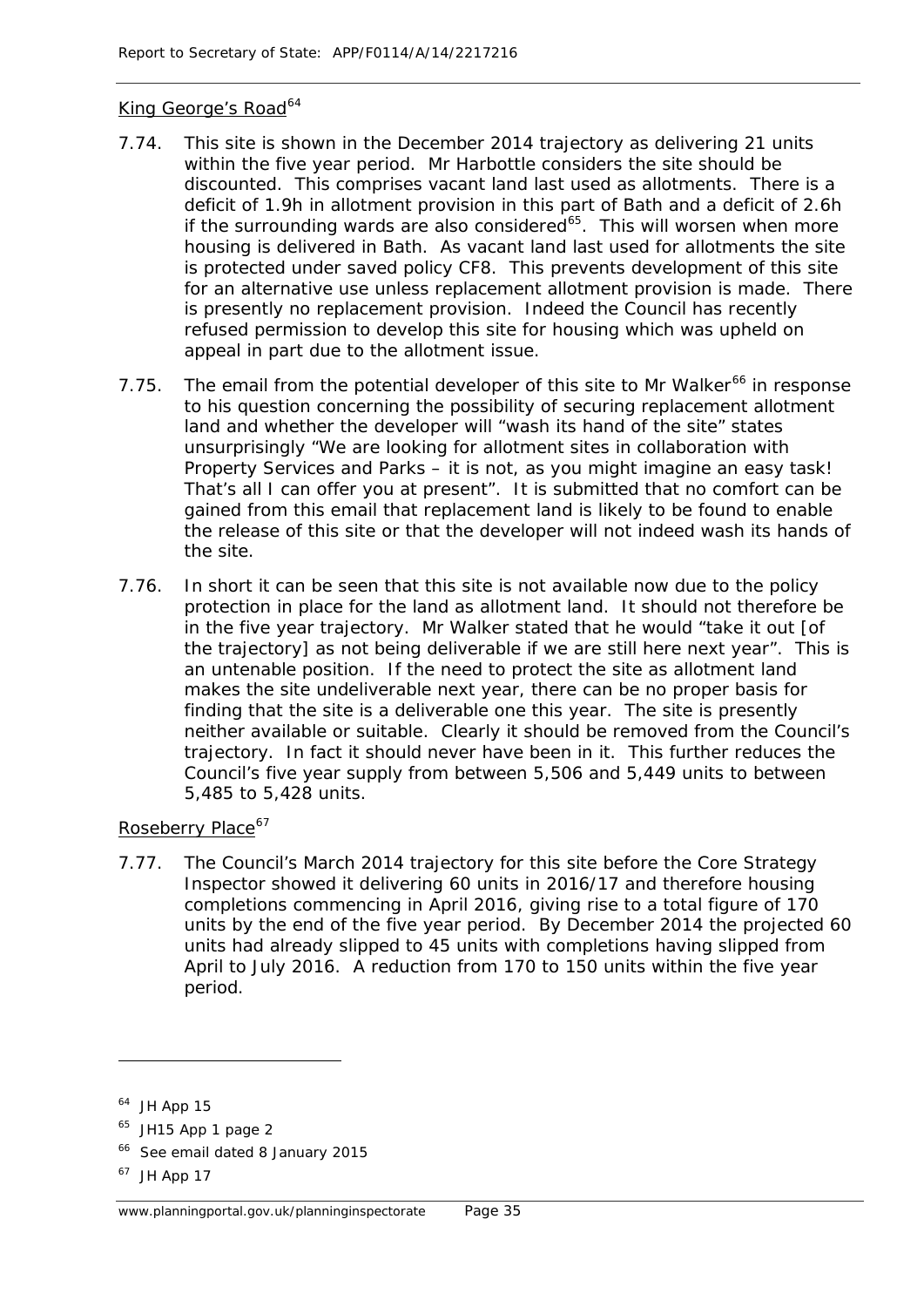### King George's Road<sup>[64](#page-42-0)</sup>

- 7.74. This site is shown in the December 2014 trajectory as delivering 21 units within the five year period. Mr Harbottle considers the site should be discounted. This comprises vacant land last used as allotments. There is a deficit of 1.9h in allotment provision in this part of Bath and a deficit of 2.6h if the surrounding wards are also considered<sup>65</sup>. This will worsen when more housing is delivered in Bath. As vacant land last used for allotments the site is protected under saved policy CF8. This prevents development of this site for an alternative use unless replacement allotment provision is made. There is presently no replacement provision. Indeed the Council has recently refused permission to develop this site for housing which was upheld on appeal in part due to the allotment issue.
- 7.75. The email from the potential developer of this site to Mr Walker<sup>[66](#page-42-2)</sup> in response to his question concerning the possibility of securing replacement allotment land and whether the developer will "wash its hand of the site" states unsurprisingly "We are looking for allotment sites in collaboration with Property Services and Parks – it is not, as you might imagine an easy task! That's all I can offer you at present". It is submitted that no comfort can be gained from this email that replacement land is likely to be found to enable the release of this site or that the developer will not indeed wash its hands of the site.
- 7.76. In short it can be seen that this site is not available now due to the policy protection in place for the land as allotment land. It should not therefore be in the five year trajectory. Mr Walker stated that he would "take it out [of the trajectory] as not being deliverable if we are still here next year". This is an untenable position. If the need to protect the site as allotment land makes the site undeliverable next year, there can be no proper basis for finding that the site is a deliverable one this year. The site is presently neither available or suitable. Clearly it should be removed from the Council's trajectory. In fact it should never have been in it. This further reduces the Council's five year supply from between 5,506 and 5,449 units to between 5,485 to 5,428 units.

# Roseberry Place<sup>[67](#page-42-3)</sup>

7.77. The Council's March 2014 trajectory for this site before the Core Strategy Inspector showed it delivering 60 units in 2016/17 and therefore housing completions commencing in April 2016, giving rise to a total figure of 170 units by the end of the five year period. By December 2014 the projected 60 units had already slipped to 45 units with completions having slipped from April to July 2016. A reduction from 170 to 150 units within the five year period.

<span id="page-42-0"></span><sup>64</sup> JH App 15

<span id="page-42-1"></span> $65$  JH15 App 1 page 2

See email dated 8 January 2015

<span id="page-42-3"></span><span id="page-42-2"></span><sup>67</sup> JH App 17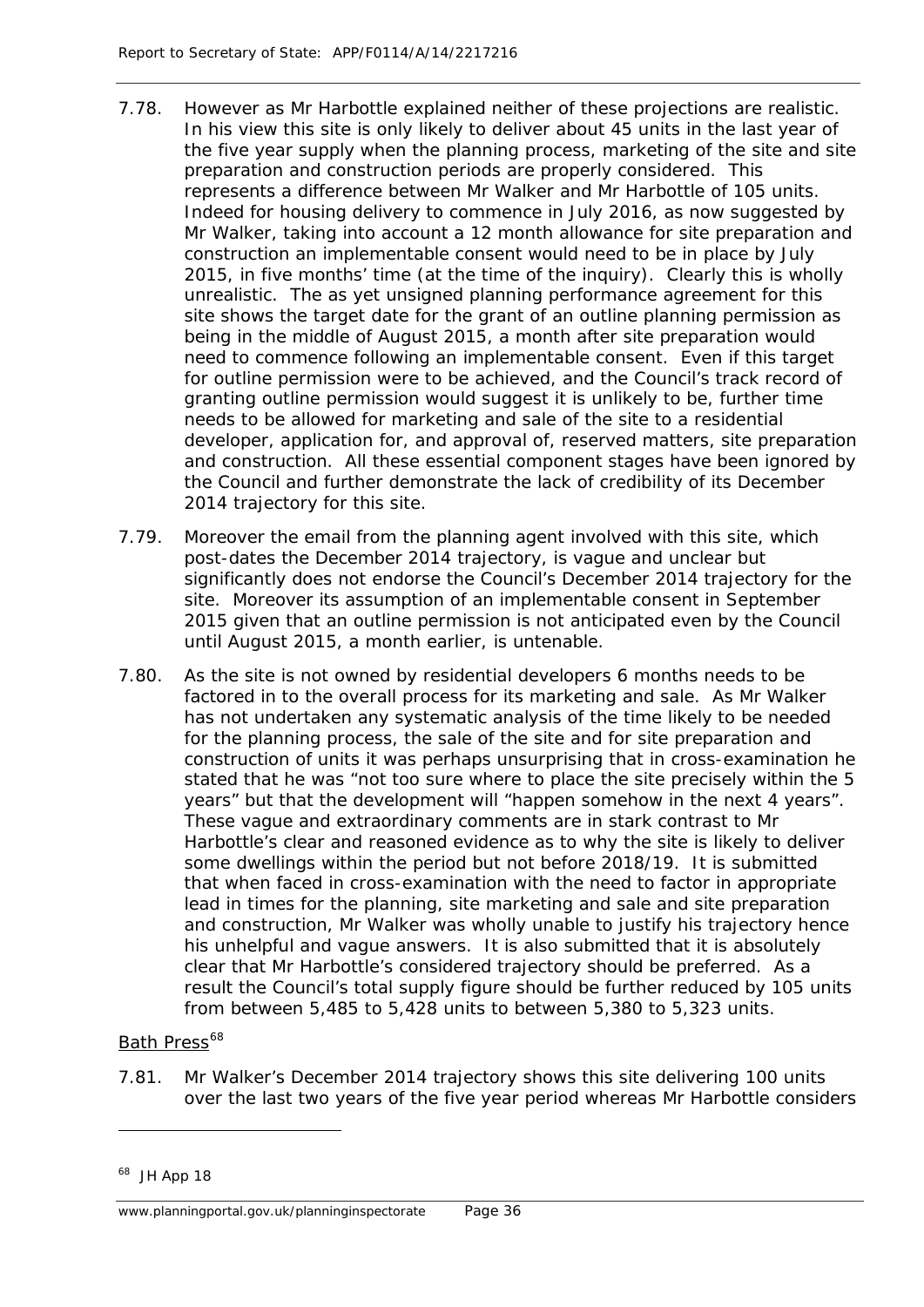- 7.78. However as Mr Harbottle explained neither of these projections are realistic. In his view this site is only likely to deliver about 45 units in the last year of the five year supply when the planning process, marketing of the site and site preparation and construction periods are properly considered. This represents a difference between Mr Walker and Mr Harbottle of 105 units. Indeed for housing delivery to commence in July 2016, as now suggested by Mr Walker, taking into account a 12 month allowance for site preparation and construction an implementable consent would need to be in place by July 2015, in five months' time (at the time of the inquiry). Clearly this is wholly unrealistic. The as yet unsigned planning performance agreement for this site shows the target date for the grant of an outline planning permission as being in the middle of August 2015, a month after site preparation would need to commence following an implementable consent. Even if this target for outline permission were to be achieved, and the Council's track record of granting outline permission would suggest it is unlikely to be, further time needs to be allowed for marketing and sale of the site to a residential developer, application for, and approval of, reserved matters, site preparation and construction. All these essential component stages have been ignored by the Council and further demonstrate the lack of credibility of its December 2014 trajectory for this site.
- 7.79. Moreover the email from the planning agent involved with this site, which post-dates the December 2014 trajectory, is vague and unclear but significantly does not endorse the Council's December 2014 trajectory for the site. Moreover its assumption of an implementable consent in September 2015 given that an outline permission is not anticipated even by the Council until August 2015, a month earlier, is untenable.
- 7.80. As the site is not owned by residential developers 6 months needs to be factored in to the overall process for its marketing and sale. As Mr Walker has not undertaken any systematic analysis of the time likely to be needed for the planning process, the sale of the site and for site preparation and construction of units it was perhaps unsurprising that in cross-examination he stated that he was "not too sure where to place the site precisely within the 5 years" but that the development will "happen somehow in the next 4 years". These vague and extraordinary comments are in stark contrast to Mr Harbottle's clear and reasoned evidence as to why the site is likely to deliver some dwellings within the period but not before 2018/19. It is submitted that when faced in cross-examination with the need to factor in appropriate lead in times for the planning, site marketing and sale and site preparation and construction, Mr Walker was wholly unable to justify his trajectory hence his unhelpful and vague answers. It is also submitted that it is absolutely clear that Mr Harbottle's considered trajectory should be preferred. As a result the Council's total supply figure should be further reduced by 105 units from between 5,485 to 5,428 units to between 5,380 to 5,323 units.

# Bath Press<sup>[68](#page-43-0)</sup>

7.81. Mr Walker's December 2014 trajectory shows this site delivering 100 units over the last two years of the five year period whereas Mr Harbottle considers

<span id="page-43-0"></span><sup>68</sup> JH App 18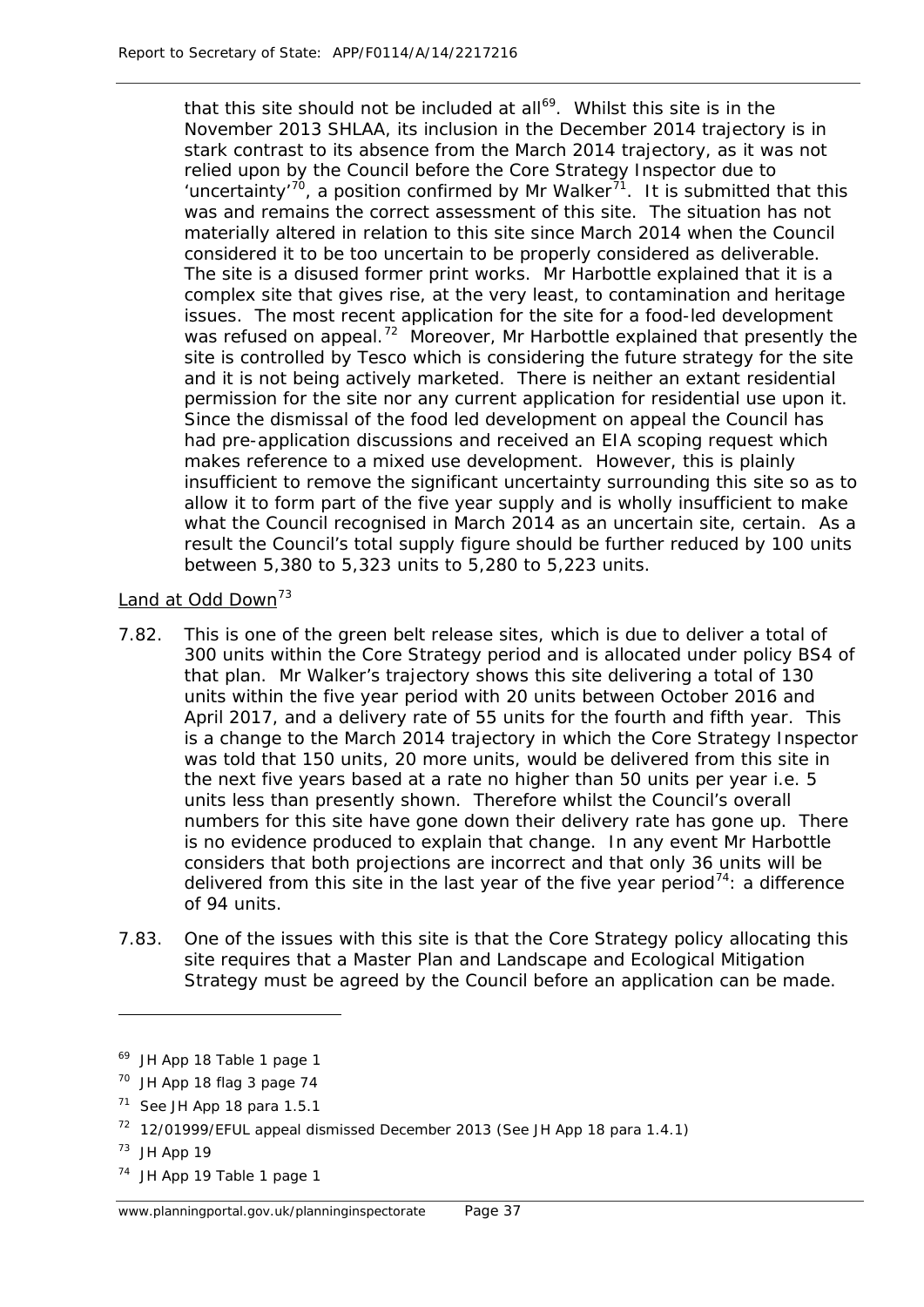that this site should not be included at all<sup>[69](#page-44-0)</sup>. Whilst this site is in the November 2013 SHLAA, its inclusion in the December 2014 trajectory is in stark contrast to its absence from the March 2014 trajectory, as it was not relied upon by the Council before the Core Strategy Inspector due to 'uncertainty'<sup>70</sup>, a position confirmed by Mr Walker<sup>71</sup>. It is submitted that this was and remains the correct assessment of this site. The situation has not materially altered in relation to this site since March 2014 when the Council considered it to be too uncertain to be properly considered as deliverable. The site is a disused former print works. Mr Harbottle explained that it is a complex site that gives rise, at the very least, to contamination and heritage issues. The most recent application for the site for a food-led development was refused on appeal.<sup>72</sup> Moreover, Mr Harbottle explained that presently the site is controlled by Tesco which is considering the future strategy for the site and it is not being actively marketed. There is neither an extant residential permission for the site nor any current application for residential use upon it. Since the dismissal of the food led development on appeal the Council has had pre-application discussions and received an EIA scoping request which makes reference to a mixed use development. However, this is plainly insufficient to remove the significant uncertainty surrounding this site so as to allow it to form part of the five year supply and is wholly insufficient to make what the Council recognised in March 2014 as an uncertain site, certain. As a result the Council's total supply figure should be further reduced by 100 units between 5,380 to 5,323 units to 5,280 to 5,223 units.

### Land at Odd Down<sup>[73](#page-44-4)</sup>

- 7.82. This is one of the green belt release sites, which is due to deliver a total of 300 units within the Core Strategy period and is allocated under policy BS4 of that plan. Mr Walker's trajectory shows this site delivering a total of 130 units within the five year period with 20 units between October 2016 and April 2017, and a delivery rate of 55 units for the fourth and fifth year. This is a change to the March 2014 trajectory in which the Core Strategy Inspector was told that 150 units, 20 more units, would be delivered from this site in the next five years based at a rate no higher than 50 units per year i.e. 5 units less than presently shown. Therefore whilst the Council's overall numbers for this site have gone down their delivery rate has gone up. There is no evidence produced to explain that change. In any event Mr Harbottle considers that both projections are incorrect and that only 36 units will be delivered from this site in the last year of the five year period<sup>[74](#page-44-5)</sup>: a difference of 94 units.
- 7.83. One of the issues with this site is that the Core Strategy policy allocating this site requires that a Master Plan and Landscape and Ecological Mitigation Strategy must be agreed by the Council before an application can be made.

<span id="page-44-0"></span><sup>&</sup>lt;sup>69</sup> JH App 18 Table 1 page 1

<span id="page-44-1"></span> $70$  JH App 18 flag 3 page 74

<span id="page-44-2"></span> $71$  See JH App 18 para 1.5.1

<span id="page-44-3"></span><sup>72</sup> 12/01999/EFUL appeal dismissed December 2013 (See JH App 18 para 1.4.1)

<span id="page-44-4"></span><sup>73</sup> JH App 19

<span id="page-44-5"></span><sup>74</sup> JH App 19 Table 1 page 1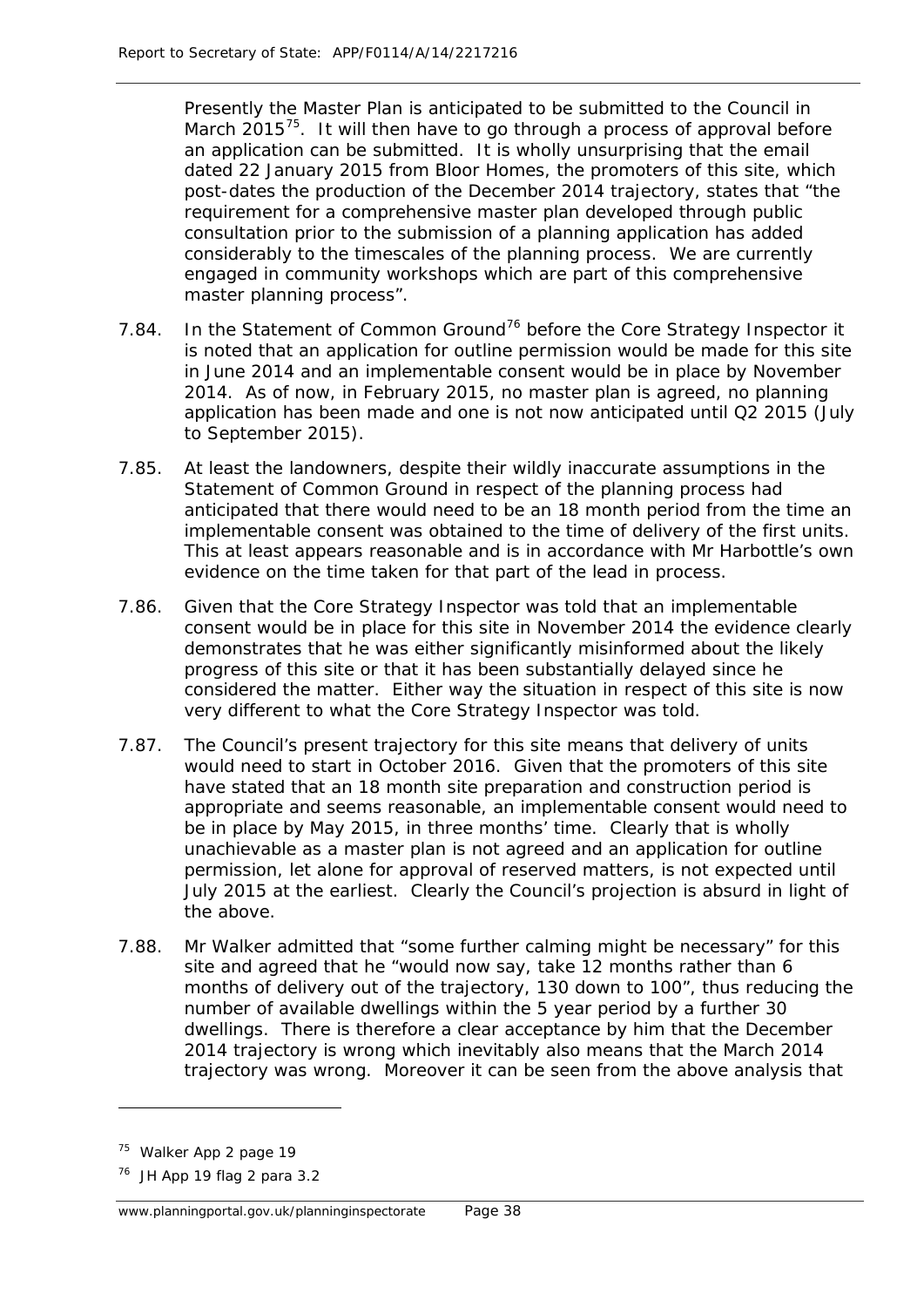Presently the Master Plan is anticipated to be submitted to the Council in March  $2015^{75}$  $2015^{75}$  $2015^{75}$ . It will then have to go through a process of approval before an application can be submitted. It is wholly unsurprising that the email dated 22 January 2015 from Bloor Homes, the promoters of this site, which post-dates the production of the December 2014 trajectory, states that *"the requirement for a comprehensive master plan developed through public consultation prior to the submission of a planning application has added considerably to the timescales of the planning process. We are currently engaged in community workshops which are part of this comprehensive master planning process*".

- 7.84. In the Statement of Common Ground<sup>[76](#page-45-1)</sup> before the Core Strategy Inspector it is noted that an application for outline permission would be made for this site in June 2014 and an implementable consent would be in place by November 2014. As of now, in February 2015, no master plan is agreed, no planning application has been made and one is not now anticipated until Q2 2015 (July to September 2015).
- 7.85. At least the landowners, despite their wildly inaccurate assumptions in the Statement of Common Ground in respect of the planning process had anticipated that there would need to be an 18 month period from the time an implementable consent was obtained to the time of delivery of the first units. This at least appears reasonable and is in accordance with Mr Harbottle's own evidence on the time taken for that part of the lead in process.
- 7.86. Given that the Core Strategy Inspector was told that an implementable consent would be in place for this site in November 2014 the evidence clearly demonstrates that he was either significantly misinformed about the likely progress of this site or that it has been substantially delayed since he considered the matter. Either way the situation in respect of this site is now very different to what the Core Strategy Inspector was told.
- 7.87. The Council's present trajectory for this site means that delivery of units would need to start in October 2016. Given that the promoters of this site have stated that an 18 month site preparation and construction period is appropriate and seems reasonable, an implementable consent would need to be in place by May 2015, in three months' time. Clearly that is wholly unachievable as a master plan is not agreed and an application for outline permission, let alone for approval of reserved matters, is not expected until July 2015 at the earliest. Clearly the Council's projection is absurd in light of the above.
- 7.88. Mr Walker admitted that "some further calming might be necessary" for this site and agreed that he "would now say, take 12 months rather than 6 months of delivery out of the trajectory, 130 down to 100", thus reducing the number of available dwellings within the 5 year period by a further 30 dwellings. There is therefore a clear acceptance by him that the December 2014 trajectory is wrong which inevitably also means that the March 2014 trajectory was wrong. Moreover it can be seen from the above analysis that

<span id="page-45-0"></span>Walker App 2 page 19

<span id="page-45-1"></span> $76$  JH App 19 flag 2 para 3.2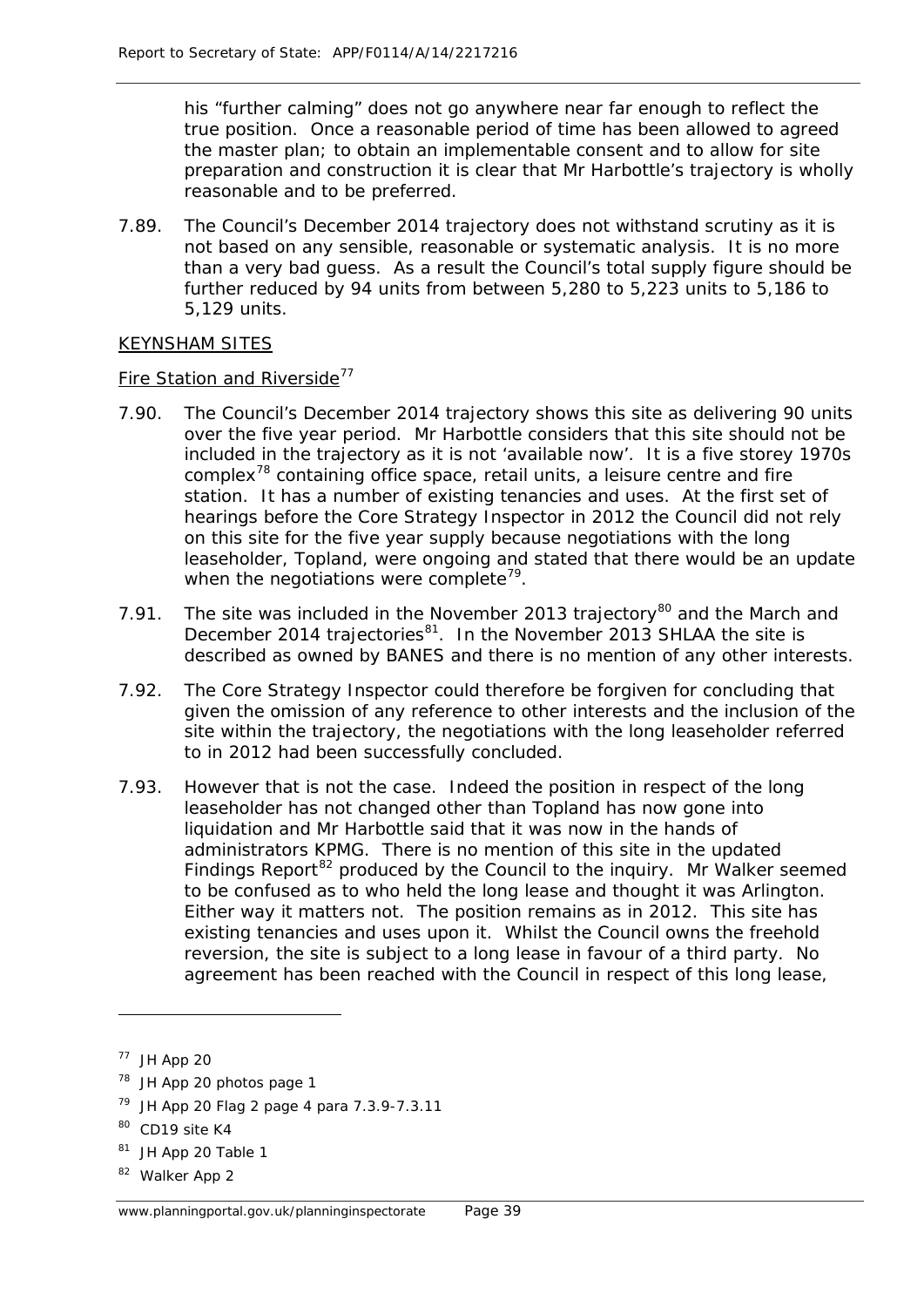his "further calming" does not go anywhere near far enough to reflect the true position. Once a reasonable period of time has been allowed to agreed the master plan; to obtain an implementable consent and to allow for site preparation and construction it is clear that Mr Harbottle's trajectory is wholly reasonable and to be preferred.

7.89. The Council's December 2014 trajectory does not withstand scrutiny as it is not based on any sensible, reasonable or systematic analysis. It is no more than a very bad guess. As a result the Council's total supply figure should be further reduced by 94 units from between 5,280 to 5,223 units to 5,186 to 5,129 units.

### KEYNSHAM SITES

### Fire Station and Riverside<sup>[77](#page-46-0)</sup>

- 7.90. The Council's December 2014 trajectory shows this site as delivering 90 units over the five year period. Mr Harbottle considers that this site should not be included in the trajectory as it is not 'available now'. It is a five storey 1970s complex<sup>[78](#page-46-1)</sup> containing office space, retail units, a leisure centre and fire station. It has a number of existing tenancies and uses. At the first set of hearings before the Core Strategy Inspector in 2012 the Council did not rely on this site for the five year supply because negotiations with the long leaseholder, Topland, were ongoing and stated that there would be an update when the negotiations were complete<sup>79</sup>.
- 7.91. The site was included in the November 2013 trajectory<sup>[80](#page-46-3)</sup> and the March and December 2014 trajectories $^{81}$ . In the November 2013 SHLAA the site is described as owned by BANES and there is no mention of any other interests.
- 7.92. The Core Strategy Inspector could therefore be forgiven for concluding that given the omission of any reference to other interests and the inclusion of the site within the trajectory, the negotiations with the long leaseholder referred to in 2012 had been successfully concluded.
- 7.93. However that is not the case. Indeed the position in respect of the long leaseholder has not changed other than Topland has now gone into liquidation and Mr Harbottle said that it was now in the hands of administrators KPMG. There is no mention of this site in the updated Findings Report<sup>[82](#page-46-5)</sup> produced by the Council to the inquiry. Mr Walker seemed to be confused as to who held the long lease and thought it was Arlington. Either way it matters not. The position remains as in 2012. This site has existing tenancies and uses upon it. Whilst the Council owns the freehold reversion, the site is subject to a long lease in favour of a third party. No agreement has been reached with the Council in respect of this long lease,

1

<span id="page-46-5"></span><sup>82</sup> Walker App 2

<span id="page-46-0"></span><sup>77</sup> JH App 20

<span id="page-46-1"></span><sup>&</sup>lt;sup>78</sup> JH App 20 photos page 1

<span id="page-46-2"></span><sup>79</sup> JH App 20 Flag 2 page 4 para 7.3.9-7.3.11

<span id="page-46-3"></span><sup>&</sup>lt;sup>80</sup> CD19 site K4

<span id="page-46-4"></span><sup>&</sup>lt;sup>81</sup> JH App 20 Table 1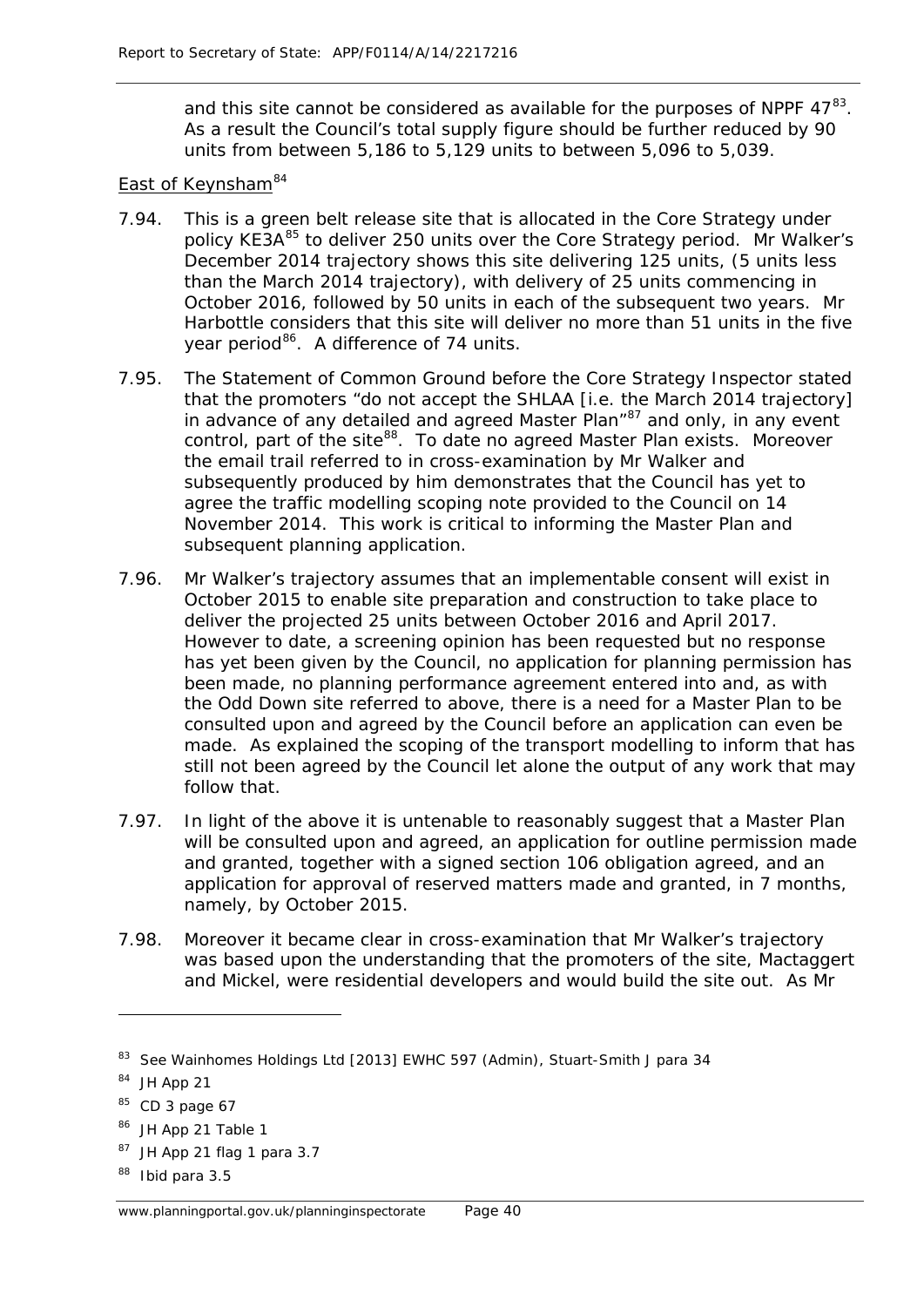and this site cannot be considered as available for the purposes of NPPF  $47^{83}$ . As a result the Council's total supply figure should be further reduced by 90 units from between 5,186 to 5,129 units to between 5,096 to 5,039.

## East of Keynsham<sup>[84](#page-47-1)</sup>

- 7.94. This is a green belt release site that is allocated in the Core Strategy under policy KE3A<sup>[85](#page-47-2)</sup> to deliver 250 units over the Core Strategy period. Mr Walker's December 2014 trajectory shows this site delivering 125 units, (5 units less than the March 2014 trajectory), with delivery of 25 units commencing in October 2016, followed by 50 units in each of the subsequent two years. Mr Harbottle considers that this site will deliver no more than 51 units in the five year period<sup>[86](#page-47-3)</sup>. A difference of 74 units.
- 7.95. The Statement of Common Ground before the Core Strategy Inspector stated that the promoters "do not accept the SHLAA [i.e. the March 2014 trajectory] in advance of any detailed and agreed Master Plan<sup>"[87](#page-47-4)</sup> and only, in any event control, part of the site $^{88}$  $^{88}$  $^{88}$ . To date no agreed Master Plan exists. Moreover the email trail referred to in cross-examination by Mr Walker and subsequently produced by him demonstrates that the Council has yet to agree the traffic modelling scoping note provided to the Council on 14 November 2014. This work is critical to informing the Master Plan and subsequent planning application.
- 7.96. Mr Walker's trajectory assumes that an implementable consent will exist in October 2015 to enable site preparation and construction to take place to deliver the projected 25 units between October 2016 and April 2017. However to date, a screening opinion has been requested but no response has yet been given by the Council, no application for planning permission has been made, no planning performance agreement entered into and, as with the Odd Down site referred to above, there is a need for a Master Plan to be consulted upon and agreed by the Council before an application can even be made. As explained the scoping of the transport modelling to inform that has still not been agreed by the Council let alone the output of any work that may follow that.
- 7.97. In light of the above it is untenable to reasonably suggest that a Master Plan will be consulted upon and agreed, an application for outline permission made and granted, together with a signed section 106 obligation agreed, and an application for approval of reserved matters made and granted, in 7 months, namely, by October 2015.
- 7.98. Moreover it became clear in cross-examination that Mr Walker's trajectory was based upon the understanding that the promoters of the site, Mactaggert and Mickel, were residential developers and would build the site out. As Mr

<span id="page-47-0"></span><sup>&</sup>lt;sup>83</sup> See Wainhomes Holdings Ltd [2013] EWHC 597 (Admin), Stuart-Smith J para 34

<span id="page-47-1"></span><sup>84</sup> JH App 21

<span id="page-47-2"></span> $85$  CD 3 page 67

<span id="page-47-3"></span><sup>86</sup> JH App 21 Table 1

<span id="page-47-4"></span><sup>87</sup> JH App 21 flag 1 para 3.7

<span id="page-47-5"></span><sup>88</sup> *Ibid* para 3.5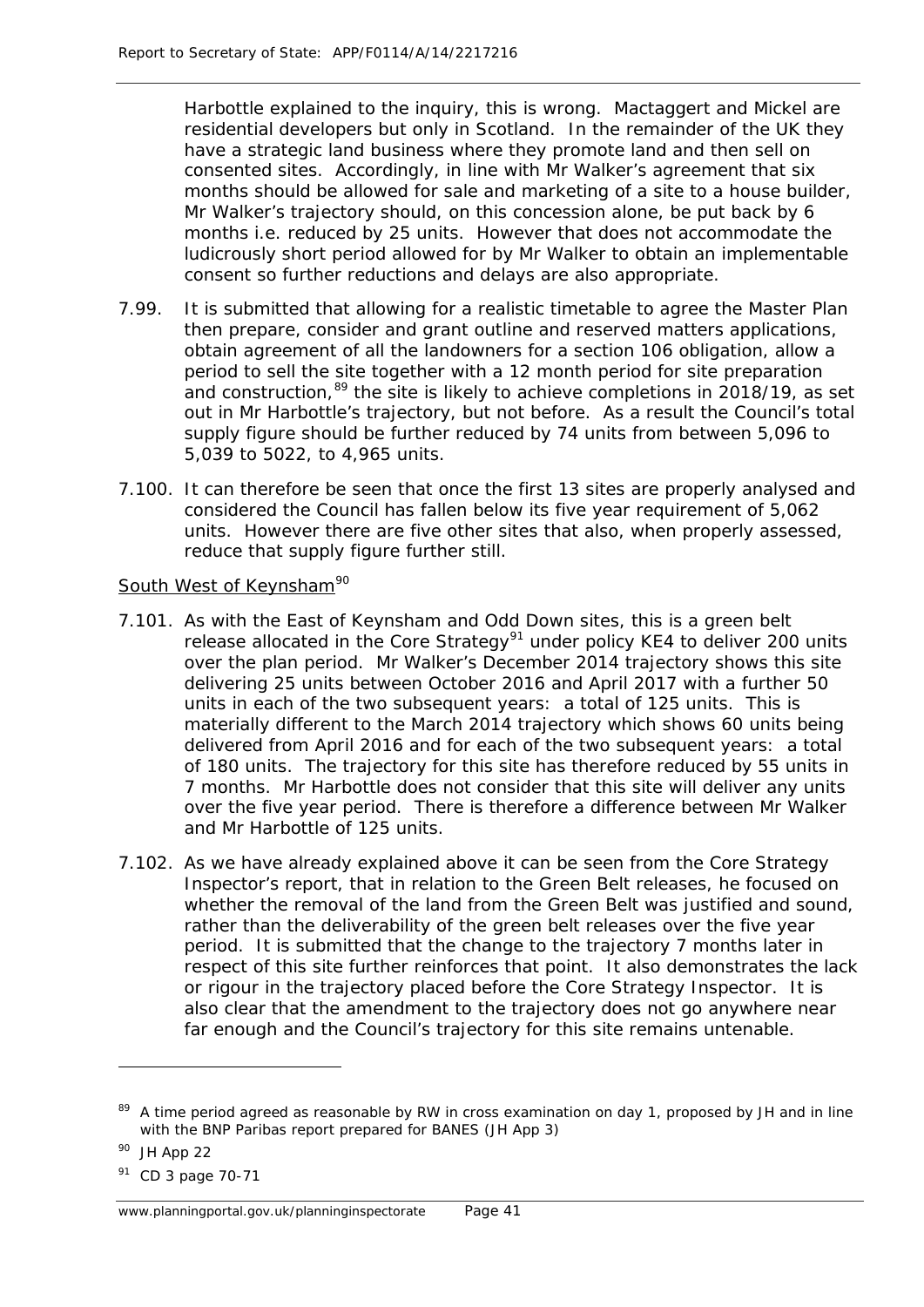Harbottle explained to the inquiry, this is wrong. Mactaggert and Mickel are residential developers but only in Scotland. In the remainder of the UK they have a strategic land business where they promote land and then sell on consented sites. Accordingly, in line with Mr Walker's agreement that six months should be allowed for sale and marketing of a site to a house builder, Mr Walker's trajectory should, on this concession alone, be put back by 6 months i.e. reduced by 25 units. However that does not accommodate the ludicrously short period allowed for by Mr Walker to obtain an implementable consent so further reductions and delays are also appropriate.

- 7.99. It is submitted that allowing for a realistic timetable to agree the Master Plan then prepare, consider and grant outline and reserved matters applications, obtain agreement of all the landowners for a section 106 obligation, allow a period to sell the site together with a 12 month period for site preparation and construction,  $89$  the site is likely to achieve completions in 2018/19, as set out in Mr Harbottle's trajectory, but not before. As a result the Council's total supply figure should be further reduced by 74 units from between 5,096 to 5,039 to 5022, to 4,965 units.
- 7.100. It can therefore be seen that once the first 13 sites are properly analysed and considered the Council has fallen below its five year requirement of 5,062 units. However there are five other sites that also, when properly assessed, reduce that supply figure further still.

### South West of Keynsham<sup>[90](#page-48-1)</sup>

- 7.101. As with the East of Keynsham and Odd Down sites, this is a green belt release allocated in the Core Strategy<sup>[91](#page-48-2)</sup> under policy KE4 to deliver 200 units over the plan period. Mr Walker's December 2014 trajectory shows this site delivering 25 units between October 2016 and April 2017 with a further 50 units in each of the two subsequent years: a total of 125 units. This is materially different to the March 2014 trajectory which shows 60 units being delivered from April 2016 and for each of the two subsequent years: a total of 180 units. The trajectory for this site has therefore reduced by 55 units in 7 months. Mr Harbottle does not consider that this site will deliver any units over the five year period. There is therefore a difference between Mr Walker and Mr Harbottle of 125 units.
- 7.102. As we have already explained above it can be seen from the Core Strategy Inspector's report, that in relation to the Green Belt releases, he focused on whether the removal of the land from the Green Belt was justified and sound, rather than the deliverability of the green belt releases over the five year period. It is submitted that the change to the trajectory 7 months later in respect of this site further reinforces that point. It also demonstrates the lack or rigour in the trajectory placed before the Core Strategy Inspector. It is also clear that the amendment to the trajectory does not go anywhere near far enough and the Council's trajectory for this site remains untenable.

<span id="page-48-0"></span><sup>&</sup>lt;sup>89</sup> A time period agreed as reasonable by RW in cross examination on day 1, proposed by JH and in line with the BNP Paribas report prepared for BANES (JH App 3)

<span id="page-48-1"></span><sup>90</sup> JH App 22

<span id="page-48-2"></span><sup>91</sup> CD 3 page 70-71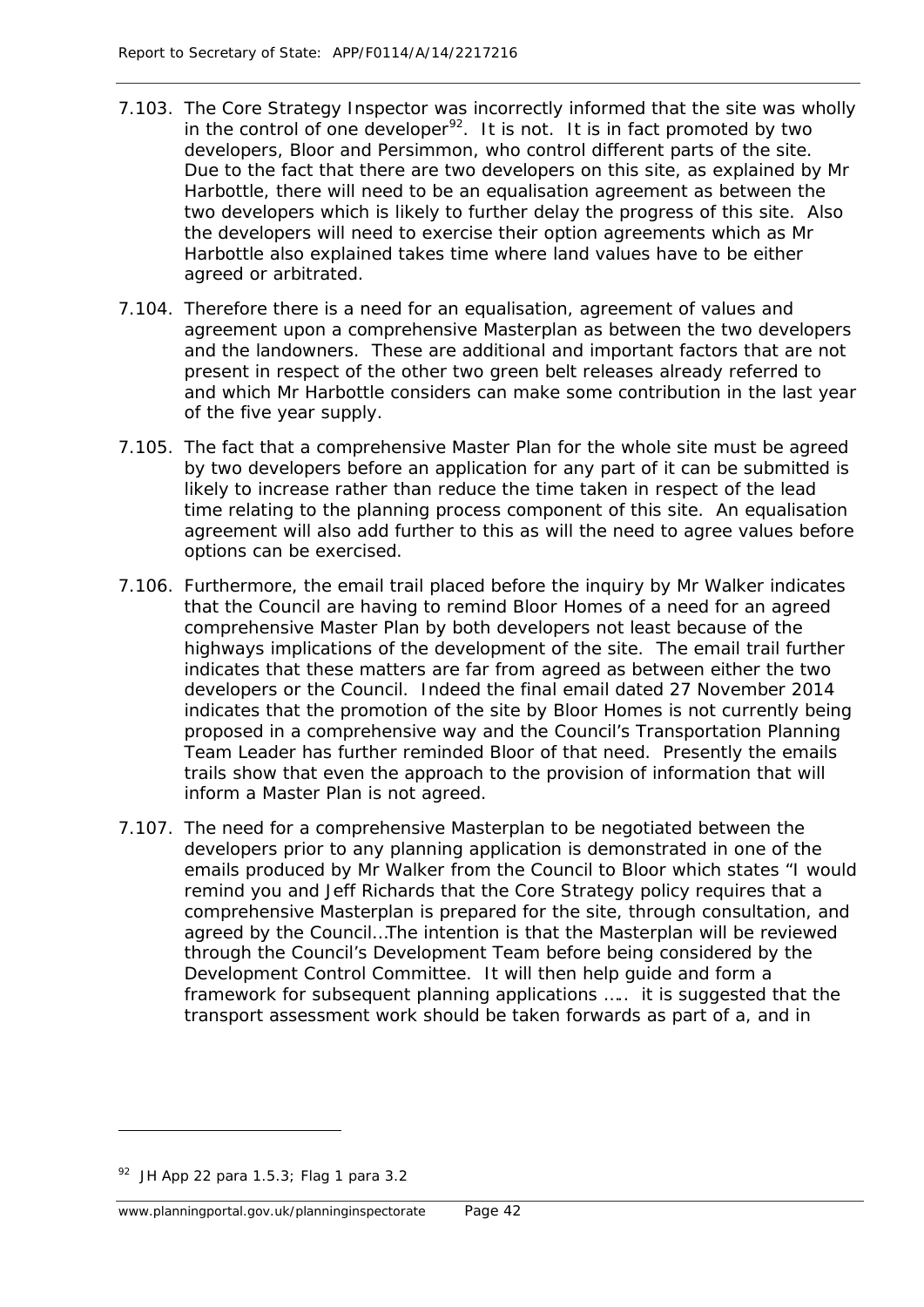- 7.103. The Core Strategy Inspector was incorrectly informed that the site was wholly in the control of one developer<sup>[92](#page-49-0)</sup>. It is not. It is in fact promoted by two developers, Bloor and Persimmon, who control different parts of the site. Due to the fact that there are two developers on this site, as explained by Mr Harbottle, there will need to be an equalisation agreement as between the two developers which is likely to further delay the progress of this site. Also the developers will need to exercise their option agreements which as Mr Harbottle also explained takes time where land values have to be either agreed or arbitrated.
- 7.104. Therefore there is a need for an equalisation, agreement of values and agreement upon a comprehensive Masterplan as between the two developers and the landowners. These are additional and important factors that are not present in respect of the other two green belt releases already referred to and which Mr Harbottle considers can make some contribution in the last year of the five year supply.
- 7.105. The fact that a comprehensive Master Plan for the whole site must be agreed by two developers before an application for any part of it can be submitted is likely to increase rather than reduce the time taken in respect of the lead time relating to the planning process component of this site. An equalisation agreement will also add further to this as will the need to agree values before options can be exercised.
- 7.106. Furthermore, the email trail placed before the inquiry by Mr Walker indicates that the Council are having to remind Bloor Homes of a need for an agreed comprehensive Master Plan by both developers not least because of the highways implications of the development of the site. The email trail further indicates that these matters are far from agreed as between either the two developers or the Council. Indeed the final email dated 27 November 2014 indicates that the promotion of the site by Bloor Homes is not currently being proposed in a comprehensive way and the Council's Transportation Planning Team Leader has further reminded Bloor of that need. Presently the emails trails show that even the approach to the provision of information that will inform a Master Plan is not agreed.
- 7.107. The need for a comprehensive Masterplan to be negotiated between the developers prior to any planning application is demonstrated in one of the emails produced by Mr Walker from the Council to Bloor which states *"I would remind you and Jeff Richards that the Core Strategy policy requires that a comprehensive Masterplan is prepared for the site, through consultation, and agreed by the Council…The intention is that the Masterplan will be reviewed through the Council's Development Team before being considered by the Development Control Committee. It will then help guide and form a framework for subsequent planning applications ….. it is suggested that the transport assessment work should be taken forwards as part of a, and in*

<span id="page-49-0"></span><sup>92</sup> JH App 22 para 1.5.3; Flag 1 para 3.2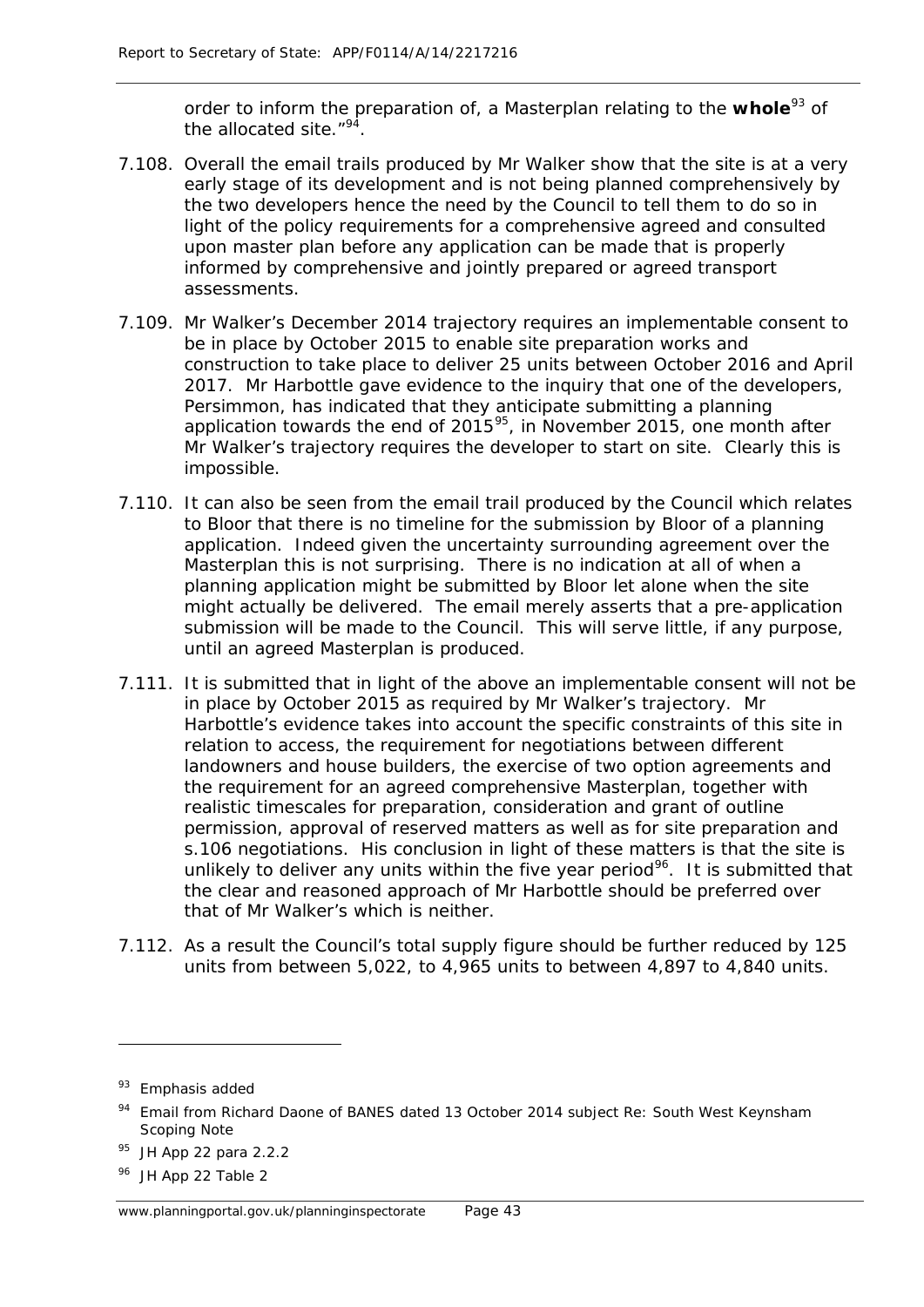*order to inform the preparation of, a Masterplan relating to the whole[93](#page-50-0) of the allocated site*."[94.](#page-50-1)

- 7.108. Overall the email trails produced by Mr Walker show that the site is at a very early stage of its development and is not being planned comprehensively by the two developers hence the need by the Council to tell them to do so in light of the policy requirements for a comprehensive agreed and consulted upon master plan before any application can be made that is properly informed by comprehensive and jointly prepared or agreed transport assessments.
- 7.109. Mr Walker's December 2014 trajectory requires an implementable consent to be in place by October 2015 to enable site preparation works and construction to take place to deliver 25 units between October 2016 and April 2017. Mr Harbottle gave evidence to the inquiry that one of the developers, Persimmon, has indicated that they anticipate submitting a planning application towards the end of 2015 $^{95}$ , in November 2015, one month after Mr Walker's trajectory requires the developer to start on site. Clearly this is impossible.
- 7.110. It can also be seen from the email trail produced by the Council which relates to Bloor that there is no timeline for the submission by Bloor of a planning application. Indeed given the uncertainty surrounding agreement over the Masterplan this is not surprising. There is no indication at all of when a planning application might be submitted by Bloor let alone when the site might actually be delivered. The email merely asserts that a pre-application submission will be made to the Council. This will serve little, if any purpose, until an agreed Masterplan is produced.
- 7.111. It is submitted that in light of the above an implementable consent will not be in place by October 2015 as required by Mr Walker's trajectory. Mr Harbottle's evidence takes into account the specific constraints of this site in relation to access, the requirement for negotiations between different landowners and house builders, the exercise of two option agreements and the requirement for an agreed comprehensive Masterplan, together with realistic timescales for preparation, consideration and grant of outline permission, approval of reserved matters as well as for site preparation and s.106 negotiations. His conclusion in light of these matters is that the site is unlikely to deliver any units within the five year period<sup>96</sup>. It is submitted that the clear and reasoned approach of Mr Harbottle should be preferred over that of Mr Walker's which is neither.
- 7.112. As a result the Council's total supply figure should be further reduced by 125 units from between 5,022, to 4,965 units to between 4,897 to 4,840 units.

<span id="page-50-0"></span><sup>93</sup> Emphasis added

<span id="page-50-1"></span><sup>&</sup>lt;sup>94</sup> Email from Richard Daone of BANES dated 13 October 2014 subject Re: South West Keynsham Scoping Note

JH App 22 para 2.2.2

<span id="page-50-3"></span><span id="page-50-2"></span><sup>96</sup> JH App 22 Table 2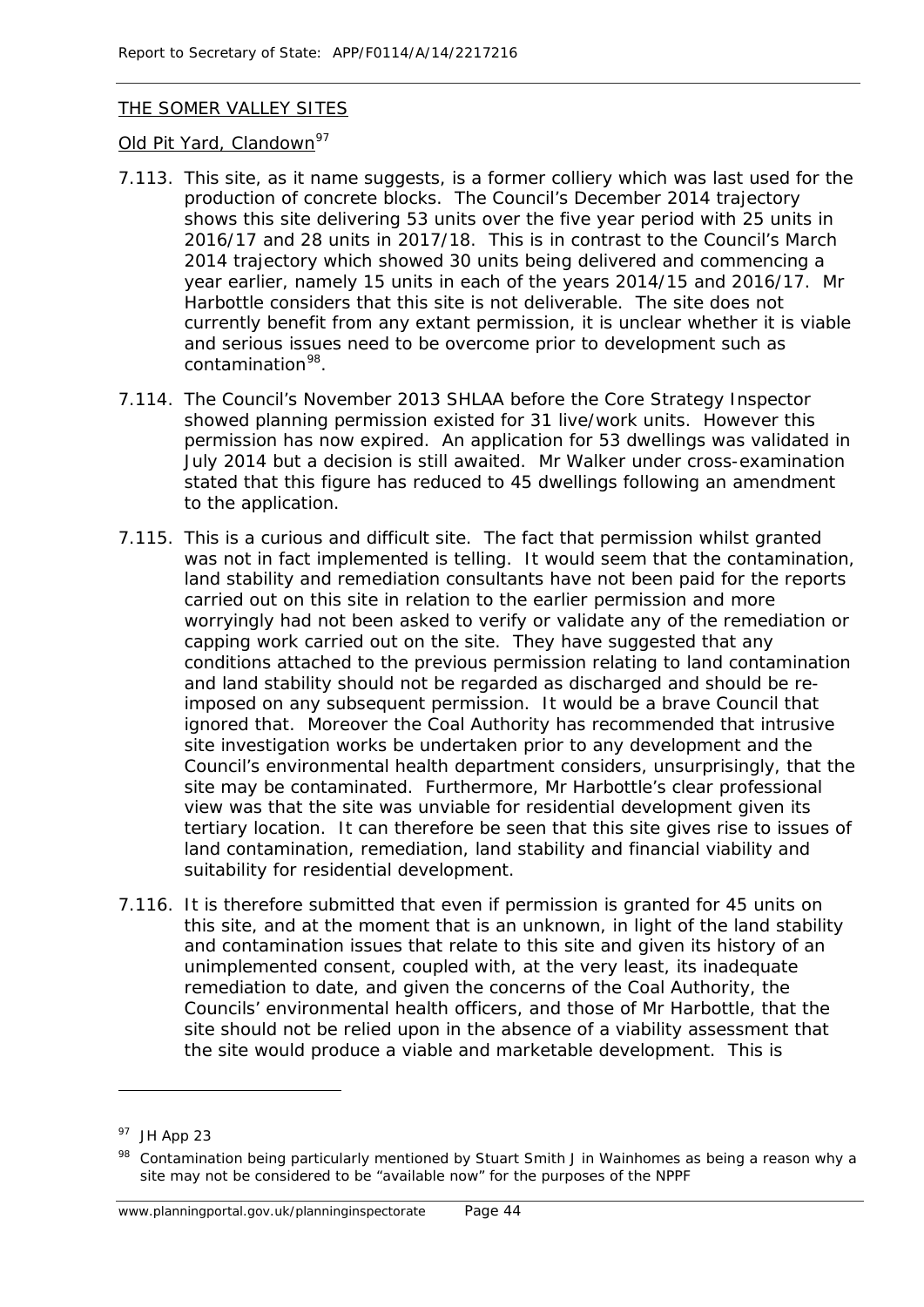# THE SOMER VALLEY SITES

### Old Pit Yard, Clandown<sup>[97](#page-51-0)</sup>

- 7.113. This site, as it name suggests, is a former colliery which was last used for the production of concrete blocks. The Council's December 2014 trajectory shows this site delivering 53 units over the five year period with 25 units in 2016/17 and 28 units in 2017/18. This is in contrast to the Council's March 2014 trajectory which showed 30 units being delivered and commencing a year earlier, namely 15 units in each of the years 2014/15 and 2016/17. Mr Harbottle considers that this site is not deliverable. The site does not currently benefit from any extant permission, it is unclear whether it is viable and serious issues need to be overcome prior to development such as contamination<sup>98</sup>.
- 7.114. The Council's November 2013 SHLAA before the Core Strategy Inspector showed planning permission existed for 31 live/work units. However this permission has now expired. An application for 53 dwellings was validated in July 2014 but a decision is still awaited. Mr Walker under cross-examination stated that this figure has reduced to 45 dwellings following an amendment to the application.
- 7.115. This is a curious and difficult site. The fact that permission whilst granted was not in fact implemented is telling. It would seem that the contamination, land stability and remediation consultants have not been paid for the reports carried out on this site in relation to the earlier permission and more worryingly had not been asked to verify or validate any of the remediation or capping work carried out on the site. They have suggested that any conditions attached to the previous permission relating to land contamination and land stability should not be regarded as discharged and should be reimposed on any subsequent permission. It would be a brave Council that ignored that. Moreover the Coal Authority has recommended that intrusive site investigation works be undertaken prior to any development and the Council's environmental health department considers, unsurprisingly, that the site may be contaminated. Furthermore, Mr Harbottle's clear professional view was that the site was unviable for residential development given its tertiary location. It can therefore be seen that this site gives rise to issues of land contamination, remediation, land stability and financial viability and suitability for residential development.
- 7.116. It is therefore submitted that even if permission is granted for 45 units on this site, and at the moment that is an unknown, in light of the land stability and contamination issues that relate to this site and given its history of an unimplemented consent, coupled with, at the very least, its inadequate remediation to date, and given the concerns of the Coal Authority, the Councils' environmental health officers, and those of Mr Harbottle, that the site should not be relied upon in the absence of a viability assessment that the site would produce a viable and marketable development. This is

<span id="page-51-0"></span><sup>97</sup> JH App 23

<span id="page-51-1"></span><sup>98</sup> Contamination being particularly mentioned by Stuart Smith J in Wainhomes as being a reason why a site may not be considered to be "available now" for the purposes of the NPPF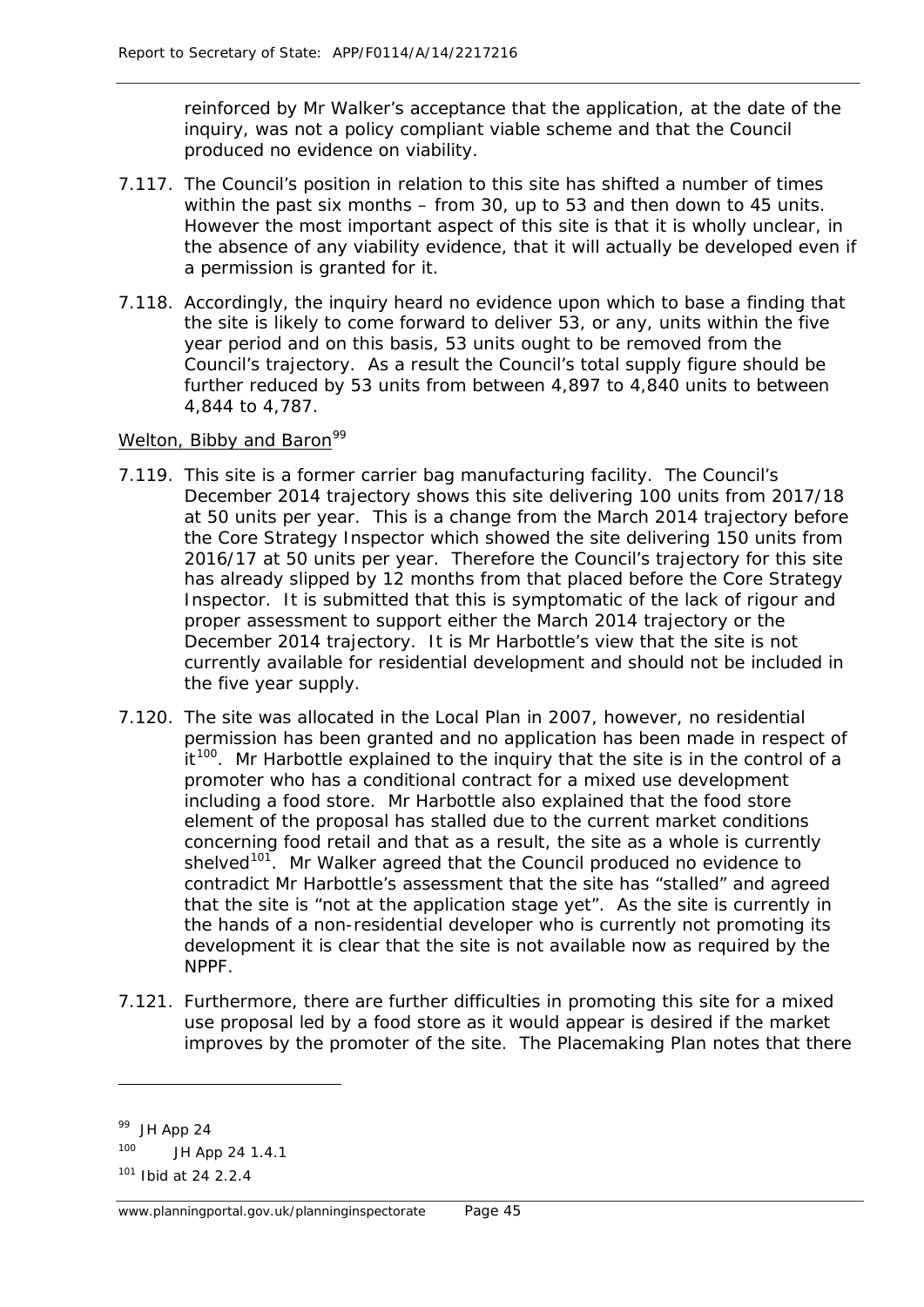reinforced by Mr Walker's acceptance that the application, at the date of the inquiry, was not a policy compliant viable scheme and that the Council produced no evidence on viability.

- 7.117. The Council's position in relation to this site has shifted a number of times within the past six months – from 30, up to 53 and then down to 45 units. However the most important aspect of this site is that it is wholly unclear, in the absence of any viability evidence, that it will actually be developed even if a permission is granted for it.
- 7.118. Accordingly, the inquiry heard no evidence upon which to base a finding that the site is likely to come forward to deliver 53, or any, units within the five year period and on this basis, 53 units ought to be removed from the Council's trajectory. As a result the Council's total supply figure should be further reduced by 53 units from between 4,897 to 4,840 units to between 4,844 to 4,787.

### Welton, Bibby and Baron<sup>[99](#page-52-0)</sup>

- 7.119. This site is a former carrier bag manufacturing facility. The Council's December 2014 trajectory shows this site delivering 100 units from 2017/18 at 50 units per year. This is a change from the March 2014 trajectory before the Core Strategy Inspector which showed the site delivering 150 units from 2016/17 at 50 units per year. Therefore the Council's trajectory for this site has already slipped by 12 months from that placed before the Core Strategy Inspector. It is submitted that this is symptomatic of the lack of rigour and proper assessment to support either the March 2014 trajectory or the December 2014 trajectory. It is Mr Harbottle's view that the site is not currently available for residential development and should not be included in the five year supply.
- 7.120. The site was allocated in the Local Plan in 2007, however, no residential permission has been granted and no application has been made in respect of it<sup>[100](#page-52-1)</sup>. Mr Harbottle explained to the inquiry that the site is in the control of a promoter who has a conditional contract for a mixed use development including a food store. Mr Harbottle also explained that the food store element of the proposal has stalled due to the current market conditions concerning food retail and that as a result, the site as a whole is currently shelved<sup>101</sup>. Mr Walker agreed that the Council produced no evidence to contradict Mr Harbottle's assessment that the site has "stalled" and agreed that the site is "not at the application stage yet". As the site is currently in the hands of a non-residential developer who is currently not promoting its development it is clear that the site is not available now as required by the NPPF.
- 7.121. Furthermore, there are further difficulties in promoting this site for a mixed use proposal led by a food store as it would appear is desired if the market improves by the promoter of the site. The Placemaking Plan notes that there

<span id="page-52-0"></span> $99$  JH App 24

<span id="page-52-1"></span><sup>100</sup> JH App 24 1.4.1

<span id="page-52-2"></span><sup>101</sup> *Ibid* at 24 2.2.4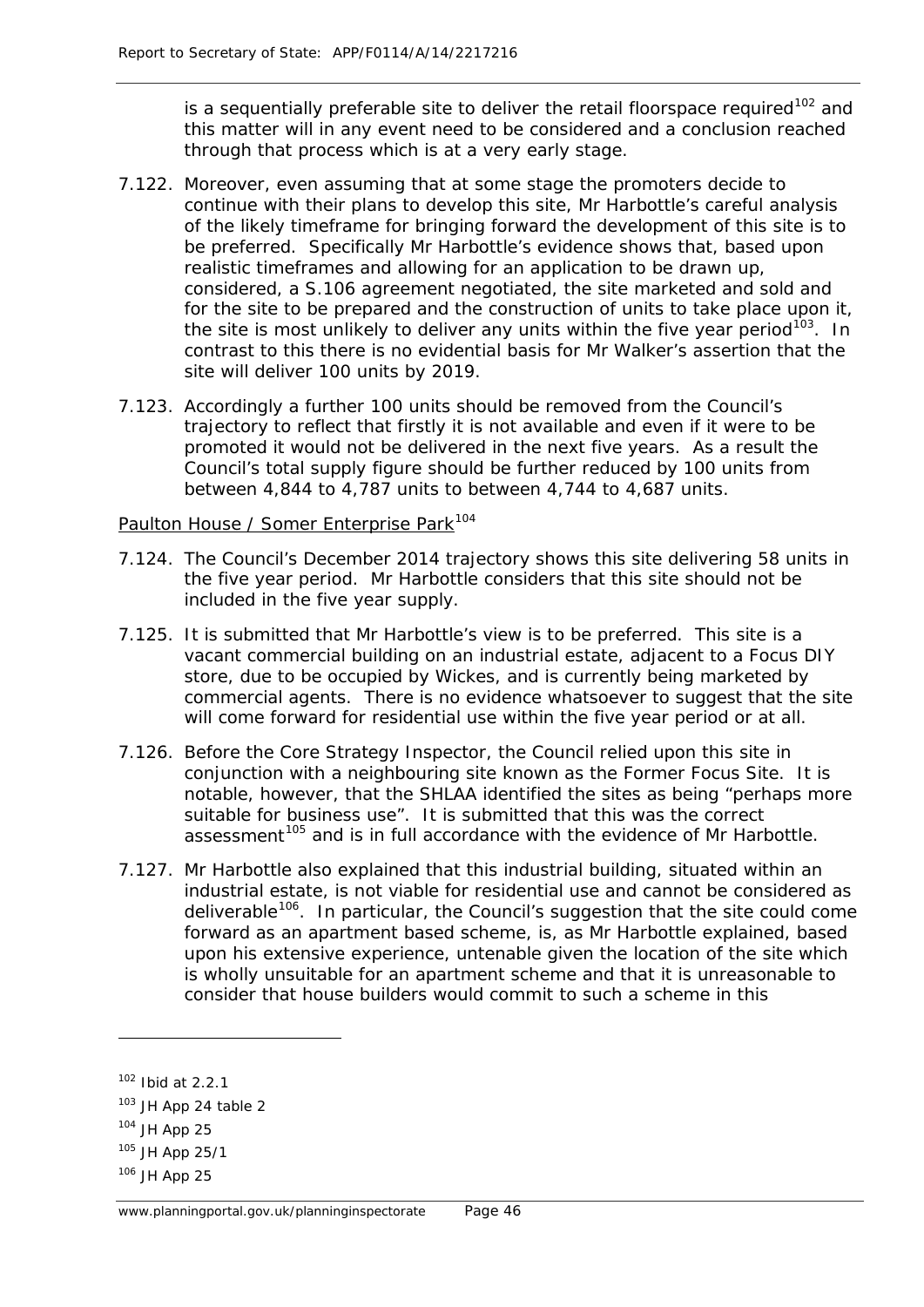is a sequentially preferable site to deliver the retail floorspace required  $102$  and this matter will in any event need to be considered and a conclusion reached through that process which is at a very early stage.

- 7.122. Moreover, even assuming that at some stage the promoters decide to continue with their plans to develop this site, Mr Harbottle's careful analysis of the likely timeframe for bringing forward the development of this site is to be preferred. Specifically Mr Harbottle's evidence shows that, based upon realistic timeframes and allowing for an application to be drawn up, considered, a S.106 agreement negotiated, the site marketed and sold and for the site to be prepared and the construction of units to take place upon it, the site is most unlikely to deliver any units within the five year period<sup>103</sup>. In contrast to this there is no evidential basis for Mr Walker's assertion that the site will deliver 100 units by 2019.
- 7.123. Accordingly a further 100 units should be removed from the Council's trajectory to reflect that firstly it is not available and even if it were to be promoted it would not be delivered in the next five years. As a result the Council's total supply figure should be further reduced by 100 units from between 4,844 to 4,787 units to between 4,744 to 4,687 units.

Paulton House / Somer Enterprise Park<sup>[104](#page-53-2)</sup>

- 7.124. The Council's December 2014 trajectory shows this site delivering 58 units in the five year period. Mr Harbottle considers that this site should not be included in the five year supply.
- 7.125. It is submitted that Mr Harbottle's view is to be preferred. This site is a vacant commercial building on an industrial estate, adjacent to a Focus DIY store, due to be occupied by Wickes, and is currently being marketed by commercial agents. There is no evidence whatsoever to suggest that the site will come forward for residential use within the five year period or at all.
- 7.126. Before the Core Strategy Inspector, the Council relied upon this site in conjunction with a neighbouring site known as the Former Focus Site. It is notable, however, that the SHLAA identified the sites as being "perhaps more suitable for business use". It is submitted that this was the correct assessment<sup>[105](#page-53-3)</sup> and is in full accordance with the evidence of Mr Harbottle.
- 7.127. Mr Harbottle also explained that this industrial building, situated within an industrial estate, is not viable for residential use and cannot be considered as deliverable<sup>106</sup>. In particular, the Council's suggestion that the site could come forward as an apartment based scheme, is, as Mr Harbottle explained, based upon his extensive experience, untenable given the location of the site which is wholly unsuitable for an apartment scheme and that it is unreasonable to consider that house builders would commit to such a scheme in this

<span id="page-53-0"></span><sup>102</sup> *Ibid* at 2.2.1

<span id="page-53-1"></span><sup>103</sup> JH App 24 table 2

<span id="page-53-2"></span><sup>104</sup> JH App 25

<span id="page-53-3"></span><sup>105</sup> JH App 25/1

<span id="page-53-4"></span><sup>106</sup> JH App 25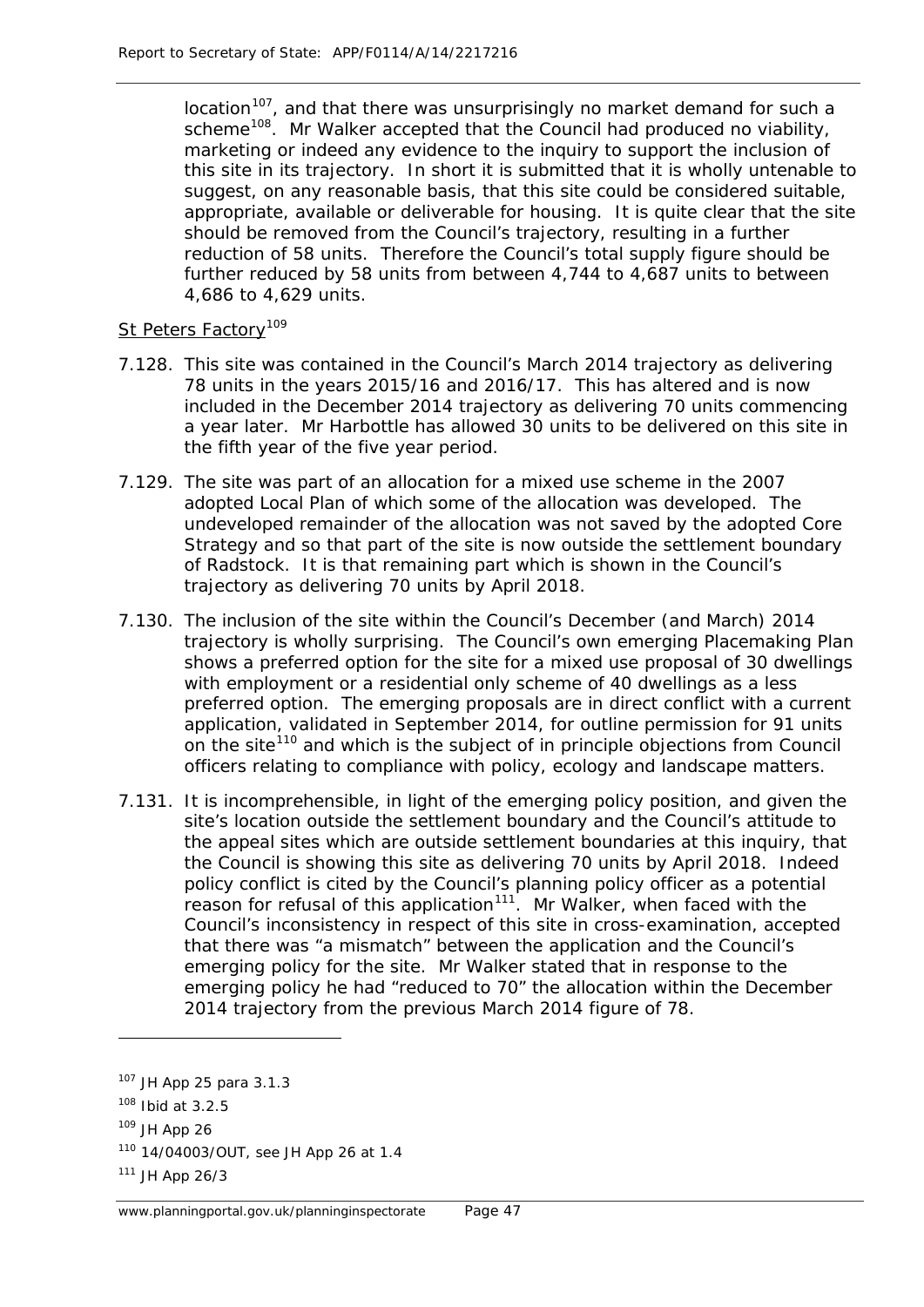$location<sup>107</sup>$ , and that there was unsurprisingly no market demand for such a scheme<sup>108</sup>. Mr Walker accepted that the Council had produced no viability, marketing or indeed any evidence to the inquiry to support the inclusion of this site in its trajectory. In short it is submitted that it is wholly untenable to suggest, on any reasonable basis, that this site could be considered suitable, appropriate, available or deliverable for housing. It is quite clear that the site should be removed from the Council's trajectory, resulting in a further reduction of 58 units. Therefore the Council's total supply figure should be further reduced by 58 units from between 4,744 to 4,687 units to between 4,686 to 4,629 units.

# St Peters Factory<sup>[109](#page-54-2)</sup>

- 7.128. This site was contained in the Council's March 2014 trajectory as delivering 78 units in the years 2015/16 and 2016/17. This has altered and is now included in the December 2014 trajectory as delivering 70 units commencing a year later. Mr Harbottle has allowed 30 units to be delivered on this site in the fifth year of the five year period.
- 7.129. The site was part of an allocation for a mixed use scheme in the 2007 adopted Local Plan of which some of the allocation was developed. The undeveloped remainder of the allocation was not saved by the adopted Core Strategy and so that part of the site is now outside the settlement boundary of Radstock. It is that remaining part which is shown in the Council's trajectory as delivering 70 units by April 2018.
- 7.130. The inclusion of the site within the Council's December (and March) 2014 trajectory is wholly surprising. The Council's own emerging Placemaking Plan shows a preferred option for the site for a mixed use proposal of 30 dwellings with employment or a residential only scheme of 40 dwellings as a less preferred option. The emerging proposals are in direct conflict with a current application, validated in September 2014, for outline permission for 91 units on the site<sup>[110](#page-54-3)</sup> and which is the subject of in principle objections from Council officers relating to compliance with policy, ecology and landscape matters.
- 7.131. It is incomprehensible, in light of the emerging policy position, and given the site's location outside the settlement boundary and the Council's attitude to the appeal sites which are outside settlement boundaries at this inquiry, that the Council is showing this site as delivering 70 units by April 2018. Indeed policy conflict is cited by the Council's planning policy officer as a potential reason for refusal of this application $111$ . Mr Walker, when faced with the Council's inconsistency in respect of this site in cross-examination, accepted that there was "a mismatch" between the application and the Council's emerging policy for the site. Mr Walker stated that in response to the emerging policy he had "reduced to 70" the allocation within the December 2014 trajectory from the previous March 2014 figure of 78.

<span id="page-54-0"></span><sup>107</sup> JH App 25 para 3.1.3

<span id="page-54-1"></span><sup>108</sup> *Ibid* at 3.2.5

<span id="page-54-2"></span><sup>109</sup> JH App 26

<span id="page-54-3"></span><sup>110</sup> 14/04003/OUT, see JH App 26 at 1.4

<span id="page-54-4"></span><sup>111</sup> JH App 26/3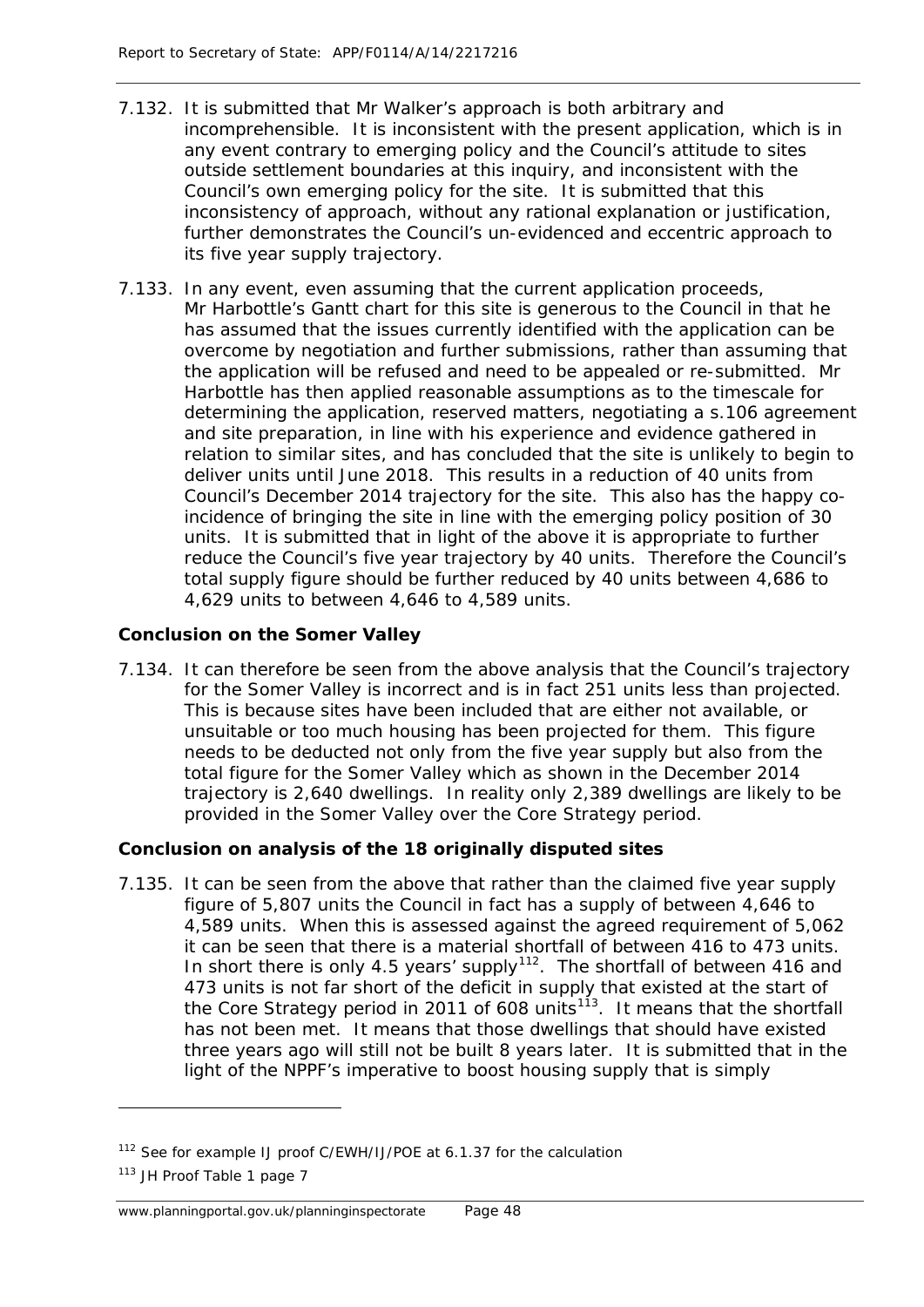- 7.132. It is submitted that Mr Walker's approach is both arbitrary and incomprehensible. It is inconsistent with the present application, which is in any event contrary to emerging policy and the Council's attitude to sites outside settlement boundaries at this inquiry, and inconsistent with the Council's own emerging policy for the site. It is submitted that this inconsistency of approach, without any rational explanation or justification, further demonstrates the Council's un-evidenced and eccentric approach to its five year supply trajectory.
- 7.133. In any event, even assuming that the current application proceeds, Mr Harbottle's Gantt chart for this site is generous to the Council in that he has assumed that the issues currently identified with the application can be overcome by negotiation and further submissions, rather than assuming that the application will be refused and need to be appealed or re-submitted. Mr Harbottle has then applied reasonable assumptions as to the timescale for determining the application, reserved matters, negotiating a s.106 agreement and site preparation, in line with his experience and evidence gathered in relation to similar sites, and has concluded that the site is unlikely to begin to deliver units until June 2018. This results in a reduction of 40 units from Council's December 2014 trajectory for the site. This also has the happy coincidence of bringing the site in line with the emerging policy position of 30 units. It is submitted that in light of the above it is appropriate to further reduce the Council's five year trajectory by 40 units. Therefore the Council's total supply figure should be further reduced by 40 units between 4,686 to 4,629 units to between 4,646 to 4,589 units.

# **Conclusion on the Somer Valley**

7.134. It can therefore be seen from the above analysis that the Council's trajectory for the Somer Valley is incorrect and is in fact 251 units less than projected. This is because sites have been included that are either not available, or unsuitable or too much housing has been projected for them. This figure needs to be deducted not only from the five year supply but also from the total figure for the Somer Valley which as shown in the December 2014 trajectory is 2,640 dwellings. In reality only 2,389 dwellings are likely to be provided in the Somer Valley over the Core Strategy period.

# **Conclusion on analysis of the 18 originally disputed sites**

7.135. It can be seen from the above that rather than the claimed five year supply figure of 5,807 units the Council in fact has a supply of between 4,646 to 4,589 units. When this is assessed against the agreed requirement of 5,062 it can be seen that there is a material shortfall of between 416 to 473 units. In short there is only 4.5 years' supply $112$ . The shortfall of between 416 and 473 units is not far short of the deficit in supply that existed at the start of the Core Strategy period in 2011 of 608 units<sup>113</sup>. It means that the shortfall has not been met. It means that those dwellings that should have existed three years ago will still not be built 8 years later. It is submitted that in the light of the NPPF's imperative to boost housing supply that is simply

<span id="page-55-0"></span><sup>112</sup> See for example IJ proof C/EWH/IJ/POE at 6.1.37 for the calculation

<span id="page-55-1"></span><sup>113</sup> JH Proof Table 1 page 7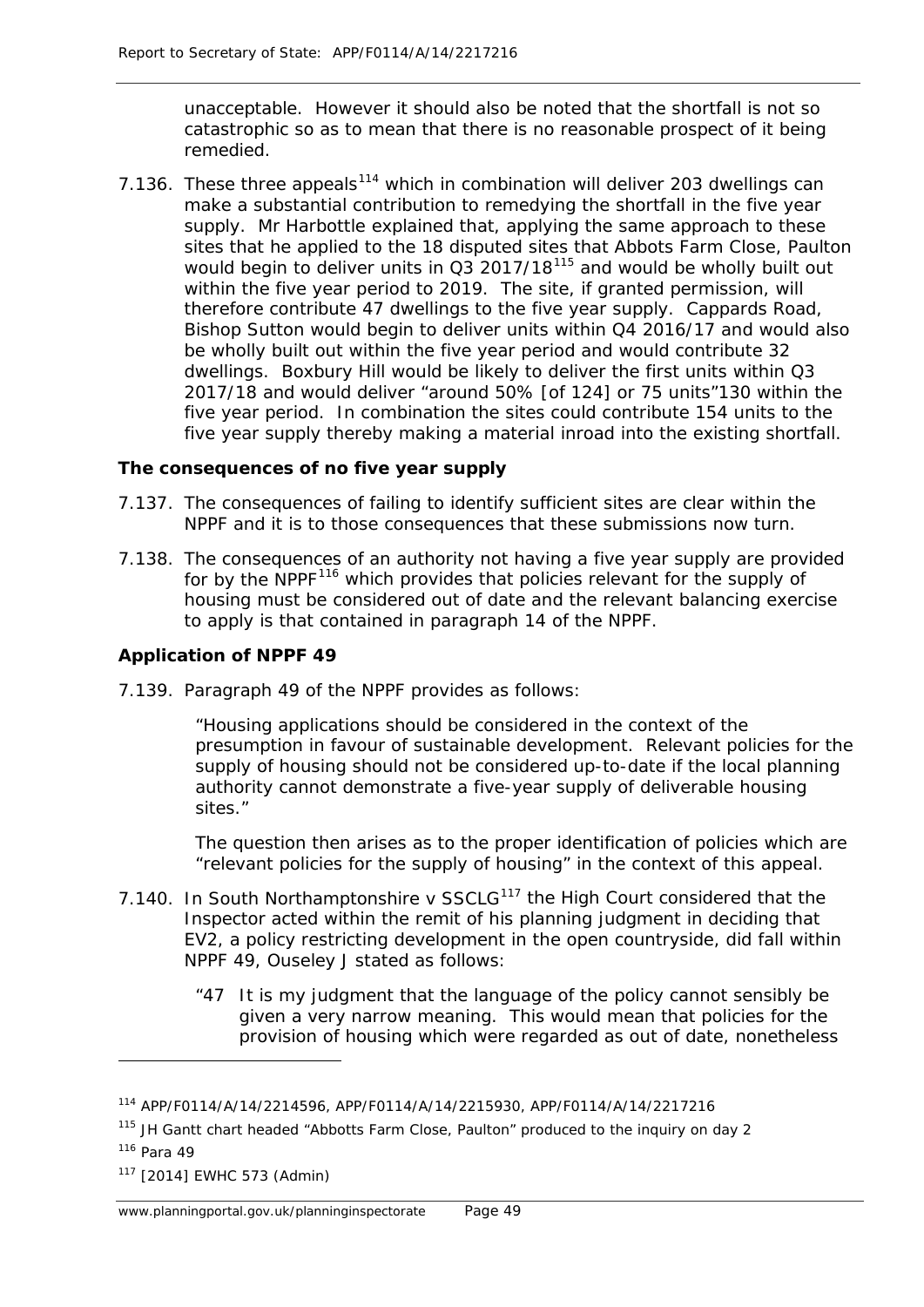unacceptable. However it should also be noted that the shortfall is not so catastrophic so as to mean that there is no reasonable prospect of it being remedied.

7.136. These three appeals<sup>[114](#page-56-0)</sup> which in combination will deliver 203 dwellings can make a substantial contribution to remedying the shortfall in the five year supply. Mr Harbottle explained that, applying the same approach to these sites that he applied to the 18 disputed sites that Abbots Farm Close, Paulton would begin to deliver units in Q3 2017/18<sup>[115](#page-56-1)</sup> and would be wholly built out within the five year period to 2019. The site, if granted permission, will therefore contribute 47 dwellings to the five year supply. Cappards Road, Bishop Sutton would begin to deliver units within Q4 2016/17 and would also be wholly built out within the five year period and would contribute 32 dwellings. Boxbury Hill would be likely to deliver the first units within Q3 2017/18 and would deliver "around 50% [of 124] or 75 units"130 within the five year period. In combination the sites could contribute 154 units to the five year supply thereby making a material inroad into the existing shortfall.

### **The consequences of no five year supply**

- 7.137. The consequences of failing to identify sufficient sites are clear within the NPPF and it is to those consequences that these submissions now turn.
- 7.138. The consequences of an authority not having a five year supply are provided for by the NPPF<sup>[116](#page-56-2)</sup> which provides that policies relevant for the supply of housing must be considered out of date and the relevant balancing exercise to apply is that contained in paragraph 14 of the NPPF.

### **Application of NPPF 49**

7.139. Paragraph 49 of the NPPF provides as follows:

*"Housing applications should be considered in the context of the presumption in favour of sustainable development. Relevant policies for the supply of housing should not be considered up-to-date if the local planning authority cannot demonstrate a five-year supply of deliverable housing sites."*

*The question then arises as to the proper identification of policies which are "relevant policies for the supply of housing" in the context of this appeal.*

- 7.140. In South Northamptonshire v SSCLG<sup>[117](#page-56-3)</sup> the High Court considered that the Inspector acted within the remit of his planning judgment in deciding that EV2, a policy restricting development in the open countryside, did fall within NPPF 49, Ouseley J stated as follows:
	- *"47 It is my judgment that the language of the policy cannot sensibly be given a very narrow meaning. This would mean that policies for the provision of housing which were regarded as out of date, nonetheless*

l

<span id="page-56-3"></span><sup>117</sup> [2014] EWHC 573 (Admin)

<span id="page-56-0"></span><sup>114</sup> APP/F0114/A/14/2214596, APP/F0114/A/14/2215930, APP/F0114/A/14/2217216

<span id="page-56-1"></span><sup>&</sup>lt;sup>115</sup> JH Gantt chart headed "Abbotts Farm Close, Paulton" produced to the inquiry on day 2

<span id="page-56-2"></span><sup>116</sup> Para 49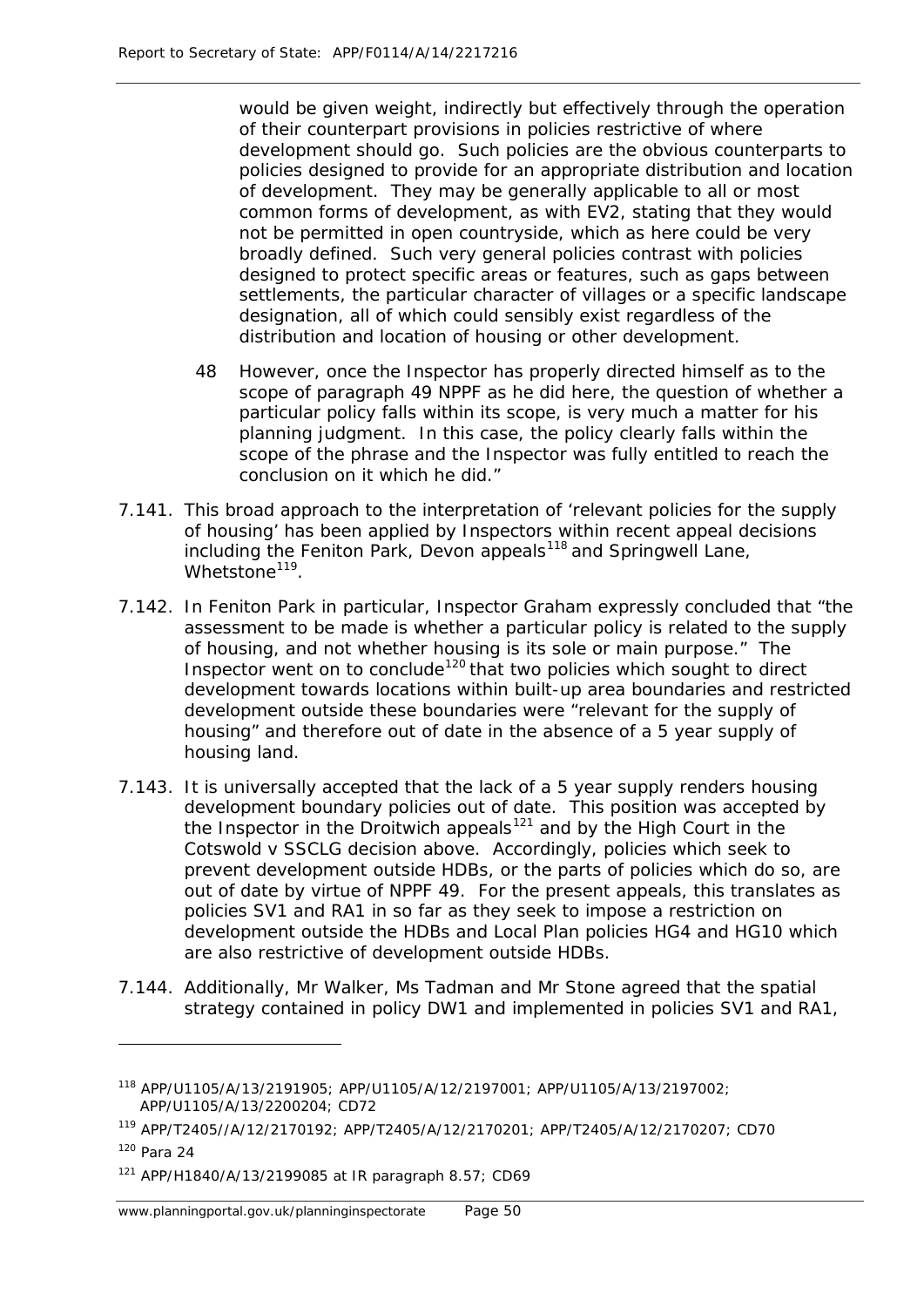*would be given weight, indirectly but effectively through the operation of their counterpart provisions in policies restrictive of where development should go. Such policies are the obvious counterparts to policies designed to provide for an appropriate distribution and location of development. They may be generally applicable to all or most common forms of development, as with EV2, stating that they would not be permitted in open countryside, which as here could be very broadly defined. Such very general policies contrast with policies designed to protect specific areas or features, such as gaps between settlements, the particular character of villages or a specific landscape designation, all of which could sensibly exist regardless of the distribution and location of housing or other development.*

- *48 However, once the Inspector has properly directed himself as to the scope of paragraph 49 NPPF as he did here, the question of whether a particular policy falls within its scope, is very much a matter for his planning judgment. In this case, the policy clearly falls within the scope of the phrase and the Inspector was fully entitled to reach the conclusion on it which he did."*
- 7.141. This broad approach to the interpretation of 'relevant policies for the supply of housing' has been applied by Inspectors within recent appeal decisions including the Feniton Park, Devon appeals<sup>[118](#page-57-0)</sup> and Springwell Lane, Whetstone<sup>119</sup>.
- 7.142. In Feniton Park in particular, Inspector Graham expressly concluded that "the assessment to be made is whether a particular policy is related to the supply of housing, and not whether housing is its sole or main purpose." The Inspector went on to conclude<sup>[120](#page-57-2)</sup> that two policies which sought to direct development towards locations within built-up area boundaries and restricted development outside these boundaries were "relevant for the supply of housing" and therefore out of date in the absence of a 5 year supply of housing land.
- 7.143. It is universally accepted that the lack of a 5 year supply renders housing development boundary policies out of date. This position was accepted by the Inspector in the Droitwich appeals<sup>[121](#page-57-3)</sup> and by the High Court in the Cotswold v SSCLG decision above. Accordingly, policies which seek to prevent development outside HDBs, or the parts of policies which do so, are out of date by virtue of NPPF 49. For the present appeals, this translates as policies SV1 and RA1 in so far as they seek to impose a restriction on development outside the HDBs and Local Plan policies HG4 and HG10 which are also restrictive of development outside HDBs.
- 7.144. Additionally, Mr Walker, Ms Tadman and Mr Stone agreed that the spatial strategy contained in policy DW1 and implemented in policies SV1 and RA1,

<span id="page-57-0"></span><sup>118</sup> APP/U1105/A/13/2191905; APP/U1105/A/12/2197001; APP/U1105/A/13/2197002; APP/U1105/A/13/2200204; CD72

<span id="page-57-1"></span><sup>119</sup> APP/T2405//A/12/2170192; APP/T2405/A/12/2170201; APP/T2405/A/12/2170207; CD70

<span id="page-57-2"></span><sup>120</sup> Para 24

<span id="page-57-3"></span><sup>121</sup> APP/H1840/A/13/2199085 at IR paragraph 8.57; CD69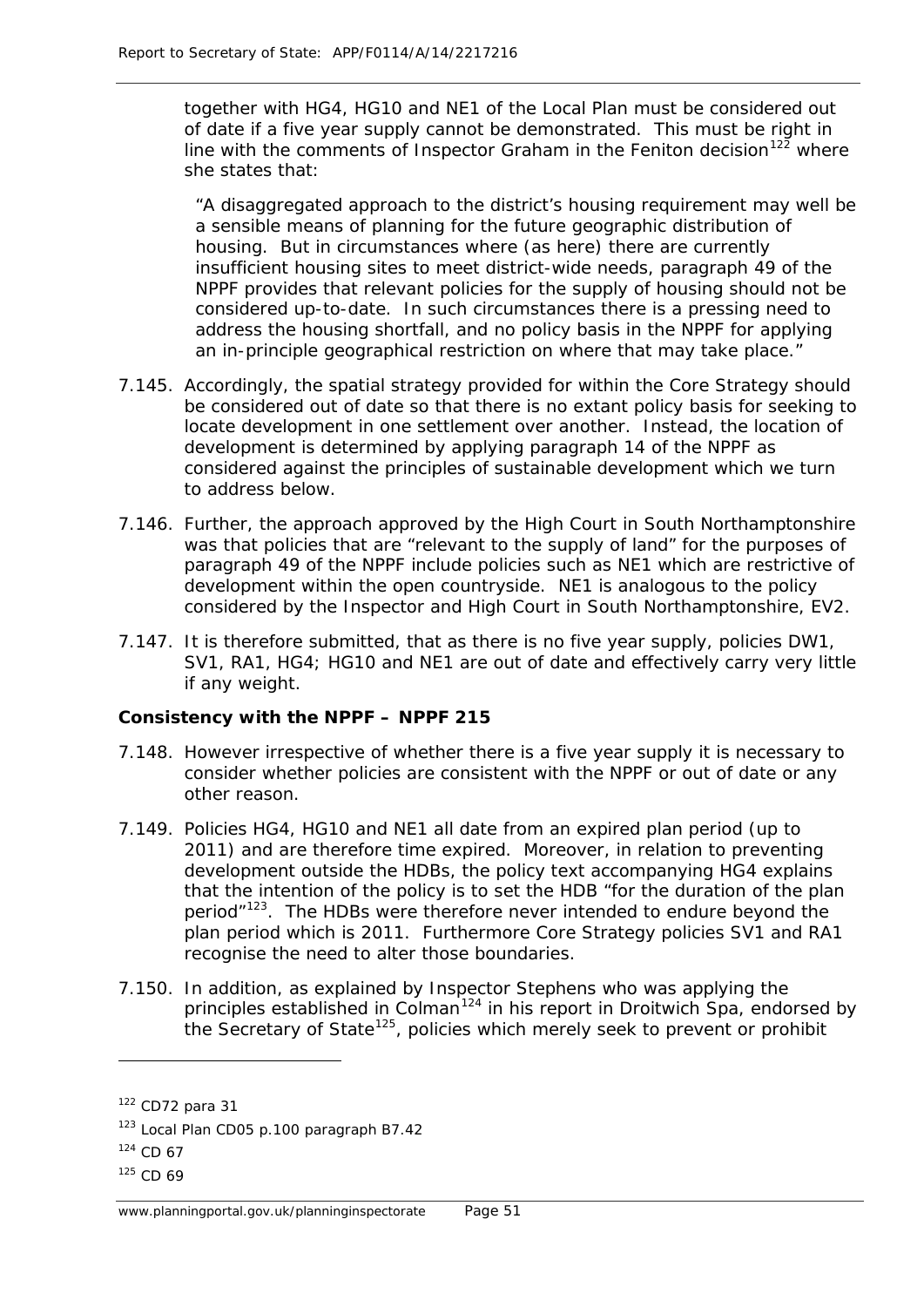together with HG4, HG10 and NE1 of the Local Plan must be considered out of date if a five year supply cannot be demonstrated. This must be right in line with the comments of Inspector Graham in the Feniton decision<sup>[122](#page-58-0)</sup> where she states that:

*"A disaggregated approach to the district's housing requirement may well be a sensible means of planning for the future geographic distribution of housing. But in circumstances where (as here) there are currently insufficient housing sites to meet district-wide needs, paragraph 49 of the NPPF provides that relevant policies for the supply of housing should not be considered up-to-date. In such circumstances there is a pressing need to address the housing shortfall, and no policy basis in the NPPF for applying an in-principle geographical restriction on where that may take place."*

- 7.145. Accordingly, the spatial strategy provided for within the Core Strategy should be considered out of date so that there is no extant policy basis for seeking to locate development in one settlement over another. Instead, the location of development is determined by applying paragraph 14 of the NPPF as considered against the principles of sustainable development which we turn to address below.
- 7.146. Further, the approach approved by the High Court in South Northamptonshire was that policies that are "relevant to the supply of land" for the purposes of paragraph 49 of the NPPF include policies such as NE1 which are restrictive of development within the open countryside. NE1 is analogous to the policy considered by the Inspector and High Court in South Northamptonshire, EV2.
- 7.147. It is therefore submitted, that as there is no five year supply, policies DW1, SV1, RA1, HG4; HG10 and NE1 are out of date and effectively carry very little if any weight.

### **Consistency with the NPPF – NPPF 215**

- 7.148. However irrespective of whether there is a five year supply it is necessary to consider whether policies are consistent with the NPPF or out of date or any other reason.
- 7.149. Policies HG4, HG10 and NE1 all date from an expired plan period (up to 2011) and are therefore time expired. Moreover, in relation to preventing development outside the HDBs, the policy text accompanying HG4 explains that the intention of the policy is to set the HDB "for the duration of the plan period"<sup>[123](#page-58-1)</sup>. The HDBs were therefore never intended to endure beyond the plan period which is 2011. Furthermore Core Strategy policies SV1 and RA1 recognise the need to alter those boundaries.
- 7.150. In addition, as explained by Inspector Stephens who was applying the principles established in Colman<sup>[124](#page-58-2)</sup> in his report in Droitwich Spa, endorsed by the Secretary of State<sup>[125](#page-58-3)</sup>, policies which merely seek to prevent or prohibit

<span id="page-58-0"></span><sup>122</sup> CD72 para 31

<span id="page-58-1"></span><sup>123</sup> Local Plan CD05 p.100 paragraph B7.42

<span id="page-58-2"></span><sup>124</sup> CD 67

<span id="page-58-3"></span><sup>125</sup> CD 69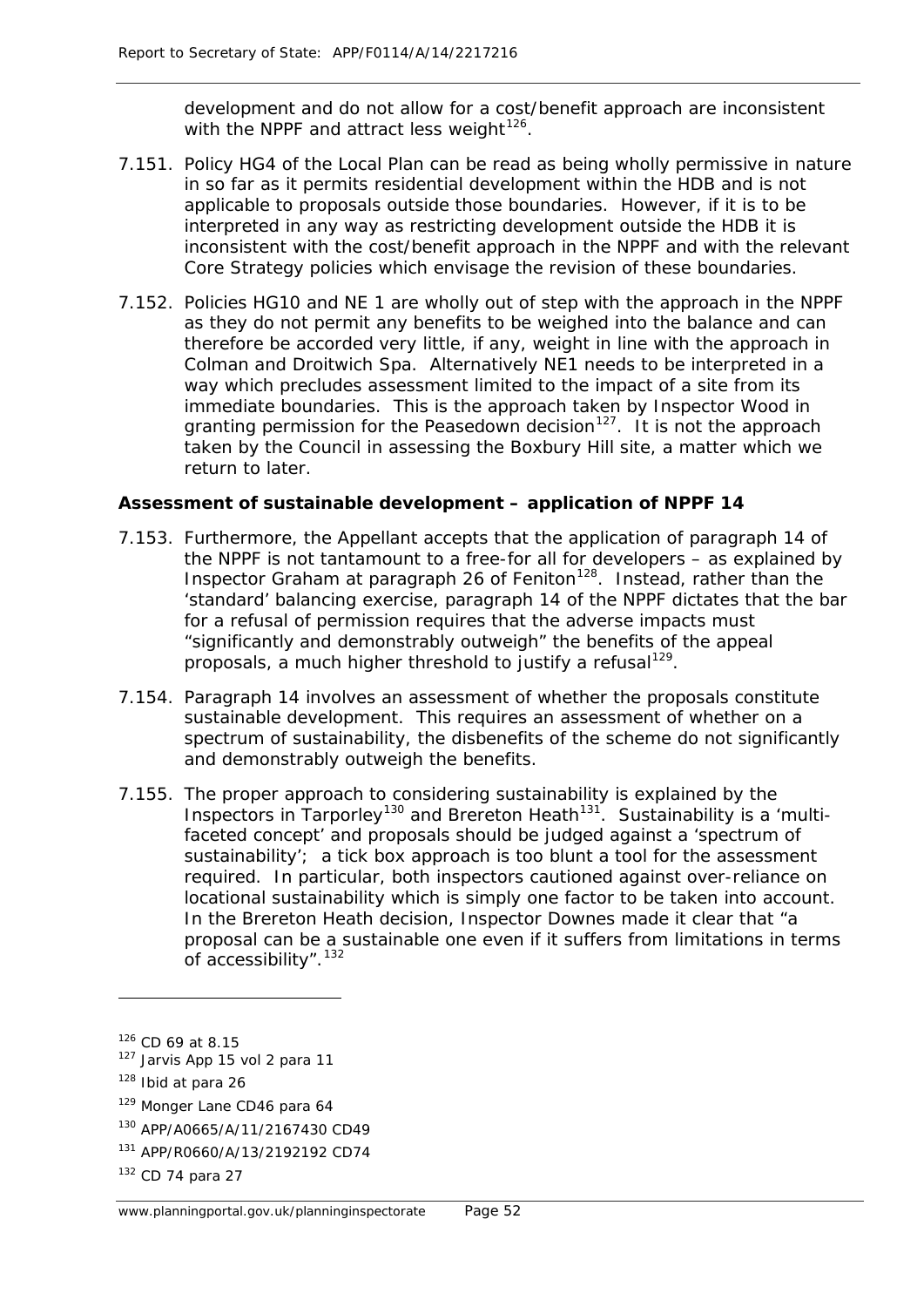development and do not allow for a cost/benefit approach are inconsistent with the NPPF and attract less weight $126$ .

- 7.151. Policy HG4 of the Local Plan can be read as being wholly permissive in nature in so far as it permits residential development within the HDB and is not applicable to proposals outside those boundaries. However, if it is to be interpreted in any way as restricting development outside the HDB it is inconsistent with the cost/benefit approach in the NPPF and with the relevant Core Strategy policies which envisage the revision of these boundaries.
- 7.152. Policies HG10 and NE 1 are wholly out of step with the approach in the NPPF as they do not permit any benefits to be weighed into the balance and can therefore be accorded very little, if any, weight in line with the approach in Colman and Droitwich Spa. Alternatively NE1 needs to be interpreted in a way which precludes assessment limited to the impact of a site from its immediate boundaries. This is the approach taken by Inspector Wood in granting permission for the Peasedown decision<sup>[127](#page-59-1)</sup>. It is not the approach taken by the Council in assessing the Boxbury Hill site, a matter which we return to later.

# **Assessment of sustainable development – application of NPPF 14**

- 7.153. Furthermore, the Appellant accepts that the application of paragraph 14 of the NPPF is not tantamount to a free-for all for developers – as explained by Inspector Graham at paragraph 26 of Feniton<sup>[128](#page-59-2)</sup>. Instead, rather than the 'standard' balancing exercise, paragraph 14 of the NPPF dictates that the bar for a refusal of permission requires that the adverse impacts must "significantly and demonstrably outweigh" the benefits of the appeal proposals, a much higher threshold to justify a refusal<sup>129</sup>.
- 7.154. Paragraph 14 involves an assessment of whether the proposals constitute sustainable development. This requires an assessment of whether on a spectrum of sustainability, the disbenefits of the scheme do not significantly and demonstrably outweigh the benefits.
- 7.155. The proper approach to considering sustainability is explained by the Inspectors in Tarporley<sup>[130](#page-59-4)</sup> and Brereton Heath<sup>[131](#page-59-5)</sup>. Sustainability is a 'multifaceted concept' and proposals should be judged against a 'spectrum of sustainability'; a tick box approach is too blunt a tool for the assessment required. In particular, both inspectors cautioned against over-reliance on locational sustainability which is simply one factor to be taken into account. In the Brereton Heath decision, Inspector Downes made it clear that *"a proposal can be a sustainable one even if it suffers from limitations in terms of accessibility".* [132](#page-59-6)

<span id="page-59-0"></span><sup>&</sup>lt;sup>126</sup> CD 69 at 8.15

<span id="page-59-1"></span><sup>127</sup> Jarvis App 15 vol 2 para 11

<span id="page-59-2"></span> $128$  Ibid at para 26

<span id="page-59-3"></span><sup>129</sup> Monger Lane CD46 para 64

<span id="page-59-4"></span><sup>130</sup> APP/A0665/A/11/2167430 CD49

<span id="page-59-5"></span><sup>131</sup> APP/R0660/A/13/2192192 CD74

<span id="page-59-6"></span><sup>132</sup> CD 74 para 27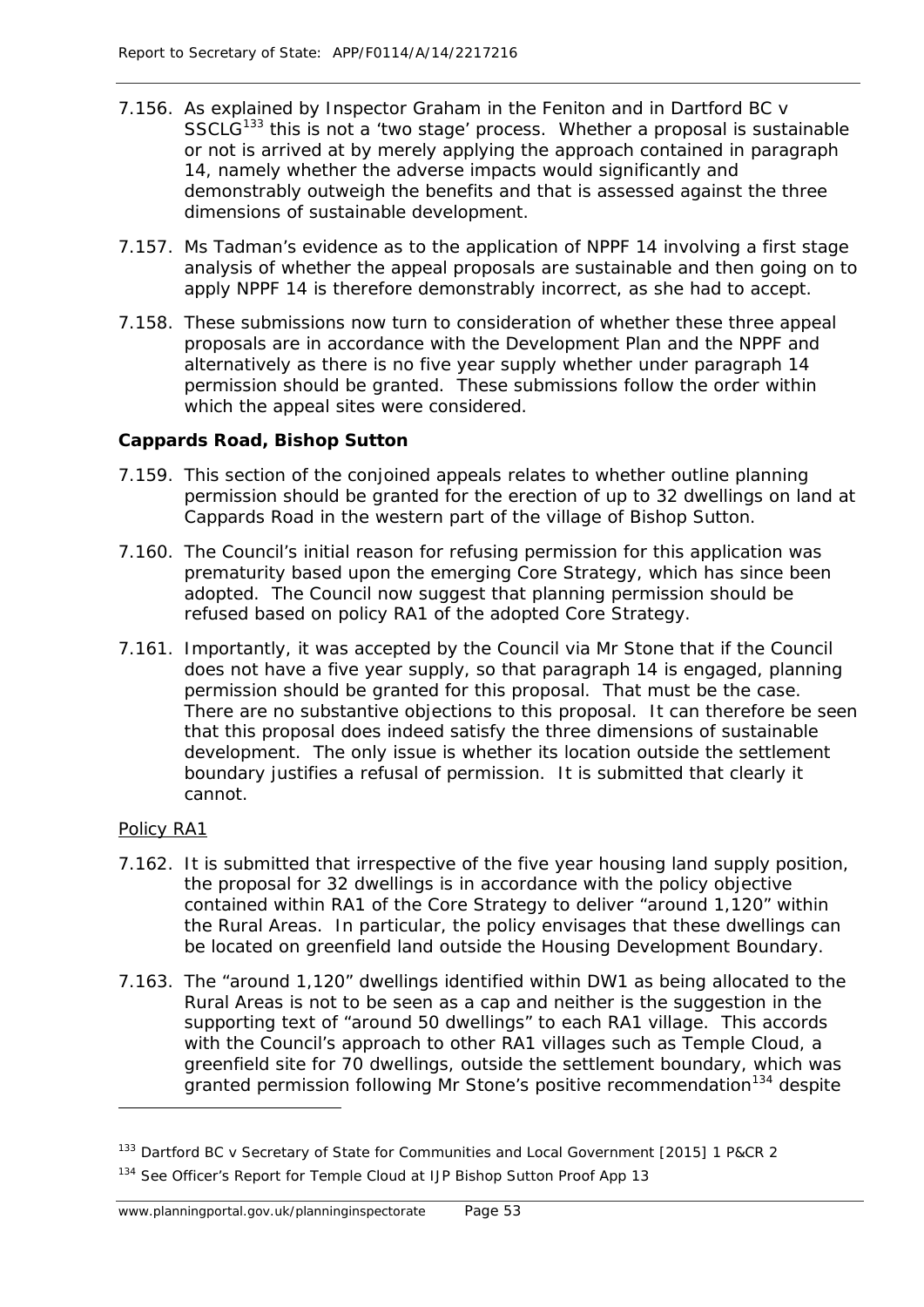- 7.156. As explained by Inspector Graham in the Feniton and in Dartford BC v SSCLG<sup>[133](#page-60-0)</sup> this is not a 'two stage' process. Whether a proposal is sustainable or not is arrived at by merely applying the approach contained in paragraph 14, namely whether the adverse impacts would significantly and demonstrably outweigh the benefits and that is assessed against the three dimensions of sustainable development.
- 7.157. Ms Tadman's evidence as to the application of NPPF 14 involving a first stage analysis of whether the appeal proposals are sustainable and then going on to apply NPPF 14 is therefore demonstrably incorrect, as she had to accept.
- 7.158. These submissions now turn to consideration of whether these three appeal proposals are in accordance with the Development Plan and the NPPF and alternatively as there is no five year supply whether under paragraph 14 permission should be granted. These submissions follow the order within which the appeal sites were considered.

# **Cappards Road, Bishop Sutton**

- 7.159. This section of the conjoined appeals relates to whether outline planning permission should be granted for the erection of up to 32 dwellings on land at Cappards Road in the western part of the village of Bishop Sutton.
- 7.160. The Council's initial reason for refusing permission for this application was prematurity based upon the emerging Core Strategy, which has since been adopted. The Council now suggest that planning permission should be refused based on policy RA1 of the adopted Core Strategy.
- 7.161. Importantly, it was accepted by the Council via Mr Stone that if the Council does not have a five year supply, so that paragraph 14 is engaged, planning permission should be granted for this proposal. That must be the case. There are no substantive objections to this proposal. It can therefore be seen that this proposal does indeed satisfy the three dimensions of sustainable development. The only issue is whether its location outside the settlement boundary justifies a refusal of permission. It is submitted that clearly it cannot.

### Policy RA1

- 7.162. It is submitted that irrespective of the five year housing land supply position, the proposal for 32 dwellings is in accordance with the policy objective contained within RA1 of the Core Strategy to deliver "around 1,120" within the Rural Areas. In particular, the policy envisages that these dwellings can be located on greenfield land outside the Housing Development Boundary.
- 7.163. The "around 1,120" dwellings identified within DW1 as being allocated to the Rural Areas is not to be seen as a cap and neither is the suggestion in the supporting text of "around 50 dwellings" to each RA1 village. This accords with the Council's approach to other RA1 villages such as Temple Cloud, a greenfield site for 70 dwellings, outside the settlement boundary, which was granted permission following Mr Stone's positive recommendation<sup>[134](#page-60-1)</sup> despite

<span id="page-60-0"></span><sup>&</sup>lt;sup>133</sup> Dartford BC v Secretary of State for Communities and Local Government [2015] 1 P&CR 2

<span id="page-60-1"></span><sup>134</sup> See Officer's Report for Temple Cloud at IJP Bishop Sutton Proof App 13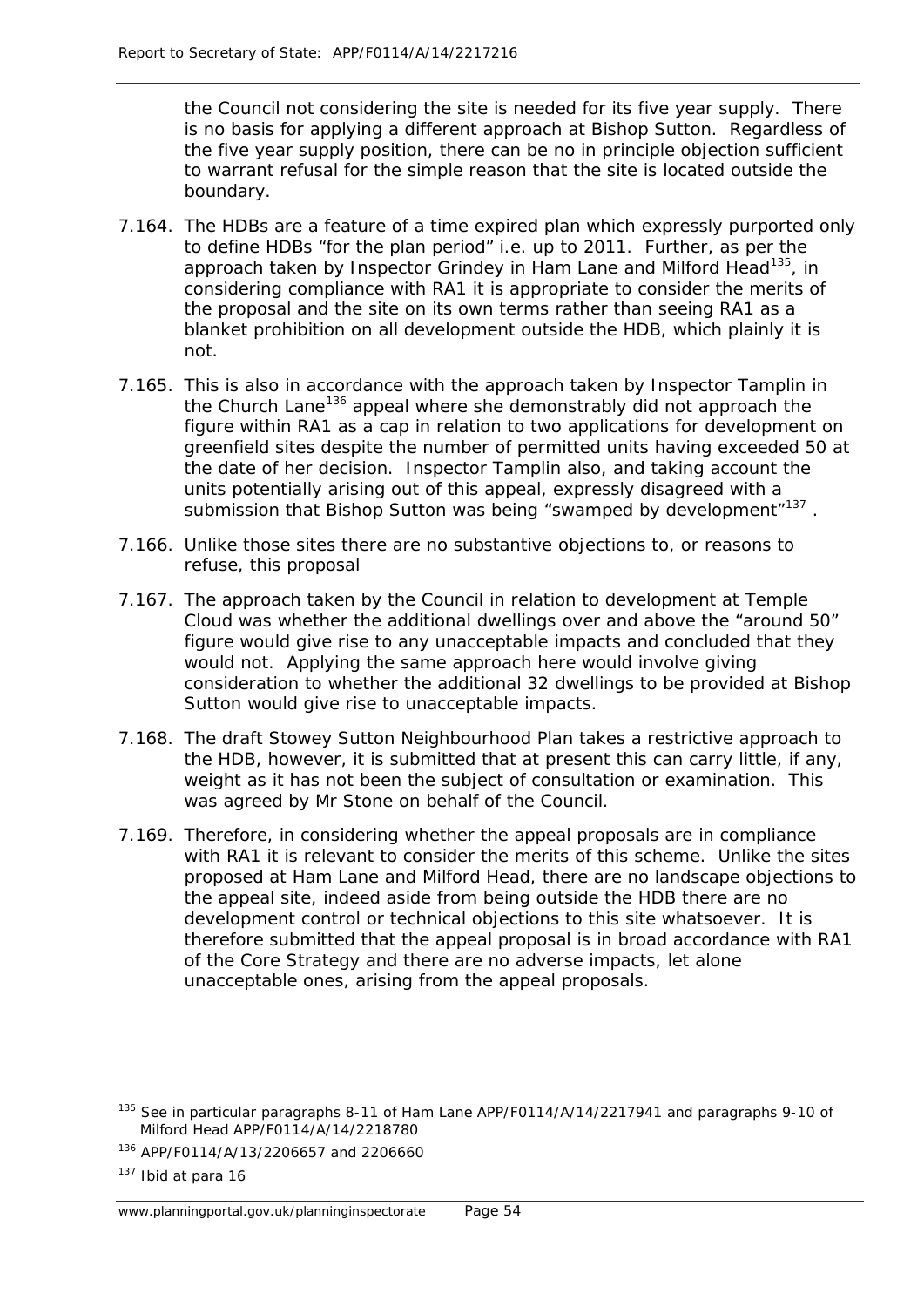the Council not considering the site is needed for its five year supply. There is no basis for applying a different approach at Bishop Sutton. Regardless of the five year supply position, there can be no in principle objection sufficient to warrant refusal for the simple reason that the site is located outside the boundary.

- 7.164. The HDBs are a feature of a time expired plan which expressly purported only to define HDBs "for the plan period" i.e. up to 2011. Further, as *per* the approach taken by Inspector Grindey in Ham Lane and Milford Head<sup>135</sup>, in considering compliance with RA1 it is appropriate to consider the merits of the proposal and the site on its own terms rather than seeing RA1 as a blanket prohibition on all development outside the HDB, which plainly it is not.
- 7.165. This is also in accordance with the approach taken by Inspector Tamplin in the Church Lane[136](#page-61-1) appeal where she demonstrably did not approach the figure within RA1 as a cap in relation to two applications for development on greenfield sites despite the number of permitted units having exceeded 50 at the date of her decision. Inspector Tamplin also, and taking account the units potentially arising out of this appeal, expressly disagreed with a submission that Bishop Sutton was being "swamped by development"<sup>[137](#page-61-2)</sup>.
- 7.166. Unlike those sites there are no substantive objections to, or reasons to refuse, this proposal
- 7.167. The approach taken by the Council in relation to development at Temple Cloud was whether the additional dwellings over and above the "around 50" figure would give rise to any unacceptable impacts and concluded that they would not. Applying the same approach here would involve giving consideration to whether the additional 32 dwellings to be provided at Bishop Sutton would give rise to unacceptable impacts.
- 7.168. The draft Stowey Sutton Neighbourhood Plan takes a restrictive approach to the HDB, however, it is submitted that at present this can carry little, if any, weight as it has not been the subject of consultation or examination. This was agreed by Mr Stone on behalf of the Council.
- 7.169. Therefore, in considering whether the appeal proposals are in compliance with RA1 it is relevant to consider the merits of this scheme. Unlike the sites proposed at Ham Lane and Milford Head, there are no landscape objections to the appeal site, indeed aside from being outside the HDB there are no development control or technical objections to this site whatsoever. It is therefore submitted that the appeal proposal is in broad accordance with RA1 of the Core Strategy and there are no adverse impacts, let alone unacceptable ones, arising from the appeal proposals.

<span id="page-61-0"></span><sup>&</sup>lt;sup>135</sup> See in particular paragraphs 8-11 of Ham Lane APP/F0114/A/14/2217941 and paragraphs 9-10 of Milford Head APP/F0114/A/14/2218780

<span id="page-61-1"></span><sup>136</sup> APP/F0114/A/13/2206657 and 2206660

<span id="page-61-2"></span><sup>137</sup> Ibid at para 16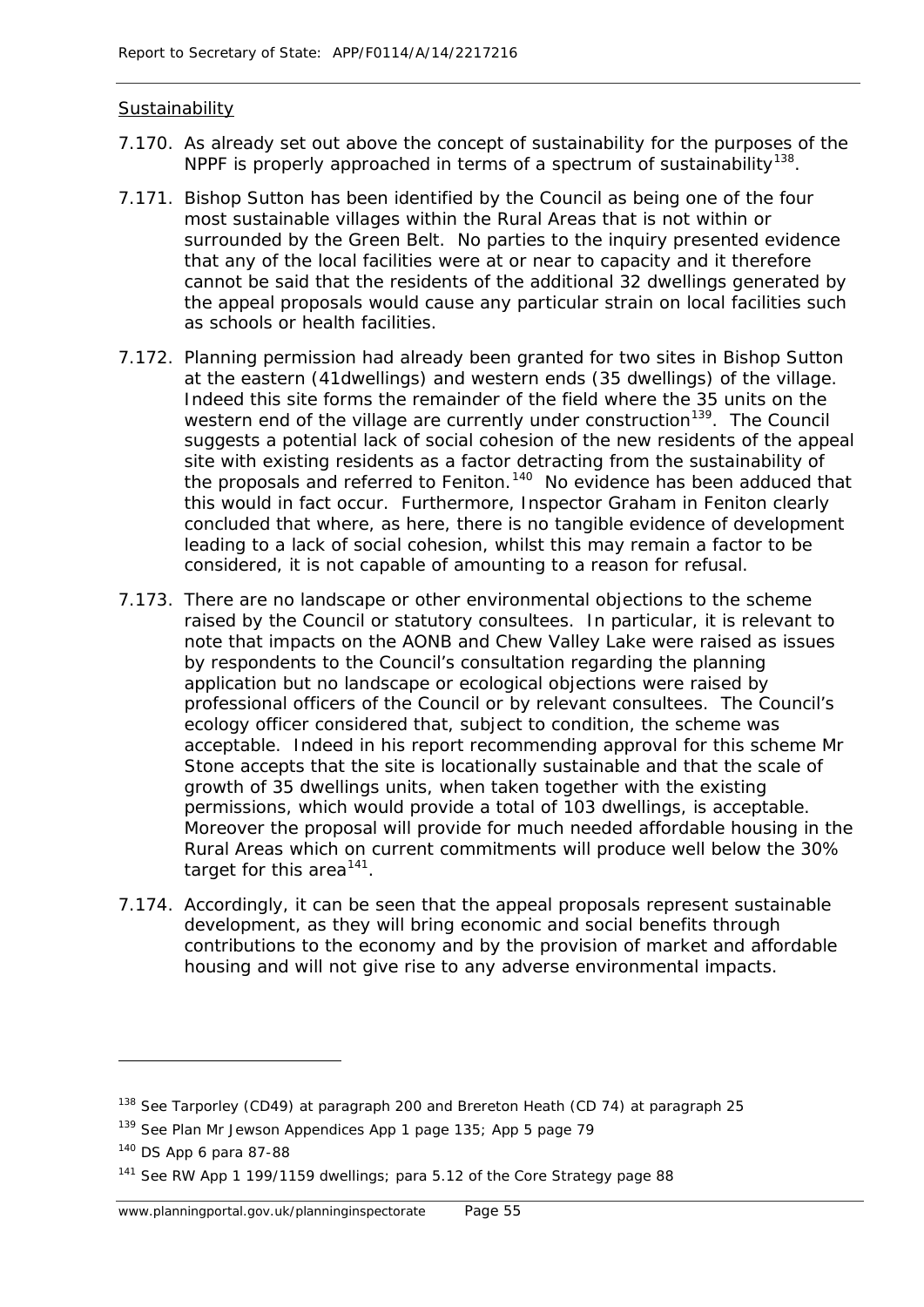#### **Sustainability**

- 7.170. As already set out above the concept of sustainability for the purposes of the NPPF is properly approached in terms of a spectrum of sustainability<sup>[138](#page-62-0)</sup>.
- 7.171. Bishop Sutton has been identified by the Council as being one of the four most sustainable villages within the Rural Areas that is not within or surrounded by the Green Belt. No parties to the inquiry presented evidence that any of the local facilities were at or near to capacity and it therefore cannot be said that the residents of the additional 32 dwellings generated by the appeal proposals would cause any particular strain on local facilities such as schools or health facilities.
- 7.172. Planning permission had already been granted for two sites in Bishop Sutton at the eastern (41dwellings) and western ends (35 dwellings) of the village. Indeed this site forms the remainder of the field where the 35 units on the western end of the village are currently under construction<sup>139</sup>. The Council suggests a potential lack of social cohesion of the new residents of the appeal site with existing residents as a factor detracting from the sustainability of the proposals and referred to Feniton.<sup>[140](#page-62-2)</sup> No evidence has been adduced that this would in fact occur. Furthermore, Inspector Graham in Feniton clearly concluded that where, as here, there is no tangible evidence of development leading to a lack of social cohesion, whilst this may remain a factor to be considered, it is not capable of amounting to a reason for refusal.
- 7.173. There are no landscape or other environmental objections to the scheme raised by the Council or statutory consultees. In particular, it is relevant to note that impacts on the AONB and Chew Valley Lake were raised as issues by respondents to the Council's consultation regarding the planning application but no landscape or ecological objections were raised by professional officers of the Council or by relevant consultees. The Council's ecology officer considered that, subject to condition, the scheme was acceptable. Indeed in his report recommending approval for this scheme Mr Stone accepts that the site is locationally sustainable and that the scale of growth of 35 dwellings units, when taken together with the existing permissions, which would provide a total of 103 dwellings, is acceptable. Moreover the proposal will provide for much needed affordable housing in the Rural Areas which on current commitments will produce well below the 30% target for this area $141$ .
- 7.174. Accordingly, it can be seen that the appeal proposals represent sustainable development, as they will bring economic and social benefits through contributions to the economy and by the provision of market and affordable housing and will not give rise to any adverse environmental impacts.

<span id="page-62-0"></span><sup>&</sup>lt;sup>138</sup> See Tarporley (CD49) at paragraph 200 and Brereton Heath (CD 74) at paragraph 25

<span id="page-62-1"></span><sup>&</sup>lt;sup>139</sup> See Plan Mr Jewson Appendices App 1 page 135; App 5 page 79

<span id="page-62-2"></span><sup>140</sup> DS App 6 para 87-88

<span id="page-62-3"></span><sup>&</sup>lt;sup>141</sup> See RW App 1 199/1159 dwellings; para 5.12 of the Core Strategy page 88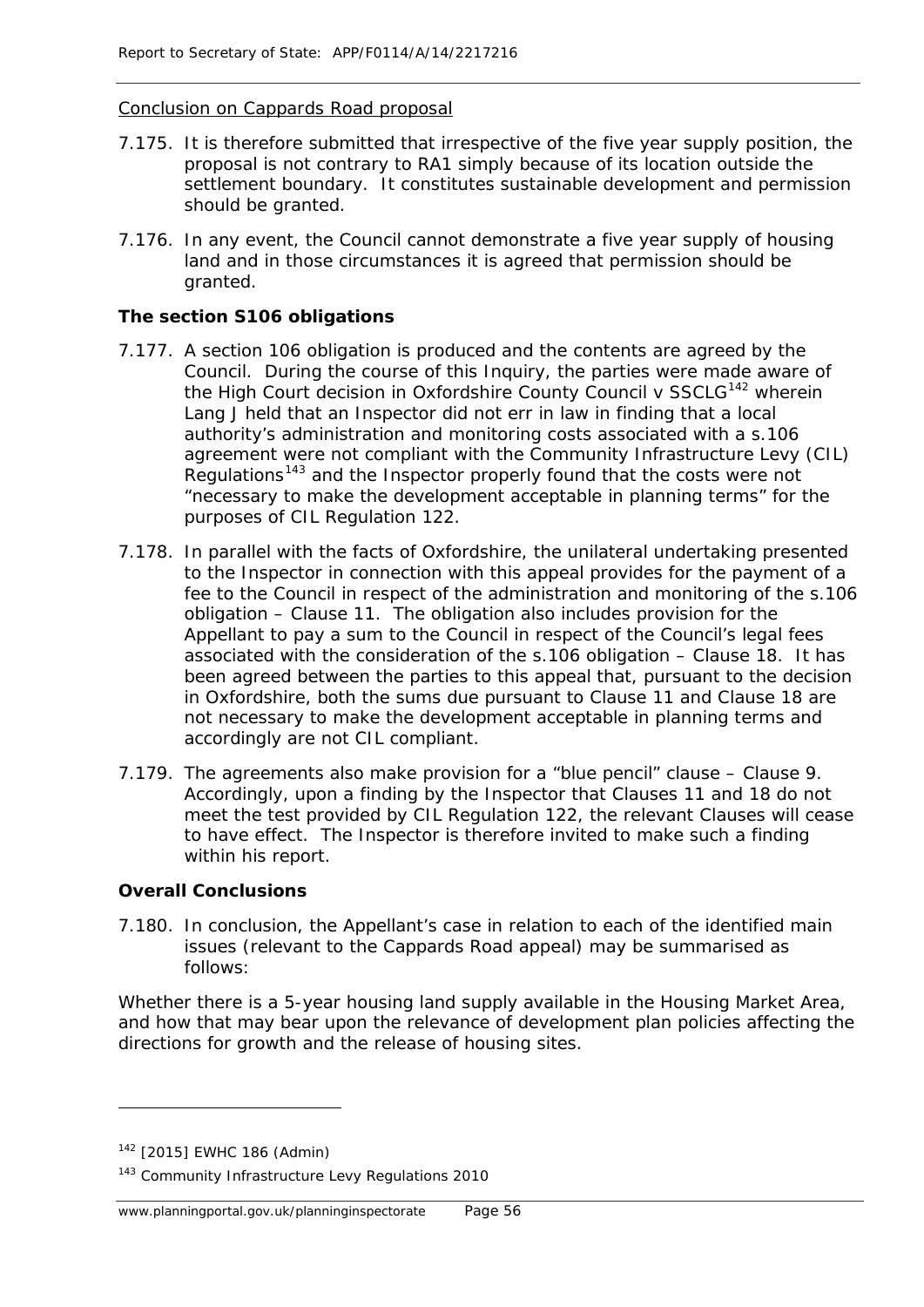#### Conclusion on Cappards Road proposal

- 7.175. It is therefore submitted that irrespective of the five year supply position, the proposal is not contrary to RA1 simply because of its location outside the settlement boundary. It constitutes sustainable development and permission should be granted.
- 7.176. In any event, the Council cannot demonstrate a five year supply of housing land and in those circumstances it is agreed that permission should be granted.

## **The section S106 obligations**

- 7.177. A section 106 obligation is produced and the contents are agreed by the Council. During the course of this Inquiry, the parties were made aware of the High Court decision in Oxfordshire County Council v SSCLG<sup>[142](#page-63-0)</sup> wherein Lang J held that an Inspector did not err in law in finding that a local authority's administration and monitoring costs associated with a s.106 agreement were not compliant with the Community Infrastructure Levy (CIL) Regulations<sup>[143](#page-63-1)</sup> and the Inspector properly found that the costs were not "necessary to make the development acceptable in planning terms" for the purposes of CIL Regulation 122.
- 7.178. In parallel with the facts of Oxfordshire, the unilateral undertaking presented to the Inspector in connection with this appeal provides for the payment of a fee to the Council in respect of the administration and monitoring of the s.106 obligation – Clause 11. The obligation also includes provision for the Appellant to pay a sum to the Council in respect of the Council's legal fees associated with the consideration of the s.106 obligation – Clause 18. It has been agreed between the parties to this appeal that, pursuant to the decision in Oxfordshire, both the sums due pursuant to Clause 11 and Clause 18 are not necessary to make the development acceptable in planning terms and accordingly are not CIL compliant.
- 7.179. The agreements also make provision for a "blue pencil" clause Clause 9. Accordingly, upon a finding by the Inspector that Clauses 11 and 18 do not meet the test provided by CIL Regulation 122, the relevant Clauses will cease to have effect. The Inspector is therefore invited to make such a finding within his report.

### **Overall Conclusions**

7.180. In conclusion, the Appellant's case in relation to each of the identified main issues (relevant to the Cappards Road appeal) may be summarised as follows:

*Whether there is a 5-year housing land supply available in the Housing Market Area, and how that may bear upon the relevance of development plan policies affecting the directions for growth and the release of housing sites.*

<span id="page-63-0"></span><sup>142</sup> [2015] EWHC 186 (Admin)

<span id="page-63-1"></span><sup>143</sup> Community Infrastructure Levy Regulations 2010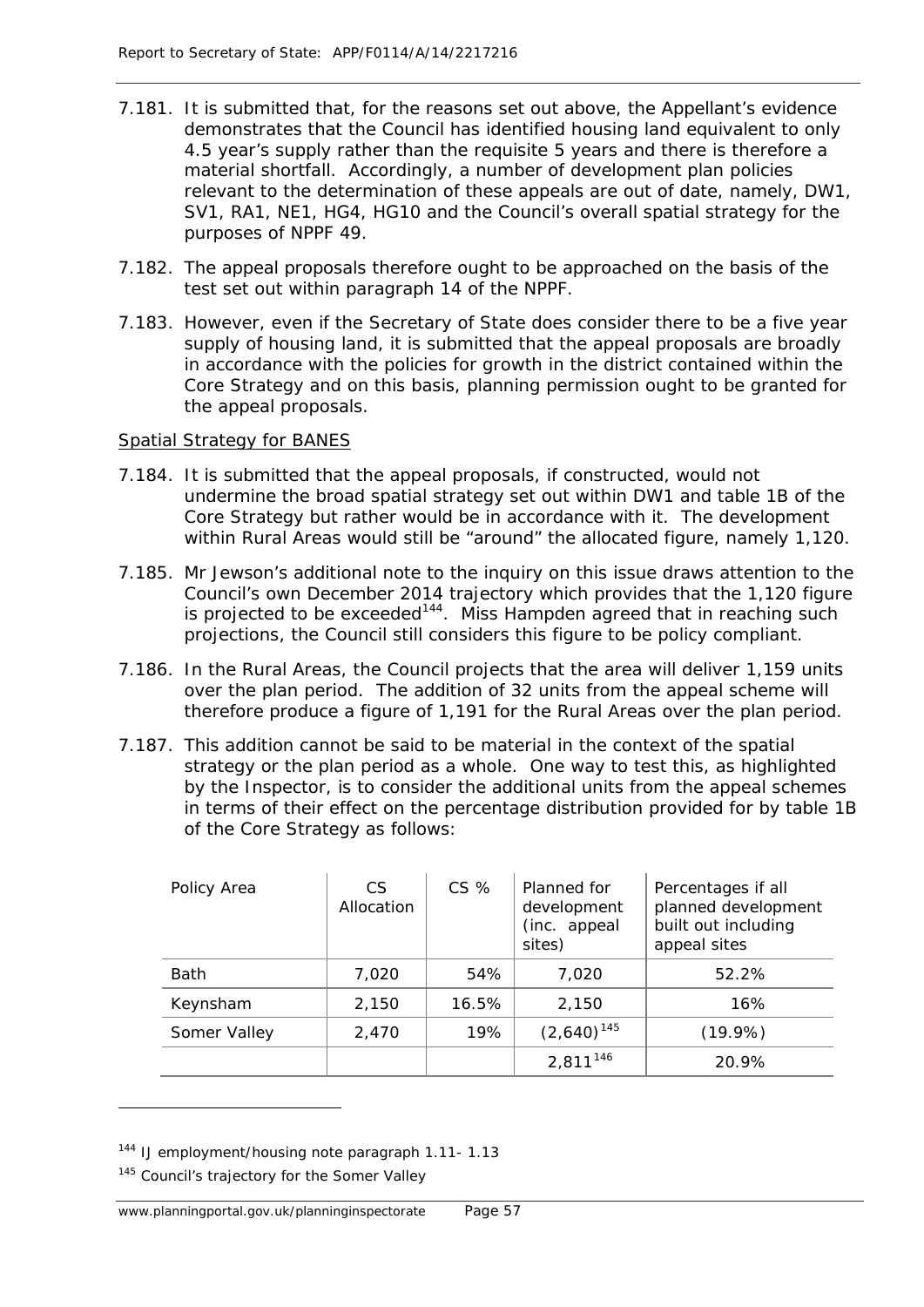- 7.181. It is submitted that, for the reasons set out above, the Appellant's evidence demonstrates that the Council has identified housing land equivalent to only 4.5 year's supply rather than the requisite 5 years and there is therefore a material shortfall. Accordingly, a number of development plan policies relevant to the determination of these appeals are out of date, namely, DW1, SV1, RA1, NE1, HG4, HG10 and the Council's overall spatial strategy for the purposes of NPPF 49.
- 7.182. The appeal proposals therefore ought to be approached on the basis of the test set out within paragraph 14 of the NPPF.
- 7.183. However, even if the Secretary of State does consider there to be a five year supply of housing land, it is submitted that the appeal proposals are broadly in accordance with the policies for growth in the district contained within the Core Strategy and on this basis, planning permission ought to be granted for the appeal proposals.

# Spatial Strategy for BANES

- 7.184. It is submitted that the appeal proposals, if constructed, would not undermine the broad spatial strategy set out within DW1 and table 1B of the Core Strategy but rather would be in accordance with it. The development within Rural Areas would still be "around" the allocated figure, namely 1,120.
- 7.185. Mr Jewson's additional note to the inquiry on this issue draws attention to the Council's own December 2014 trajectory which provides that the 1,120 figure is projected to be exceeded<sup>[144](#page-64-0)</sup>. Miss Hampden agreed that in reaching such projections, the Council still considers this figure to be policy compliant.
- 7.186. In the Rural Areas, the Council projects that the area will deliver 1,159 units over the plan period. The addition of 32 units from the appeal scheme will therefore produce a figure of 1,191 for the Rural Areas over the plan period.
- 7.187. This addition cannot be said to be material in the context of the spatial strategy or the plan period as a whole. One way to test this, as highlighted by the Inspector, is to consider the additional units from the appeal schemes in terms of their effect on the percentage distribution provided for by table 1B of the Core Strategy as follows:

| Policy Area  | C.S<br>Allocation | $CS\%$ | Planned for<br>development<br>(inc. appeal<br>sites) | Percentages if all<br>planned development<br>built out including<br>appeal sites |
|--------------|-------------------|--------|------------------------------------------------------|----------------------------------------------------------------------------------|
| <b>Bath</b>  | 7.020             | 54%    | 7.020                                                | 52.2%                                                                            |
| Keynsham     | 2,150             | 16.5%  | 2.150                                                | 16%                                                                              |
| Somer Valley | 2,470             | 19%    | $(2,640)^{145}$                                      | $(19.9\%)$                                                                       |
|              |                   |        | $2,811^{146}$                                        | 20.9%                                                                            |

<span id="page-64-2"></span><span id="page-64-0"></span><sup>144</sup> IJ employment/housing note paragraph 1.11- 1.13

<span id="page-64-1"></span><sup>145</sup> Council's trajectory for the Somer Valley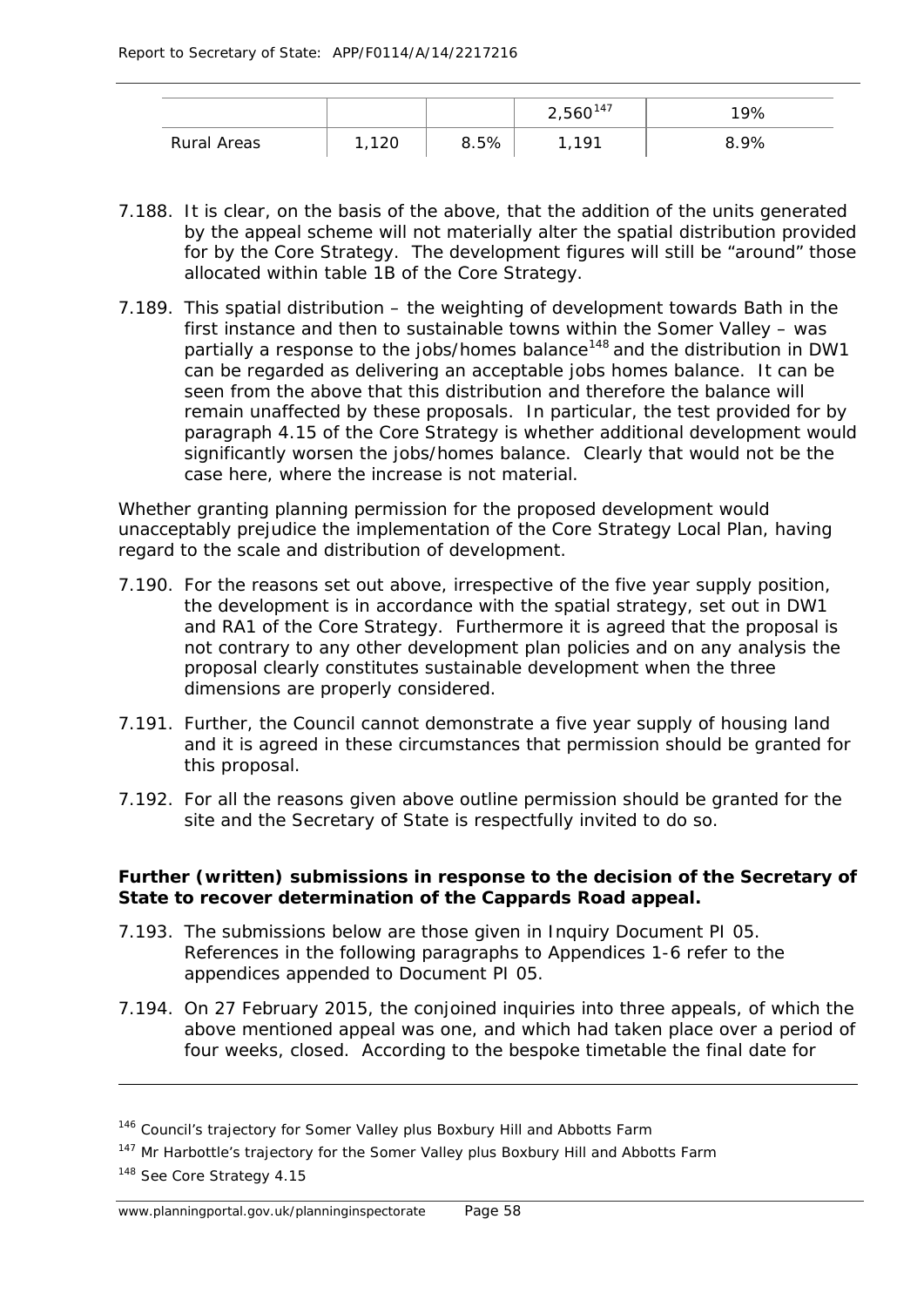|             |     |      | $2,560^{147}$ | 19%  |
|-------------|-----|------|---------------|------|
| Rural Areas | 120 | 8.5% | 191           | 8.9% |

- 7.188. It is clear, on the basis of the above, that the addition of the units generated by the appeal scheme will not materially alter the spatial distribution provided for by the Core Strategy. The development figures will still be "around" those allocated within table 1B of the Core Strategy.
- 7.189. This spatial distribution the weighting of development towards Bath in the first instance and then to sustainable towns within the Somer Valley – was partially a response to the jobs/homes balance<sup>[148](#page-65-1)</sup> and the distribution in DW1 can be regarded as delivering an acceptable jobs homes balance. It can be seen from the above that this distribution and therefore the balance will remain unaffected by these proposals. In particular, the test provided for by paragraph 4.15 of the Core Strategy is whether additional development would significantly worsen the jobs/homes balance. Clearly that would not be the case here, where the increase is not material.

*Whether granting planning permission for the proposed development would unacceptably prejudice the implementation of the Core Strategy Local Plan, having regard to the scale and distribution of development.*

- 7.190. For the reasons set out above, irrespective of the five year supply position, the development is in accordance with the spatial strategy, set out in DW1 and RA1 of the Core Strategy. Furthermore it is agreed that the proposal is not contrary to any other development plan policies and on any analysis the proposal clearly constitutes sustainable development when the three dimensions are properly considered.
- 7.191. Further, the Council cannot demonstrate a five year supply of housing land and it is agreed in these circumstances that permission should be granted for this proposal.
- 7.192. For all the reasons given above outline permission should be granted for the site and the Secretary of State is respectfully invited to do so.

### **Further (written) submissions in response to the decision of the Secretary of State to recover determination of the Cappards Road appeal.**

- 7.193. The submissions below are those given in Inquiry Document PI 05. References in the following paragraphs to Appendices 1-6 refer to the appendices appended to Document PI 05.
- 7.194. On 27 February 2015, the conjoined inquiries into three appeals, of which the above mentioned appeal was one, and which had taken place over a period of four weeks, closed. According to the bespoke timetable the final date for

<sup>146</sup> Council's trajectory for Somer Valley plus Boxbury Hill and Abbotts Farm

<span id="page-65-0"></span><sup>&</sup>lt;sup>147</sup> Mr Harbottle's trajectory for the Somer Valley plus Boxbury Hill and Abbotts Farm

<span id="page-65-1"></span><sup>&</sup>lt;sup>148</sup> See Core Strategy 4.15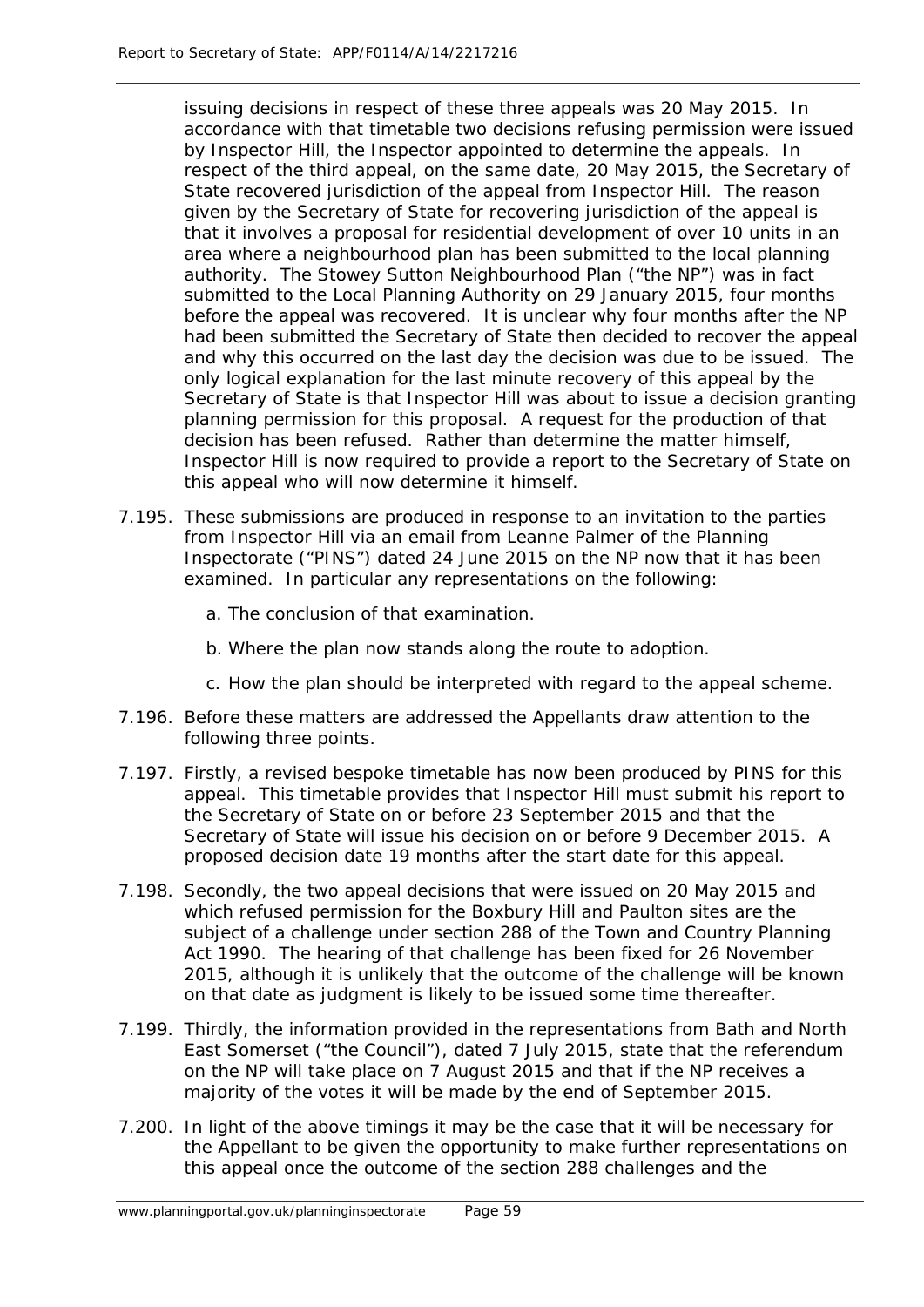issuing decisions in respect of these three appeals was 20 May 2015. In accordance with that timetable two decisions refusing permission were issued by Inspector Hill, the Inspector appointed to determine the appeals. In respect of the third appeal, on the same date, 20 May 2015, the Secretary of State recovered jurisdiction of the appeal from Inspector Hill. The reason given by the Secretary of State for recovering jurisdiction of the appeal is that it involves a proposal for residential development of over 10 units in an area where a neighbourhood plan has been submitted to the local planning authority. The Stowey Sutton Neighbourhood Plan ("the NP") was in fact submitted to the Local Planning Authority on 29 January 2015, four months before the appeal was recovered. It is unclear why four months after the NP had been submitted the Secretary of State then decided to recover the appeal and why this occurred on the last day the decision was due to be issued. The only logical explanation for the last minute recovery of this appeal by the Secretary of State is that Inspector Hill was about to issue a decision granting planning permission for this proposal. A request for the production of that decision has been refused. Rather than determine the matter himself, Inspector Hill is now required to provide a report to the Secretary of State on this appeal who will now determine it himself.

- 7.195. These submissions are produced in response to an invitation to the parties from Inspector Hill via an email from Leanne Palmer of the Planning Inspectorate ("PINS") dated 24 June 2015 on the NP now that it has been examined. In particular any representations on the following:
	- a. The conclusion of that examination.
	- b. Where the plan now stands along the route to adoption.
	- c. How the plan should be interpreted with regard to the appeal scheme.
- 7.196. Before these matters are addressed the Appellants draw attention to the following three points.
- 7.197. Firstly, a revised bespoke timetable has now been produced by PINS for this appeal. This timetable provides that Inspector Hill must submit his report to the Secretary of State on or before 23 September 2015 and that the Secretary of State will issue his decision on or before 9 December 2015. A proposed decision date 19 months after the start date for this appeal.
- 7.198. Secondly, the two appeal decisions that were issued on 20 May 2015 and which refused permission for the Boxbury Hill and Paulton sites are the subject of a challenge under section 288 of the Town and Country Planning Act 1990. The hearing of that challenge has been fixed for 26 November 2015, although it is unlikely that the outcome of the challenge will be known on that date as judgment is likely to be issued some time thereafter.
- 7.199. Thirdly, the information provided in the representations from Bath and North East Somerset ("the Council"), dated 7 July 2015, state that the referendum on the NP will take place on 7 August 2015 and that if the NP receives a majority of the votes it will be made by the end of September 2015.
- 7.200. In light of the above timings it may be the case that it will be necessary for the Appellant to be given the opportunity to make further representations on this appeal once the outcome of the section 288 challenges and the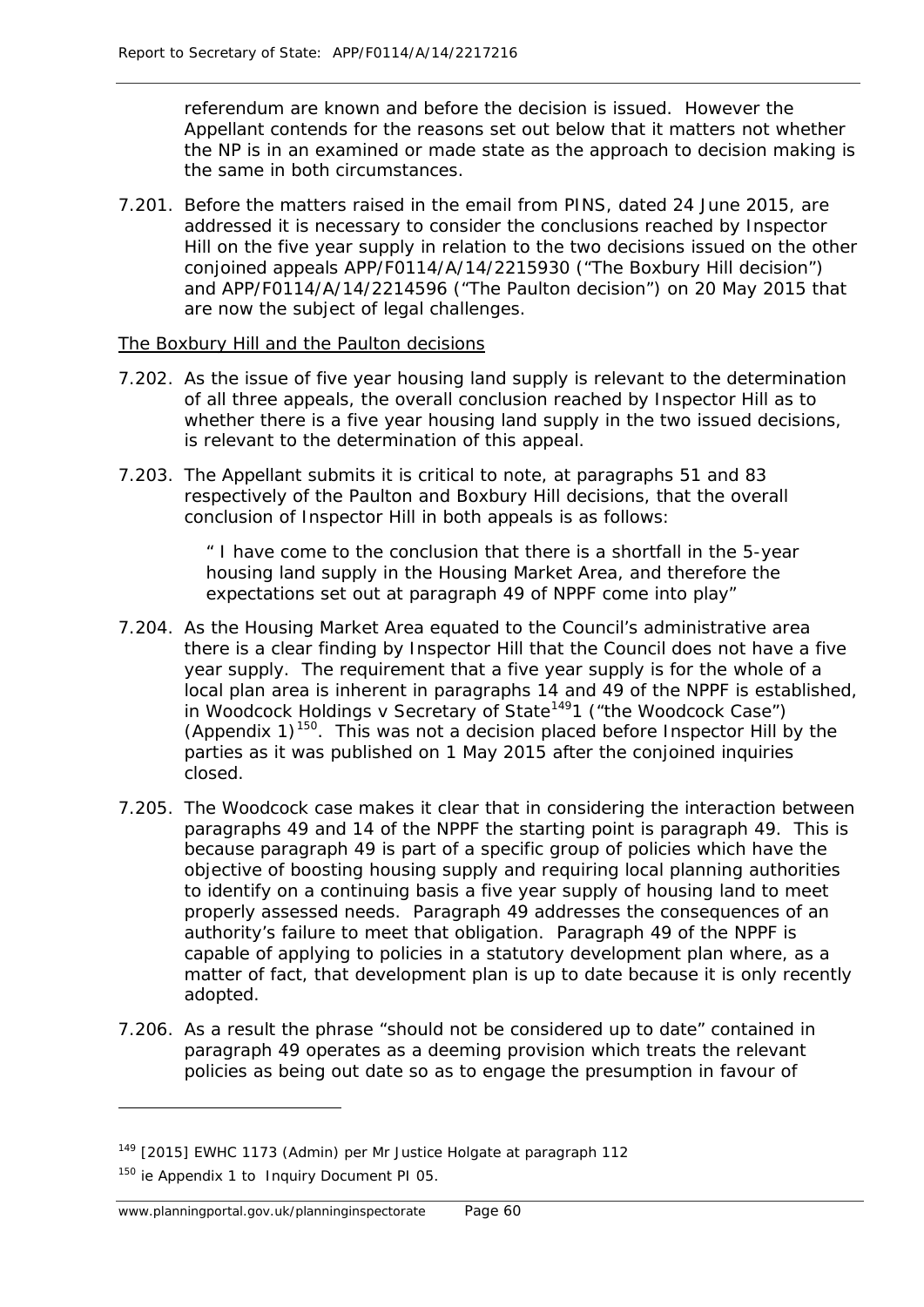referendum are known and before the decision is issued. However the Appellant contends for the reasons set out below that it matters not whether the NP is in an examined or made state as the approach to decision making is the same in both circumstances.

7.201. Before the matters raised in the email from PINS, dated 24 June 2015, are addressed it is necessary to consider the conclusions reached by Inspector Hill on the five year supply in relation to the two decisions issued on the other conjoined appeals APP/F0114/A/14/2215930 ("The Boxbury Hill decision") and APP/F0114/A/14/2214596 ("The Paulton decision") on 20 May 2015 that are now the subject of legal challenges.

#### The Boxbury Hill and the Paulton decisions

- 7.202. As the issue of five year housing land supply is relevant to the determination of all three appeals, the overall conclusion reached by Inspector Hill as to whether there is a five year housing land supply in the two issued decisions, is relevant to the determination of this appeal.
- 7.203. The Appellant submits it is critical to note, at paragraphs 51 and 83 respectively of the Paulton and Boxbury Hill decisions, that the overall conclusion of Inspector Hill in both appeals is as follows:

*" I have come to the conclusion that there is a shortfall in the 5-year housing land supply in the Housing Market Area, and therefore the expectations set out at paragraph 49 of NPPF come into play"*

- 7.204. As the Housing Market Area equated to the Council's administrative area there is a clear finding by Inspector Hill that the Council does not have a five year supply. The requirement that a five year supply is for the whole of a local plan area is inherent in paragraphs 14 and 49 of the NPPF is established, in Woodcock Holdings v Secretary of State<sup>149</sup>1 ("the Woodcock Case") (Appendix 1)<sup>150</sup>. This was not a decision placed before Inspector Hill by the parties as it was published on 1 May 2015 after the conjoined inquiries closed.
- 7.205. The Woodcock case makes it clear that in considering the interaction between paragraphs 49 and 14 of the NPPF the starting point is paragraph 49. This is because paragraph 49 is part of a specific group of policies which have the objective of boosting housing supply and requiring local planning authorities to identify on a continuing basis a five year supply of housing land to meet properly assessed needs. Paragraph 49 addresses the consequences of an authority's failure to meet that obligation. Paragraph 49 of the NPPF is capable of applying to policies in a statutory development plan where, as a matter of fact, that development plan is up to date because it is only recently adopted.
- 7.206. As a result the phrase *"should not be considered up to date"* contained in paragraph 49 operates as a deeming provision which treats the relevant policies as being out date so as to engage the presumption in favour of

<span id="page-67-0"></span><sup>149</sup> [2015] EWHC 1173 (Admin) per Mr Justice Holgate at paragraph 112

<span id="page-67-1"></span><sup>150</sup> *ie Appendix 1 to Inquiry Document PI 05.*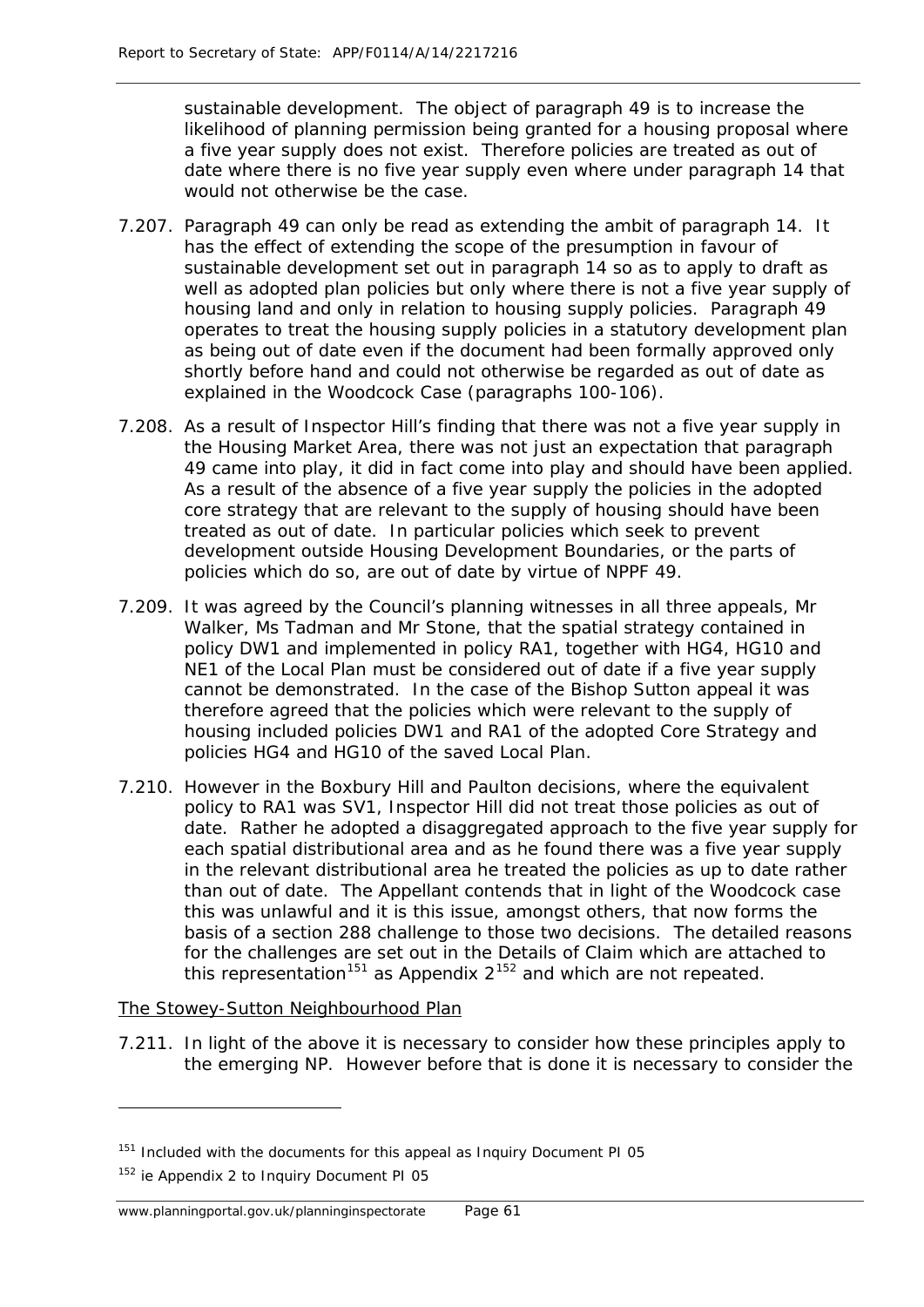sustainable development. The object of paragraph 49 is to increase the likelihood of planning permission being granted for a housing proposal where a five year supply does not exist. Therefore policies are treated as out of date where there is no five year supply even where under paragraph 14 that would not otherwise be the case.

- 7.207. Paragraph 49 can only be read as extending the ambit of paragraph 14. It has the effect of extending the scope of the presumption in favour of sustainable development set out in paragraph 14 so as to apply to draft as well as adopted plan policies but only where there is not a five year supply of housing land and only in relation to housing supply policies. Paragraph 49 operates to treat the housing supply policies in a statutory development plan as being out of date even if the document had been formally approved only shortly before hand and could not otherwise be regarded as out of date as explained in the Woodcock Case (paragraphs 100-106).
- 7.208. As a result of Inspector Hill's finding that there was not a five year supply in the Housing Market Area, there was not just an expectation that paragraph 49 came into play, it did in fact come into play and should have been applied. As a result of the absence of a five year supply the policies in the adopted core strategy that are relevant to the supply of housing should have been treated as out of date. In particular policies which seek to prevent development outside Housing Development Boundaries, or the parts of policies which do so, are out of date by virtue of NPPF 49.
- 7.209. It was agreed by the Council's planning witnesses in all three appeals, Mr Walker, Ms Tadman and Mr Stone, that the spatial strategy contained in policy DW1 and implemented in policy RA1, together with HG4, HG10 and NE1 of the Local Plan must be considered out of date if a five year supply cannot be demonstrated. In the case of the Bishop Sutton appeal it was therefore agreed that the policies which were relevant to the supply of housing included policies DW1 and RA1 of the adopted Core Strategy and policies HG4 and HG10 of the saved Local Plan.
- 7.210. However in the Boxbury Hill and Paulton decisions, where the equivalent policy to RA1 was SV1, Inspector Hill did not treat those policies as out of date. Rather he adopted a disaggregated approach to the five year supply for each spatial distributional area and as he found there was a five year supply in the relevant distributional area he treated the policies as up to date rather than out of date. The Appellant contends that in light of the Woodcock case this was unlawful and it is this issue, amongst others, that now forms the basis of a section 288 challenge to those two decisions. The detailed reasons for the challenges are set out in the Details of Claim which are attached to this representation<sup>[151](#page-68-0)</sup> as Appendix  $2^{152}$  $2^{152}$  $2^{152}$  and which are not repeated.

#### The Stowey-Sutton Neighbourhood Plan

7.211. In light of the above it is necessary to consider how these principles apply to the emerging NP. However before that is done it is necessary to consider the

<span id="page-68-0"></span><sup>&</sup>lt;sup>151</sup> Included with the documents for this appeal as Inquiry Document PI 05

<span id="page-68-1"></span><sup>152</sup> *ie Appendix 2 to Inquiry Document PI 05*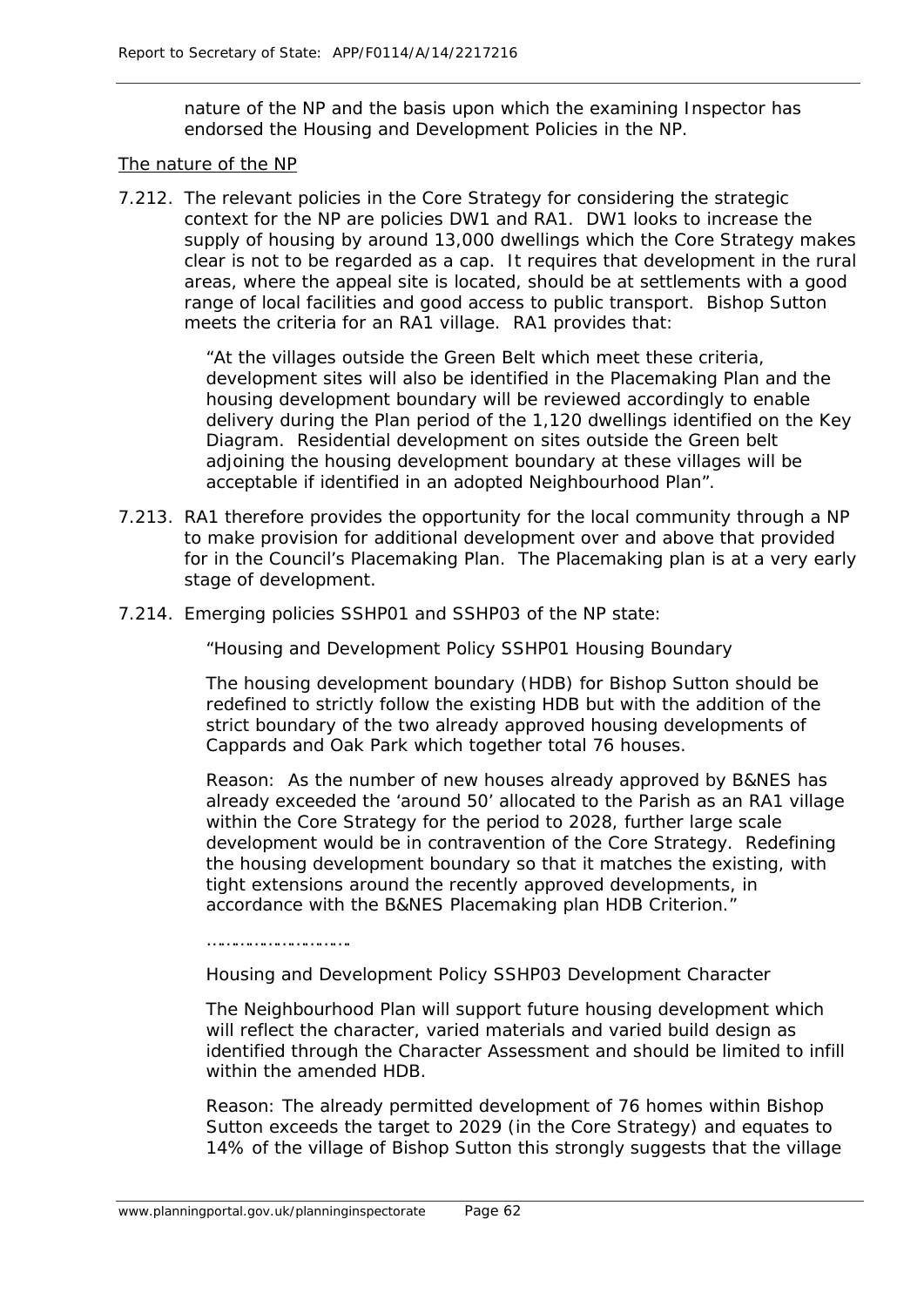nature of the NP and the basis upon which the examining Inspector has endorsed the Housing and Development Policies in the NP.

#### The nature of the NP

7.212. The relevant policies in the Core Strategy for considering the strategic context for the NP are policies DW1 and RA1. DW1 looks to increase the supply of housing by around 13,000 dwellings which the Core Strategy makes clear is not to be regarded as a cap. It requires that development in the rural areas, where the appeal site is located, should be at settlements with a good range of local facilities and good access to public transport. Bishop Sutton meets the criteria for an RA1 village. RA1 provides that:

> *"At the villages outside the Green Belt which meet these criteria, development sites will also be identified in the Placemaking Plan and the housing development boundary will be reviewed accordingly to enable delivery during the Plan period of the 1,120 dwellings identified on the Key Diagram. Residential development on sites outside the Green belt adjoining the housing development boundary at these villages will be acceptable if identified in an adopted Neighbourhood Plan".*

- 7.213. RA1 therefore provides the opportunity for the local community through a NP to make provision for additional development over and above that provided for in the Council's Placemaking Plan. The Placemaking plan is at a very early stage of development.
- 7.214. Emerging policies SSHP01 and SSHP03 of the NP state:

*"Housing and Development Policy SSHP01 Housing Boundary*

*The housing development boundary (HDB) for Bishop Sutton should be redefined to strictly follow the existing HDB but with the addition of the strict boundary of the two already approved housing developments of Cappards and Oak Park which together total 76 houses.*

*Reason: As the number of new houses already approved by B&NES has already exceeded the 'around 50' allocated to the Parish as an RA1 village within the Core Strategy for the period to 2028, further large scale development would be in contravention of the Core Strategy. Redefining the housing development boundary so that it matches the existing, with tight extensions around the recently approved developments, in accordance with the B&NES Placemaking plan HDB Criterion."*

*………………………….*

*Housing and Development Policy SSHP03 Development Character*

*The Neighbourhood Plan will support future housing development which will reflect the character, varied materials and varied build design as identified through the Character Assessment and should be limited to infill within the amended HDB.*

*Reason: The already permitted development of 76 homes within Bishop Sutton exceeds the target to 2029 (in the Core Strategy) and equates to 14% of the village of Bishop Sutton this strongly suggests that the village*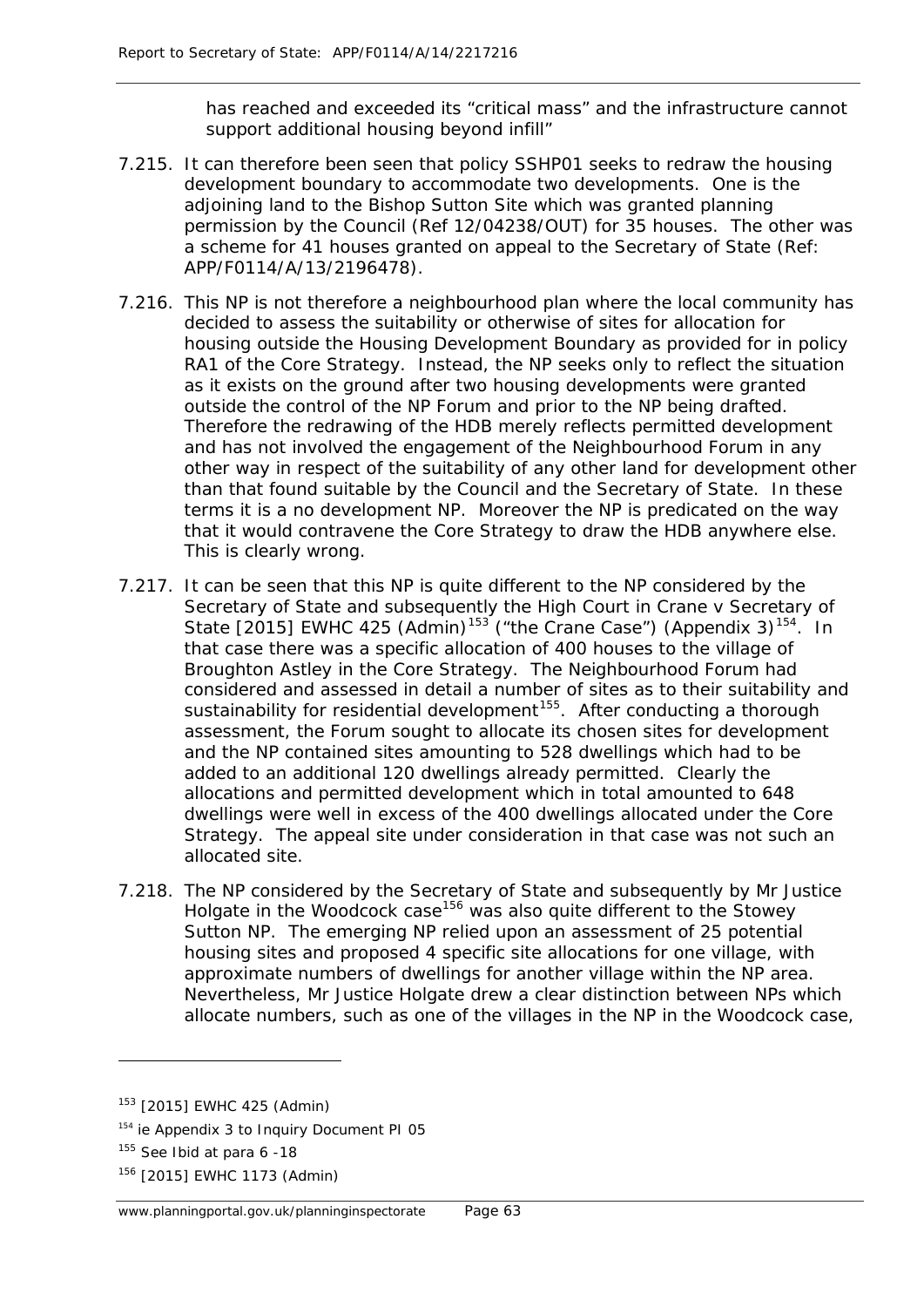*has reached and exceeded its "critical mass" and the infrastructure cannot support additional housing beyond infill"*

- 7.215. It can therefore been seen that policy SSHP01 seeks to redraw the housing development boundary to accommodate two developments. One is the adjoining land to the Bishop Sutton Site which was granted planning permission by the Council (Ref 12/04238/OUT) for 35 houses. The other was a scheme for 41 houses granted on appeal to the Secretary of State (Ref: APP/F0114/A/13/2196478).
- 7.216. This NP is not therefore a neighbourhood plan where the local community has decided to assess the suitability or otherwise of sites for allocation for housing outside the Housing Development Boundary as provided for in policy RA1 of the Core Strategy. Instead, the NP seeks only to reflect the situation as it exists on the ground after two housing developments were granted outside the control of the NP Forum and prior to the NP being drafted. Therefore the redrawing of the HDB merely reflects permitted development and has not involved the engagement of the Neighbourhood Forum in any other way in respect of the suitability of any other land for development other than that found suitable by the Council and the Secretary of State. In these terms it is a no development NP. Moreover the NP is predicated on the way that it would contravene the Core Strategy to draw the HDB anywhere else. This is clearly wrong.
- 7.217. It can be seen that this NP is quite different to the NP considered by the Secretary of State and subsequently the High Court in Crane v Secretary of State  $[2015]$  EWHC 425  $(Admin)^{153}$  $(Admin)^{153}$  $(Admin)^{153}$  ("the Crane Case")  $(Appendix 3)$ <sup>[154](#page-70-1)</sup>. In that case there was a specific allocation of 400 houses to the village of Broughton Astley in the Core Strategy. The Neighbourhood Forum had considered and assessed in detail a number of sites as to their suitability and sustainability for residential development<sup>[155](#page-70-2)</sup>. After conducting a thorough assessment, the Forum sought to allocate its chosen sites for development and the NP contained sites amounting to 528 dwellings which had to be added to an additional 120 dwellings already permitted. Clearly the allocations and permitted development which in total amounted to 648 dwellings were well in excess of the 400 dwellings allocated under the Core Strategy. The appeal site under consideration in that case was not such an allocated site.
- 7.218. The NP considered by the Secretary of State and subsequently by Mr Justice Holgate in the Woodcock case<sup>[156](#page-70-3)</sup> was also quite different to the Stowey Sutton NP. The emerging NP relied upon an assessment of 25 potential housing sites and proposed 4 specific site allocations for one village, with approximate numbers of dwellings for another village within the NP area. Nevertheless, Mr Justice Holgate drew a clear distinction between NPs which allocate numbers, such as one of the villages in the NP in the Woodcock case,

<span id="page-70-0"></span><sup>153</sup> [2015] EWHC 425 (Admin)

<span id="page-70-1"></span><sup>154</sup> *ie Appendix 3 to Inquiry Document PI 05*

<span id="page-70-2"></span><sup>155</sup> See *Ibid* at para 6 -18

<span id="page-70-3"></span><sup>156</sup> [2015] EWHC 1173 (Admin)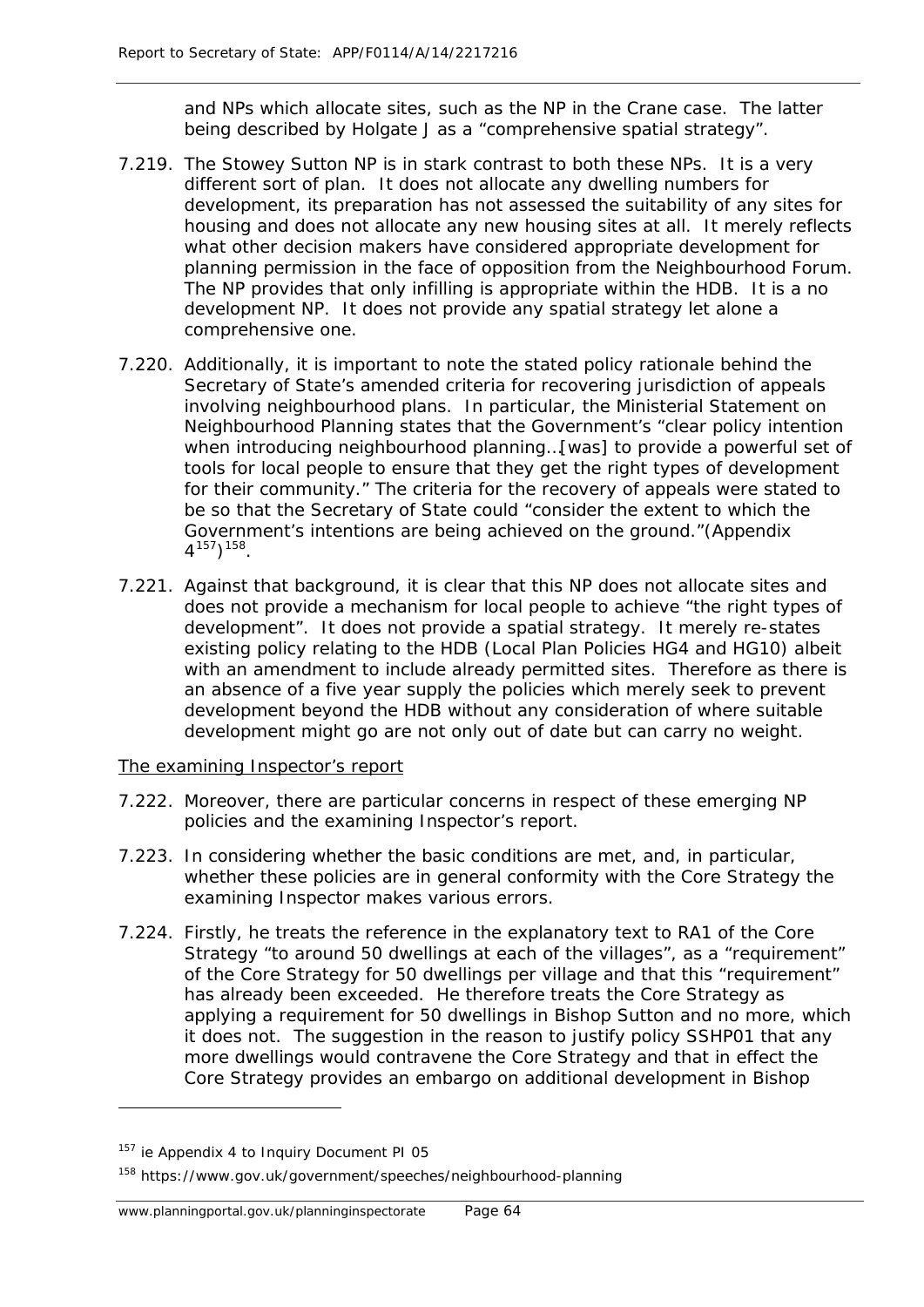and NPs which allocate sites, such as the NP in the Crane case. The latter being described by Holgate J as a "comprehensive spatial strategy".

- 7.219. The Stowey Sutton NP is in stark contrast to both these NPs. It is a very different sort of plan. It does not allocate any dwelling numbers for development, its preparation has not assessed the suitability of any sites for housing and does not allocate any new housing sites at all. It merely reflects what other decision makers have considered appropriate development for planning permission in the face of opposition from the Neighbourhood Forum. The NP provides that only infilling is appropriate within the HDB. It is a no development NP. It does not provide any spatial strategy let alone a comprehensive one.
- 7.220. Additionally, it is important to note the stated policy rationale behind the Secretary of State's amended criteria for recovering jurisdiction of appeals involving neighbourhood plans. In particular, the Ministerial Statement on Neighbourhood Planning states that the *Government's "clear policy intention*  when introducing neighbourhood planning...[was] to provide a powerful set of *tools for local people to ensure that they get the right types of development for their community.*" The criteria for the recovery of appeals were stated to be so that the Secretary of State could "*consider the extent to which the Government's intentions are being achieved on the ground*."(Appendix  $4^{157}$ )<sup>[158](#page-71-1)</sup>.
- 7.221. Against that background, it is clear that this NP does not allocate sites and does not provide a mechanism for local people to achieve "the right types of development". It does not provide a spatial strategy. It merely re-states existing policy relating to the HDB (Local Plan Policies HG4 and HG10) albeit with an amendment to include already permitted sites. Therefore as there is an absence of a five year supply the policies which merely seek to prevent development beyond the HDB without any consideration of where suitable development might go are not only out of date but can carry no weight.

### The examining Inspector's report

- 7.222. Moreover, there are particular concerns in respect of these emerging NP policies and the examining Inspector's report.
- 7.223. In considering whether the basic conditions are met, and, in particular, whether these policies are in general conformity with the Core Strategy the examining Inspector makes various errors.
- 7.224. Firstly, he treats the reference in the explanatory text to RA1 of the Core Strategy "to around 50 dwellings at each of the villages", as a "requirement" of the Core Strategy for 50 dwellings per village and that this "requirement" has already been exceeded. He therefore treats the Core Strategy as applying a requirement for 50 dwellings in Bishop Sutton and no more, which it does not. The suggestion in the reason to justify policy SSHP01 that any more dwellings would contravene the Core Strategy and that in effect the Core Strategy provides an embargo on additional development in Bishop

<span id="page-71-0"></span><sup>157</sup> *ie Appendix 4 to Inquiry Document PI 05*

<span id="page-71-1"></span><sup>158</sup> https://www.gov.uk/government/speeches/neighbourhood-planning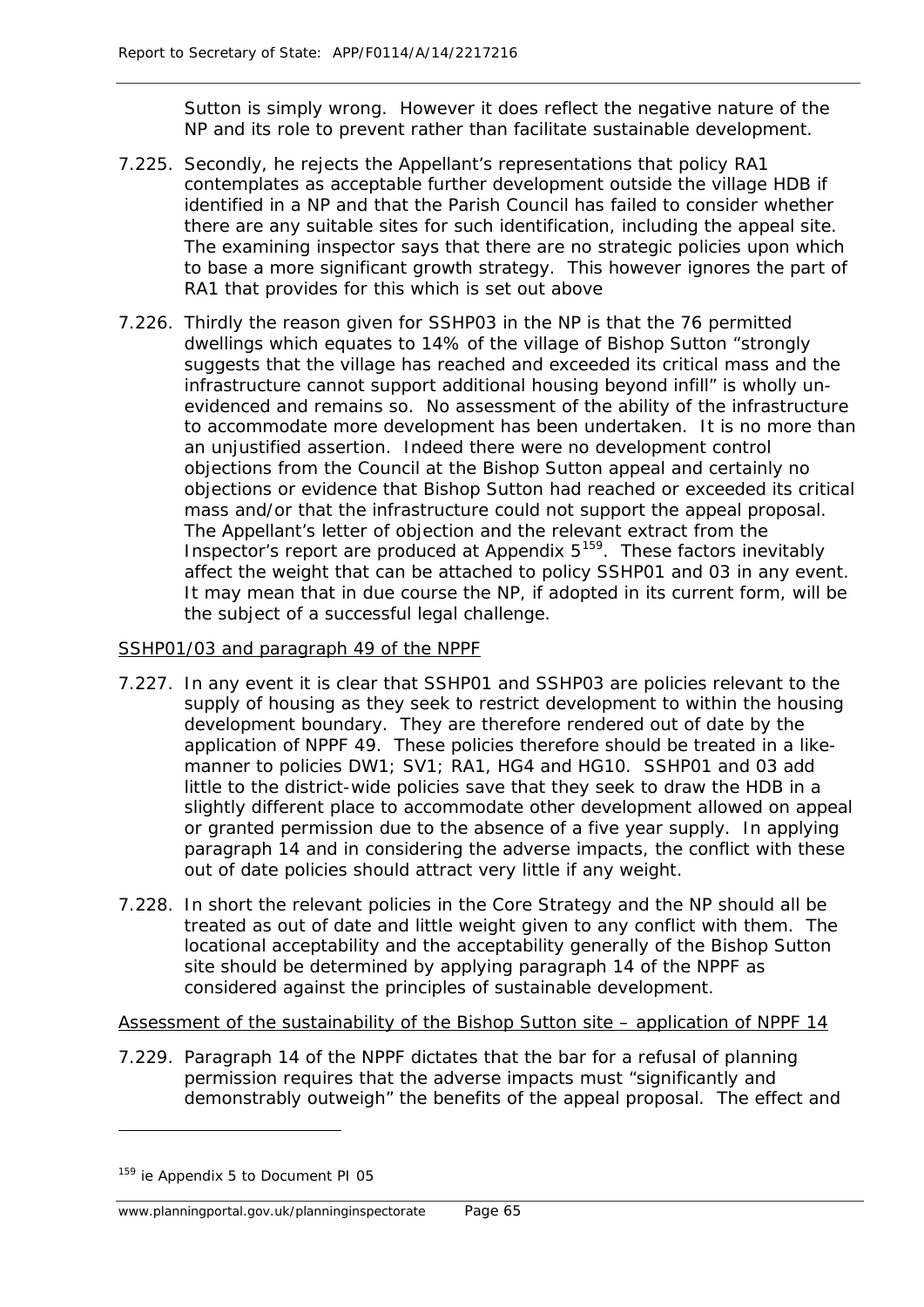Sutton is simply wrong. However it does reflect the negative nature of the NP and its role to prevent rather than facilitate sustainable development.

- 7.225. Secondly, he rejects the Appellant's representations that policy RA1 contemplates as acceptable further development outside the village HDB if identified in a NP and that the Parish Council has failed to consider whether there are any suitable sites for such identification, including the appeal site. The examining inspector says that there are no strategic policies upon which to base a more significant growth strategy. This however ignores the part of RA1 that provides for this which is set out above
- <span id="page-72-1"></span>7.226. Thirdly the reason given for SSHP03 in the NP is that the 76 permitted dwellings which equates to 14% of the village of Bishop *Sutton "strongly suggests that the village has reached and exceeded its critical mass and the infrastructure cannot support additional housing beyond infill"* is wholly unevidenced and remains so. No assessment of the ability of the infrastructure to accommodate more development has been undertaken. It is no more than an unjustified assertion. Indeed there were no development control objections from the Council at the Bishop Sutton appeal and certainly no objections or evidence that Bishop Sutton had reached or exceeded its critical mass and/or that the infrastructure could not support the appeal proposal. The Appellant's letter of objection and the relevant extract from the Inspector's report are produced at Appendix 5<sup>159</sup>. These factors inevitably affect the weight that can be attached to policy SSHP01 and 03 in any event. It may mean that in due course the NP, if adopted in its current form, will be the subject of a successful legal challenge.

### SSHP01/03 and paragraph 49 of the NPPF

- <span id="page-72-2"></span>7.227. In any event it is clear that SSHP01 and SSHP03 are policies relevant to the supply of housing as they seek to restrict development to within the housing development boundary. They are therefore rendered out of date by the application of NPPF 49. These policies therefore should be treated in a likemanner to policies DW1; SV1; RA1, HG4 and HG10. SSHP01 and 03 add little to the district-wide policies save that they seek to draw the HDB in a slightly different place to accommodate other development allowed on appeal or granted permission due to the absence of a five year supply. In applying paragraph 14 and in considering the adverse impacts, the conflict with these out of date policies should attract very little if any weight.
- 7.228. In short the relevant policies in the Core Strategy and the NP should all be treated as out of date and little weight given to any conflict with them. The locational acceptability and the acceptability generally of the Bishop Sutton site should be determined by applying paragraph 14 of the NPPF as considered against the principles of sustainable development.

#### Assessment of the sustainability of the Bishop Sutton site – application of NPPF 14

7.229. Paragraph 14 of the NPPF dictates that the bar for a refusal of planning permission requires that the adverse impacts must "significantly and demonstrably outweigh" the benefits of the appeal proposal. The effect and

1

#### www.planningportal.gov.uk/planninginspectorate Page 65

<span id="page-72-0"></span>*<sup>159</sup> ie Appendix 5 to Document PI 05*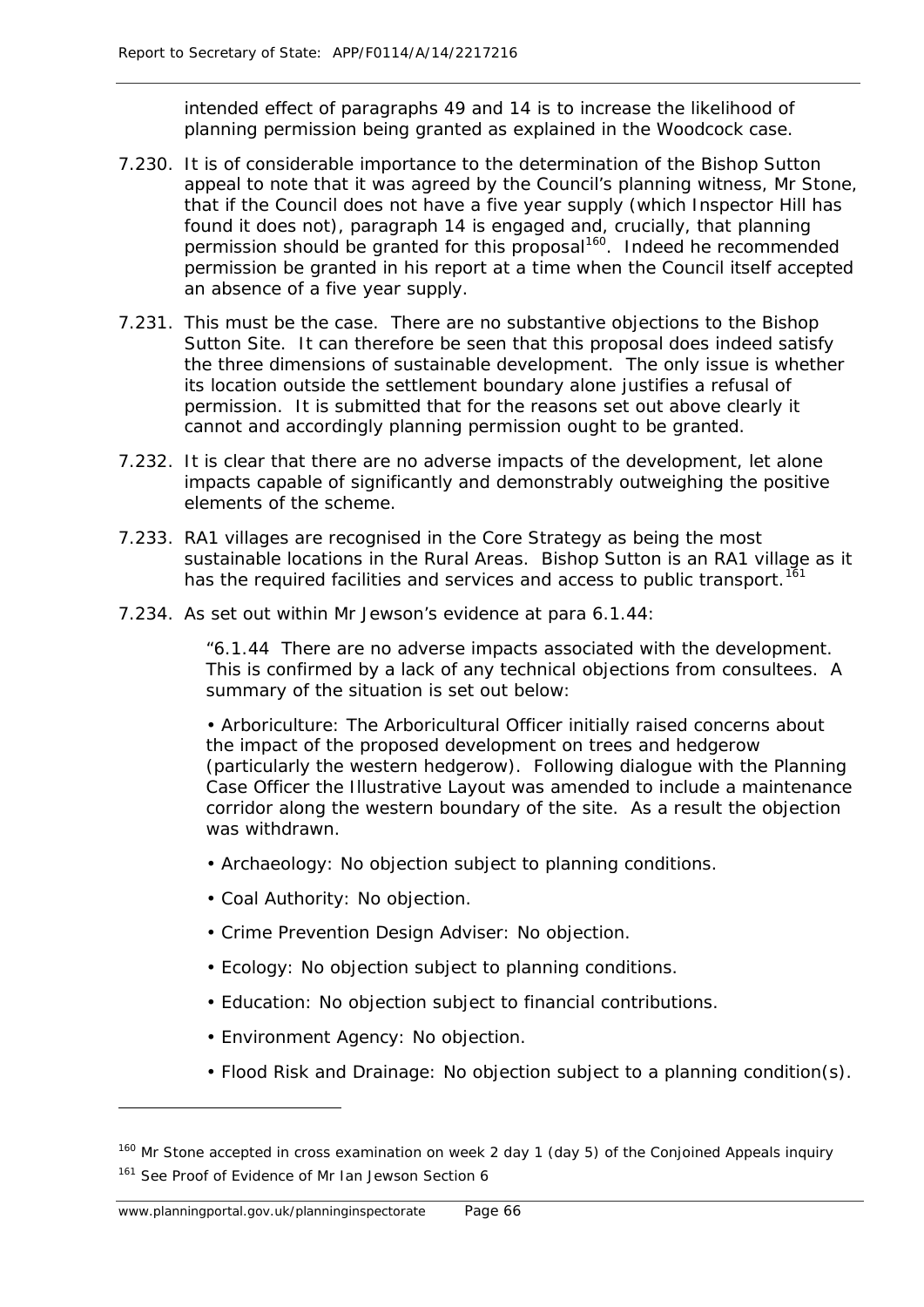intended effect of paragraphs 49 and 14 is to increase the likelihood of planning permission being granted as explained in the Woodcock case.

- 7.230. It is of considerable importance to the determination of the Bishop Sutton appeal to note that it was agreed by the Council's planning witness, Mr Stone, that if the Council does not have a five year supply (which Inspector Hill has found it does not), paragraph 14 is engaged and, crucially, that planning permission should be granted for this proposal<sup>160</sup>. Indeed he recommended permission be granted in his report at a time when the Council itself accepted an absence of a five year supply.
- 7.231. This must be the case. There are no substantive objections to the Bishop Sutton Site. It can therefore be seen that this proposal does indeed satisfy the three dimensions of sustainable development. The only issue is whether its location outside the settlement boundary alone justifies a refusal of permission. It is submitted that for the reasons set out above clearly it cannot and accordingly planning permission ought to be granted.
- 7.232. It is clear that there are no adverse impacts of the development, let alone impacts capable of significantly and demonstrably outweighing the positive elements of the scheme.
- 7.233. RA1 villages are recognised in the Core Strategy as being the most sustainable locations in the Rural Areas. Bishop Sutton is an RA1 village as it has the required facilities and services and access to public transport.<sup>[161](#page-73-1)</sup>
- <span id="page-73-2"></span>7.234. As set out within Mr Jewson's evidence at para 6.1.44:

*"6.1.44 There are no adverse impacts associated with the development. This is confirmed by a lack of any technical objections from consultees. A summary of the situation is set out below:*

*• Arboriculture: The Arboricultural Officer initially raised concerns about the impact of the proposed development on trees and hedgerow (particularly the western hedgerow). Following dialogue with the Planning Case Officer the Illustrative Layout was amended to include a maintenance corridor along the western boundary of the site. As a result the objection was withdrawn.*

- *Archaeology: No objection subject to planning conditions.*
- *Coal Authority: No objection.*
- *Crime Prevention Design Adviser: No objection.*
- *Ecology: No objection subject to planning conditions.*
- *Education: No objection subject to financial contributions.*
- *Environment Agency: No objection.*
- *Flood Risk and Drainage: No objection subject to a planning condition(s).*

l

<span id="page-73-1"></span><span id="page-73-0"></span><sup>&</sup>lt;sup>160</sup> Mr Stone accepted in cross examination on week 2 day 1 (day 5) of the Conjoined Appeals inquiry <sup>161</sup> See Proof of Evidence of Mr Ian Jewson Section 6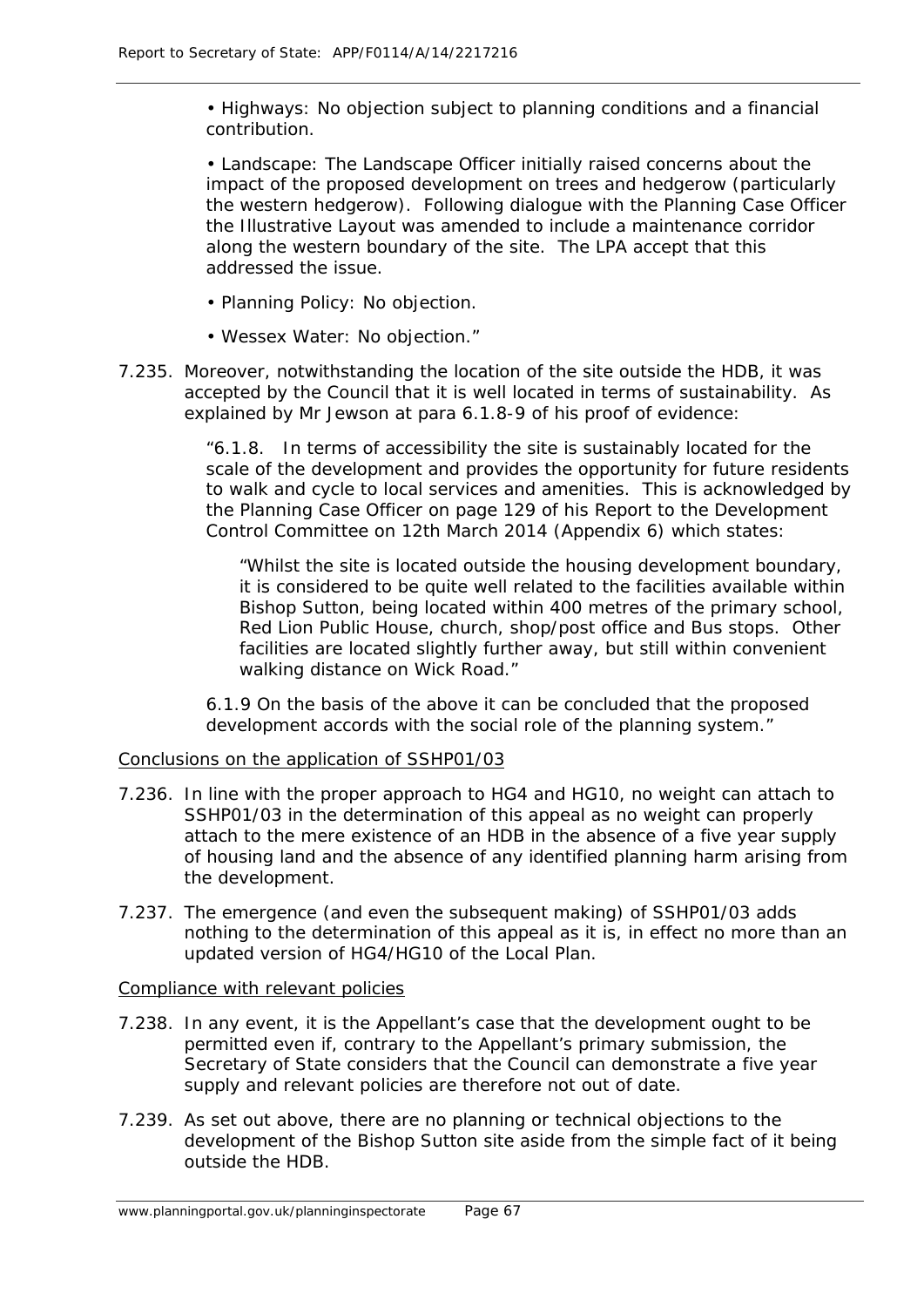*• Highways: No objection subject to planning conditions and a financial contribution.*

*• Landscape: The Landscape Officer initially raised concerns about the impact of the proposed development on trees and hedgerow (particularly the western hedgerow). Following dialogue with the Planning Case Officer the Illustrative Layout was amended to include a maintenance corridor along the western boundary of the site. The LPA accept that this addressed the issue.*

- *Planning Policy: No objection.*
- *Wessex Water: No objection."*
- 7.235. Moreover, notwithstanding the location of the site outside the HDB, it was accepted by the Council that it is well located in terms of sustainability. As explained by Mr Jewson at para 6.1.8-9 of his proof of evidence:

*"6.1.8. In terms of accessibility the site is sustainably located for the scale of the development and provides the opportunity for future residents to walk and cycle to local services and amenities. This is acknowledged by the Planning Case Officer on page 129 of his Report to the Development Control Committee on 12th March 2014 (Appendix 6) which states:*

*"Whilst the site is located outside the housing development boundary, it is considered to be quite well related to the facilities available within Bishop Sutton, being located within 400 metres of the primary school, Red Lion Public House, church, shop/post office and Bus stops. Other*  facilities are located slightly further away, but still within convenient *walking distance on Wick Road."*

*6.1.9 On the basis of the above it can be concluded that the proposed development accords with the social role of the planning system."*

### Conclusions on the application of SSHP01/03

- 7.236. In line with the proper approach to HG4 and HG10, no weight can attach to SSHP01/03 in the determination of this appeal as no weight can properly attach to the mere existence of an HDB in the absence of a five year supply of housing land and the absence of any identified planning harm arising from the development.
- 7.237. The emergence (and even the subsequent making) of SSHP01/03 adds nothing to the determination of this appeal as it is, in effect no more than an updated version of HG4/HG10 of the Local Plan.

#### Compliance with relevant policies

- 7.238. In any event, it is the Appellant's case that the development ought to be permitted even if, contrary to the Appellant's primary submission, the Secretary of State considers that the Council can demonstrate a five year supply and relevant policies are therefore not out of date.
- 7.239. As set out above, there are no planning or technical objections to the development of the Bishop Sutton site aside from the simple fact of it being outside the HDB.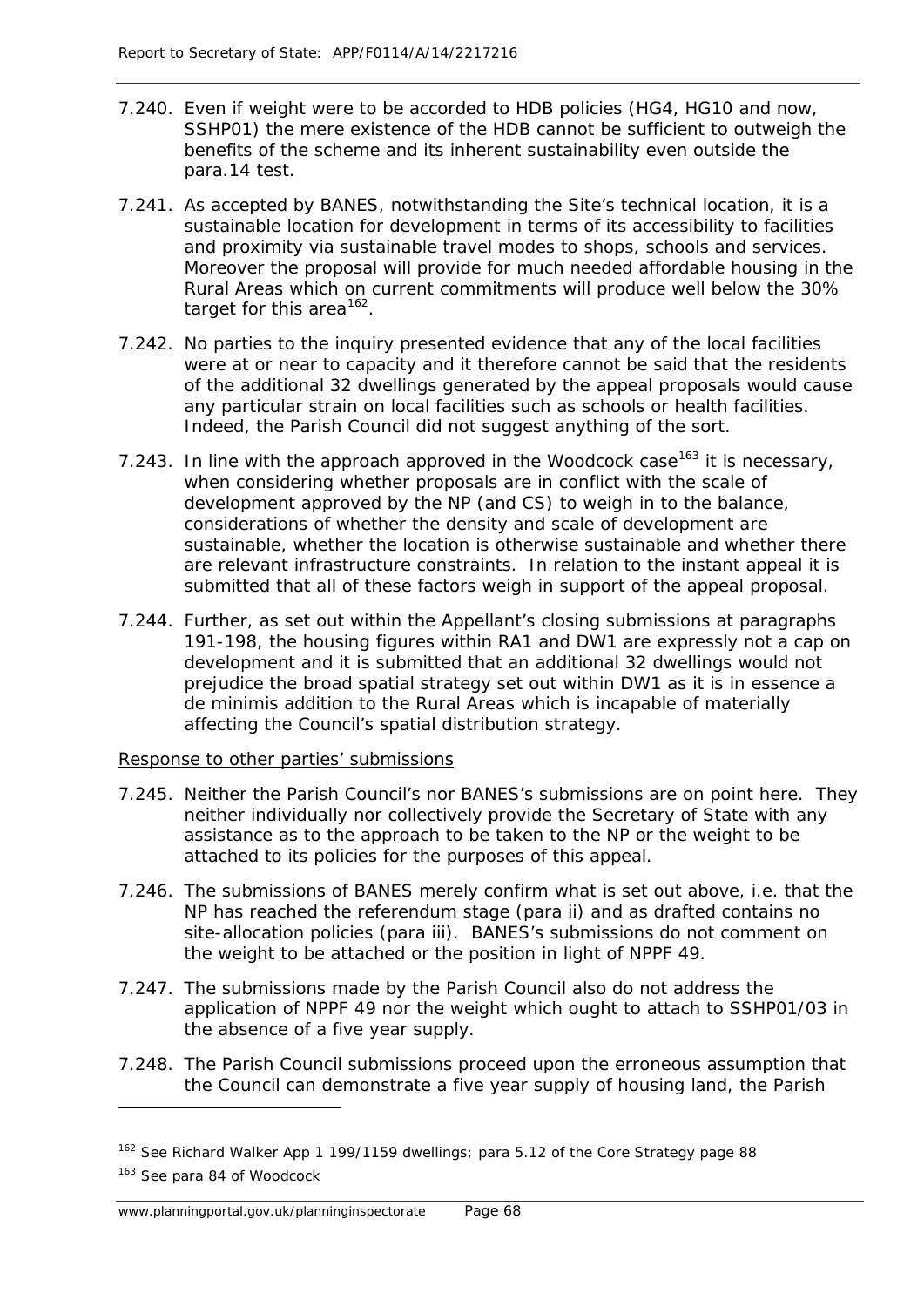- 7.240. Even if weight were to be accorded to HDB policies (HG4, HG10 and now, SSHP01) the mere existence of the HDB cannot be sufficient to outweigh the benefits of the scheme and its inherent sustainability even outside the para.14 test.
- 7.241. As accepted by BANES, notwithstanding the Site's technical location, it is a sustainable location for development in terms of its accessibility to facilities and proximity via sustainable travel modes to shops, schools and services. Moreover the proposal will provide for much needed affordable housing in the Rural Areas which on current commitments will produce well below the 30% target for this area $162$ .
- 7.242. No parties to the inquiry presented evidence that any of the local facilities were at or near to capacity and it therefore cannot be said that the residents of the additional 32 dwellings generated by the appeal proposals would cause any particular strain on local facilities such as schools or health facilities. Indeed, the Parish Council did not suggest anything of the sort.
- 7.243. In line with the approach approved in the Woodcock case<sup>[163](#page-75-1)</sup> it is necessary, when considering whether proposals are in conflict with the scale of development approved by the NP (and CS) to weigh in to the balance, considerations of whether the density and scale of development are sustainable, whether the location is otherwise sustainable and whether there are relevant infrastructure constraints. In relation to the instant appeal it is submitted that all of these factors weigh in support of the appeal proposal.
- 7.244. Further, as set out within the Appellant's closing submissions at paragraphs 191-198, the housing figures within RA1 and DW1 are expressly not a cap on development and it is submitted that an additional 32 dwellings would not prejudice the broad spatial strategy set out within DW1 as it is in essence a *de minimis* addition to the Rural Areas which is incapable of materially affecting the Council's spatial distribution strategy.

### Response to other parties' submissions

- 7.245. Neither the Parish Council's nor BANES's submissions are on point here. They neither individually nor collectively provide the Secretary of State with any assistance as to the approach to be taken to the NP or the weight to be attached to its policies for the purposes of this appeal.
- 7.246. The submissions of BANES merely confirm what is set out above, i.e. that the NP has reached the referendum stage (para ii) and as drafted contains no site-allocation policies (para iii). BANES's submissions do not comment on the weight to be attached or the position in light of NPPF 49.
- 7.247. The submissions made by the Parish Council also do not address the application of NPPF 49 nor the weight which ought to attach to SSHP01/03 in the absence of a five year supply.
- 7.248. The Parish Council submissions proceed upon the erroneous assumption that the Council can demonstrate a five year supply of housing land, the Parish

l

<span id="page-75-0"></span><sup>&</sup>lt;sup>162</sup> See Richard Walker App 1 199/1159 dwellings; para 5.12 of the Core Strategy page 88

<span id="page-75-1"></span><sup>163</sup> See para 84 of Woodcock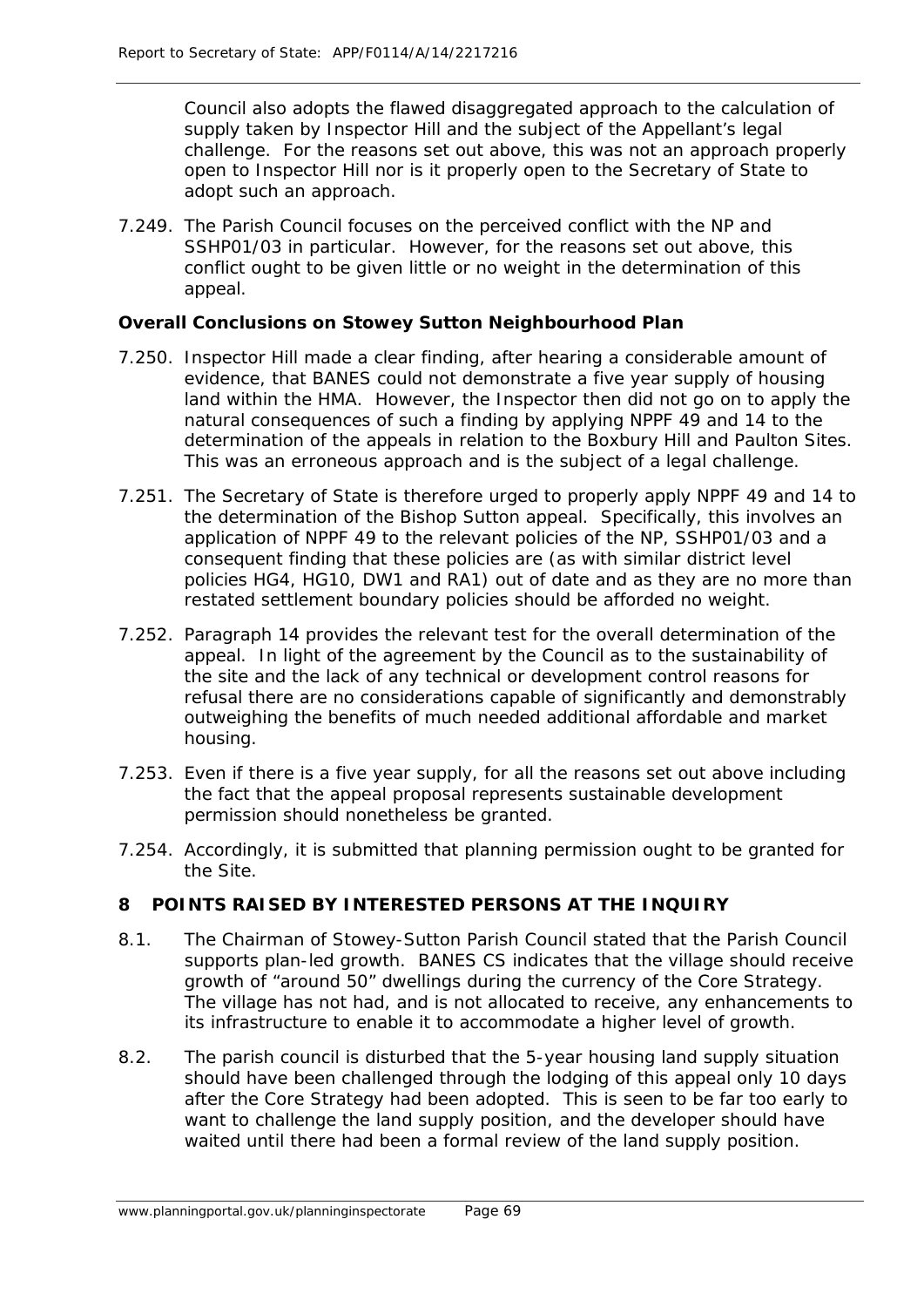Council also adopts the flawed disaggregated approach to the calculation of supply taken by Inspector Hill and the subject of the Appellant's legal challenge. For the reasons set out above, this was not an approach properly open to Inspector Hill nor is it properly open to the Secretary of State to adopt such an approach.

7.249. The Parish Council focuses on the perceived conflict with the NP and SSHP01/03 in particular. However, for the reasons set out above, this conflict ought to be given little or no weight in the determination of this appeal.

#### **Overall Conclusions on Stowey Sutton Neighbourhood Plan**

- 7.250. Inspector Hill made a clear finding, after hearing a considerable amount of evidence, that BANES could not demonstrate a five year supply of housing land within the HMA. However, the Inspector then did not go on to apply the natural consequences of such a finding by applying NPPF 49 and 14 to the determination of the appeals in relation to the Boxbury Hill and Paulton Sites. This was an erroneous approach and is the subject of a legal challenge.
- 7.251. The Secretary of State is therefore urged to properly apply NPPF 49 and 14 to the determination of the Bishop Sutton appeal. Specifically, this involves an application of NPPF 49 to the relevant policies of the NP, SSHP01/03 and a consequent finding that these policies are (as with similar district level policies HG4, HG10, DW1 and RA1) out of date and as they are no more than restated settlement boundary policies should be afforded no weight.
- 7.252. Paragraph 14 provides the relevant test for the overall determination of the appeal. In light of the agreement by the Council as to the sustainability of the site and the lack of any technical or development control reasons for refusal there are no considerations capable of significantly and demonstrably outweighing the benefits of much needed additional affordable and market housing.
- 7.253. Even if there is a five year supply, for all the reasons set out above including the fact that the appeal proposal represents sustainable development permission should nonetheless be granted.
- 7.254. Accordingly, it is submitted that planning permission ought to be granted for the Site.

### **8 POINTS RAISED BY INTERESTED PERSONS AT THE INQUIRY**

- <span id="page-76-0"></span>8.1. The Chairman of Stowey-Sutton Parish Council stated that the Parish Council supports plan-led growth. BANES CS indicates that the village should receive growth of "around 50" dwellings during the currency of the Core Strategy. The village has not had, and is not allocated to receive, any enhancements to its infrastructure to enable it to accommodate a higher level of growth.
- 8.2. The parish council is disturbed that the 5-year housing land supply situation should have been challenged through the lodging of this appeal only 10 days after the Core Strategy had been adopted. This is seen to be far too early to want to challenge the land supply position, and the developer should have waited until there had been a formal review of the land supply position.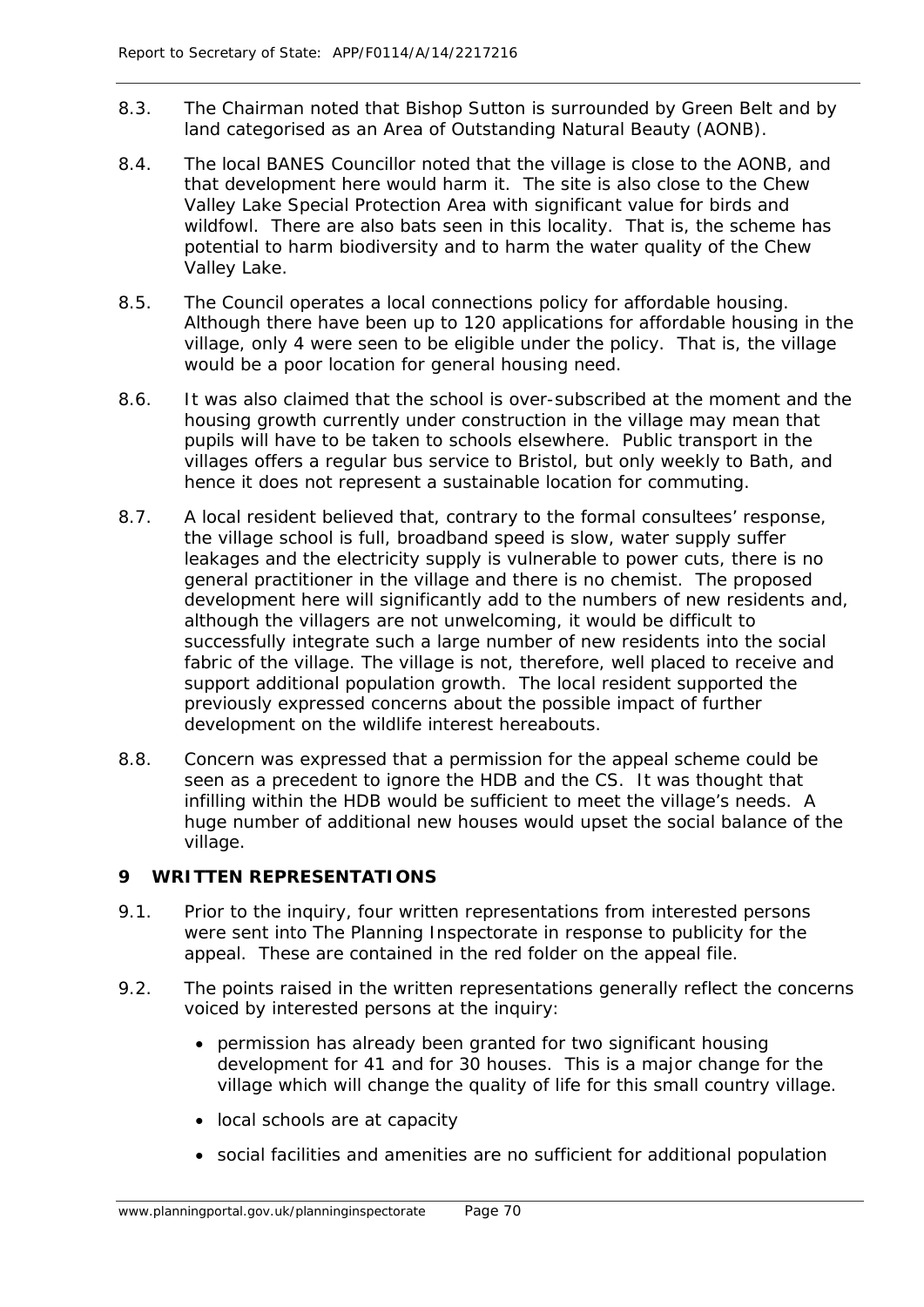- 8.3. The Chairman noted that Bishop Sutton is surrounded by Green Belt and by land categorised as an Area of Outstanding Natural Beauty (AONB).
- <span id="page-77-0"></span>8.4. The local BANES Councillor noted that the village is close to the AONB, and that development here would harm it. The site is also close to the Chew Valley Lake Special Protection Area with significant value for birds and wildfowl. There are also bats seen in this locality. That is, the scheme has potential to harm biodiversity and to harm the water quality of the Chew Valley Lake.
- <span id="page-77-2"></span>8.5. The Council operates a local connections policy for affordable housing. Although there have been up to 120 applications for affordable housing in the village, only 4 were seen to be eligible under the policy. That is, the village would be a poor location for general housing need.
- 8.6. It was also claimed that the school is over-subscribed at the moment and the housing growth currently under construction in the village may mean that pupils will have to be taken to schools elsewhere. Public transport in the villages offers a regular bus service to Bristol, but only weekly to Bath, and hence it does not represent a sustainable location for commuting.
- <span id="page-77-1"></span>8.7. A local resident believed that, contrary to the formal consultees' response, the village school is full, broadband speed is slow, water supply suffer leakages and the electricity supply is vulnerable to power cuts, there is no general practitioner in the village and there is no chemist. The proposed development here will significantly add to the numbers of new residents and, although the villagers are not unwelcoming, it would be difficult to successfully integrate such a large number of new residents into the social fabric of the village. The village is not, therefore, well placed to receive and support additional population growth. The local resident supported the previously expressed concerns about the possible impact of further development on the wildlife interest hereabouts.
- <span id="page-77-3"></span>8.8. Concern was expressed that a permission for the appeal scheme could be seen as a precedent to ignore the HDB and the CS. It was thought that infilling within the HDB would be sufficient to meet the village's needs. A huge number of additional new houses would upset the social balance of the village.

## **9 WRITTEN REPRESENTATIONS**

- 9.1. Prior to the inquiry, four written representations from interested persons were sent into The Planning Inspectorate in response to publicity for the appeal. These are contained in the red folder on the appeal file.
- 9.2. The points raised in the written representations generally reflect the concerns voiced by interested persons at the inquiry:
	- permission has already been granted for two significant housing development for 41 and for 30 houses. This is a major change for the village which will change the quality of life for this small country village.
	- local schools are at capacity
	- social facilities and amenities are no sufficient for additional population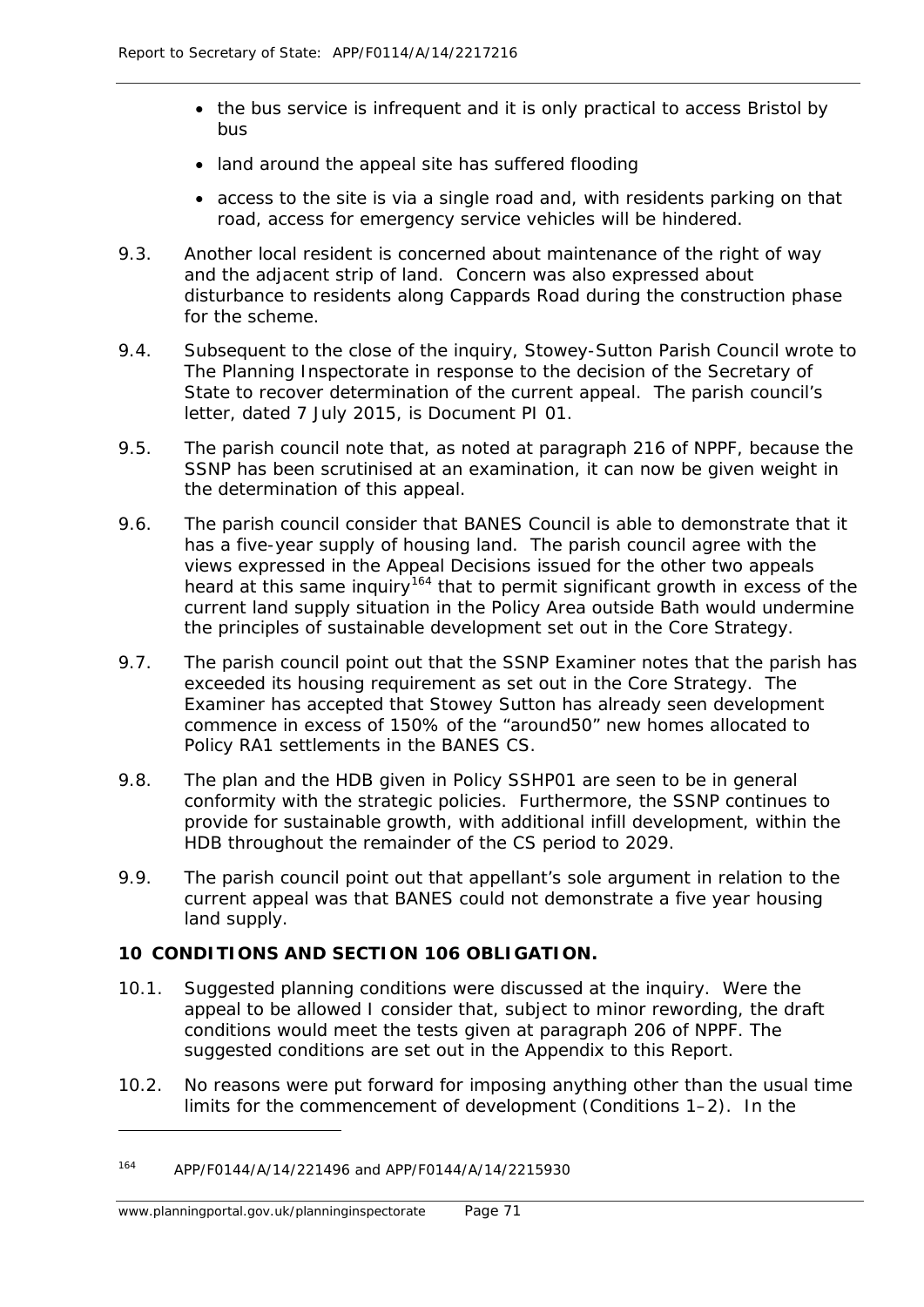- the bus service is infrequent and it is only practical to access Bristol by bus
- land around the appeal site has suffered flooding
- access to the site is via a single road and, with residents parking on that road, access for emergency service vehicles will be hindered.
- 9.3. Another local resident is concerned about maintenance of the right of way and the adjacent strip of land. Concern was also expressed about disturbance to residents along Cappards Road during the construction phase for the scheme.
- 9.4. Subsequent to the close of the inquiry, Stowey-Sutton Parish Council wrote to The Planning Inspectorate in response to the decision of the Secretary of State to recover determination of the current appeal. The parish council's letter, dated 7 July 2015, is Document PI 01.
- 9.5. The parish council note that, as noted at paragraph 216 of NPPF, because the SSNP has been scrutinised at an examination, it can now be given weight in the determination of this appeal.
- 9.6. The parish council consider that BANES Council is able to demonstrate that it has a five-year supply of housing land. The parish council agree with the views expressed in the Appeal Decisions issued for the other two appeals heard at this same inquiry<sup>[164](#page-78-0)</sup> that to permit significant growth in excess of the current land supply situation in the Policy Area outside Bath would undermine the principles of sustainable development set out in the Core Strategy.
- 9.7. The parish council point out that the SSNP Examiner notes that the parish has exceeded its housing requirement as set out in the Core Strategy. The Examiner has accepted that Stowey Sutton has already seen development commence in excess of 150% of the "around50" new homes allocated to Policy RA1 settlements in the BANES CS.
- 9.8. The plan and the HDB given in Policy SSHP01 are seen to be in general conformity with the strategic policies. Furthermore, the SSNP continues to provide for sustainable growth, with additional infill development, within the HDB throughout the remainder of the CS period to 2029.
- 9.9. The parish council point out that appellant's sole argument in relation to the current appeal was that BANES could not demonstrate a five year housing land supply.

## **10 CONDITIONS AND SECTION 106 OBLIGATION.**

- 10.1. Suggested planning conditions were discussed at the inquiry. Were the appeal to be allowed I consider that, subject to minor rewording, the draft conditions would meet the tests given at paragraph 206 of NPPF. The suggested conditions are set out in the Appendix to this Report.
- 10.2. No reasons were put forward for imposing anything other than the usual time limits for the commencement of development (Conditions 1–2). In the

1

<span id="page-78-0"></span><sup>164</sup> APP/F0144/A/14/221496 and APP/F0144/A/14/2215930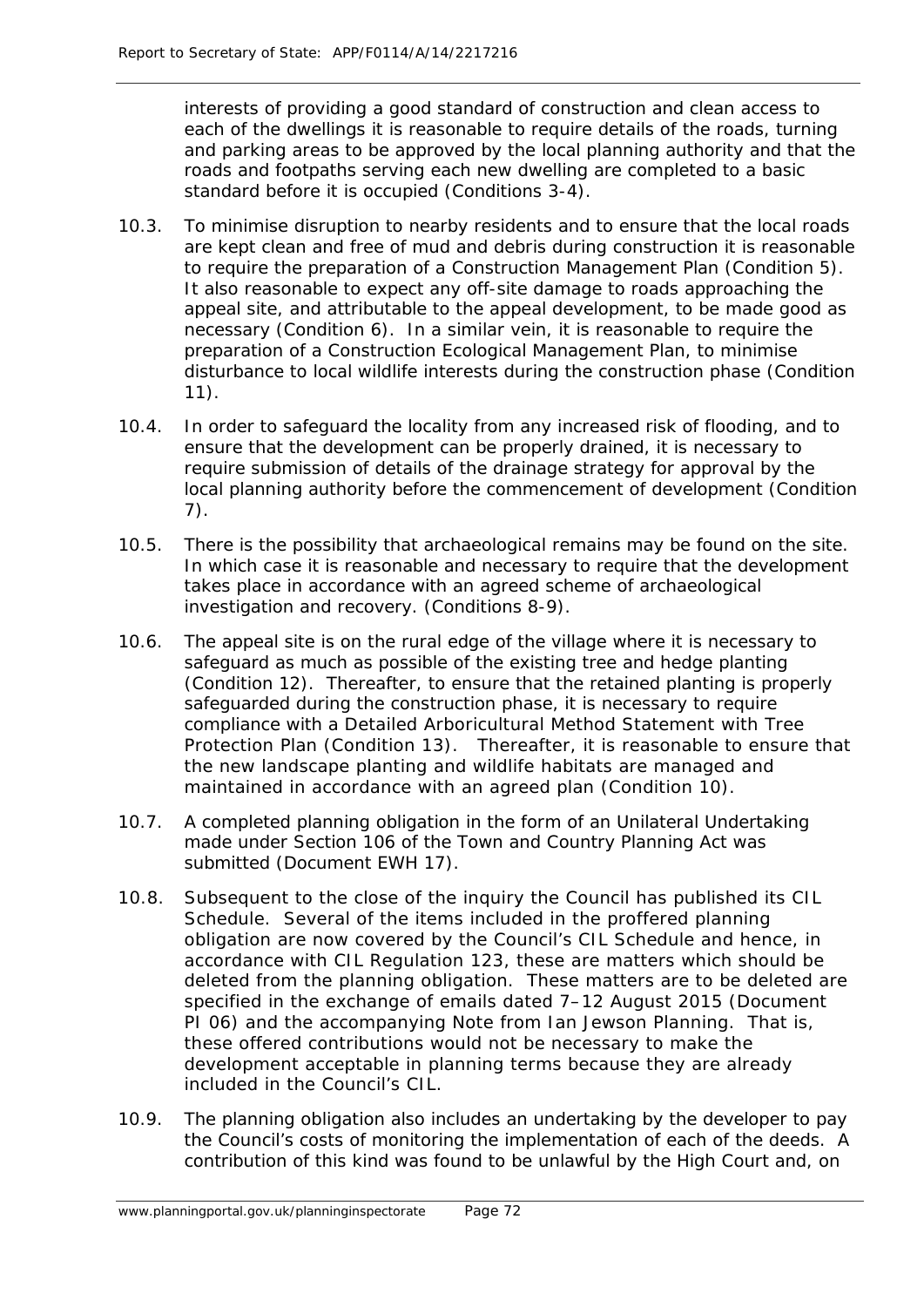interests of providing a good standard of construction and clean access to each of the dwellings it is reasonable to require details of the roads, turning and parking areas to be approved by the local planning authority and that the roads and footpaths serving each new dwelling are completed to a basic standard before it is occupied (Conditions 3-4).

- 10.3. To minimise disruption to nearby residents and to ensure that the local roads are kept clean and free of mud and debris during construction it is reasonable to require the preparation of a Construction Management Plan (Condition 5). It also reasonable to expect any off-site damage to roads approaching the appeal site, and attributable to the appeal development, to be made good as necessary (Condition 6). In a similar vein, it is reasonable to require the preparation of a Construction Ecological Management Plan, to minimise disturbance to local wildlife interests during the construction phase (Condition 11).
- 10.4. In order to safeguard the locality from any increased risk of flooding, and to ensure that the development can be properly drained, it is necessary to require submission of details of the drainage strategy for approval by the local planning authority before the commencement of development (Condition 7).
- 10.5. There is the possibility that archaeological remains may be found on the site. In which case it is reasonable and necessary to require that the development takes place in accordance with an agreed scheme of archaeological investigation and recovery. (Conditions 8-9).
- 10.6. The appeal site is on the rural edge of the village where it is necessary to safeguard as much as possible of the existing tree and hedge planting (Condition 12). Thereafter, to ensure that the retained planting is properly safeguarded during the construction phase, it is necessary to require compliance with a Detailed Arboricultural Method Statement with Tree Protection Plan (Condition 13). Thereafter, it is reasonable to ensure that the new landscape planting and wildlife habitats are managed and maintained in accordance with an agreed plan (Condition 10).
- 10.7. A completed planning obligation in the form of an Unilateral Undertaking made under Section 106 of the Town and Country Planning Act was submitted (Document EWH 17).
- 10.8. Subsequent to the close of the inquiry the Council has published its CIL Schedule. Several of the items included in the proffered planning obligation are now covered by the Council's CIL Schedule and hence, in accordance with CIL Regulation 123, these are matters which should be deleted from the planning obligation. These matters are to be deleted are specified in the exchange of emails dated 7–12 August 2015 (Document PI 06) and the accompanying Note from Ian Jewson Planning. That is, these offered contributions would not be necessary to make the development acceptable in planning terms because they are already included in the Council's CIL.
- 10.9. The planning obligation also includes an undertaking by the developer to pay the Council's costs of monitoring the implementation of each of the deeds. A contribution of this kind was found to be unlawful by the High Court and, on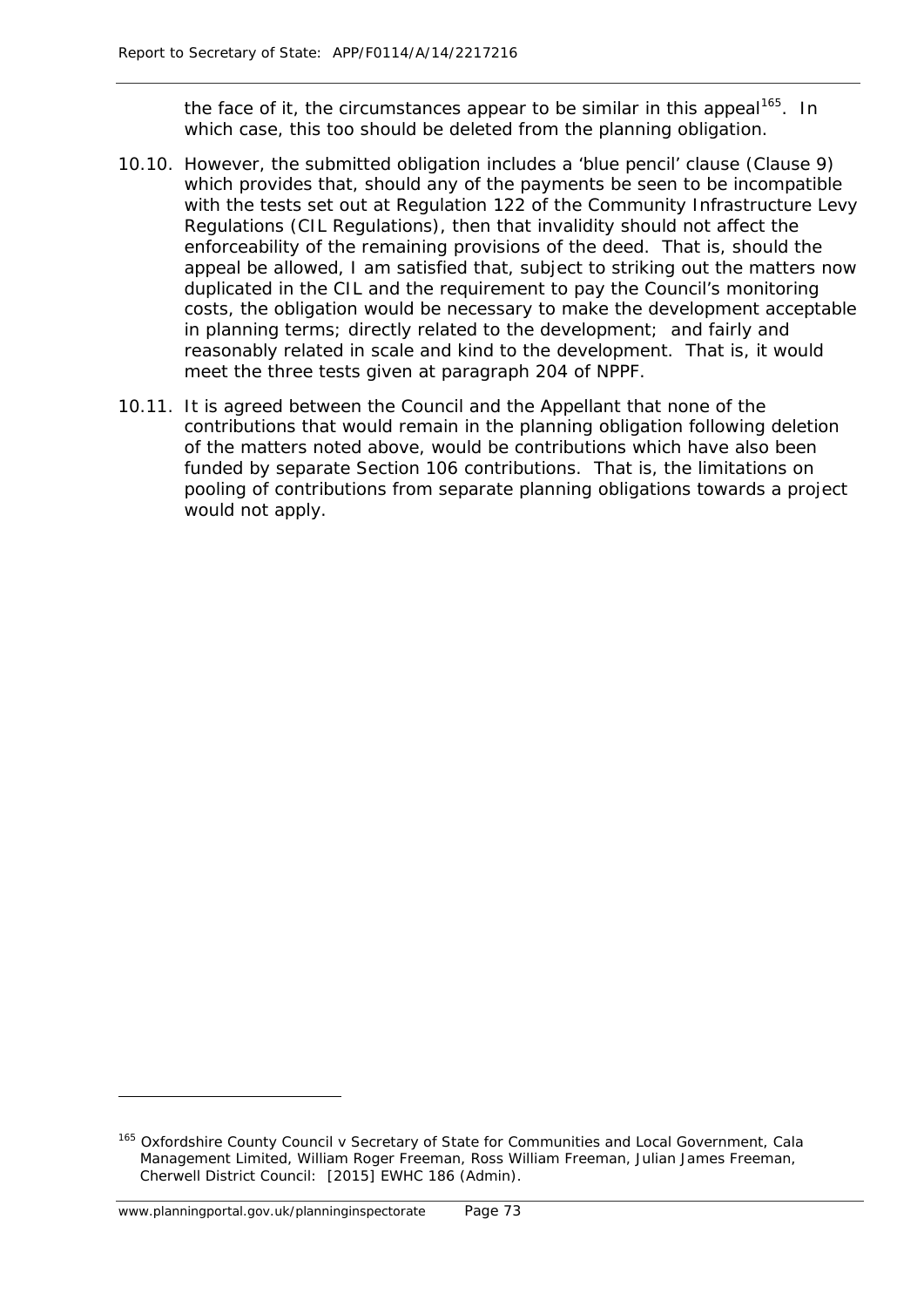the face of it, the circumstances appear to be similar in this appeal<sup>165</sup>. In which case, this too should be deleted from the planning obligation.

- 10.10. However, the submitted obligation includes a 'blue pencil' clause (Clause 9) which provides that, should any of the payments be seen to be incompatible with the tests set out at Regulation 122 of the Community Infrastructure Levy Regulations (CIL Regulations), then that invalidity should not affect the enforceability of the remaining provisions of the deed. That is, should the appeal be allowed, I am satisfied that, subject to striking out the matters now duplicated in the CIL and the requirement to pay the Council's monitoring costs, the obligation would be necessary to make the development acceptable in planning terms; directly related to the development; and fairly and reasonably related in scale and kind to the development. That is, it would meet the three tests given at paragraph 204 of NPPF.
- 10.11. It is agreed between the Council and the Appellant that none of the contributions that would remain in the planning obligation following deletion of the matters noted above, would be contributions which have also been funded by separate Section 106 contributions. That is, the limitations on pooling of contributions from separate planning obligations towards a project would not apply.

1

<span id="page-80-0"></span><sup>&</sup>lt;sup>165</sup> Oxfordshire County Council v Secretary of State for Communities and Local Government, Cala Management Limited, William Roger Freeman, Ross William Freeman, Julian James Freeman, Cherwell District Council: [2015] EWHC 186 (Admin).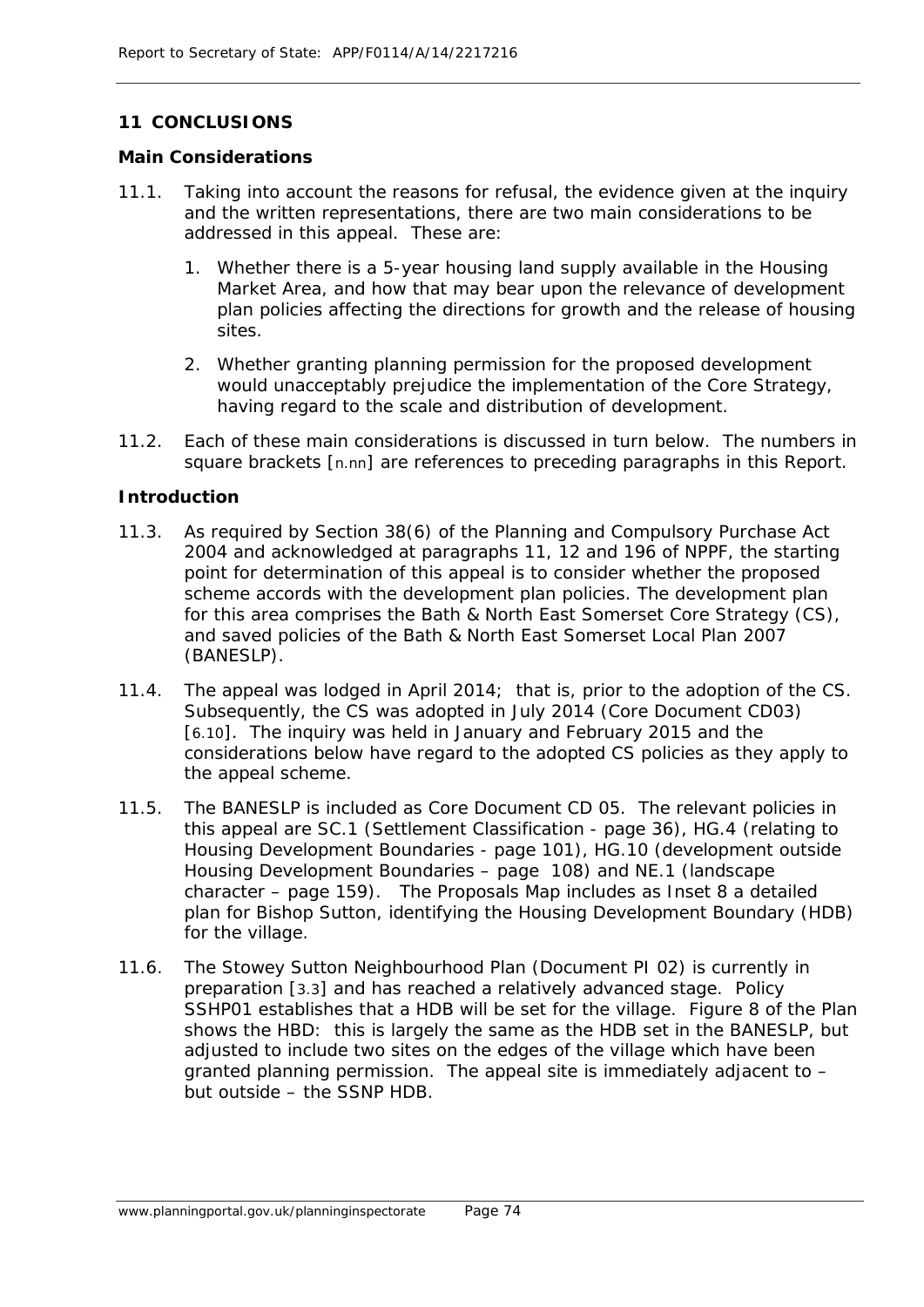# **11 CONCLUSIONS**

#### **Main Considerations**

- 11.1. Taking into account the reasons for refusal, the evidence given at the inquiry and the written representations, there are two main considerations to be addressed in this appeal. These are:
	- 1. Whether there is a 5-year housing land supply available in the Housing Market Area, and how that may bear upon the relevance of development plan policies affecting the directions for growth and the release of housing sites.
	- 2. Whether granting planning permission for the proposed development would unacceptably prejudice the implementation of the Core Strategy, having regard to the scale and distribution of development.
- 11.2. Each of these main considerations is discussed in turn below. The numbers in square brackets [*n.nn*] are references to preceding paragraphs in this Report.

### **Introduction**

- 11.3. As required by Section 38(6) of the Planning and Compulsory Purchase Act 2004 and acknowledged at paragraphs 11, 12 and 196 of NPPF, the starting point for determination of this appeal is to consider whether the proposed scheme accords with the development plan policies. The development plan for this area comprises the Bath & North East Somerset Core Strategy (CS), and saved policies of the Bath & North East Somerset Local Plan 2007 (BANESLP).
- 11.4. The appeal was lodged in April 2014; that is, prior to the adoption of the CS. Subsequently, the CS was adopted in July 2014 (Core Document CD03) [[6.10](#page-14-0)]. The inquiry was held in January and February 2015 and the considerations below have regard to the adopted CS policies as they apply to the appeal scheme.
- 11.5. The BANESLP is included as Core Document CD 05. The relevant policies in this appeal are SC.1 (Settlement Classification - page 36), HG.4 (relating to Housing Development Boundaries - page 101), HG.10 (development outside Housing Development Boundaries – page 108) and NE.1 (landscape character – page 159). The Proposals Map includes as Inset 8 a detailed plan for Bishop Sutton, identifying the Housing Development Boundary (HDB) for the village.
- 11.6. The Stowey Sutton Neighbourhood Plan (Document PI 02) is currently in preparation [*[3.3](#page-11-0)*] and has reached a relatively advanced stage. Policy SSHP01 establishes that a HDB will be set for the village. Figure 8 of the Plan shows the HBD: this is largely the same as the HDB set in the BANESLP, but adjusted to include two sites on the edges of the village which have been granted planning permission. The appeal site is immediately adjacent to – but outside – the SSNP HDB.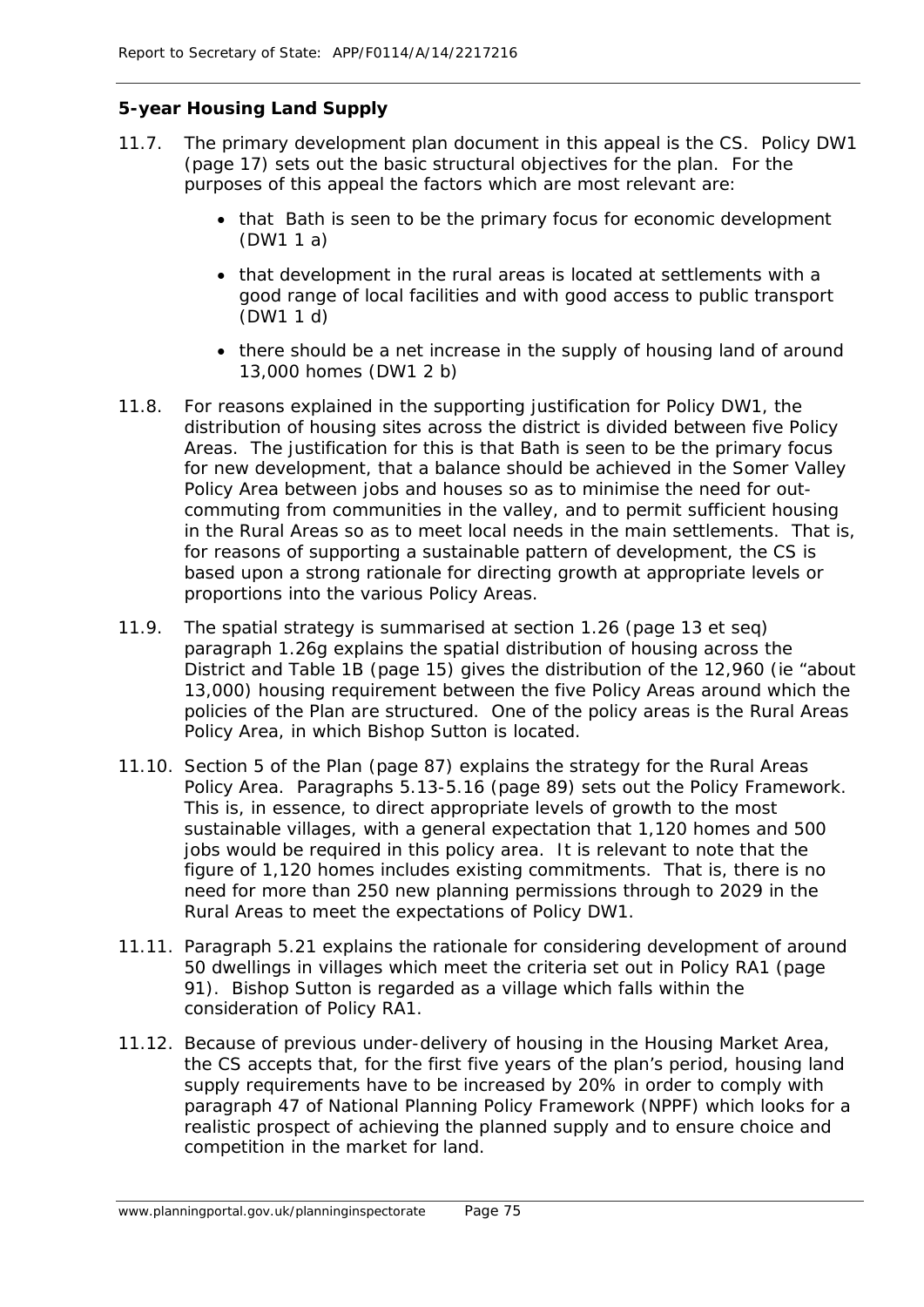## *5-year Housing Land Supply*

- 11.7. The primary development plan document in this appeal is the CS. Policy DW1 (page 17) sets out the basic structural objectives for the plan. For the purposes of this appeal the factors which are most relevant are:
	- that Bath is seen to be the primary focus for economic development (DW1 1 a)
	- that development in the rural areas is located at settlements with a good range of local facilities and with good access to public transport (DW1 1 d)
	- there should be a net increase in the supply of housing land of around 13,000 homes (DW1 2 b)
- <span id="page-82-0"></span>11.8. For reasons explained in the supporting justification for Policy DW1, the distribution of housing sites across the district is divided between five Policy Areas. The justification for this is that Bath is seen to be the primary focus for new development, that a balance should be achieved in the Somer Valley Policy Area between jobs and houses so as to minimise the need for outcommuting from communities in the valley, and to permit sufficient housing in the Rural Areas so as to meet local needs in the main settlements. That is, for reasons of supporting a sustainable pattern of development, the CS is based upon a strong rationale for directing growth at appropriate levels or proportions into the various Policy Areas.
- 11.9. The spatial strategy is summarised at section 1.26 (page 13 *et seq*) paragraph 1.26g explains the spatial distribution of housing across the District and Table 1B (page 15) gives the distribution of the 12,960 (ie "about 13,000) housing requirement between the five Policy Areas around which the policies of the Plan are structured. One of the policy areas is the Rural Areas Policy Area, in which Bishop Sutton is located.
- 11.10. Section 5 of the Plan (page 87) explains the strategy for the Rural Areas Policy Area. Paragraphs 5.13-5.16 (page 89) sets out the Policy Framework. This is, in essence, to direct appropriate levels of growth to the most sustainable villages, with a general expectation that 1,120 homes and 500 jobs would be required in this policy area. It is relevant to note that the figure of 1,120 homes includes existing commitments. That is, there is no need for more than 250 new planning permissions through to 2029 in the Rural Areas to meet the expectations of Policy DW1.
- 11.11. Paragraph 5.21 explains the rationale for considering development of around 50 dwellings in villages which meet the criteria set out in Policy RA1 (page 91). Bishop Sutton is regarded as a village which falls within the consideration of Policy RA1.
- 11.12. Because of previous under-delivery of housing in the Housing Market Area, the CS accepts that, for the first five years of the plan's period, housing land supply requirements have to be increased by 20% in order to comply with paragraph 47 of National Planning Policy Framework (NPPF) which looks for a realistic prospect of achieving the planned supply and to ensure choice and competition in the market for land.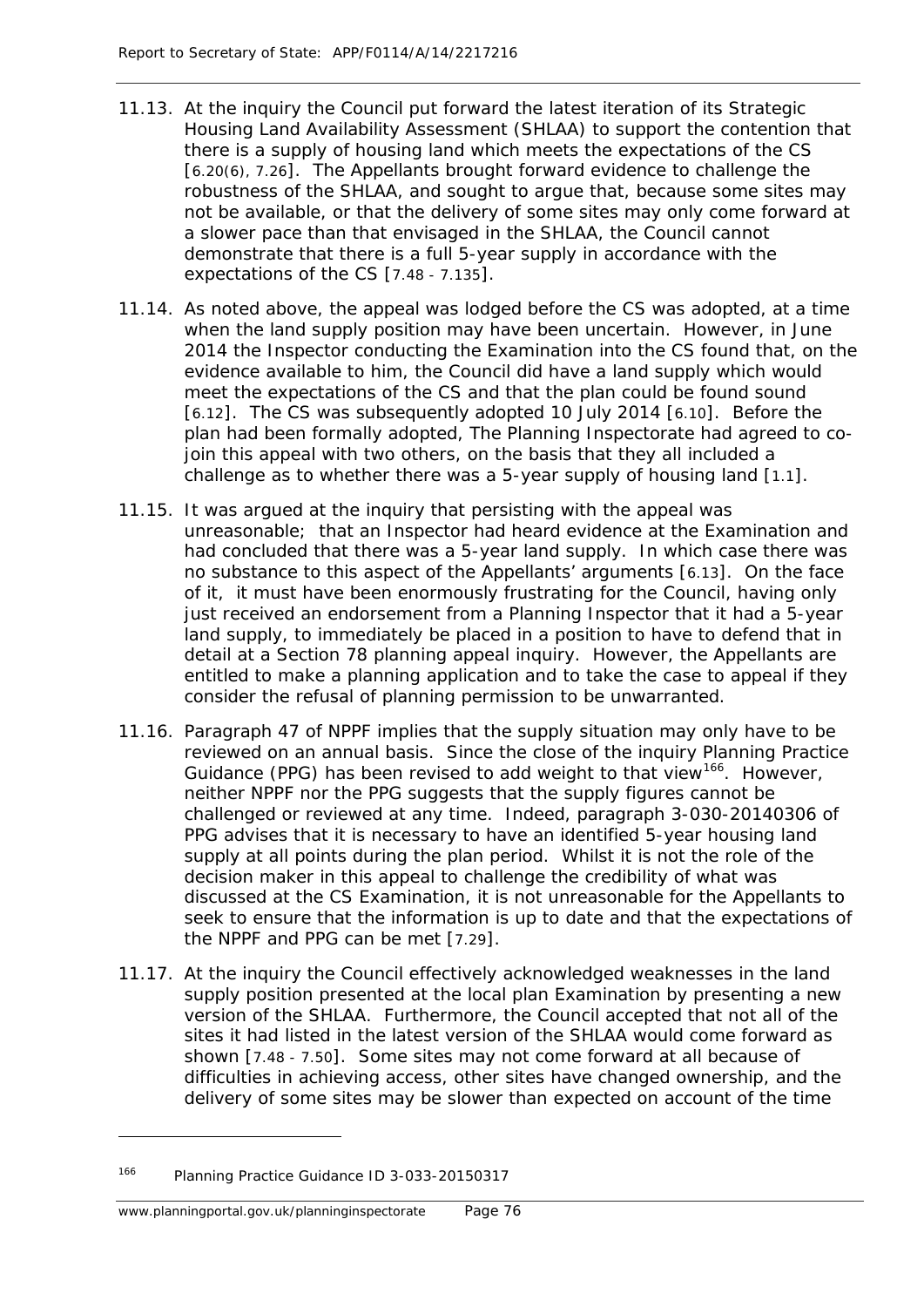- 11.13. At the inquiry the Council put forward the latest iteration of its Strategic Housing Land Availability Assessment (SHLAA) to support the contention that there is a supply of housing land which meets the expectations of the CS [*[6.20\(6\),](#page-18-0) [7.26](#page-28-0)*]. The Appellants brought forward evidence to challenge the robustness of the SHLAA, and sought to argue that, because some sites may not be available, or that the delivery of some sites may only come forward at a slower pace than that envisaged in the SHLAA, the Council cannot demonstrate that there is a full 5-year supply in accordance with the expectations of the CS [*[7.48](#page-35-0) - [7.135](#page-55-0)*].
- 11.14. As noted above, the appeal was lodged before the CS was adopted, at a time when the land supply position may have been uncertain. However, in June 2014 the Inspector conducting the Examination into the CS found that, on the evidence available to him, the Council did have a land supply which would meet the expectations of the CS and that the plan could be found sound [*[6.12](#page-14-1)*]. The CS was subsequently adopted 10 July 2014 [*[6.10](#page-14-0)*]. Before the plan had been formally adopted, The Planning Inspectorate had agreed to cojoin this appeal with two others, on the basis that they all included a challenge as to whether there was a 5-year supply of housing land [*[1.1](#page-10-0)*].
- 11.15. It was argued at the inquiry that persisting with the appeal was unreasonable; that an Inspector had heard evidence at the Examination and had concluded that there was a 5-year land supply. In which case there was no substance to this aspect of the Appellants' arguments [*[6.13](#page-15-0)*]. On the face of it, it must have been enormously frustrating for the Council, having only just received an endorsement from a Planning Inspector that it had a 5-year land supply, to immediately be placed in a position to have to defend that in detail at a Section 78 planning appeal inquiry. However, the Appellants are entitled to make a planning application and to take the case to appeal if they consider the refusal of planning permission to be unwarranted.
- 11.16. Paragraph 47 of NPPF implies that the supply situation may only have to be reviewed on an annual basis. Since the close of the inquiry Planning Practice Guidance (PPG) has been revised to add weight to that view<sup>166</sup>. However, neither NPPF nor the PPG suggests that the supply figures cannot be challenged or reviewed at any time. Indeed, paragraph 3-030-20140306 of PPG advises that it is necessary to have an identified 5-year housing land supply at all points during the plan period. Whilst it is not the role of the decision maker in this appeal to challenge the credibility of what was discussed at the CS Examination, it is not unreasonable for the Appellants to seek to ensure that the information is up to date and that the expectations of the NPPF and PPG can be met [*[7.29](#page-29-0)*].
- 11.17. At the inquiry the Council effectively acknowledged weaknesses in the land supply position presented at the local plan Examination by presenting a new version of the SHLAA. Furthermore, the Council accepted that not all of the sites it had listed in the latest version of the SHLAA would come forward as shown [*[7.48](#page-35-0) - [7.50](#page-35-1)*]. Some sites may not come forward at all because of difficulties in achieving access, other sites have changed ownership, and the delivery of some sites may be slower than expected on account of the time

l

<span id="page-83-0"></span><sup>166</sup> Planning Practice Guidance ID 3-033-20150317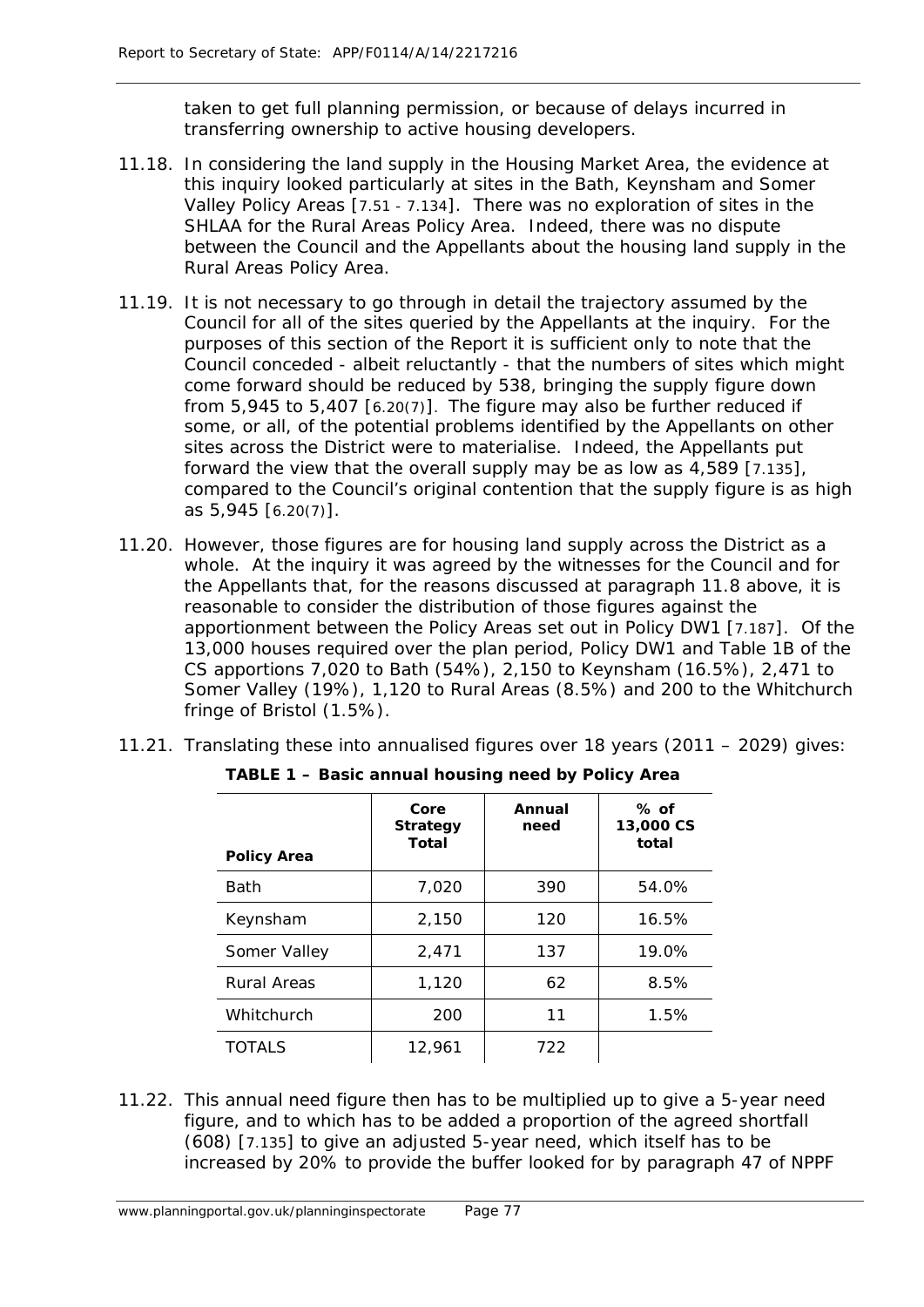taken to get full planning permission, or because of delays incurred in transferring ownership to active housing developers.

- 11.18. In considering the land supply in the Housing Market Area, the evidence at this inquiry looked particularly at sites in the Bath, Keynsham and Somer Valley Policy Areas [*[7.51](#page-35-2) - [7.134](#page-55-1)*]. There was no exploration of sites in the SHLAA for the Rural Areas Policy Area. Indeed, there was no dispute between the Council and the Appellants about the housing land supply in the Rural Areas Policy Area.
- 11.19. It is not necessary to go through in detail the trajectory assumed by the Council for all of the sites queried by the Appellants at the inquiry. For the purposes of this section of the Report it is sufficient only to note that the Council conceded - albeit reluctantly - that the numbers of sites which might come forward should be reduced by 538, bringing the supply figure down from 5,945 to 5,407 [*[6.20\(7\)](#page-18-0)*]*.* The figure may also be further reduced if some, or all, of the potential problems identified by the Appellants on other sites across the District were to materialise. Indeed, the Appellants put forward the view that the overall supply may be as low as 4,589 [*[7.135](#page-55-0)*], compared to the Council's original contention that the supply figure is as high as 5,945 [*[6.20\(7\)](#page-18-0)*].
- 11.20. However, those figures are for housing land supply across the District as a whole. At the inquiry it was agreed by the witnesses for the Council and for the Appellants that, for the reasons discussed at paragraph [11.8 above,](#page-82-0) it is reasonable to consider the distribution of those figures against the apportionment between the Policy Areas set out in Policy DW1 [*[7.187](#page-64-0)*]. Of the 13,000 houses required over the plan period, Policy DW1 and Table 1B of the CS apportions 7,020 to Bath (54%), 2,150 to Keynsham (16.5%), 2,471 to Somer Valley (19%), 1,120 to Rural Areas (8.5%) and 200 to the Whitchurch fringe of Bristol (1.5%).
- 11.21. Translating these into annualised figures over 18 years (2011 2029) gives:

| <b>Policy Area</b> | Core<br><b>Strategy</b><br><b>Total</b> | Annual<br>need | % of<br>13,000 CS<br>total |
|--------------------|-----------------------------------------|----------------|----------------------------|
| Bath               | 7,020                                   | 390            | 54.0%                      |
| Keynsham           | 2,150                                   | 120            | 16.5%                      |
| Somer Valley       | 2,471                                   | 137            | 19.0%                      |
| Rural Areas        | 1,120                                   | 62             | 8.5%                       |
| Whitchurch         | 200                                     | 11             | 1.5%                       |
| <b>TOTALS</b>      | 12,961                                  | 722            |                            |

*TABLE 1 – Basic annual housing need by Policy Area*

11.22. This annual need figure then has to be multiplied up to give a 5-year need figure, and to which has to be added a proportion of the agreed shortfall (608) [*[7.135](#page-55-0)*] to give an adjusted 5-year need, which itself has to be increased by 20% to provide the buffer looked for by paragraph 47 of NPPF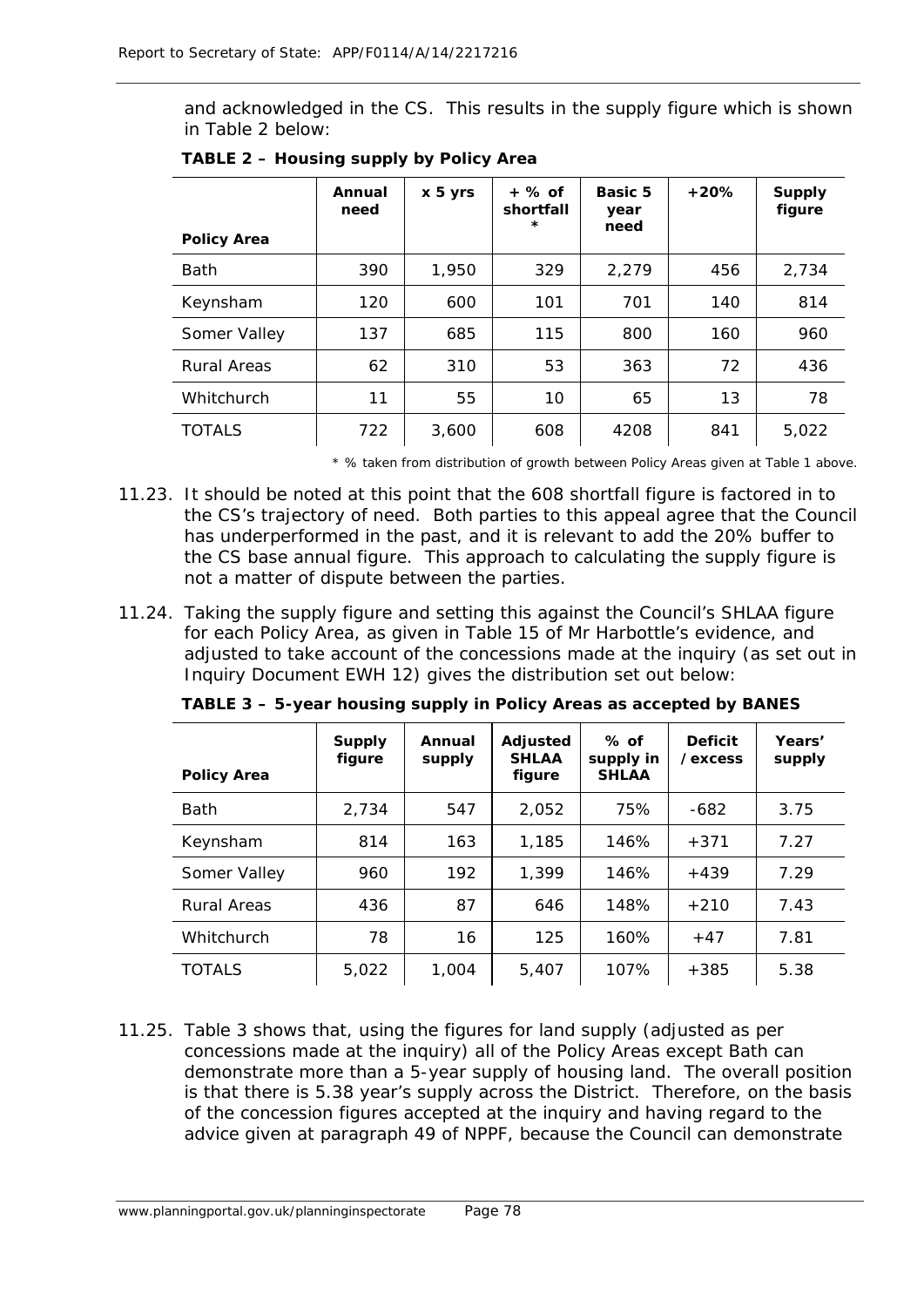and acknowledged in the CS. This results in the supply figure which is shown in Table 2 below:

| <b>Policy Area</b> | <b>Annual</b><br>need | x 5 yrs | + % of<br>shortfall<br>$\ast$ | <b>Basic 5</b><br>year<br>need | $+20%$ | <b>Supply</b><br>figure |
|--------------------|-----------------------|---------|-------------------------------|--------------------------------|--------|-------------------------|
| Bath               | 390                   | 1,950   | 329                           | 2,279                          | 456    | 2,734                   |
| Keynsham           | 120                   | 600     | 101                           | 701                            | 140    | 814                     |
| Somer Valley       | 137                   | 685     | 115                           | 800                            | 160    | 960                     |
| Rural Areas        | 62                    | 310     | 53                            | 363                            | 72     | 436                     |
| Whitchurch         | 11                    | 55      | 10                            | 65                             | 13     | 78                      |
| <b>TOTALS</b>      | 722                   | 3,600   | 608                           | 4208                           | 841    | 5,022                   |

*TABLE 2 – Housing supply by Policy Area* 

*\* % taken from distribution of growth between Policy Areas given at Table 1 above.*

- 11.23. It should be noted at this point that the 608 shortfall figure is factored in to the CS's trajectory of need. Both parties to this appeal agree that the Council has underperformed in the past, and it is relevant to add the 20% buffer to the CS base annual figure. This approach to calculating the supply figure is not a matter of dispute between the parties.
- 11.24. Taking the supply figure and setting this against the Council's SHLAA figure for each Policy Area, as given in Table 15 of Mr Harbottle's evidence, and adjusted to take account of the concessions made at the inquiry (as set out in Inquiry Document EWH 12) gives the distribution set out below:

| <b>Policy Area</b> | Supply<br>figure | <b>Annual</b><br>supply | Adjusted<br><b>SHLAA</b><br>figure | $%$ of<br>supply in<br><b>SHLAA</b> | <b>Deficit</b><br>/excess | Years'<br>supply |
|--------------------|------------------|-------------------------|------------------------------------|-------------------------------------|---------------------------|------------------|
| <b>Bath</b>        | 2,734            | 547                     | 2,052                              | 75%                                 | -682                      | 3.75             |
| Keynsham           | 814              | 163                     | 1,185                              | 146%                                | $+371$                    | 7.27             |
| Somer Valley       | 960              | 192                     | 1.399                              | 146%                                | $+439$                    | 7.29             |
| <b>Rural Areas</b> | 436              | 87                      | 646                                | 148%                                | $+210$                    | 7.43             |
| Whitchurch         | 78               | 16                      | 125                                | 160%                                | $+47$                     | 7.81             |
| <b>TOTALS</b>      | 5.022            | 1.004                   | 5,407                              | 107%                                | $+385$                    | 5.38             |

*TABLE 3 – 5-year housing supply in Policy Areas as accepted by BANES*

11.25. Table 3 shows that, using the figures for land supply (adjusted as *per*  concessions made at the inquiry) all of the Policy Areas except Bath can demonstrate more than a 5-year supply of housing land. The overall position is that there is 5.38 year's supply across the District. Therefore, on the basis of the concession figures accepted at the inquiry and having regard to the advice given at paragraph 49 of NPPF, because the Council can demonstrate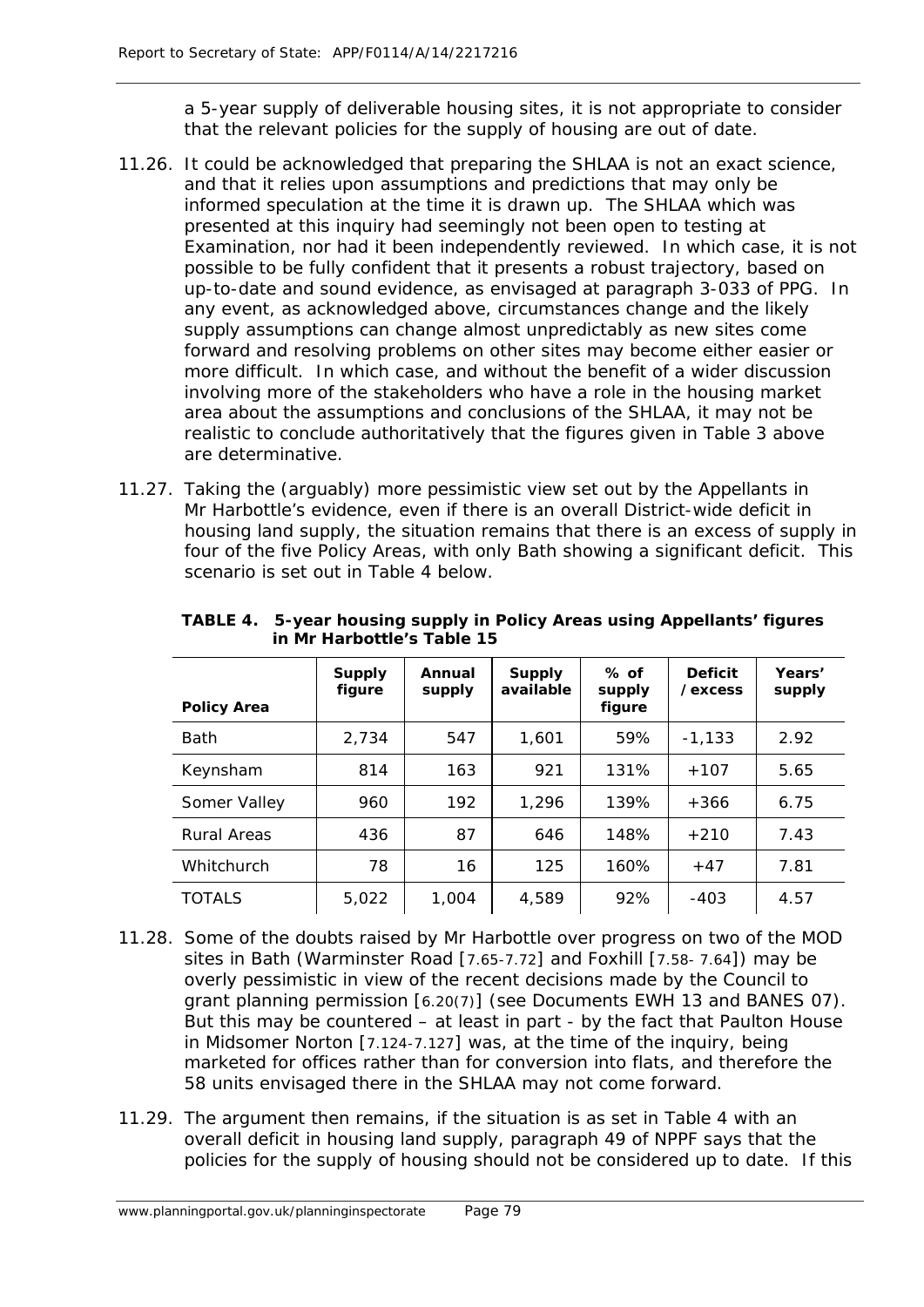a 5-year supply of deliverable housing sites, it is not appropriate to consider that the relevant policies for the supply of housing are out of date.

- 11.26. It could be acknowledged that preparing the SHLAA is not an exact science, and that it relies upon assumptions and predictions that may only be informed speculation at the time it is drawn up. The SHLAA which was presented at this inquiry had seemingly not been open to testing at Examination, nor had it been independently reviewed. In which case, it is not possible to be fully confident that it presents a robust trajectory, based on up-to-date and sound evidence, as envisaged at paragraph 3-033 of PPG. In any event, as acknowledged above, circumstances change and the likely supply assumptions can change almost unpredictably as new sites come forward and resolving problems on other sites may become either easier or more difficult. In which case, and without the benefit of a wider discussion involving more of the stakeholders who have a role in the housing market area about the assumptions and conclusions of the SHLAA, it may not be realistic to conclude authoritatively that the figures given in Table 3 above are determinative.
- 11.27. Taking the (arguably) more pessimistic view set out by the Appellants in Mr Harbottle's evidence, even if there is an overall District-wide deficit in housing land supply, the situation remains that there is an excess of supply in four of the five Policy Areas, with only Bath showing a significant deficit. This scenario is set out in Table 4 below.

|                    | <b>Supply</b><br>figure | <b>Annual</b><br>supply | <b>Supply</b><br>available | $%$ of<br>supply | <b>Deficit</b><br>/excess | Years'<br>supply |
|--------------------|-------------------------|-------------------------|----------------------------|------------------|---------------------------|------------------|
| <b>Policy Area</b> |                         |                         |                            | figure           |                           |                  |
| <b>Bath</b>        | 2,734                   | 547                     | 1,601                      | 59%              | $-1,133$                  | 2.92             |
| Keynsham           | 814                     | 163                     | 921                        | 131%             | $+107$                    | 5.65             |
| Somer Valley       | 960                     | 192                     | 1,296                      | 139%             | $+366$                    | 6.75             |
| <b>Rural Areas</b> | 436                     | 87                      | 646                        | 148%             | $+210$                    | 7.43             |
| Whitchurch         | 78                      | 16                      | 125                        | 160%             | $+47$                     | 7.81             |
| <b>TOTALS</b>      | 5.022                   | 1.004                   | 4,589                      | 92%              | $-403$                    | 4.57             |

*TABLE 4. 5-year housing supply in Policy Areas using Appellants' figures in Mr Harbottle's Table 15*

- 11.28. Some of the doubts raised by Mr Harbottle over progress on two of the MOD sites in Bath (Warminster Road [*[7.65](#page-39-0)[-7.72](#page-41-0)*] and Foxhill [*[7.58-](#page-37-0) [7.64](#page-39-1)*]) may be overly pessimistic in view of the recent decisions made by the Council to grant planning permission [*[6.20\(7\)](#page-18-0)*] (see Documents EWH 13 and BANES 07). But this may be countered – at least in part - by the fact that Paulton House in Midsomer Norton [*[7.124](#page-53-0)[-7.127](#page-53-1)*] was, at the time of the inquiry, being marketed for offices rather than for conversion into flats, and therefore the 58 units envisaged there in the SHLAA may not come forward.
- 11.29. The argument then remains, if the situation is as set in Table 4 with an overall deficit in housing land supply, paragraph 49 of NPPF says that the policies for the supply of housing should not be considered up to date. If this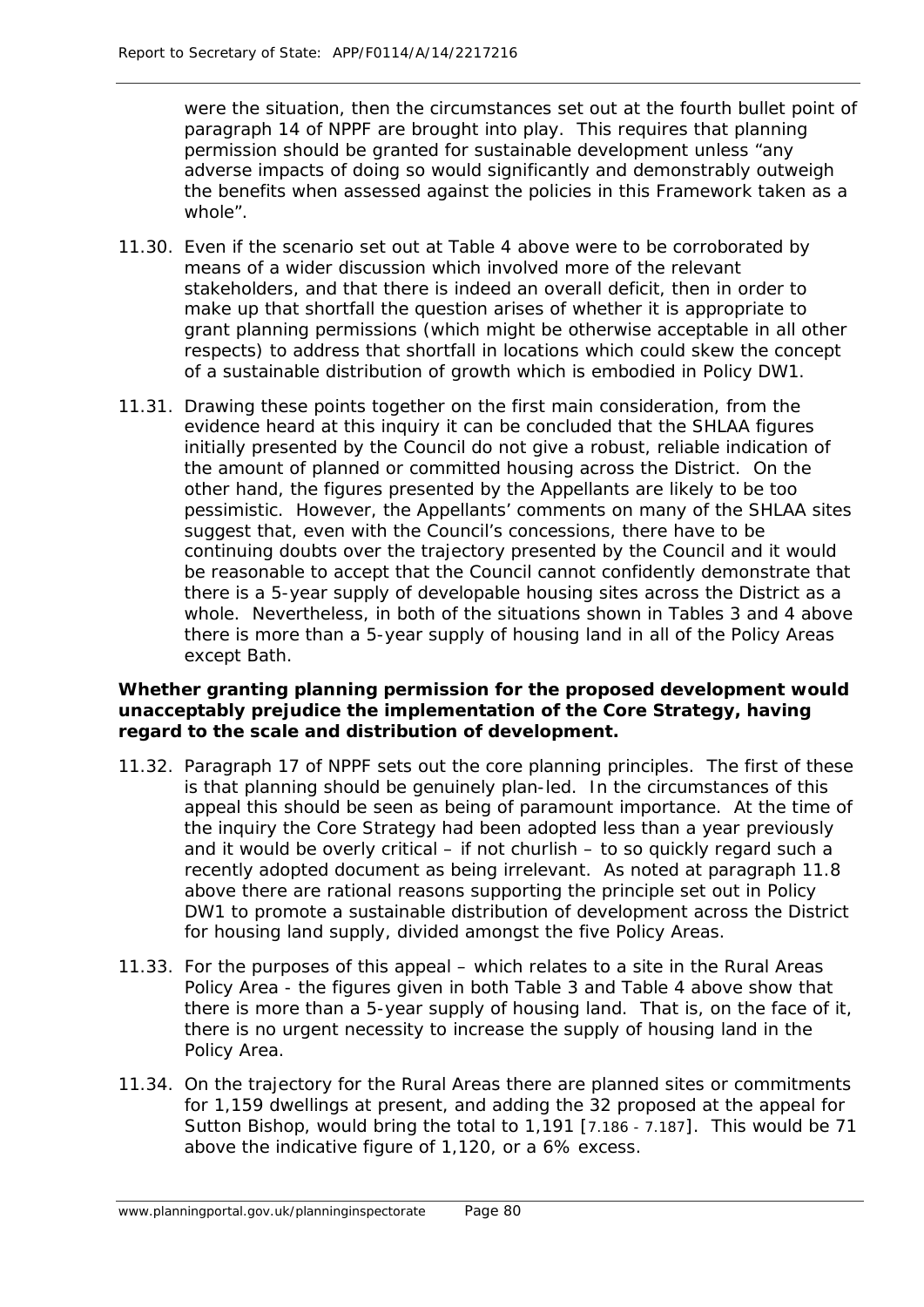were the situation, then the circumstances set out at the fourth bullet point of paragraph 14 of NPPF are brought into play. This requires that planning permission should be granted for sustainable development unless "any adverse impacts of doing so would significantly and demonstrably outweigh the benefits when assessed against the policies in this Framework taken as a whole".

- 11.30. Even if the scenario set out at Table 4 above were to be corroborated by means of a wider discussion which involved more of the relevant stakeholders, and that there is indeed an overall deficit, then in order to make up that shortfall the question arises of whether it is appropriate to grant planning permissions (which might be otherwise acceptable in all other respects) to address that shortfall in locations which could skew the concept of a sustainable distribution of growth which is embodied in Policy DW1.
- 11.31. Drawing these points together on the first main consideration, from the evidence heard at this inquiry it can be concluded that the SHLAA figures initially presented by the Council do not give a robust, reliable indication of the amount of planned or committed housing across the District. On the other hand, the figures presented by the Appellants are likely to be too pessimistic. However, the Appellants' comments on many of the SHLAA sites suggest that, even with the Council's concessions, there have to be continuing doubts over the trajectory presented by the Council and it would be reasonable to accept that the Council cannot confidently demonstrate that there is a 5-year supply of developable housing sites across the District as a whole. Nevertheless, in both of the situations shown in Tables 3 and 4 above there is more than a 5-year supply of housing land in all of the Policy Areas except Bath.

#### *Whether granting planning permission for the proposed development would unacceptably prejudice the implementation of the Core Strategy, having regard to the scale and distribution of development.*

- 11.32. Paragraph 17 of NPPF sets out the core planning principles. The first of these is that planning should be genuinely plan-led. In the circumstances of this appeal this should be seen as being of paramount importance. At the time of the inquiry the Core Strategy had been adopted less than a year previously and it would be overly critical – if not churlish – to so quickly regard such a recently adopted document as being irrelevant. As noted at paragraph [11.8](#page-82-0)  [above](#page-82-0) there are rational reasons supporting the principle set out in Policy DW1 to promote a sustainable distribution of development across the District for housing land supply, divided amongst the five Policy Areas.
- <span id="page-87-0"></span>11.33. For the purposes of this appeal – which relates to a site in the Rural Areas Policy Area - the figures given in both Table 3 and Table 4 above show that there is more than a 5-year supply of housing land. That is, on the face of it, there is no urgent necessity to increase the supply of housing land in the Policy Area.
- 11.34. On the trajectory for the Rural Areas there are planned sites or commitments for 1,159 dwellings at present, and adding the 32 proposed at the appeal for Sutton Bishop, would bring the total to 1,191 [*[7.186](#page-64-1) - [7.187](#page-64-0)*]. This would be 71 above the indicative figure of 1,120, or a 6% excess.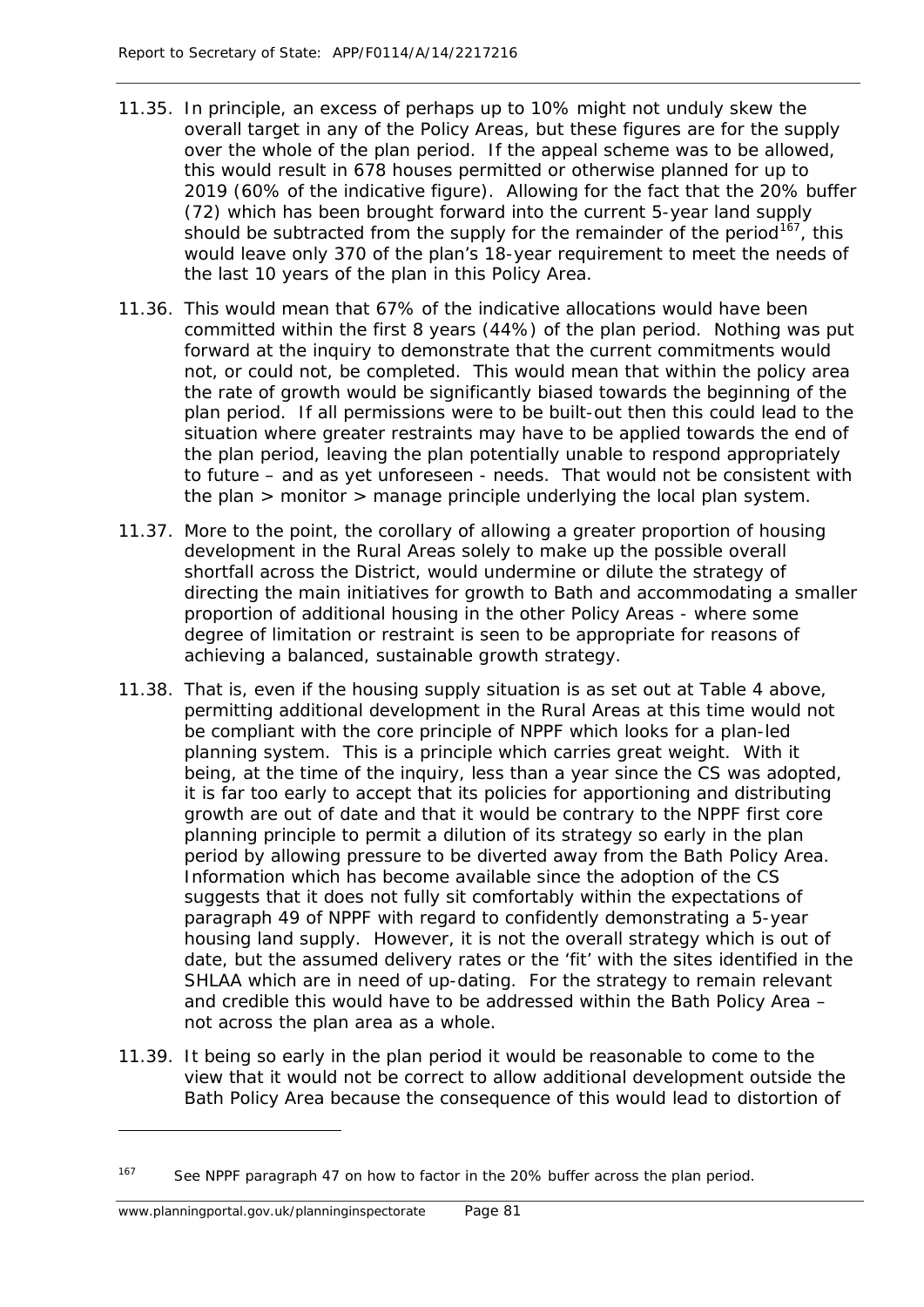- 11.35. In principle, an excess of perhaps up to 10% might not unduly skew the overall target in any of the Policy Areas, but these figures are for the supply over the whole of the plan period. If the appeal scheme was to be allowed, this would result in 678 houses permitted or otherwise planned for up to 2019 (60% of the indicative figure). Allowing for the fact that the 20% buffer (72) which has been brought forward into the current 5-year land supply should be subtracted from the supply for the remainder of the period  $167$ , this would leave only 370 of the plan's 18-year requirement to meet the needs of the last 10 years of the plan in this Policy Area.
- 11.36. This would mean that 67% of the indicative allocations would have been committed within the first 8 years (44%) of the plan period. Nothing was put forward at the inquiry to demonstrate that the current commitments would not, or could not, be completed. This would mean that within the policy area the rate of growth would be significantly biased towards the beginning of the plan period. If all permissions were to be built-out then this could lead to the situation where greater restraints may have to be applied towards the end of the plan period, leaving the plan potentially unable to respond appropriately to future – and as yet unforeseen - needs. That would not be consistent with the plan > monitor > manage principle underlying the local plan system.
- 11.37. More to the point, the corollary of allowing a greater proportion of housing development in the Rural Areas solely to make up the possible overall shortfall across the District, would undermine or dilute the strategy of directing the main initiatives for growth to Bath and accommodating a smaller proportion of additional housing in the other Policy Areas - where some degree of limitation or restraint is seen to be appropriate for reasons of achieving a balanced, sustainable growth strategy.
- 11.38. That is, even if the housing supply situation is as set out at Table 4 above, permitting additional development in the Rural Areas at this time would not be compliant with the core principle of NPPF which looks for a plan-led planning system. This is a principle which carries great weight. With it being, at the time of the inquiry, less than a year since the CS was adopted, it is far too early to accept that its policies for apportioning and distributing growth are out of date and that it would be contrary to the NPPF first core planning principle to permit a dilution of its strategy so early in the plan period by allowing pressure to be diverted away from the Bath Policy Area. Information which has become available since the adoption of the CS suggests that it does not fully sit comfortably within the expectations of paragraph 49 of NPPF with regard to confidently demonstrating a 5-year housing land supply. However, it is not the overall strategy which is out of date, but the assumed delivery rates or the 'fit' with the sites identified in the SHLAA which are in need of up-dating. For the strategy to remain relevant and credible this would have to be addressed within the Bath Policy Area – not across the plan area as a whole.
- 11.39. It being so early in the plan period it would be reasonable to come to the view that it would not be correct to allow additional development outside the Bath Policy Area because the consequence of this would lead to distortion of

1

<span id="page-88-0"></span><sup>&</sup>lt;sup>167</sup> See NPPF paragraph 47 on how to factor in the 20% buffer across the plan period.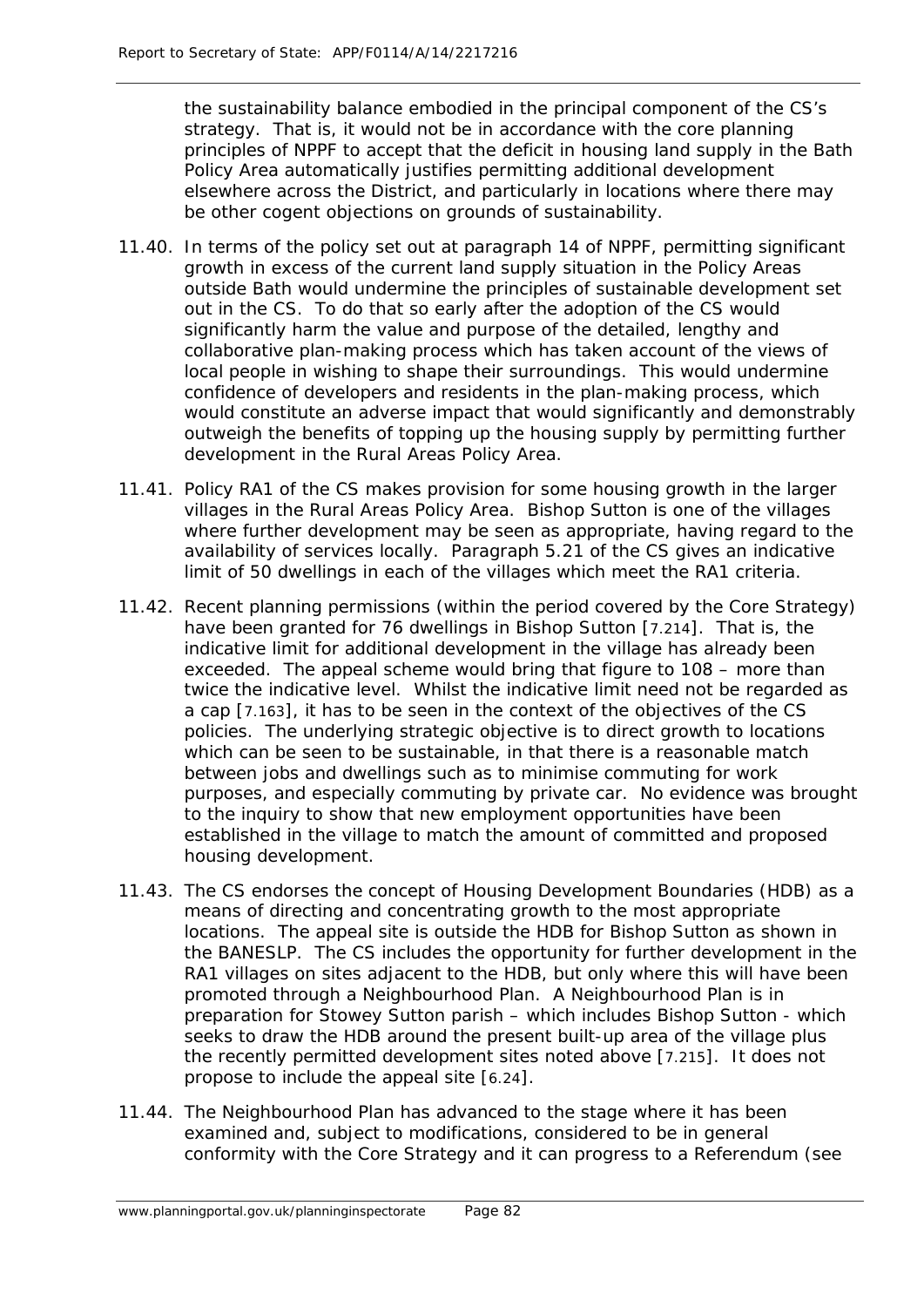the sustainability balance embodied in the principal component of the CS's strategy. That is, it would not be in accordance with the core planning principles of NPPF to accept that the deficit in housing land supply in the Bath Policy Area automatically justifies permitting additional development elsewhere across the District, and particularly in locations where there may be other cogent objections on grounds of sustainability.

- 11.40. In terms of the policy set out at paragraph 14 of NPPF, permitting significant growth in excess of the current land supply situation in the Policy Areas outside Bath would undermine the principles of sustainable development set out in the CS. To do that so early after the adoption of the CS would significantly harm the value and purpose of the detailed, lengthy and collaborative plan-making process which has taken account of the views of local people in wishing to shape their surroundings. This would undermine confidence of developers and residents in the plan-making process, which would constitute an adverse impact that would significantly and demonstrably outweigh the benefits of topping up the housing supply by permitting further development in the Rural Areas Policy Area.
- 11.41. Policy RA1 of the CS makes provision for some housing growth in the larger villages in the Rural Areas Policy Area. Bishop Sutton is one of the villages where further development may be seen as appropriate, having regard to the availability of services locally. Paragraph 5.21 of the CS gives an indicative limit of 50 dwellings in each of the villages which meet the RA1 criteria.
- 11.42. Recent planning permissions (within the period covered by the Core Strategy) have been granted for 76 dwellings in Bishop Sutton [*[7.214](#page-69-0)*]. That is, the indicative limit for additional development in the village has already been exceeded. The appeal scheme would bring that figure to 108 – more than twice the indicative level. Whilst the indicative limit need not be regarded as a cap [*[7.163](#page-60-0)*], it has to be seen in the context of the objectives of the CS policies. The underlying strategic objective is to direct growth to locations which can be seen to be sustainable, in that there is a reasonable match between jobs and dwellings such as to minimise commuting for work purposes, and especially commuting by private car. No evidence was brought to the inquiry to show that new employment opportunities have been established in the village to match the amount of committed and proposed housing development.
- 11.43. The CS endorses the concept of Housing Development Boundaries (HDB) as a means of directing and concentrating growth to the most appropriate locations. The appeal site is outside the HDB for Bishop Sutton as shown in the BANESLP. The CS includes the opportunity for further development in the RA1 villages on sites adjacent to the HDB, but only where this will have been promoted through a Neighbourhood Plan. A Neighbourhood Plan is in preparation for Stowey Sutton parish – which includes Bishop Sutton - which seeks to draw the HDB around the present built-up area of the village plus the recently permitted development sites noted above [*[7.215](#page-70-0)*]. It does not propose to include the appeal site [*[6.24](#page-22-0)*].
- 11.44. The Neighbourhood Plan has advanced to the stage where it has been examined and, subject to modifications, considered to be in general conformity with the Core Strategy and it can progress to a Referendum (see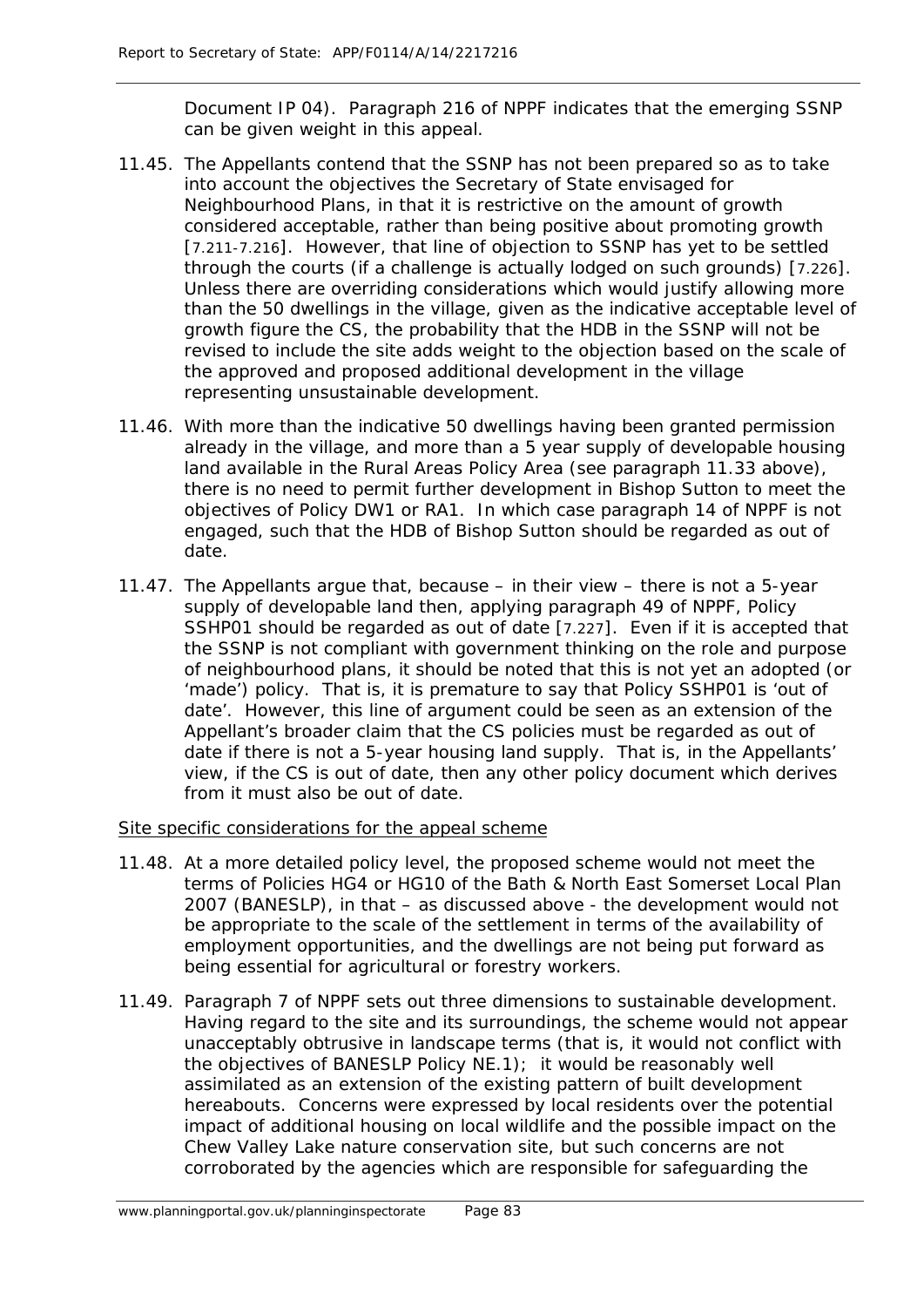Document IP 04). Paragraph 216 of NPPF indicates that the emerging SSNP can be given weight in this appeal.

- 11.45. The Appellants contend that the SSNP has not been prepared so as to take into account the objectives the Secretary of State envisaged for Neighbourhood Plans, in that it is restrictive on the amount of growth considered acceptable, rather than being positive about promoting growth [[7.211](#page-68-0)[-7.216](#page-70-1)]. However, that line of objection to SSNP has yet to be settled through the courts (if a challenge is actually lodged on such grounds) [*[7.226](#page-72-1)*]. Unless there are overriding considerations which would justify allowing more than the 50 dwellings in the village, given as the indicative acceptable level of growth figure the CS, the probability that the HDB in the SSNP will not be revised to include the site adds weight to the objection based on the scale of the approved and proposed additional development in the village representing unsustainable development.
- 11.46. With more than the indicative 50 dwellings having been granted permission already in the village, and more than a 5 year supply of developable housing land available in the Rural Areas Policy Area (see paragraph [11.33 above\)](#page-87-0), there is no need to permit further development in Bishop Sutton to meet the objectives of Policy DW1 or RA1. In which case paragraph 14 of NPPF is not engaged, such that the HDB of Bishop Sutton should be regarded as out of date.
- 11.47. The Appellants argue that, because in their view there is not a 5-year supply of developable land then, applying paragraph 49 of NPPF, Policy SSHP01 should be regarded as out of date [*[7.227](#page-72-2)*]. Even if it is accepted that the SSNP is not compliant with government thinking on the role and purpose of neighbourhood plans, it should be noted that this is not yet an adopted (or 'made') policy. That is, it is premature to say that Policy SSHP01 is 'out of date'. However, this line of argument could be seen as an extension of the Appellant's broader claim that the CS policies must be regarded as out of date if there is not a 5-year housing land supply. That is, in the Appellants' view, if the CS is out of date, then any other policy document which derives from it must also be out of date.

*Site specific considerations for the appeal scheme*

- 11.48. At a more detailed policy level, the proposed scheme would not meet the terms of Policies HG4 or HG10 of the Bath & North East Somerset Local Plan 2007 (BANESLP), in that – as discussed above - the development would not be appropriate to the scale of the settlement in terms of the availability of employment opportunities, and the dwellings are not being put forward as being essential for agricultural or forestry workers.
- 11.49. Paragraph 7 of NPPF sets out three dimensions to sustainable development. Having regard to the site and its surroundings, the scheme would not appear unacceptably obtrusive in landscape terms (that is, it would not conflict with the objectives of BANESLP Policy NE.1); it would be reasonably well assimilated as an extension of the existing pattern of built development hereabouts. Concerns were expressed by local residents over the potential impact of additional housing on local wildlife and the possible impact on the Chew Valley Lake nature conservation site, but such concerns are not corroborated by the agencies which are responsible for safeguarding the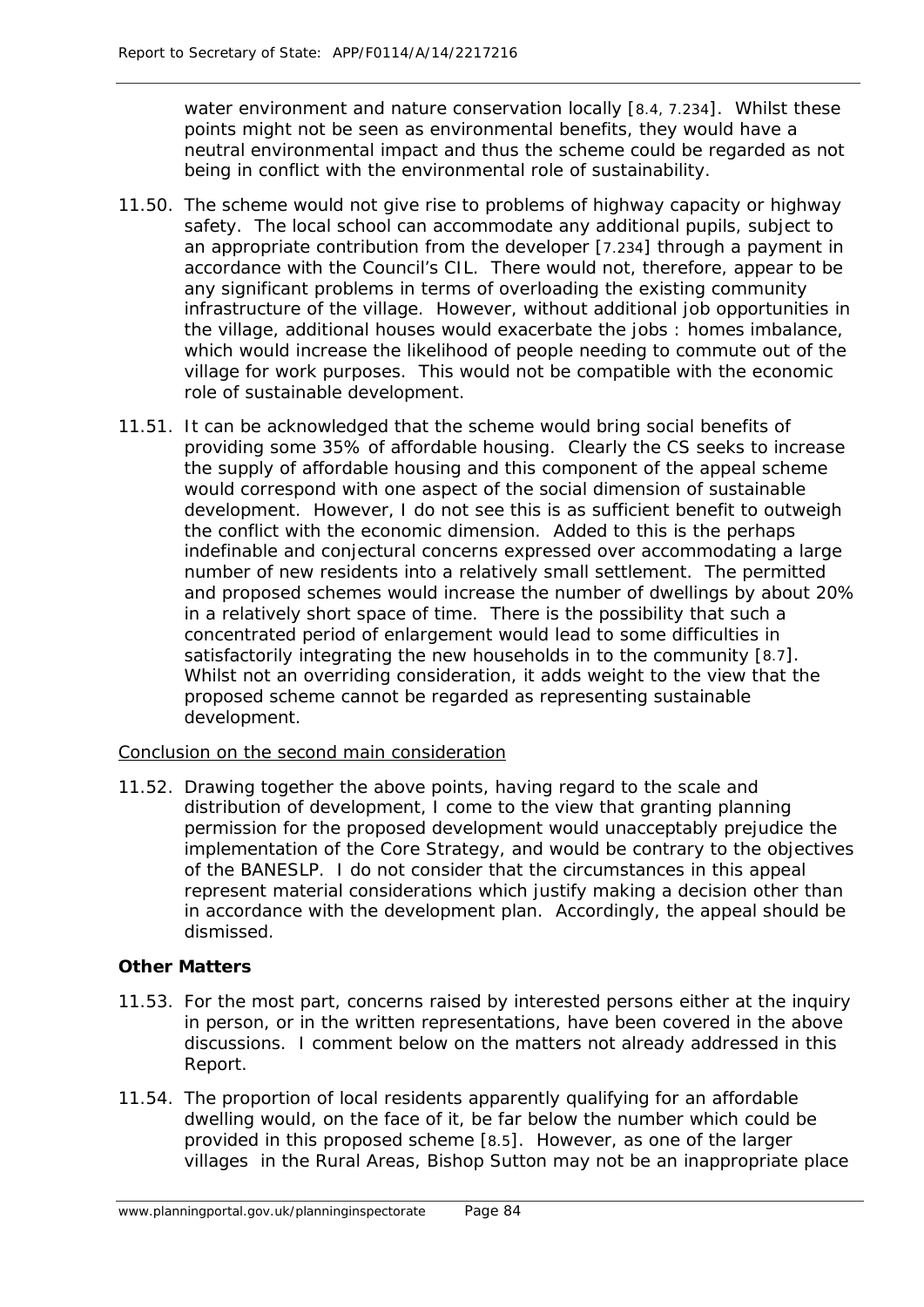water environment and nature conservation locally [*[8.4,](#page-77-0) [7.234](#page-73-2)*]. Whilst these points might not be seen as environmental benefits, they would have a neutral environmental impact and thus the scheme could be regarded as not being in conflict with the environmental role of sustainability.

- 11.50. The scheme would not give rise to problems of highway capacity or highway safety. The local school can accommodate any additional pupils, subject to an appropriate contribution from the developer [*[7.234](#page-73-2)*] through a payment in accordance with the Council's CIL. There would not, therefore, appear to be any significant problems in terms of overloading the existing community infrastructure of the village. However, without additional job opportunities in the village, additional houses would exacerbate the jobs : homes imbalance, which would increase the likelihood of people needing to commute out of the village for work purposes. This would not be compatible with the economic role of sustainable development.
- 11.51. It can be acknowledged that the scheme would bring social benefits of providing some 35% of affordable housing. Clearly the CS seeks to increase the supply of affordable housing and this component of the appeal scheme would correspond with one aspect of the social dimension of sustainable development. However, I do not see this is as sufficient benefit to outweigh the conflict with the economic dimension. Added to this is the perhaps indefinable and conjectural concerns expressed over accommodating a large number of new residents into a relatively small settlement. The permitted and proposed schemes would increase the number of dwellings by about 20% in a relatively short space of time. There is the possibility that such a concentrated period of enlargement would lead to some difficulties in satisfactorily integrating the new households in to the community [*[8.7](#page-77-1)*]. Whilst not an overriding consideration, it adds weight to the view that the proposed scheme cannot be regarded as representing sustainable development.

#### *Conclusion on the second main consideration*

11.52. Drawing together the above points, having regard to the scale and distribution of development, I come to the view that granting planning permission for the proposed development would unacceptably prejudice the implementation of the Core Strategy, and would be contrary to the objectives of the BANESLP. I do not consider that the circumstances in this appeal represent material considerations which justify making a decision other than in accordance with the development plan. Accordingly, the appeal should be dismissed.

#### **Other Matters**

- 11.53. For the most part, concerns raised by interested persons either at the inquiry in person, or in the written representations, have been covered in the above discussions. I comment below on the matters not already addressed in this Report.
- 11.54. The proportion of local residents apparently qualifying for an affordable dwelling would, on the face of it, be far below the number which could be provided in this proposed scheme [*[8.5](#page-77-2)*]. However, as one of the larger villages in the Rural Areas, Bishop Sutton may not be an inappropriate place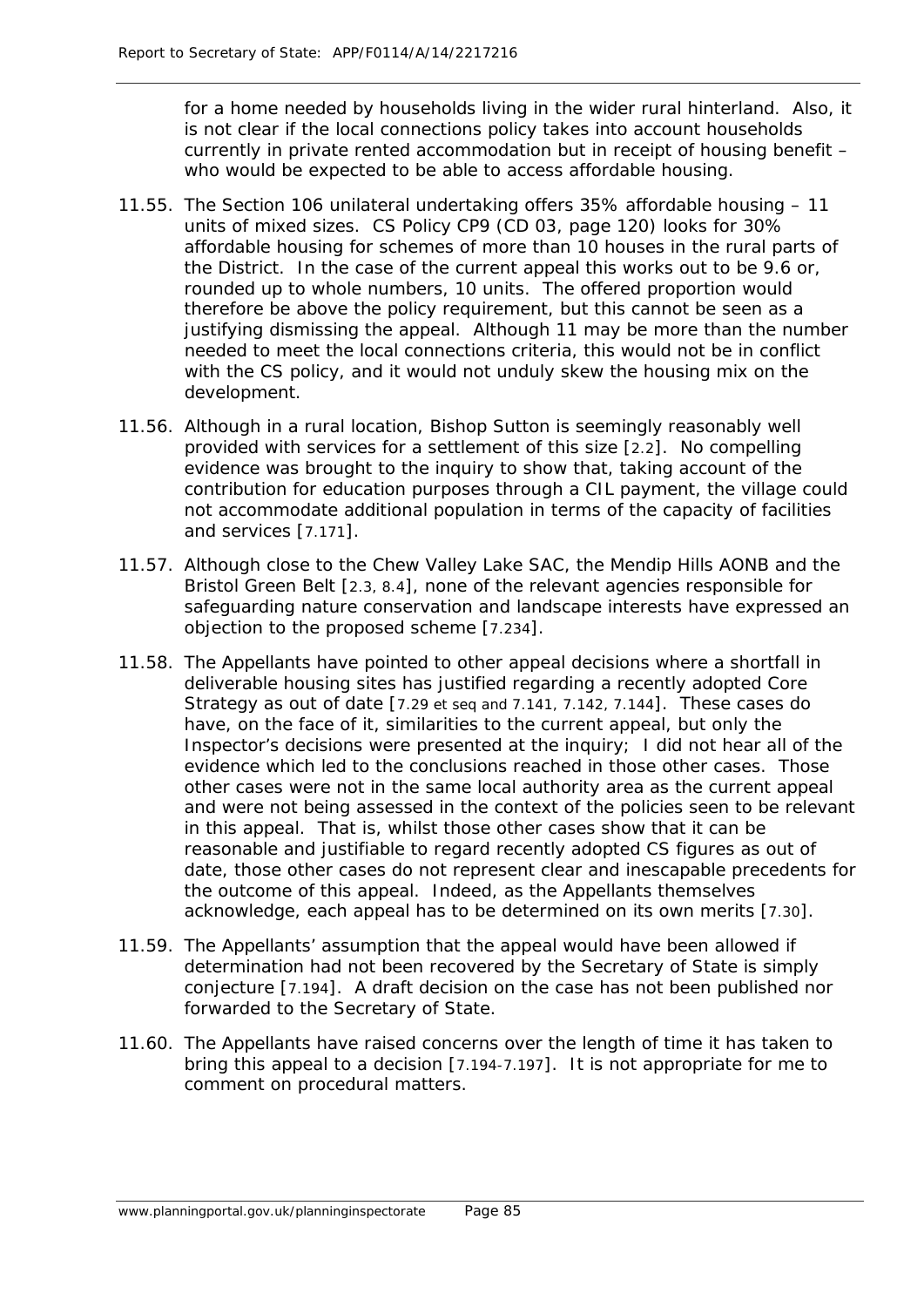for a home needed by households living in the wider rural hinterland. Also, it is not clear if the local connections policy takes into account households currently in private rented accommodation but in receipt of housing benefit – who would be expected to be able to access affordable housing.

- 11.55. The Section 106 unilateral undertaking offers 35% affordable housing 11 units of mixed sizes. CS Policy CP9 (CD 03, page 120) looks for 30% affordable housing for schemes of more than 10 houses in the rural parts of the District. In the case of the current appeal this works out to be 9.6 or, rounded up to whole numbers, 10 units. The offered proportion would therefore be above the policy requirement, but this cannot be seen as a justifying dismissing the appeal. Although 11 may be more than the number needed to meet the local connections criteria, this would not be in conflict with the CS policy, and it would not unduly skew the housing mix on the development.
- 11.56. Although in a rural location, Bishop Sutton is seemingly reasonably well provided with services for a settlement of this size [*[2.2](#page-10-1)*]. No compelling evidence was brought to the inquiry to show that, taking account of the contribution for education purposes through a CIL payment, the village could not accommodate additional population in terms of the capacity of facilities and services [*[7.171](#page-62-0)*].
- 11.57. Although close to the Chew Valley Lake SAC, the Mendip Hills AONB and the Bristol Green Belt [*[2.3,](#page-11-1) [8.4](#page-77-0)*], none of the relevant agencies responsible for safeguarding nature conservation and landscape interests have expressed an objection to the proposed scheme [*[7.234](#page-73-2)*].
- 11.58. The Appellants have pointed to other appeal decisions where a shortfall in deliverable housing sites has justified regarding a recently adopted Core Strategy as out of date [*[7.29](#page-29-0) et seq* and *[7.141,](#page-57-0) [7.142,](#page-57-1) [7.144](#page-57-2)*]. These cases do have, on the face of it, similarities to the current appeal, but only the Inspector's decisions were presented at the inquiry; I did not hear all of the evidence which led to the conclusions reached in those other cases. Those other cases were not in the same local authority area as the current appeal and were not being assessed in the context of the policies seen to be relevant in this appeal. That is, whilst those other cases show that it can be reasonable and justifiable to regard recently adopted CS figures as out of date, those other cases do not represent clear and inescapable precedents for the outcome of this appeal. Indeed, as the Appellants themselves acknowledge, each appeal has to be determined on its own merits [*[7.30](#page-30-0)*].
- 11.59. The Appellants' assumption that the appeal would have been allowed if determination had not been recovered by the Secretary of State is simply conjecture [*[7.194](#page-65-0)*]. A draft decision on the case has not been published nor forwarded to the Secretary of State.
- 11.60. The Appellants have raised concerns over the length of time it has taken to bring this appeal to a decision [*[7.194](#page-65-0)[-7.197](#page-66-0)*]. It is not appropriate for me to comment on procedural matters.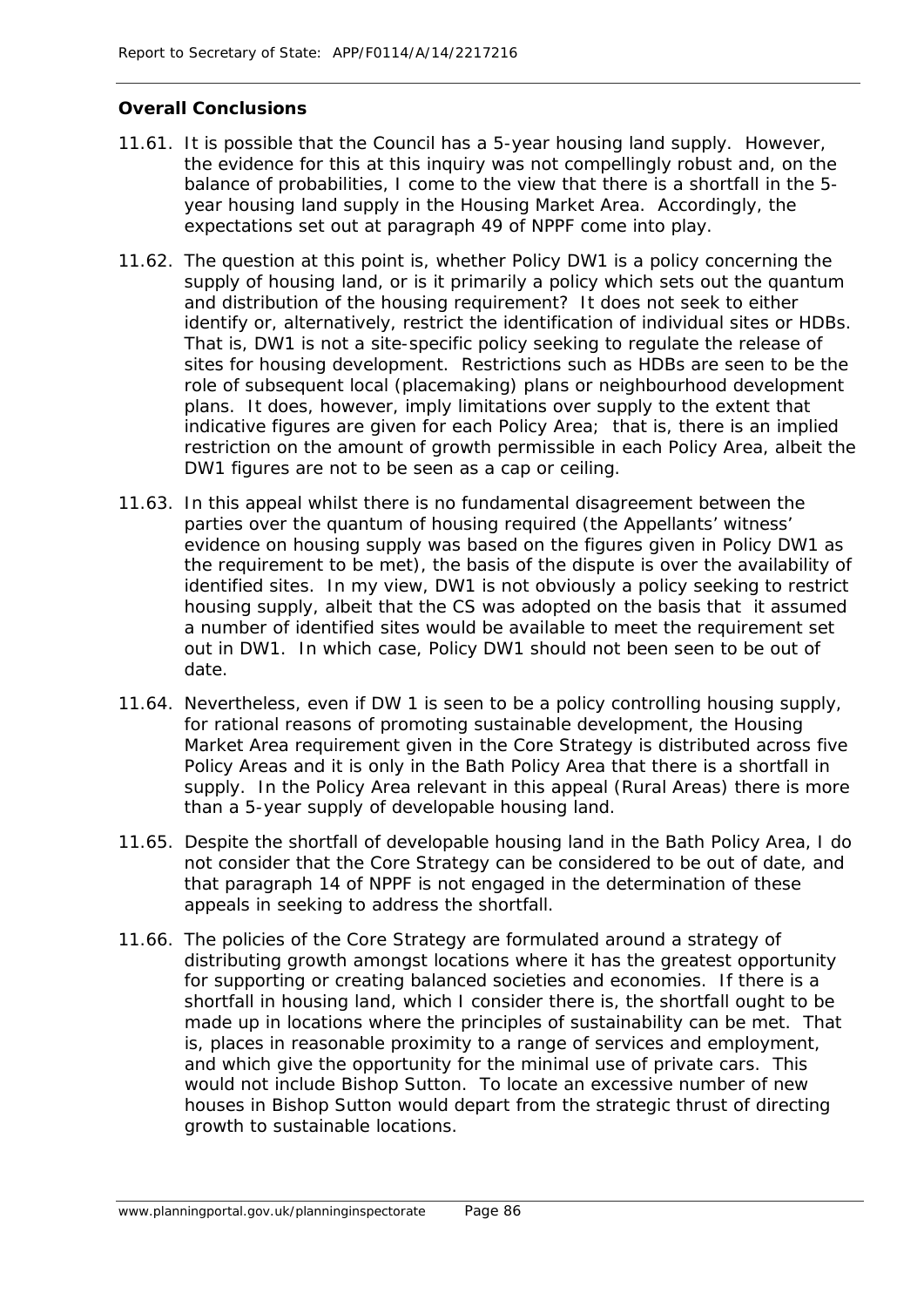### **Overall Conclusions**

- 11.61. It is possible that the Council has a 5-year housing land supply. However, the evidence for this at this inquiry was not compellingly robust and, on the balance of probabilities, I come to the view that there is a shortfall in the 5 year housing land supply in the Housing Market Area. Accordingly, the expectations set out at paragraph 49 of NPPF come into play.
- 11.62. The question at this point is, whether Policy DW1 is a policy concerning the supply of housing land, or is it primarily a policy which sets out the quantum and distribution of the housing requirement? It does not seek to either identify or, alternatively, restrict the identification of individual sites or HDBs. That is, DW1 is not a site-specific policy seeking to regulate the release of sites for housing development. Restrictions such as HDBs are seen to be the role of subsequent local (placemaking) plans or neighbourhood development plans. It does, however, imply limitations over supply to the extent that indicative figures are given for each Policy Area; that is, there is an implied restriction on the amount of growth permissible in each Policy Area, albeit the DW1 figures are not to be seen as a cap or ceiling.
- 11.63. In this appeal whilst there is no fundamental disagreement between the parties over the quantum of housing required (the Appellants' witness' evidence on housing supply was based on the figures given in Policy DW1 as the requirement to be met), the basis of the dispute is over the availability of identified sites. In my view, DW1 is not obviously a policy seeking to restrict housing supply, albeit that the CS was adopted on the basis that it assumed a number of identified sites would be available to meet the requirement set out in DW1. In which case, Policy DW1 should not been seen to be out of date.
- 11.64. Nevertheless, even if DW 1 is seen to be a policy controlling housing supply, for rational reasons of promoting sustainable development, the Housing Market Area requirement given in the Core Strategy is distributed across five Policy Areas and it is only in the Bath Policy Area that there is a shortfall in supply. In the Policy Area relevant in this appeal (Rural Areas) there is more than a 5-year supply of developable housing land.
- 11.65. Despite the shortfall of developable housing land in the Bath Policy Area, I do not consider that the Core Strategy can be considered to be out of date, and that paragraph 14 of NPPF is not engaged in the determination of these appeals in seeking to address the shortfall.
- 11.66. The policies of the Core Strategy are formulated around a strategy of distributing growth amongst locations where it has the greatest opportunity for supporting or creating balanced societies and economies. If there is a shortfall in housing land, which I consider there is, the shortfall ought to be made up in locations where the principles of sustainability can be met. That is, places in reasonable proximity to a range of services and employment, and which give the opportunity for the minimal use of private cars. This would not include Bishop Sutton. To locate an excessive number of new houses in Bishop Sutton would depart from the strategic thrust of directing growth to sustainable locations.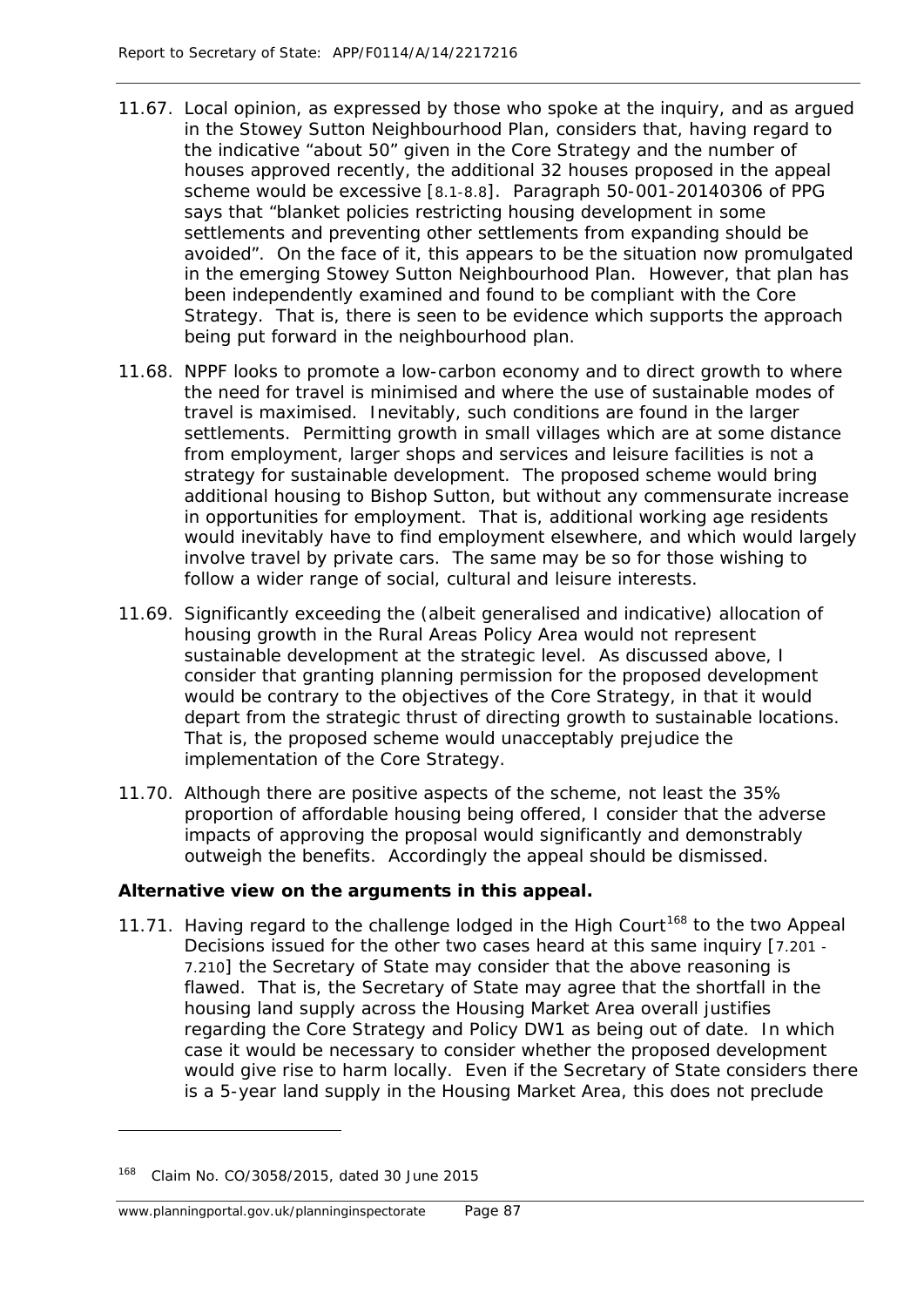- 11.67. Local opinion, as expressed by those who spoke at the inquiry, and as argued in the Stowey Sutton Neighbourhood Plan, considers that, having regard to the indicative "about 50" given in the Core Strategy and the number of houses approved recently, the additional 32 houses proposed in the appeal scheme would be excessive [*[8.1](#page-76-0)[-8.8](#page-77-3)*]. Paragraph 50-001-20140306 of PPG says that *"blanket policies restricting housing development in some settlements and preventing other settlements from expanding should be avoided*". On the face of it, this appears to be the situation now promulgated in the emerging Stowey Sutton Neighbourhood Plan. However, that plan has been independently examined and found to be compliant with the Core Strategy. That is, there is seen to be evidence which supports the approach being put forward in the neighbourhood plan.
- 11.68. NPPF looks to promote a low-carbon economy and to direct growth to where the need for travel is minimised and where the use of sustainable modes of travel is maximised. Inevitably, such conditions are found in the larger settlements. Permitting growth in small villages which are at some distance from employment, larger shops and services and leisure facilities is not a strategy for sustainable development. The proposed scheme would bring additional housing to Bishop Sutton, but without any commensurate increase in opportunities for employment. That is, additional working age residents would inevitably have to find employment elsewhere, and which would largely involve travel by private cars. The same may be so for those wishing to follow a wider range of social, cultural and leisure interests.
- 11.69. Significantly exceeding the (albeit generalised and indicative) allocation of housing growth in the Rural Areas Policy Area would not represent sustainable development at the strategic level. As discussed above, I consider that granting planning permission for the proposed development would be contrary to the objectives of the Core Strategy, in that it would depart from the strategic thrust of directing growth to sustainable locations. That is, the proposed scheme would unacceptably prejudice the implementation of the Core Strategy.
- 11.70. Although there are positive aspects of the scheme, not least the 35% proportion of affordable housing being offered, I consider that the adverse impacts of approving the proposal would significantly and demonstrably outweigh the benefits. Accordingly the appeal should be dismissed.

#### **Alternative view on the arguments in this appeal.**

11.71. Having regard to the challenge lodged in the High Court<sup>[168](#page-94-0)</sup> to the two Appeal Decisions issued for the other two cases heard at this same inquiry [*[7.201](#page-67-0) - [7.210](#page-68-1)*] the Secretary of State may consider that the above reasoning is flawed. That is, the Secretary of State may agree that the shortfall in the housing land supply across the Housing Market Area overall justifies regarding the Core Strategy and Policy DW1 as being out of date. In which case it would be necessary to consider whether the proposed development would give rise to harm locally. Even if the Secretary of State considers there is a 5-year land supply in the Housing Market Area, this does not preclude

1

<span id="page-94-0"></span><sup>168</sup> Claim No. CO/3058/2015, dated 30 June 2015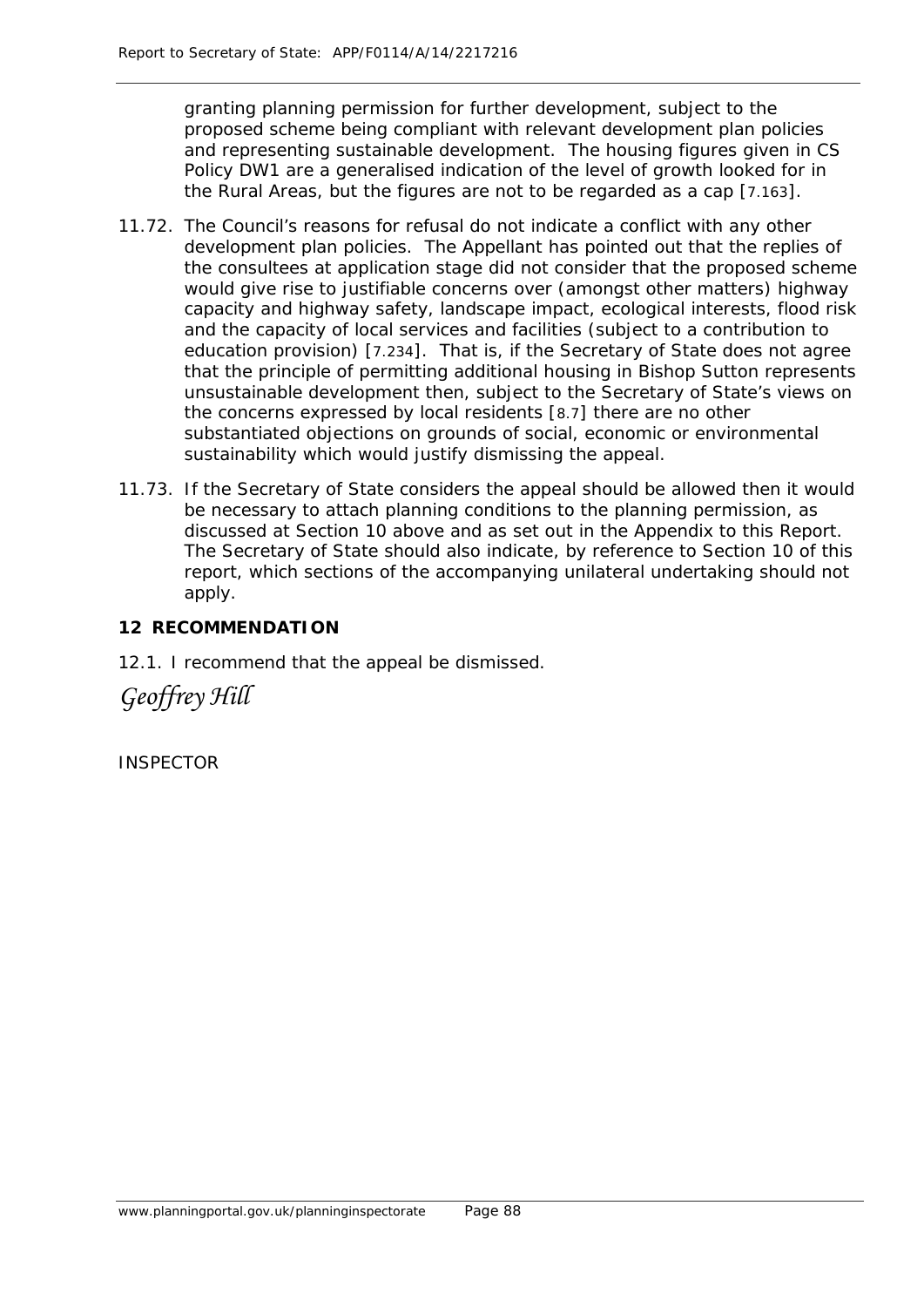granting planning permission for further development, subject to the proposed scheme being compliant with relevant development plan policies and representing sustainable development. The housing figures given in CS Policy DW1 are a generalised indication of the level of growth looked for in the Rural Areas, but the figures are not to be regarded as a cap [*[7.163](#page-60-0)*].

- 11.72. The Council's reasons for refusal do not indicate a conflict with any other development plan policies. The Appellant has pointed out that the replies of the consultees at application stage did not consider that the proposed scheme would give rise to justifiable concerns over (amongst other matters) highway capacity and highway safety, landscape impact, ecological interests, flood risk and the capacity of local services and facilities (subject to a contribution to education provision) [*[7.234](#page-73-2)*]. That is, if the Secretary of State does not agree that the principle of permitting additional housing in Bishop Sutton represents unsustainable development then, subject to the Secretary of State's views on the concerns expressed by local residents [*[8.7](#page-77-1)*] there are no other substantiated objections on grounds of social, economic or environmental sustainability which would justify dismissing the appeal.
- 11.73. If the Secretary of State considers the appeal should be allowed then it would be necessary to attach planning conditions to the planning permission, as discussed at Section 10 above and as set out in the Appendix to this Report. The Secretary of State should also indicate, by reference to Section 10 of this report, which sections of the accompanying unilateral undertaking should not apply.

## **12 RECOMMENDATION**

12.1. I recommend that the appeal be dismissed.

*Geoffrey Hill*

INSPECTOR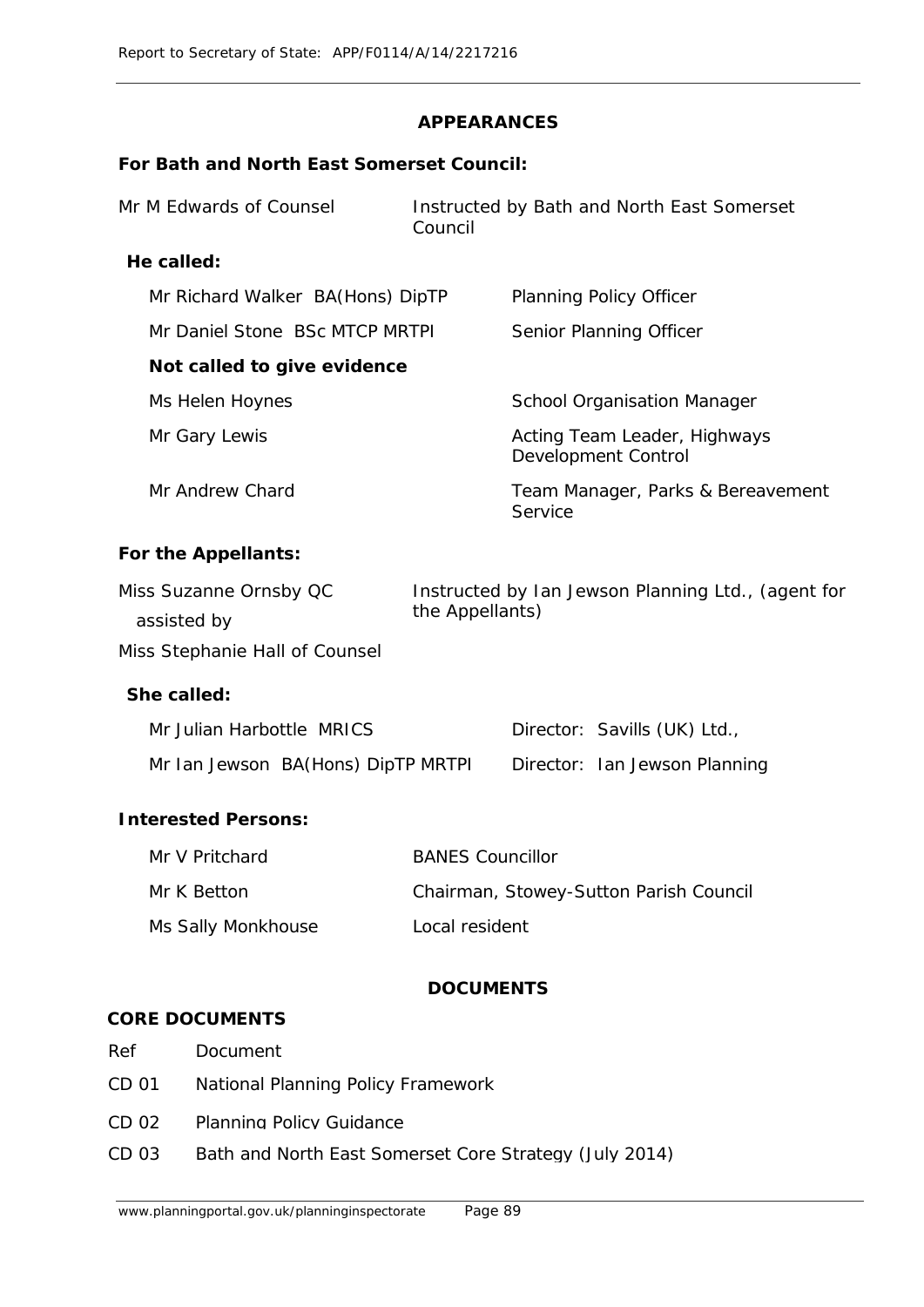### **APPEARANCES**

### **For Bath and North East Somerset Council:**

| Mr M Edwards of Counsel          | Council | Instructed by Bath and North East Somerset          |  |
|----------------------------------|---------|-----------------------------------------------------|--|
| He called:                       |         |                                                     |  |
| Mr Richard Walker BA(Hons) DipTP |         | <b>Planning Policy Officer</b>                      |  |
| Mr Daniel Stone BSc MTCP MRTPI   |         | Senior Planning Officer                             |  |
| Not called to give evidence      |         |                                                     |  |
| Ms Helen Hoynes                  |         | <b>School Organisation Manager</b>                  |  |
| Mr Gary Lewis                    |         | Acting Team Leader, Highways<br>Development Control |  |
| Mr Andrew Chard                  |         | Team Manager, Parks & Bereavement<br>Service        |  |
| For the Appellants:              |         |                                                     |  |

| Miss Suzanne Ornsby QC     | Instructed by Ian Jewson Planning Ltd., (agent for |
|----------------------------|----------------------------------------------------|
| assisted by                | the Appellants)                                    |
| $\blacksquare$<br>$\cdots$ |                                                    |

Miss Stephanie Hall of Counsel

### *She called:*

| Mr Julian Harbottle MRICS          | Director: Savills (UK) Ltd.,  |
|------------------------------------|-------------------------------|
| Mr Ian Jewson BA(Hons) DipTP MRTPI | Director: Ian Jewson Planning |

## **Interested Persons:**

| Mr V Pritchard     | <b>BANES Councillor</b>                |
|--------------------|----------------------------------------|
| Mr K Betton        | Chairman, Stowey-Sutton Parish Council |
| Ms Sally Monkhouse | Local resident                         |

## **DOCUMENTS**

### **CORE DOCUMENTS**

- *Ref Document*
- CD 01 National Planning Policy Framework
- CD 02 Planning Policy Guidance
- CD 03 Bath and North East Somerset Core Strategy (July 2014)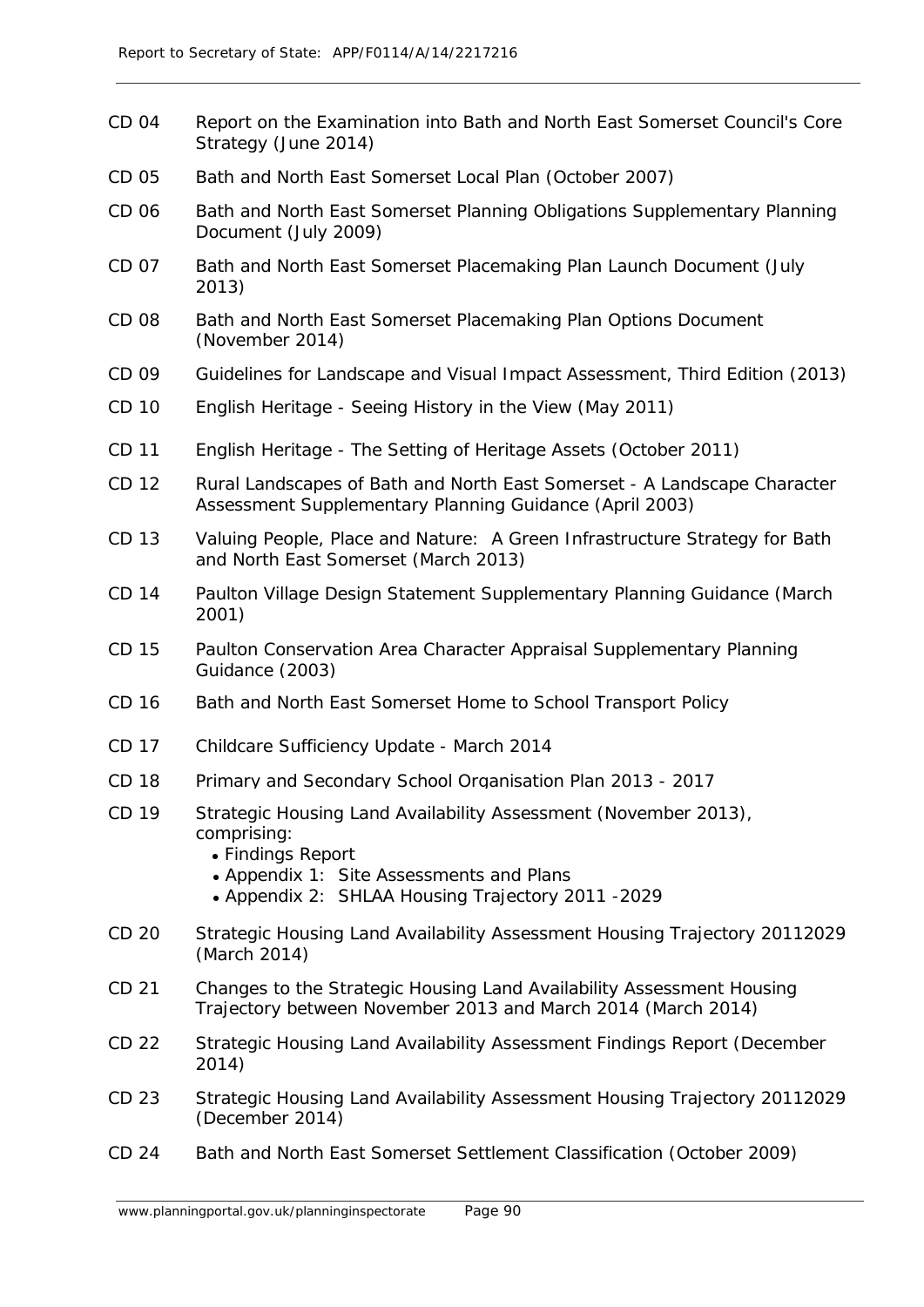CD 04 Report on the Examination into Bath and North East Somerset Council's Core Strategy (June 2014) CD 05 Bath and North East Somerset Local Plan (October 2007) CD 06 Bath and North East Somerset Planning Obligations Supplementary Planning Document (July 2009) CD 07 Bath and North East Somerset Placemaking Plan Launch Document (July 2013) CD 08 Bath and North East Somerset Placemaking Plan Options Document (November 2014) CD 09 Guidelines for Landscape and Visual Impact Assessment, Third Edition (2013) CD 10 English Heritage - Seeing History in the View (May 2011) CD 11 English Heritage - The Setting of Heritage Assets (October 2011) CD 12 Rural Landscapes of Bath and North East Somerset - A Landscape Character Assessment Supplementary Planning Guidance (April 2003) CD 13 Valuing People, Place and Nature: A Green Infrastructure Strategy for Bath and North East Somerset (March 2013) CD 14 Paulton Village Design Statement Supplementary Planning Guidance (March 2001) CD 15 Paulton Conservation Area Character Appraisal Supplementary Planning Guidance (2003) CD 16 Bath and North East Somerset Home to School Transport Policy CD 17 Childcare Sufficiency Update - March 2014 CD 18 Primary and Secondary School Organisation Plan 2013 - 2017 CD 19 Strategic Housing Land Availability Assessment (November 2013), comprising: • Findinas Report • Appendix 1: Site Assessments and Plans • Appendix 2: SHLAA Housing Trajectory 2011 - 2029 CD 20 Strategic Housing Land Availability Assessment Housing Trajectory 20112029 (March 2014) CD 21 Changes to the Strategic Housing Land Availability Assessment Housing Trajectory between November 2013 and March 2014 (March 2014) CD 22 Strategic Housing Land Availability Assessment Findings Report (December 2014) CD 23 Strategic Housing Land Availability Assessment Housing Trajectory 20112029 (December 2014) CD 24 Bath and North East Somerset Settlement Classification (October 2009)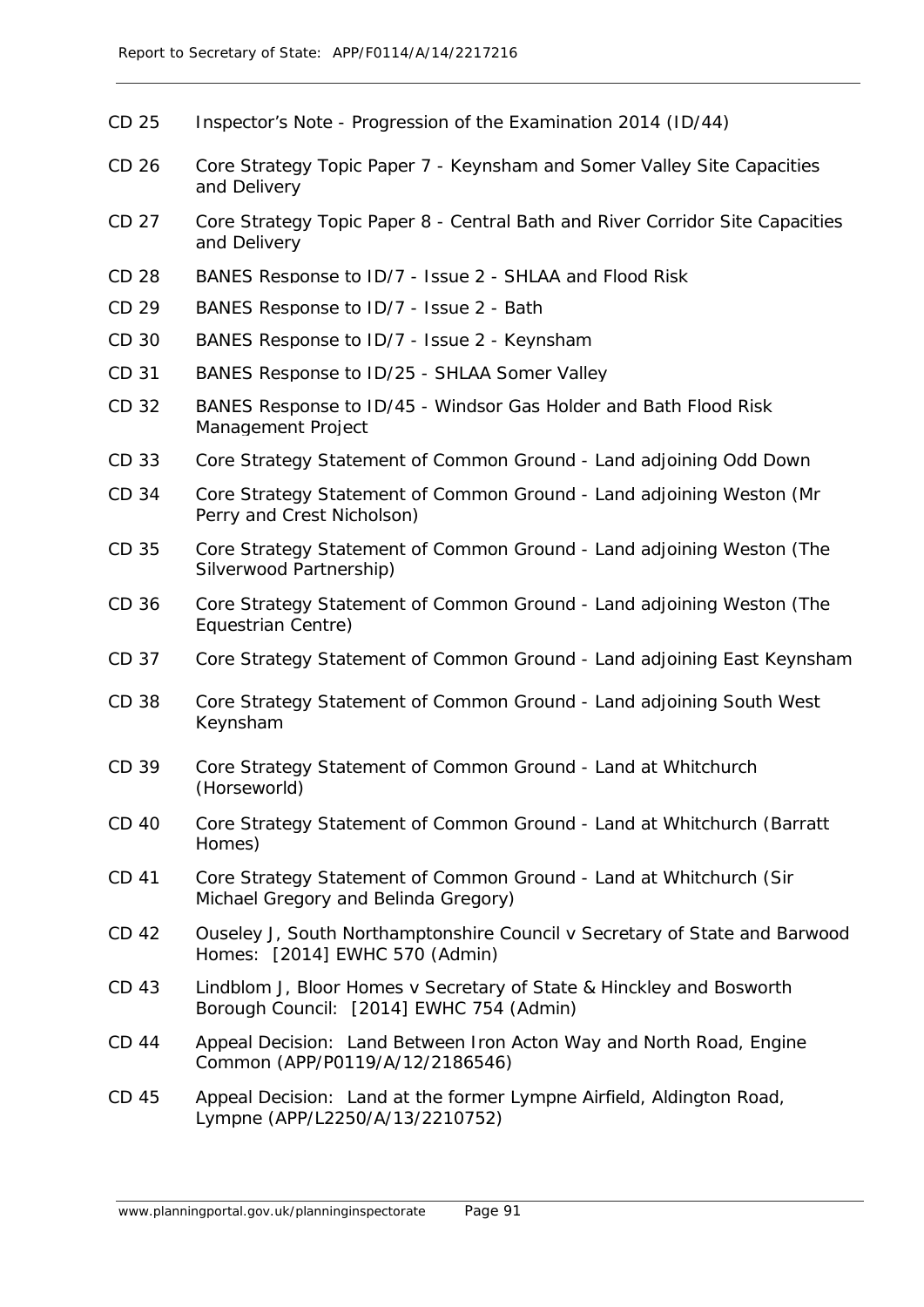- CD 25 Inspector's Note Progression of the Examination 2014 (ID/44)
- CD 26 Core Strategy Topic Paper 7 Keynsham and Somer Valley Site Capacities and Delivery
- CD 27 Core Strategy Topic Paper 8 Central Bath and River Corridor Site Capacities and Delivery
- CD 28 BANES Response to ID/7 Issue 2 SHLAA and Flood Risk
- CD 29 BANES Response to ID/7 Issue 2 Bath
- CD 30 BANES Response to ID/7 Issue 2 Keynsham
- CD 31 BANES Response to ID/25 SHLAA Somer Valley
- CD 32 BANES Response to ID/45 Windsor Gas Holder and Bath Flood Risk Management Project
- CD 33 Core Strategy Statement of Common Ground Land adjoining Odd Down
- CD 34 Core Strategy Statement of Common Ground Land adjoining Weston (Mr Perry and Crest Nicholson)
- CD 35 Core Strategy Statement of Common Ground Land adjoining Weston (The Silverwood Partnership)
- CD 36 Core Strategy Statement of Common Ground Land adjoining Weston (The Equestrian Centre)
- CD 37 Core Strategy Statement of Common Ground Land adjoining East Keynsham
- CD 38 Core Strategy Statement of Common Ground Land adjoining South West Keynsham
- CD 39 Core Strategy Statement of Common Ground Land at Whitchurch (Horseworld)
- CD 40 Core Strategy Statement of Common Ground Land at Whitchurch (Barratt Homes)
- CD 41 Core Strategy Statement of Common Ground Land at Whitchurch (Sir Michael Gregory and Belinda Gregory)
- CD 42 Ouseley J, South Northamptonshire Council v Secretary of State and Barwood Homes: [2014] EWHC 570 (Admin)
- CD 43 Lindblom J, Bloor Homes v Secretary of State & Hinckley and Bosworth Borough Council: [2014] EWHC 754 (Admin)
- CD 44 Appeal Decision: Land Between Iron Acton Way and North Road, Engine Common (APP/P0119/A/12/2186546)
- CD 45 Appeal Decision: Land at the former Lympne Airfield, Aldington Road, Lympne (APP/L2250/A/13/2210752)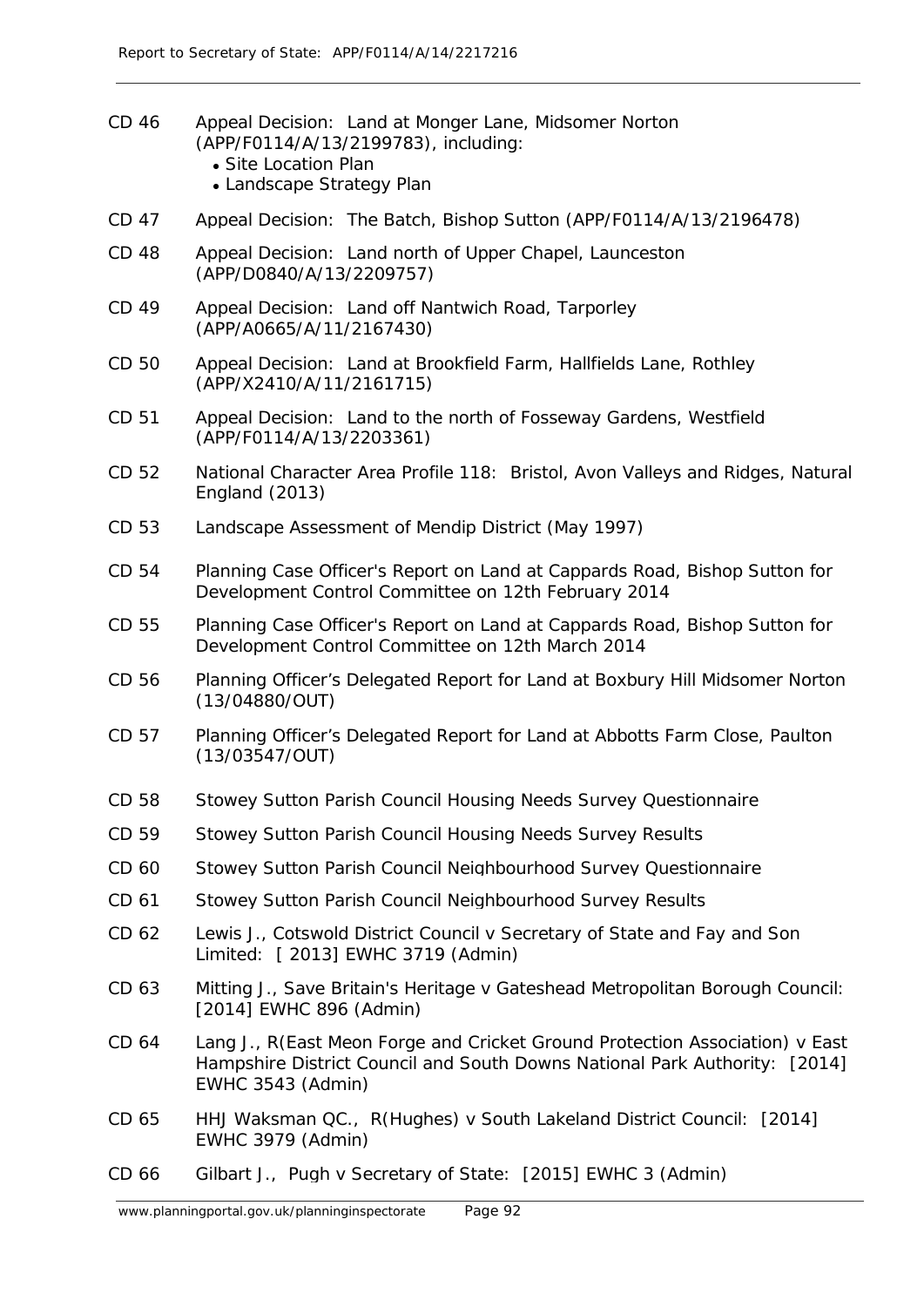- CD 46 Appeal Decision: Land at Monger Lane, Midsomer Norton (APP/F0114/A/13/2199783), including:
	- Site Location Plan
	- Landscape Strategy Plan
- CD 47 Appeal Decision: The Batch, Bishop Sutton (APP/F0114/A/13/2196478)
- CD 48 Appeal Decision: Land north of Upper Chapel, Launceston (APP/D0840/A/13/2209757)
- CD 49 Appeal Decision: Land off Nantwich Road, Tarporley (APP/A0665/A/11/2167430)
- CD 50 Appeal Decision: Land at Brookfield Farm, Hallfields Lane, Rothley (APP/X2410/A/11/2161715)
- CD 51 Appeal Decision: Land to the north of Fosseway Gardens, Westfield (APP/F0114/A/13/2203361)
- CD 52 National Character Area Profile 118: Bristol, Avon Valleys and Ridges, Natural England (2013)
- CD 53 Landscape Assessment of Mendip District (May 1997)
- CD 54 Planning Case Officer's Report on Land at Cappards Road, Bishop Sutton for Development Control Committee on 12th February 2014
- CD 55 Planning Case Officer's Report on Land at Cappards Road, Bishop Sutton for Development Control Committee on 12th March 2014
- CD 56 Planning Officer's Delegated Report for Land at Boxbury Hill Midsomer Norton (13/04880/OUT)
- CD 57 Planning Officer's Delegated Report for Land at Abbotts Farm Close, Paulton (13/03547/OUT)
- CD 58 Stowey Sutton Parish Council Housing Needs Survey Questionnaire
- CD 59 Stowey Sutton Parish Council Housing Needs Survey Results
- CD 60 Stowey Sutton Parish Council Neighbourhood Survey Questionnaire
- CD 61 Stowey Sutton Parish Council Neighbourhood Survey Results
- CD 62 Lewis J., Cotswold District Council v Secretary of State and Fay and Son Limited: [ 2013] EWHC 3719 (Admin)
- CD 63 Mitting J., Save Britain's Heritage v Gateshead Metropolitan Borough Council: [2014] EWHC 896 (Admin)
- CD 64 Lang J., R(East Meon Forge and Cricket Ground Protection Association) v East Hampshire District Council and South Downs National Park Authority: [2014] EWHC 3543 (Admin)
- CD 65 HHJ Waksman QC., R(Hughes) v South Lakeland District Council: [2014] EWHC 3979 (Admin)
- CD 66 Gilbart J., Pugh v Secretary of State: [2015] EWHC 3 (Admin)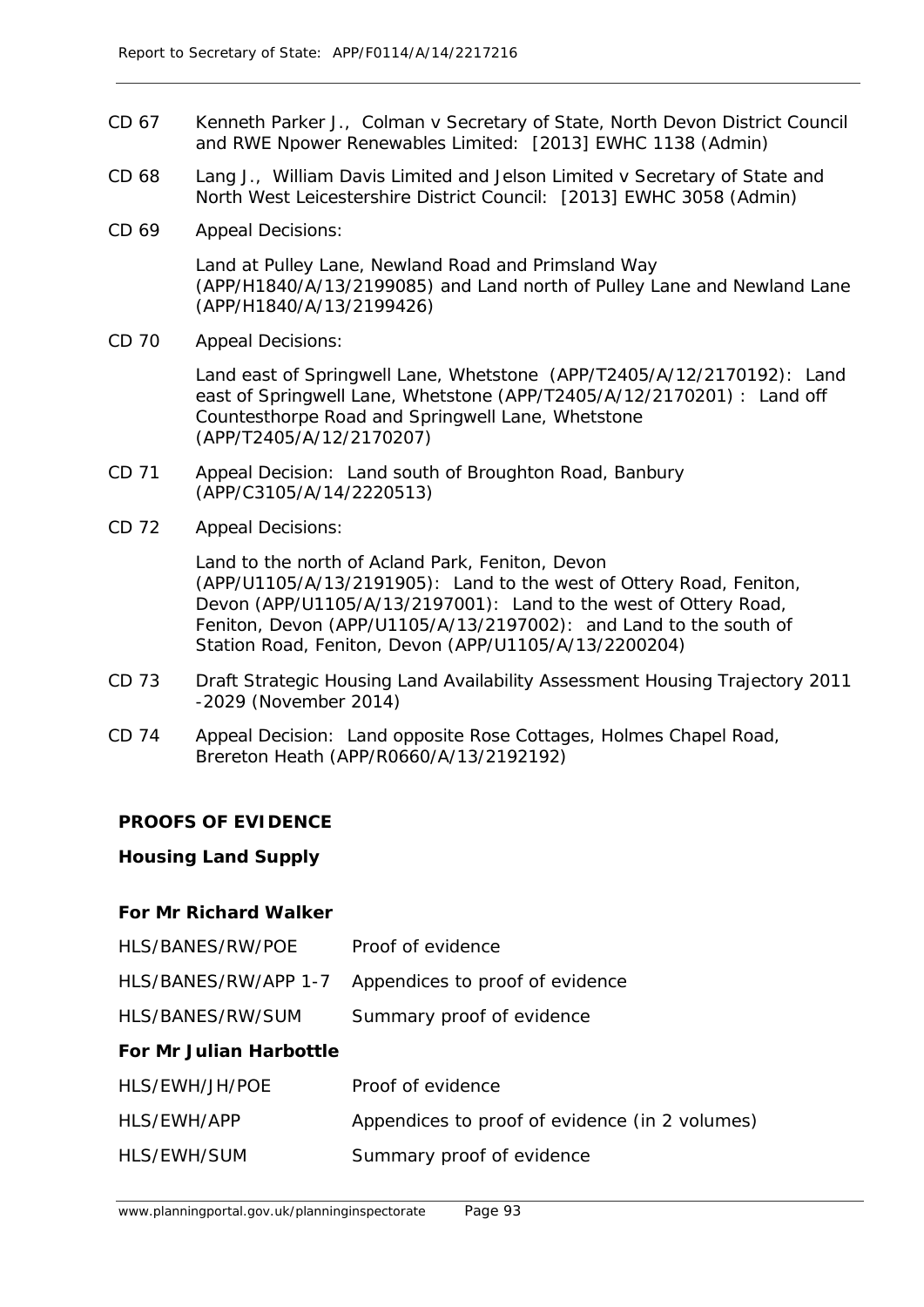- CD 67 Kenneth Parker J., Colman v Secretary of State, North Devon District Council and RWE Npower Renewables Limited: [2013] EWHC 1138 (Admin)
- CD 68 Lang J., William Davis Limited and Jelson Limited v Secretary of State and North West Leicestershire District Council: [2013] EWHC 3058 (Admin)
- CD 69 Appeal Decisions:

Land at Pulley Lane, Newland Road and Primsland Way (APP/H1840/A/13/2199085) and Land north of Pulley Lane and Newland Lane (APP/H1840/A/13/2199426)

CD 70 Appeal Decisions:

Land east of Springwell Lane, Whetstone (APP/T2405/A/12/2170192): Land east of Springwell Lane, Whetstone (APP/T2405/A/12/2170201) : Land off Countesthorpe Road and Springwell Lane, Whetstone (APP/T2405/A/12/2170207)

- CD 71 Appeal Decision: Land south of Broughton Road, Banbury (APP/C3105/A/14/2220513)
- CD 72 Appeal Decisions:

Land to the north of Acland Park, Feniton, Devon (APP/U1105/A/13/2191905): Land to the west of Ottery Road, Feniton, Devon (APP/U1105/A/13/2197001): Land to the west of Ottery Road, Feniton, Devon (APP/U1105/A/13/2197002): and Land to the south of Station Road, Feniton, Devon (APP/U1105/A/13/2200204)

- CD 73 Draft Strategic Housing Land Availability Assessment Housing Trajectory 2011 -2029 (November 2014)
- CD 74 Appeal Decision: Land opposite Rose Cottages, Holmes Chapel Road, Brereton Heath (APP/R0660/A/13/2192192)

#### **PROOFS OF EVIDENCE**

#### **Housing Land Supply**

#### *For Mr Richard Walker*

| HLS/BANES/RW/POE | Proof of evidence |
|------------------|-------------------|
|                  |                   |

| HLS/BANES/RW/APP 1-7 | Appendices to proof of evidence |
|----------------------|---------------------------------|
|----------------------|---------------------------------|

HLS/BANES/RW/SUM Summary proof of evidence

#### *For Mr Julian Harbottle*

| HLS/EWH/JH/POE | Proof of evidence |
|----------------|-------------------|
|----------------|-------------------|

- HLS/EWH/APP Appendices to proof of evidence (in 2 volumes)
- HLS/EWH/SUM Summary proof of evidence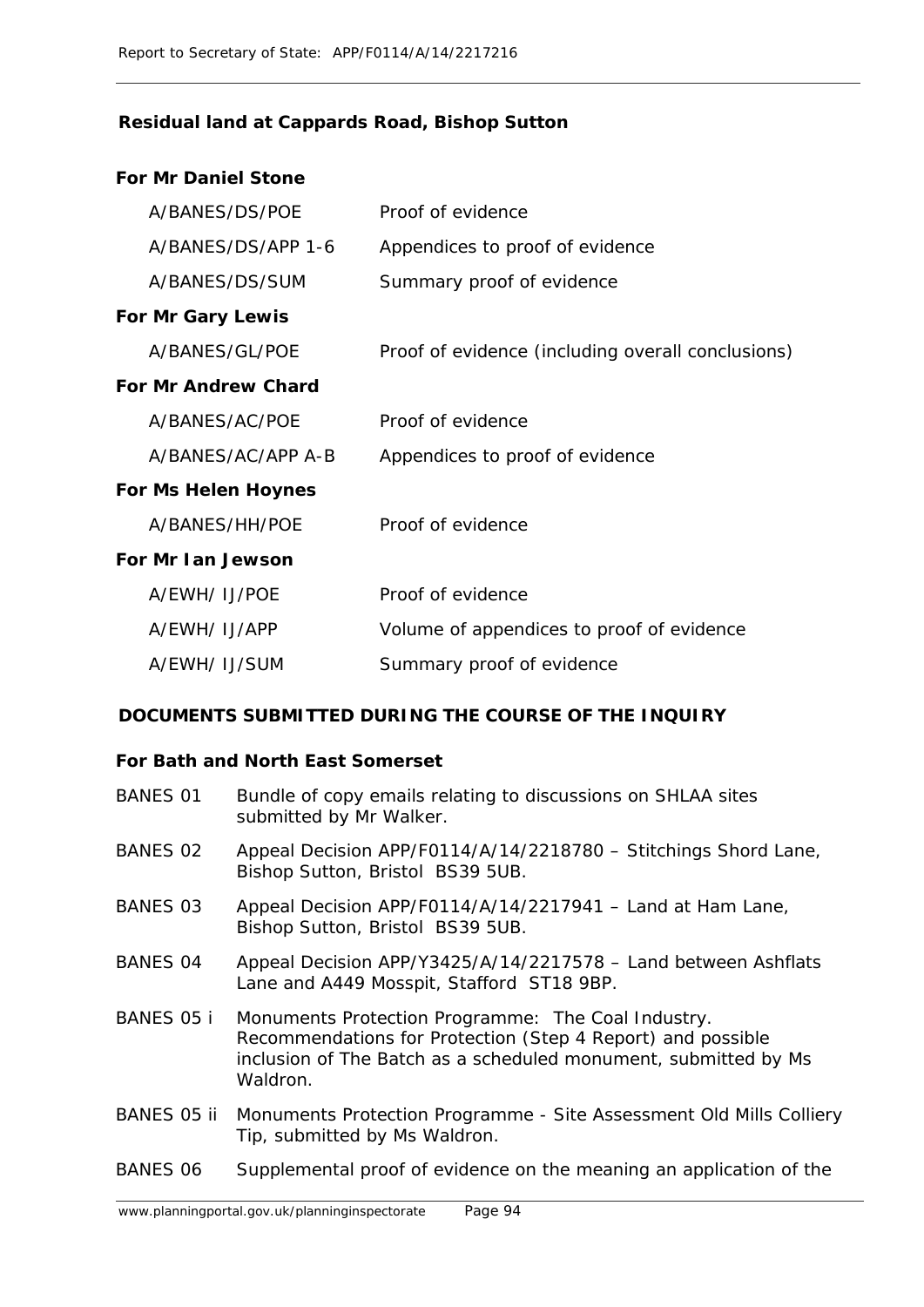# **Residual land at Cappards Road, Bishop Sutton**

### *For Mr Daniel Stone*

| A/BANES/DS/POE             | Proof of evidence                                 |
|----------------------------|---------------------------------------------------|
| A/BANES/DS/APP 1-6         | Appendices to proof of evidence                   |
| A/BANES/DS/SUM             | Summary proof of evidence                         |
| <b>For Mr Gary Lewis</b>   |                                                   |
| A/BANES/GL/POE             | Proof of evidence (including overall conclusions) |
| <b>For Mr Andrew Chard</b> |                                                   |
| A/BANES/AC/POE             | Proof of evidence                                 |
| A/BANES/AC/APP A-B         | Appendices to proof of evidence                   |
| <b>For Ms Helen Hoynes</b> |                                                   |
| A/BANES/HH/POE             | Proof of evidence                                 |
| <b>For Mr Lan Jewson</b>   |                                                   |
| A/EWH/ IJ/POE              | Proof of evidence                                 |
| A/FWH / I I / APP          | Volume of appendices to proof of evidence         |
| A/EWH/ IJ/SUM              | Summary proof of evidence                         |

## **DOCUMENTS SUBMITTED DURING THE COURSE OF THE INQUIRY**

### *For Bath and North East Somerset*

| <b>BANES 01</b> | Bundle of copy emails relating to discussions on SHLAA sites<br>submitted by Mr Walker.                                                                                                          |
|-----------------|--------------------------------------------------------------------------------------------------------------------------------------------------------------------------------------------------|
| <b>BANES 02</b> | Appeal Decision APP/F0114/A/14/2218780 - Stitchings Shord Lane,<br>Bishop Sutton, Bristol BS39 5UB.                                                                                              |
| <b>BANES 03</b> | Appeal Decision APP/F0114/A/14/2217941 - Land at Ham Lane,<br>Bishop Sutton, Bristol BS39 5UB.                                                                                                   |
| <b>BANES 04</b> | Appeal Decision APP/Y3425/A/14/2217578 - Land between Ashflats<br>Lane and A449 Mosspit, Stafford ST18 9BP.                                                                                      |
| BANES 05 i      | Monuments Protection Programme: The Coal Industry.<br>Recommendations for Protection (Step 4 Report) and possible<br>inclusion of The Batch as a scheduled monument, submitted by Ms<br>Waldron. |
| BANES 05 ii     | Monuments Protection Programme - Site Assessment Old Mills Colliery<br>Tip, submitted by Ms Waldron.                                                                                             |
| <b>BANES 06</b> | Supplemental proof of evidence on the meaning an application of the                                                                                                                              |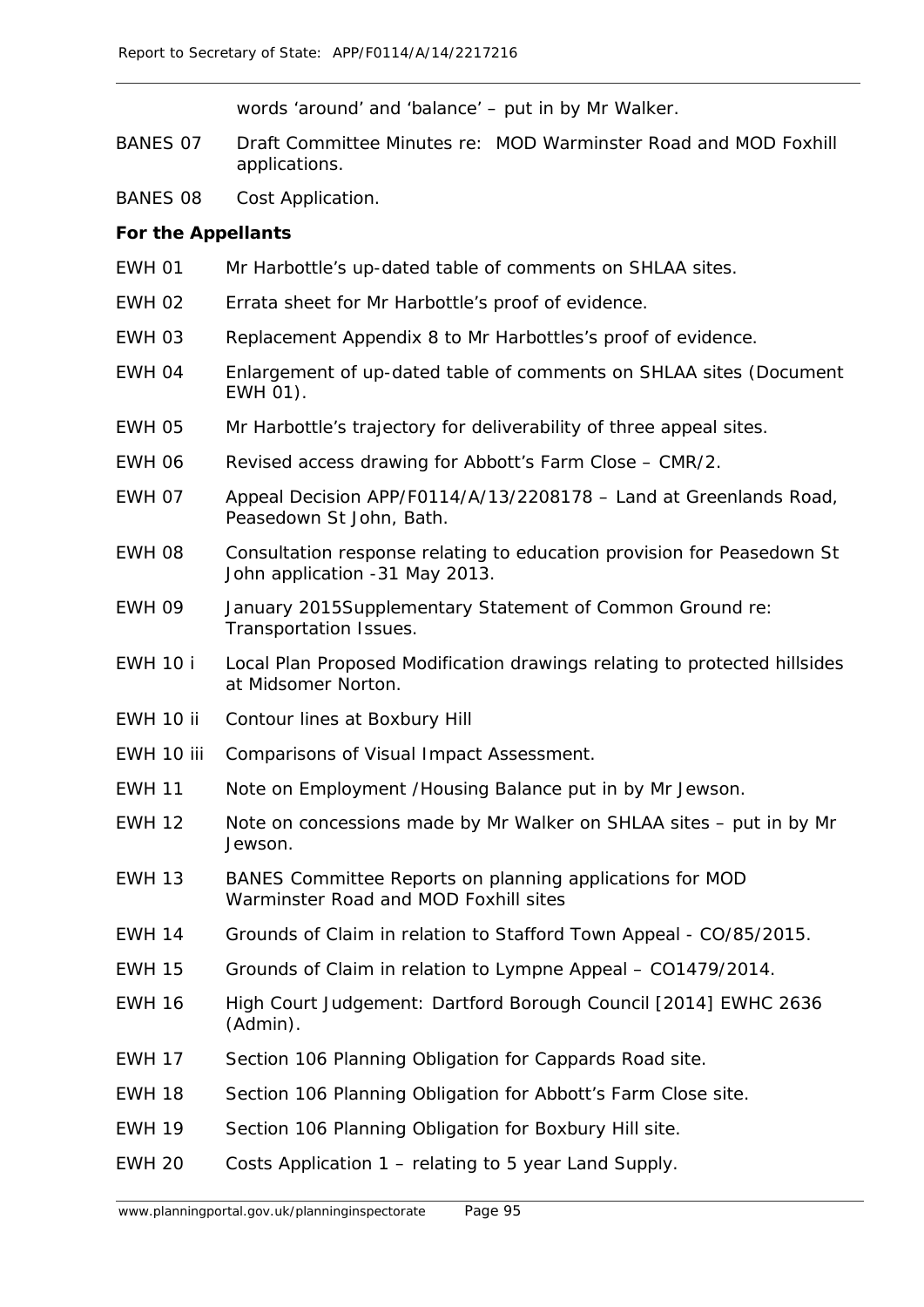words 'around' and 'balance' – put in by Mr Walker.

- BANES 07 Draft Committee Minutes re: MOD Warminster Road and MOD Foxhill applications.
- BANES 08 Cost Application.

### *For the Appellants*

- EWH 01 Mr Harbottle's up-dated table of comments on SHLAA sites.
- EWH 02 Errata sheet for Mr Harbottle's proof of evidence.
- EWH 03 Replacement Appendix 8 to Mr Harbottles's proof of evidence.
- EWH 04 Enlargement of up-dated table of comments on SHLAA sites (Document EWH 01).
- EWH 05 Mr Harbottle's trajectory for deliverability of three appeal sites.
- EWH 06 Revised access drawing for Abbott's Farm Close CMR/2.
- EWH 07 Appeal Decision APP/F0114/A/13/2208178 Land at Greenlands Road, Peasedown St John, Bath.
- EWH 08 Consultation response relating to education provision for Peasedown St John application -31 May 2013.
- EWH 09 January 2015Supplementary Statement of Common Ground re: Transportation Issues.
- EWH 10 i Local Plan Proposed Modification drawings relating to protected hillsides at Midsomer Norton.
- EWH 10 ii Contour lines at Boxbury Hill
- EWH 10 iii Comparisons of Visual Impact Assessment.
- EWH 11 Note on Employment /Housing Balance put in by Mr Jewson.
- EWH 12 Note on concessions made by Mr Walker on SHLAA sites put in by Mr Jewson.
- EWH 13 BANES Committee Reports on planning applications for MOD Warminster Road and MOD Foxhill sites
- EWH 14 Grounds of Claim in relation to Stafford Town Appeal CO/85/2015.
- EWH 15 Grounds of Claim in relation to Lympne Appeal CO1479/2014.
- EWH 16 High Court Judgement: Dartford Borough Council [2014] EWHC 2636 (Admin).
- EWH 17 Section 106 Planning Obligation for Cappards Road site.
- EWH 18 Section 106 Planning Obligation for Abbott's Farm Close site.
- EWH 19 Section 106 Planning Obligation for Boxbury Hill site.
- EWH 20 Costs Application 1 relating to 5 year Land Supply.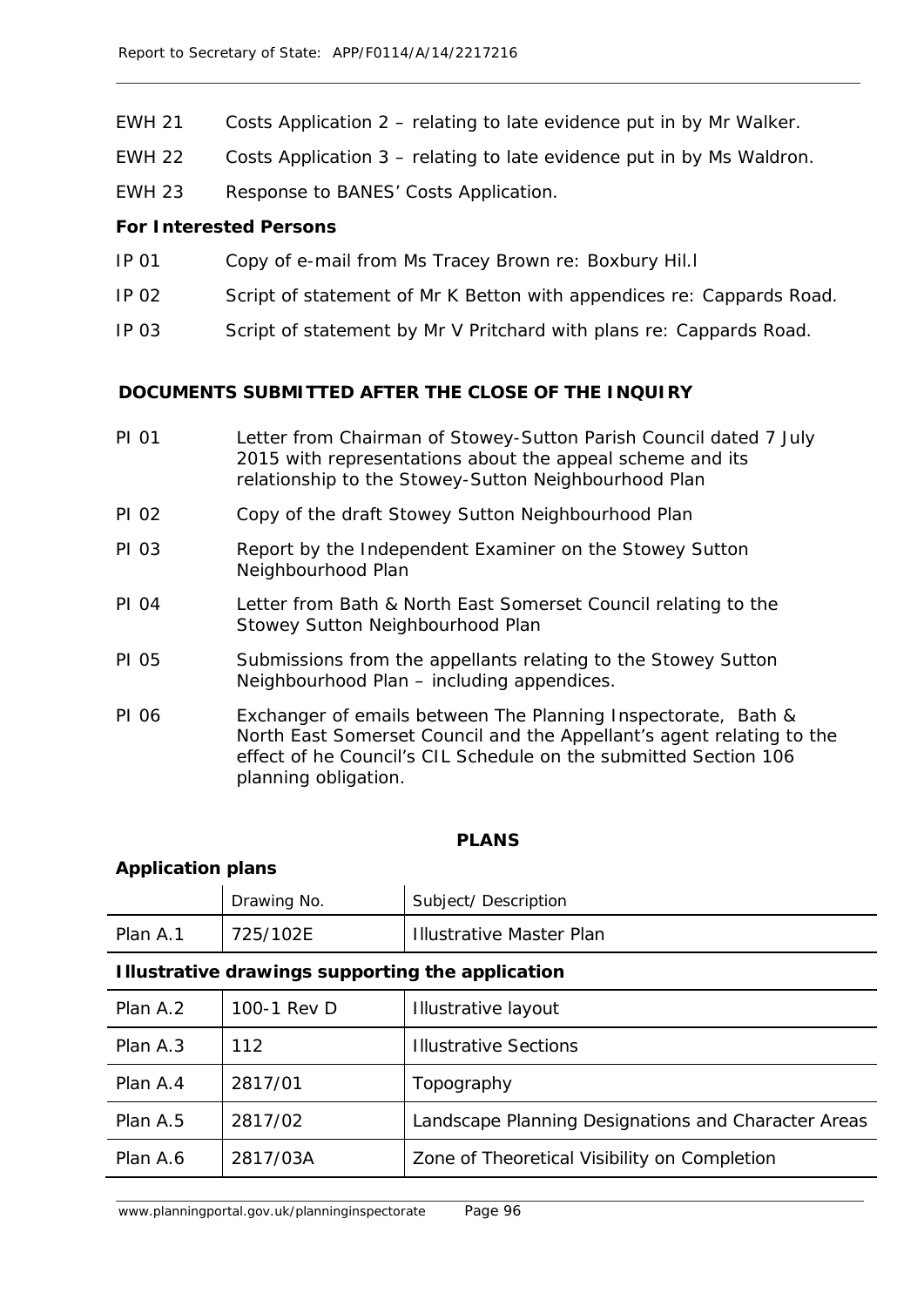- EWH 21 Costs Application 2 relating to late evidence put in by Mr Walker.
- EWH 22 Costs Application 3 relating to late evidence put in by Ms Waldron.
- EWH 23 Response to BANES' Costs Application.

### *For Interested Persons*

- IP 01 Copy of e-mail from Ms Tracey Brown re: Boxbury Hil.l
- IP 02 Script of statement of Mr K Betton with appendices re: Cappards Road.
- IP 03 Script of statement by Mr V Pritchard with plans re: Cappards Road.

### **DOCUMENTS SUBMITTED AFTER THE CLOSE OF THE INQUIRY**

- PI 01 Letter from Chairman of Stowey-Sutton Parish Council dated 7 July 2015 with representations about the appeal scheme and its relationship to the Stowey-Sutton Neighbourhood Plan
- PI 02 Copy of the draft Stowey Sutton Neighbourhood Plan
- PI 03 Report by the Independent Examiner on the Stowey Sutton Neighbourhood Plan
- PI 04 Letter from Bath & North East Somerset Council relating to the Stowey Sutton Neighbourhood Plan
- PI 05 Submissions from the appellants relating to the Stowey Sutton Neighbourhood Plan – including appendices.
- PI 06 Exchanger of emails between The Planning Inspectorate, Bath & North East Somerset Council and the Appellant's agent relating to the effect of he Council's CIL Schedule on the submitted Section 106 planning obligation.

#### **PLANS**

#### *Application plans*

|          | Drawing No. | <b>Subject/ Description</b>     |
|----------|-------------|---------------------------------|
| Plan A.1 | 725/102E    | <b>Illustrative Master Plan</b> |

## *Illustrative drawings supporting the application*

| Plan A.2 | 100-1 Rev D | Illustrative layout                                 |
|----------|-------------|-----------------------------------------------------|
| Plan A.3 | 112         | <b>Illustrative Sections</b>                        |
| Plan A.4 | 2817/01     | Topography                                          |
| Plan A.5 | 2817/02     | Landscape Planning Designations and Character Areas |
| Plan A.6 | 2817/03A    | Zone of Theoretical Visibility on Completion        |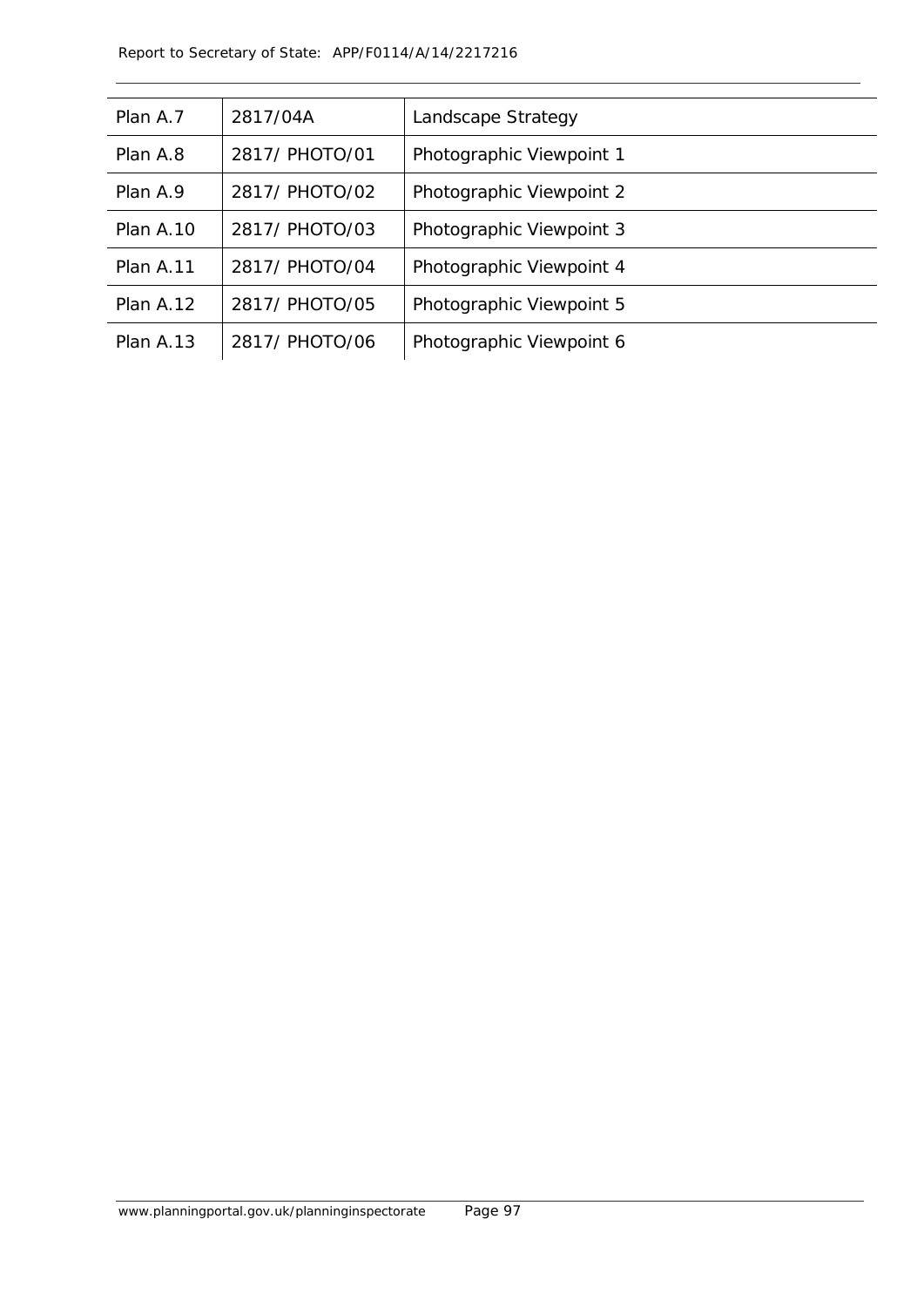| Plan A.7  | 2817/04A       | Landscape Strategy       |
|-----------|----------------|--------------------------|
| Plan A.8  | 2817/ PHOTO/01 | Photographic Viewpoint 1 |
| Plan A.9  | 2817/ PHOTO/02 | Photographic Viewpoint 2 |
| Plan A.10 | 2817/ PHOTO/03 | Photographic Viewpoint 3 |
| Plan A.11 | 2817/ PHOTO/04 | Photographic Viewpoint 4 |
| Plan A.12 | 2817/ PHOTO/05 | Photographic Viewpoint 5 |
| Plan A.13 | 2817/ PHOTO/06 | Photographic Viewpoint 6 |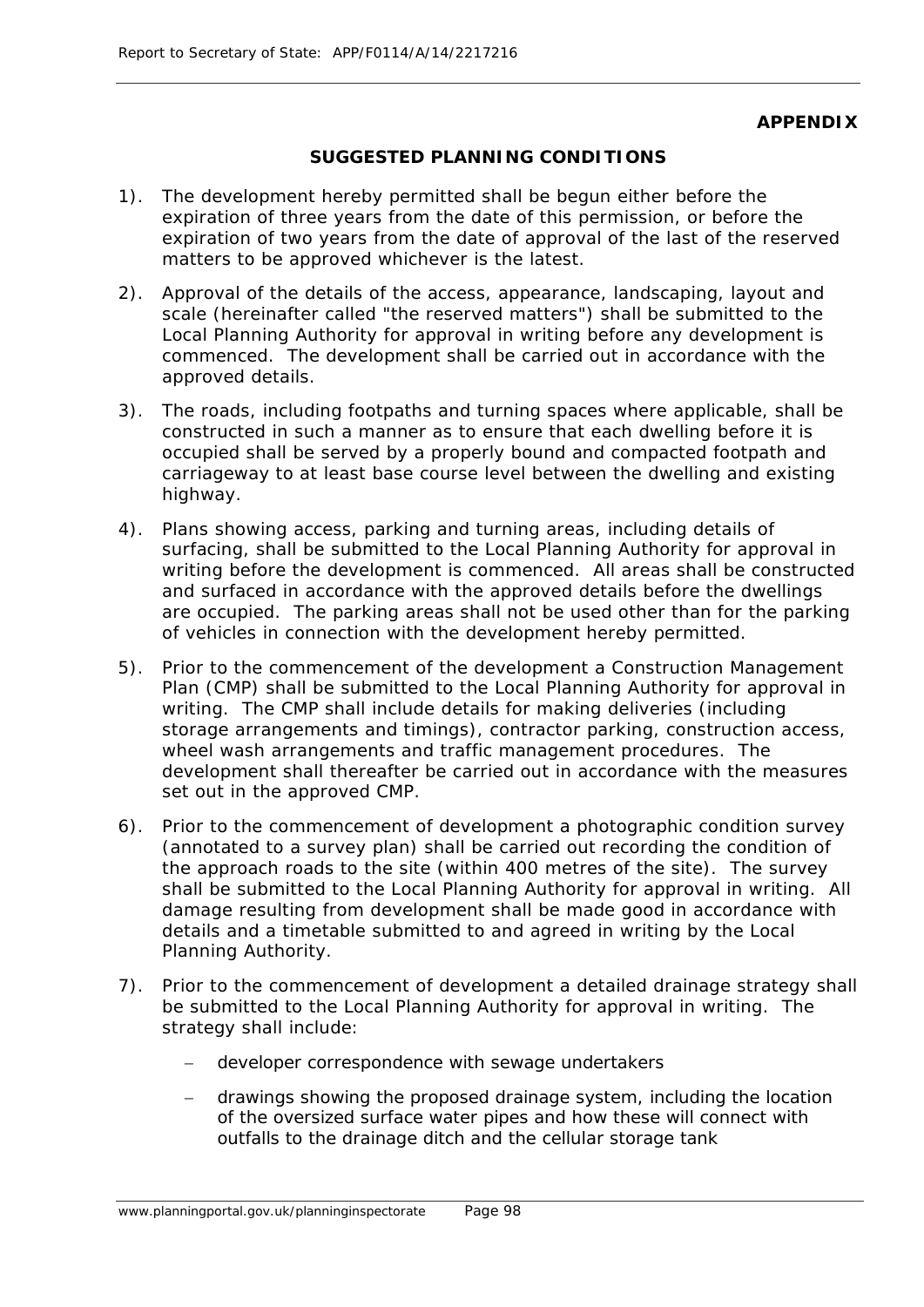### **APPENDIX**

## **SUGGESTED PLANNING CONDITIONS**

- 1). The development hereby permitted shall be begun either before the expiration of three years from the date of this permission, or before the expiration of two years from the date of approval of the last of the reserved matters to be approved whichever is the latest.
- 2). Approval of the details of the access, appearance, landscaping, layout and scale (hereinafter called "the reserved matters") shall be submitted to the Local Planning Authority for approval in writing before any development is commenced. The development shall be carried out in accordance with the approved details.
- 3). The roads, including footpaths and turning spaces where applicable, shall be constructed in such a manner as to ensure that each dwelling before it is occupied shall be served by a properly bound and compacted footpath and carriageway to at least base course level between the dwelling and existing highway.
- 4). Plans showing access, parking and turning areas, including details of surfacing, shall be submitted to the Local Planning Authority for approval in writing before the development is commenced. All areas shall be constructed and surfaced in accordance with the approved details before the dwellings are occupied. The parking areas shall not be used other than for the parking of vehicles in connection with the development hereby permitted.
- 5). Prior to the commencement of the development a Construction Management Plan (CMP) shall be submitted to the Local Planning Authority for approval in writing. The CMP shall include details for making deliveries (including storage arrangements and timings), contractor parking, construction access, wheel wash arrangements and traffic management procedures. The development shall thereafter be carried out in accordance with the measures set out in the approved CMP.
- 6). Prior to the commencement of development a photographic condition survey (annotated to a survey plan) shall be carried out recording the condition of the approach roads to the site (within 400 metres of the site). The survey shall be submitted to the Local Planning Authority for approval in writing. All damage resulting from development shall be made good in accordance with details and a timetable submitted to and agreed in writing by the Local Planning Authority.
- 7). Prior to the commencement of development a detailed drainage strategy shall be submitted to the Local Planning Authority for approval in writing. The strategy shall include:
	- − developer correspondence with sewage undertakers
	- − drawings showing the proposed drainage system, including the location of the oversized surface water pipes and how these will connect with outfalls to the drainage ditch and the cellular storage tank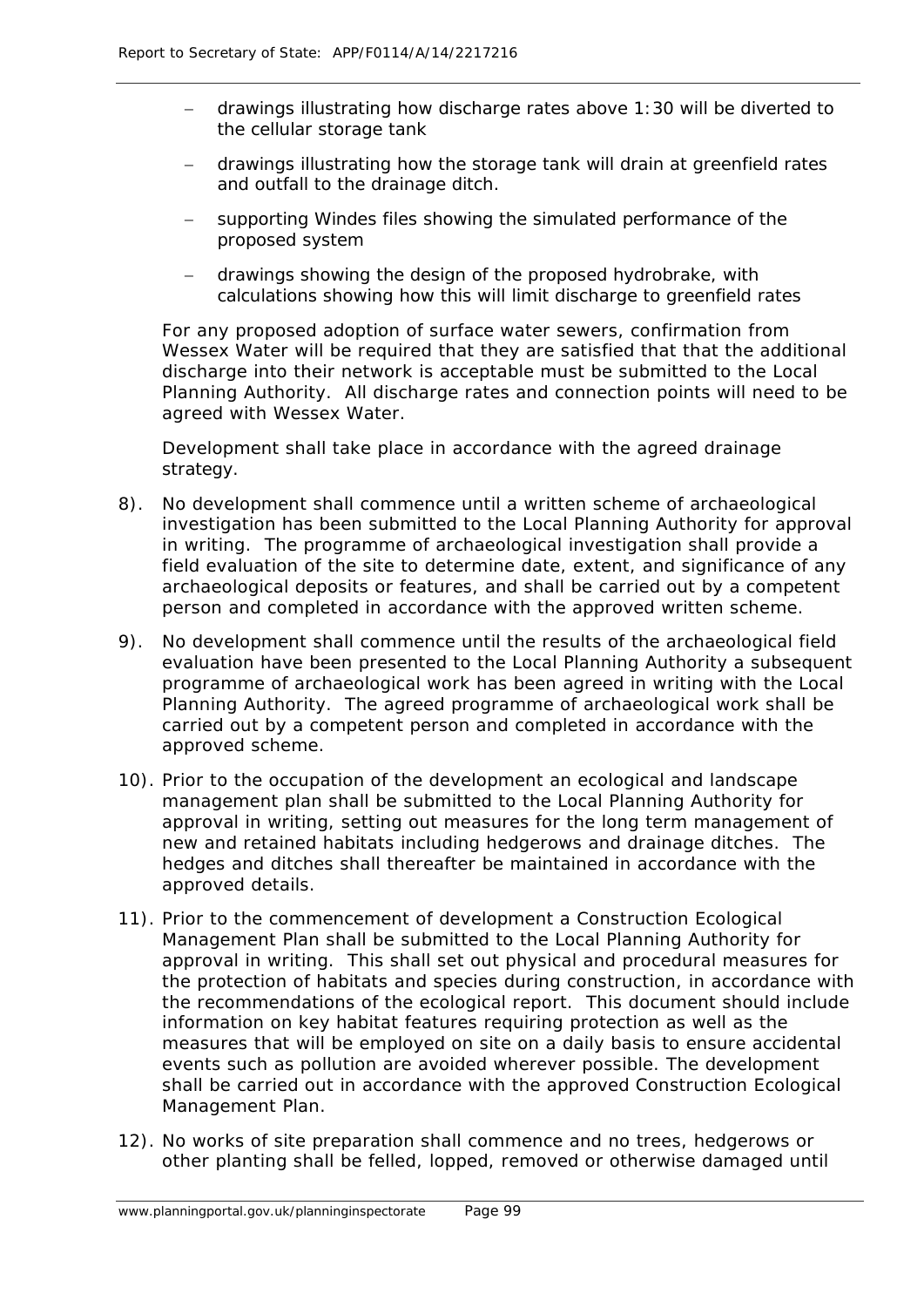- − drawings illustrating how discharge rates above 1:30 will be diverted to the cellular storage tank
- − drawings illustrating how the storage tank will drain at greenfield rates and outfall to the drainage ditch.
- supporting Windes files showing the simulated performance of the proposed system
- − drawings showing the design of the proposed hydrobrake, with calculations showing how this will limit discharge to greenfield rates

For any proposed adoption of surface water sewers, confirmation from Wessex Water will be required that they are satisfied that that the additional discharge into their network is acceptable must be submitted to the Local Planning Authority. All discharge rates and connection points will need to be agreed with Wessex Water.

Development shall take place in accordance with the agreed drainage strategy.

- 8). No development shall commence until a written scheme of archaeological investigation has been submitted to the Local Planning Authority for approval in writing. The programme of archaeological investigation shall provide a field evaluation of the site to determine date, extent, and significance of any archaeological deposits or features, and shall be carried out by a competent person and completed in accordance with the approved written scheme.
- 9). No development shall commence until the results of the archaeological field evaluation have been presented to the Local Planning Authority a subsequent programme of archaeological work has been agreed in writing with the Local Planning Authority. The agreed programme of archaeological work shall be carried out by a competent person and completed in accordance with the approved scheme.
- 10). Prior to the occupation of the development an ecological and landscape management plan shall be submitted to the Local Planning Authority for approval in writing, setting out measures for the long term management of new and retained habitats including hedgerows and drainage ditches. The hedges and ditches shall thereafter be maintained in accordance with the approved details.
- 11). Prior to the commencement of development a Construction Ecological Management Plan shall be submitted to the Local Planning Authority for approval in writing. This shall set out physical and procedural measures for the protection of habitats and species during construction, in accordance with the recommendations of the ecological report. This document should include information on key habitat features requiring protection as well as the measures that will be employed on site on a daily basis to ensure accidental events such as pollution are avoided wherever possible. The development shall be carried out in accordance with the approved Construction Ecological Management Plan.
- 12). No works of site preparation shall commence and no trees, hedgerows or other planting shall be felled, lopped, removed or otherwise damaged until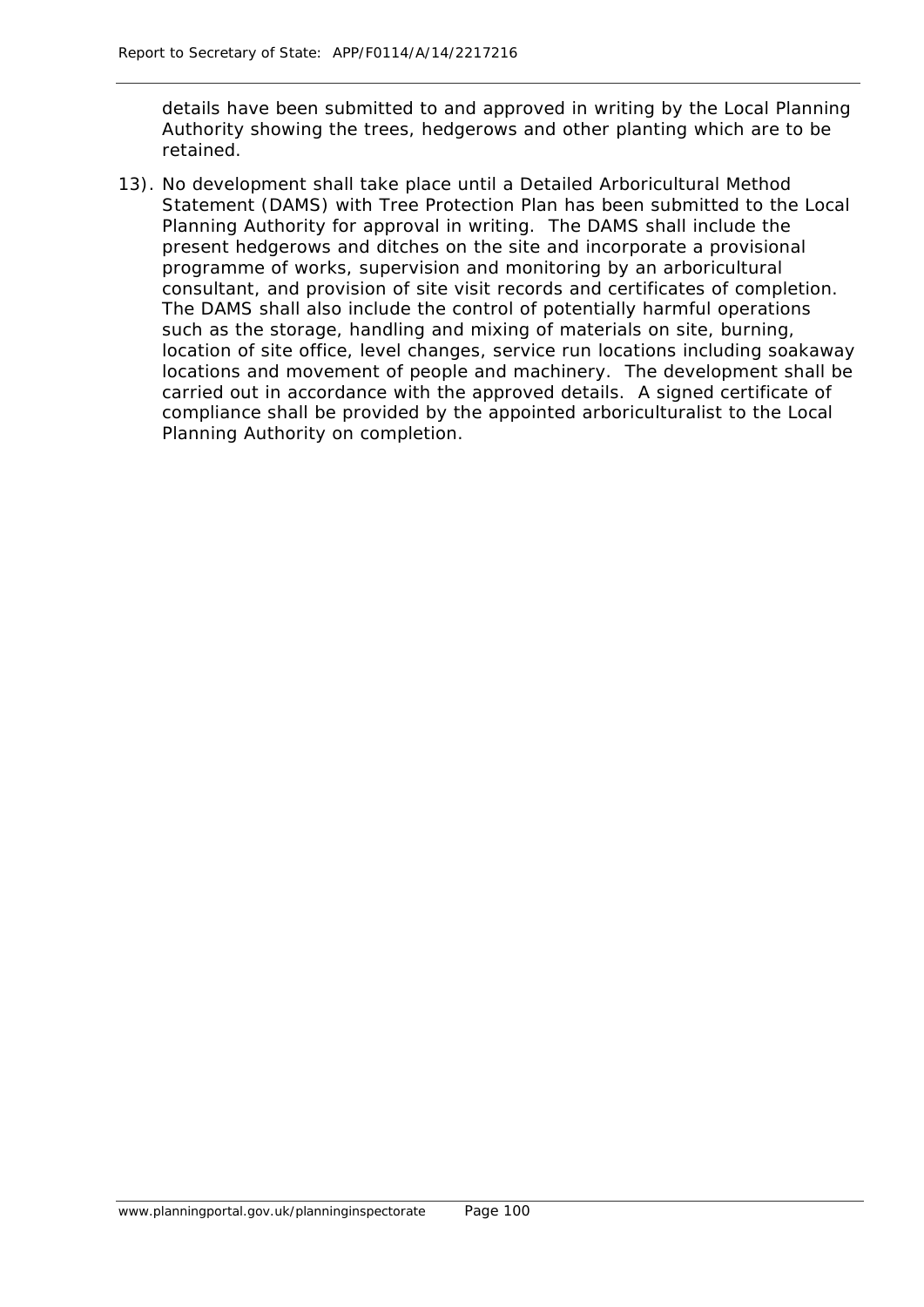details have been submitted to and approved in writing by the Local Planning Authority showing the trees, hedgerows and other planting which are to be retained.

13). No development shall take place until a Detailed Arboricultural Method Statement (DAMS) with Tree Protection Plan has been submitted to the Local Planning Authority for approval in writing. The DAMS shall include the present hedgerows and ditches on the site and incorporate a provisional programme of works, supervision and monitoring by an arboricultural consultant, and provision of site visit records and certificates of completion. The DAMS shall also include the control of potentially harmful operations such as the storage, handling and mixing of materials on site, burning, location of site office, level changes, service run locations including soakaway locations and movement of people and machinery. The development shall be carried out in accordance with the approved details. A signed certificate of compliance shall be provided by the appointed arboriculturalist to the Local Planning Authority on completion.